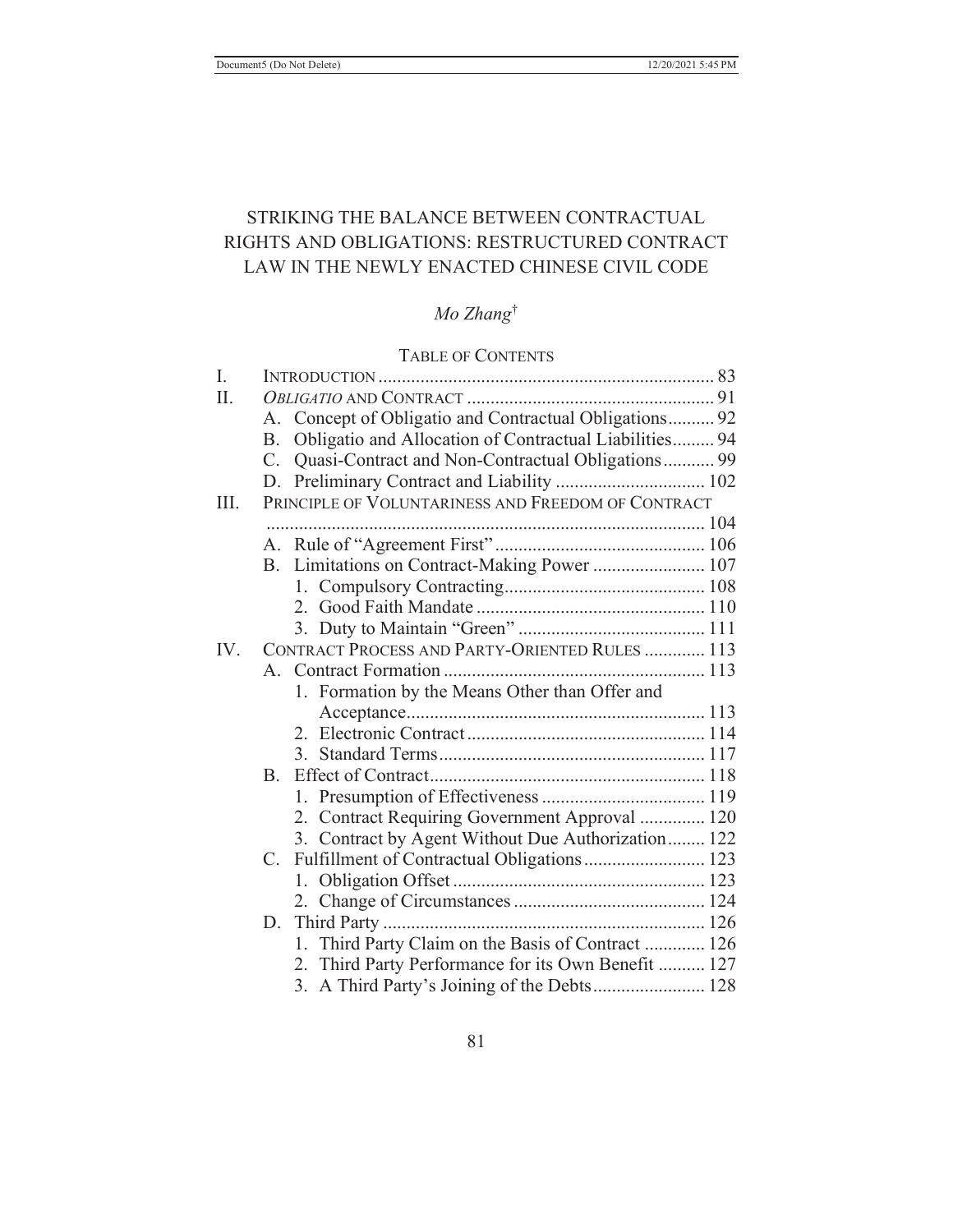# STRIKING THE BALANCE BETWEEN CONTRACTUAL RIGHTS AND OBLIGATIONS: RESTRUCTURED CONTRACT LAW IN THE NEWLY ENACTED CHINESE CIVIL CODE

# *Mo Zhang*†

# TABLE OF CONTENTS

| I.  |    |                                                        |
|-----|----|--------------------------------------------------------|
| II. |    |                                                        |
|     |    | A. Concept of Obligatio and Contractual Obligations 92 |
|     | B. | Obligatio and Allocation of Contractual Liabilities 94 |
|     | C. | Quasi-Contract and Non-Contractual Obligations 99      |
|     |    |                                                        |
| Ш.  |    | PRINCIPLE OF VOLUNTARINESS AND FREEDOM OF CONTRACT     |
|     |    |                                                        |
|     |    |                                                        |
|     |    | B. Limitations on Contract-Making Power  107           |
|     |    |                                                        |
|     |    |                                                        |
|     |    |                                                        |
| IV. |    | CONTRACT PROCESS AND PARTY-ORIENTED RULES  113         |
|     |    |                                                        |
|     |    | 1. Formation by the Means Other than Offer and         |
|     |    |                                                        |
|     |    |                                                        |
|     |    |                                                        |
|     |    |                                                        |
|     |    |                                                        |
|     |    | 2. Contract Requiring Government Approval  120         |
|     |    | 3. Contract by Agent Without Due Authorization 122     |
|     |    | C. Fulfillment of Contractual Obligations  123         |
|     |    |                                                        |
|     |    |                                                        |
|     |    |                                                        |
|     |    | Third Party Claim on the Basis of Contract  126<br>1.  |
|     |    | 2. Third Party Performance for its Own Benefit  127    |
|     |    | 3. A Third Party's Joining of the Debts 128            |
|     |    |                                                        |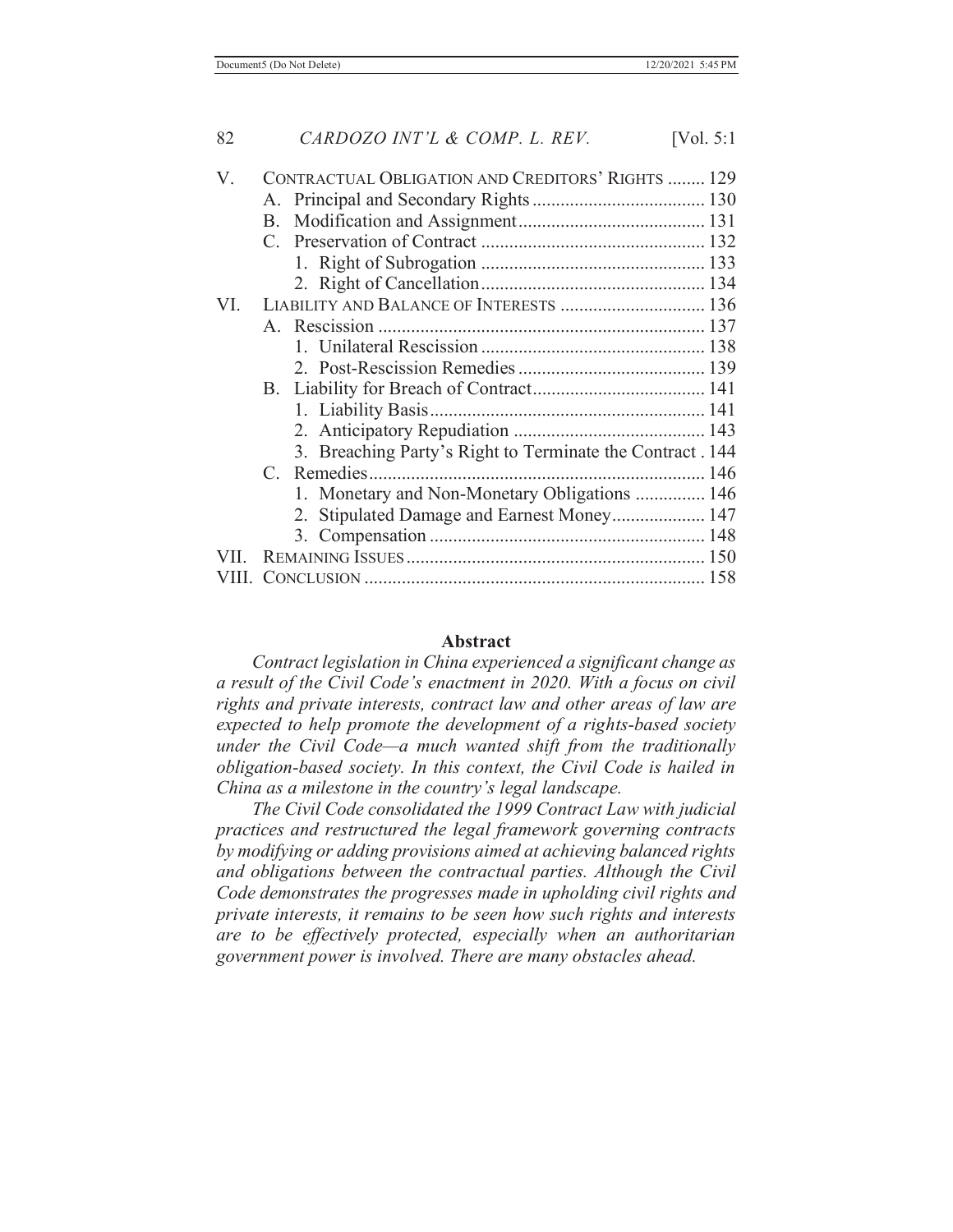### 82 *CARDOZO INT'L & COMP. L. REV.* [Vol. 5:1

| V.  | CONTRACTUAL OBLIGATION AND CREDITORS' RIGHTS  129 |                                                           |  |
|-----|---------------------------------------------------|-----------------------------------------------------------|--|
|     |                                                   |                                                           |  |
|     |                                                   |                                                           |  |
|     |                                                   |                                                           |  |
|     |                                                   |                                                           |  |
|     |                                                   |                                                           |  |
| VL. |                                                   | LIABILITY AND BALANCE OF INTERESTS  136                   |  |
|     |                                                   |                                                           |  |
|     |                                                   |                                                           |  |
|     |                                                   |                                                           |  |
|     |                                                   |                                                           |  |
|     |                                                   |                                                           |  |
|     |                                                   |                                                           |  |
|     |                                                   | 3. Breaching Party's Right to Terminate the Contract. 144 |  |
|     |                                                   |                                                           |  |
|     |                                                   | 1. Monetary and Non-Monetary Obligations  146             |  |
|     |                                                   | 2. Stipulated Damage and Earnest Money 147                |  |
|     |                                                   |                                                           |  |
|     |                                                   |                                                           |  |
|     |                                                   |                                                           |  |
|     |                                                   |                                                           |  |

#### **Abstract**

*Contract legislation in China experienced a significant change as a result of the Civil Code's enactment in 2020. With a focus on civil rights and private interests, contract law and other areas of law are expected to help promote the development of a rights-based society under the Civil Code—a much wanted shift from the traditionally obligation-based society. In this context, the Civil Code is hailed in China as a milestone in the country's legal landscape.*

 *The Civil Code consolidated the 1999 Contract Law with judicial practices and restructured the legal framework governing contracts by modifying or adding provisions aimed at achieving balanced rights and obligations between the contractual parties. Although the Civil Code demonstrates the progresses made in upholding civil rights and private interests, it remains to be seen how such rights and interests are to be effectively protected, especially when an authoritarian government power is involved. There are many obstacles ahead.*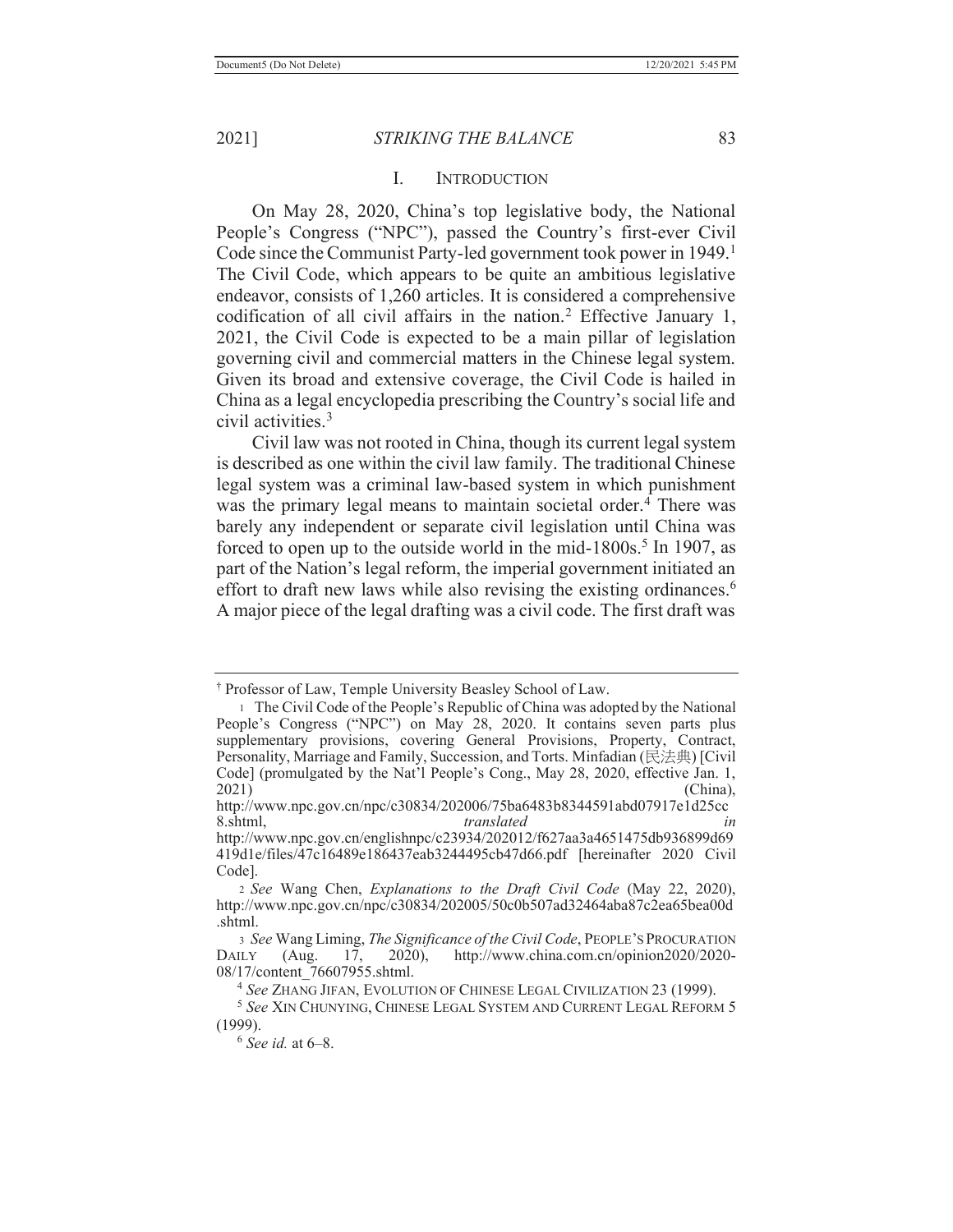### I. INTRODUCTION

 On May 28, 2020, China's top legislative body, the National People's Congress ("NPC"), passed the Country's first-ever Civil Code since the Communist Party-led government took power in 1949.<sup>1</sup> The Civil Code, which appears to be quite an ambitious legislative endeavor, consists of 1,260 articles. It is considered a comprehensive codification of all civil affairs in the nation.<sup>2</sup> Effective January 1, 2021, the Civil Code is expected to be a main pillar of legislation governing civil and commercial matters in the Chinese legal system. Given its broad and extensive coverage, the Civil Code is hailed in China as a legal encyclopedia prescribing the Country's social life and civil activities.3

 Civil law was not rooted in China, though its current legal system is described as one within the civil law family. The traditional Chinese legal system was a criminal law-based system in which punishment was the primary legal means to maintain societal order.<sup>4</sup> There was barely any independent or separate civil legislation until China was forced to open up to the outside world in the mid- $1800s$ .<sup>5</sup> In 1907, as part of the Nation's legal reform, the imperial government initiated an effort to draft new laws while also revising the existing ordinances.<sup>6</sup> A major piece of the legal drafting was a civil code. The first draft was

<sup>6</sup> *See id.* at 6–8.

<sup>†</sup> Professor of Law, Temple University Beasley School of Law.

<sup>1</sup> The Civil Code of the People's Republic of China was adopted by the National People's Congress ("NPC") on May 28, 2020. It contains seven parts plus supplementary provisions, covering General Provisions, Property, Contract, Personality, Marriage and Family, Succession, and Torts. Minfadian (民法典) [Civil Code] (promulgated by the Nat'l People's Cong., May 28, 2020, effective Jan. 1,  $2021)$  (China),

http://www.npc.gov.cn/npc/c30834/202006/75ba6483b8344591abd07917e1d25cc 8.shtml, *translated* 

http://www.npc.gov.cn/englishnpc/c23934/202012/f627aa3a4651475db936899d69 419d1e/files/47c16489e186437eab3244495cb47d66.pdf [hereinafter 2020 Civil Code].

<sup>2</sup> *See* Wang Chen, *Explanations to the Draft Civil Code* (May 22, 2020), http://www.npc.gov.cn/npc/c30834/202005/50c0b507ad32464aba87c2ea65bea00d .shtml.

<sup>3</sup> *See* Wang Liming, *The Significance of the Civil Code*, PEOPLE'S PROCURATION DAILY (Aug. 17, 2020), http://www.china.com.cn/opinion2020/2020- 08/17/content\_76607955.shtml. 4 *See* ZHANG JIFAN, EVOLUTION OF CHINESE LEGAL CIVILIZATION 23 (1999). 5 *See* XIN CHUNYING, CHINESE LEGAL SYSTEM AND CURRENT LEGAL REFORM 5

<sup>(1999).</sup>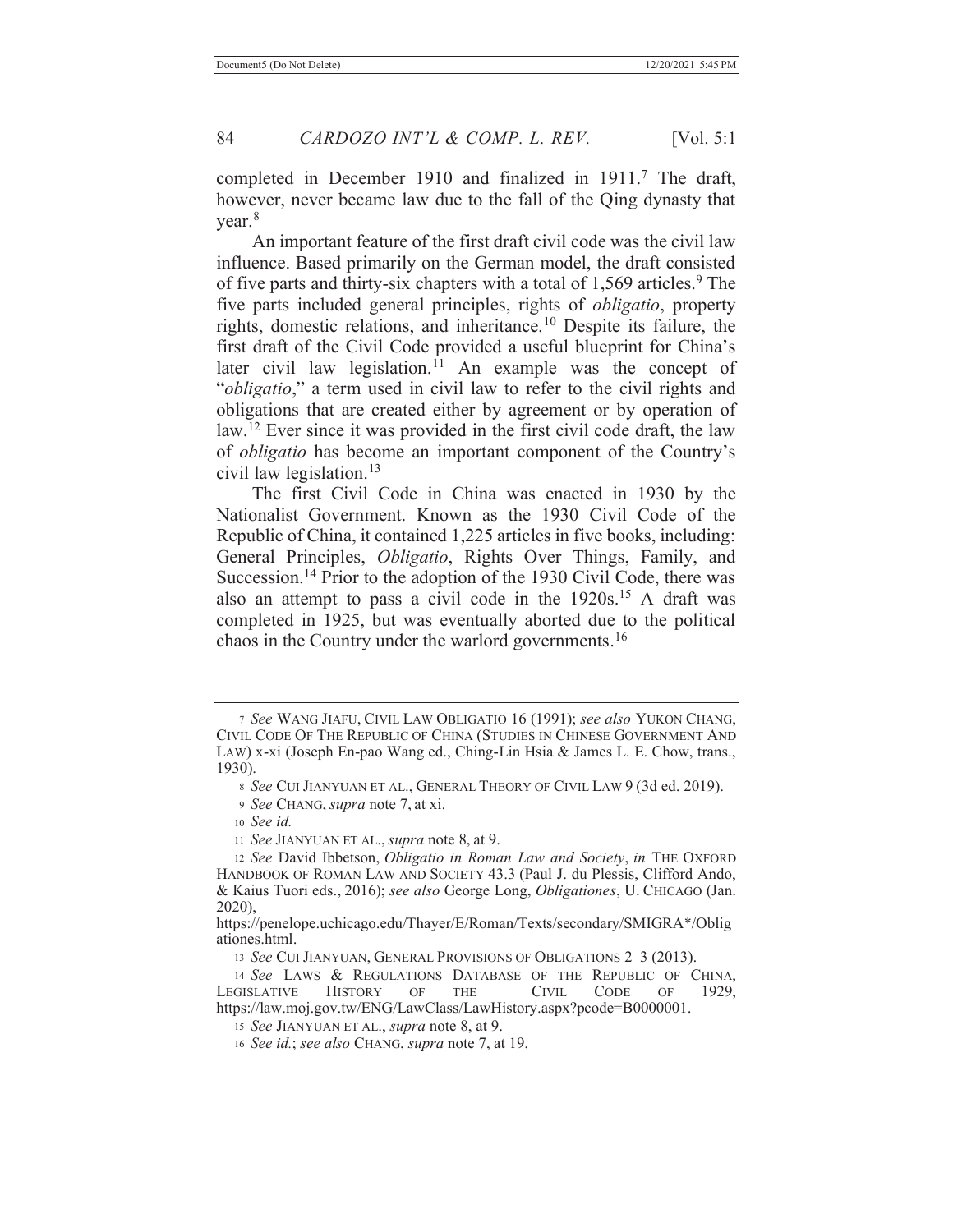completed in December 1910 and finalized in 1911.<sup>7</sup> The draft, however, never became law due to the fall of the Qing dynasty that year.8

 An important feature of the first draft civil code was the civil law influence. Based primarily on the German model, the draft consisted of five parts and thirty-six chapters with a total of  $1,569$  articles.<sup>9</sup> The five parts included general principles, rights of *obligatio*, property rights, domestic relations, and inheritance.10 Despite its failure, the first draft of the Civil Code provided a useful blueprint for China's later civil law legislation.<sup> $11$ </sup> An example was the concept of "*obligatio*," a term used in civil law to refer to the civil rights and obligations that are created either by agreement or by operation of law.<sup>12</sup> Ever since it was provided in the first civil code draft, the law of *obligatio* has become an important component of the Country's civil law legislation.13

 The first Civil Code in China was enacted in 1930 by the Nationalist Government. Known as the 1930 Civil Code of the Republic of China, it contained 1,225 articles in five books, including: General Principles, *Obligatio*, Rights Over Things, Family, and Succession.<sup>14</sup> Prior to the adoption of the 1930 Civil Code, there was also an attempt to pass a civil code in the  $1920s$ <sup>15</sup> A draft was completed in 1925, but was eventually aborted due to the political chaos in the Country under the warlord governments.16

<sup>7</sup> *See* WANG JIAFU, CIVIL LAW OBLIGATIO 16 (1991); *see also* YUKON CHANG, CIVIL CODE OF THE REPUBLIC OF CHINA (STUDIES IN CHINESE GOVERNMENT AND LAW) x-xi (Joseph En-pao Wang ed., Ching-Lin Hsia & James L. E. Chow, trans., 1930).

<sup>8</sup> *See* CUI JIANYUAN ET AL., GENERAL THEORY OF CIVIL LAW 9 (3d ed. 2019).

<sup>9</sup> *See* CHANG, *supra* note 7, at xi.

<sup>10</sup> *See id.*

<sup>11</sup> *See* JIANYUAN ET AL., *supra* note 8, at 9.

<sup>12</sup> *See* David Ibbetson, *Obligatio in Roman Law and Society*, *in* THE OXFORD HANDBOOK OF ROMAN LAW AND SOCIETY 43.3 (Paul J. du Plessis, Clifford Ando, & Kaius Tuori eds., 2016); *see also* George Long, *Obligationes*, U. CHICAGO (Jan. 2020),

https://penelope.uchicago.edu/Thayer/E/Roman/Texts/secondary/SMIGRA\*/Oblig ationes.html.

<sup>13</sup> *See* CUI JIANYUAN, GENERAL PROVISIONS OF OBLIGATIONS 2–3 (2013).

<sup>14</sup> *See* LAWS & REGULATIONS DATABASE OF THE REPUBLIC OF CHINA, LEGISLATIVE HISTORY OF THE CIVIL CODE OF 1929, https://law.moj.gov.tw/ENG/LawClass/LawHistory.aspx?pcode=B0000001.

<sup>15</sup> *See* JIANYUAN ET AL., *supra* note 8, at 9.

<sup>16</sup> *See id.*; *see also* CHANG, *supra* note 7, at 19.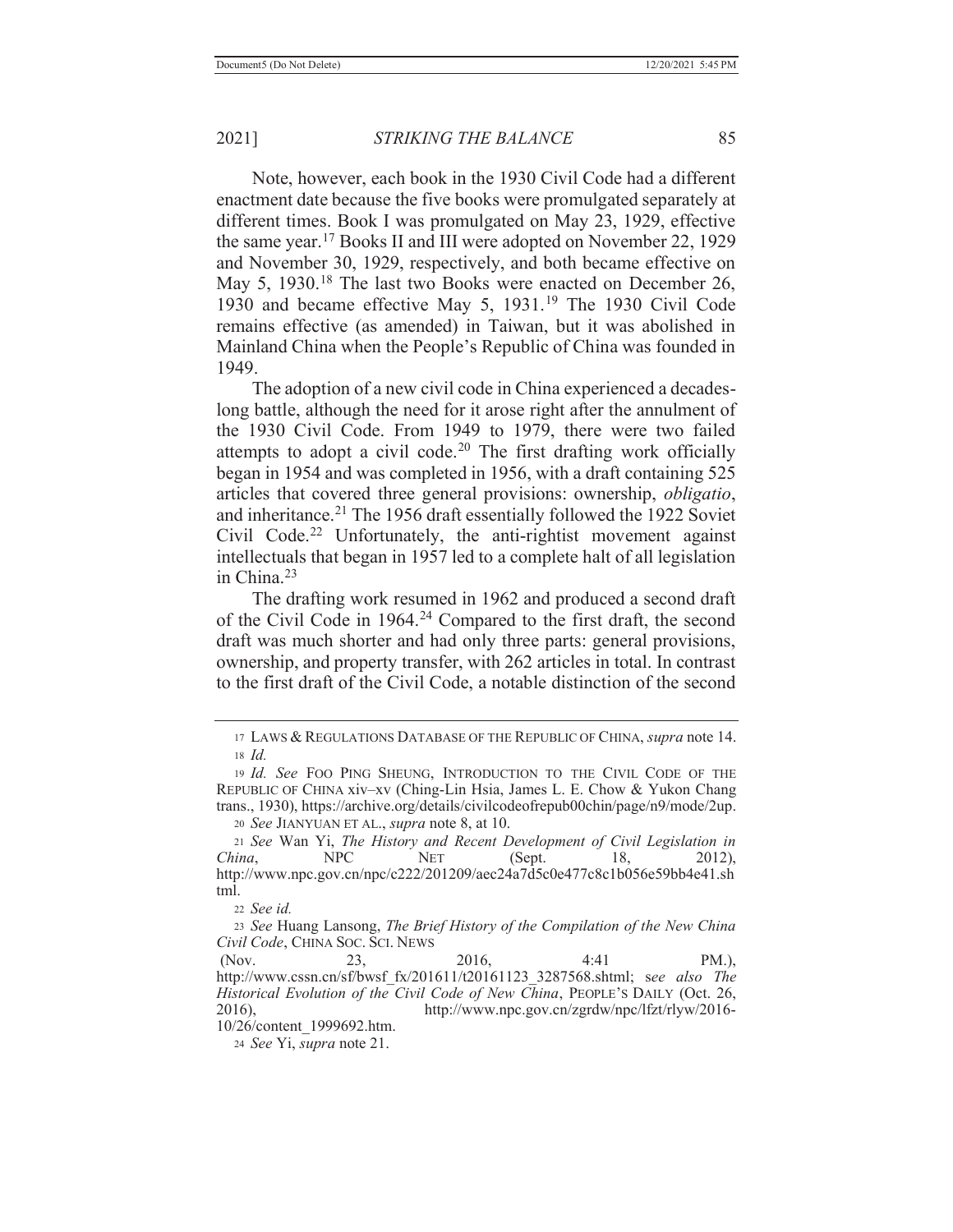Note, however, each book in the 1930 Civil Code had a different enactment date because the five books were promulgated separately at different times. Book I was promulgated on May 23, 1929, effective the same year.17 Books II and III were adopted on November 22, 1929 and November 30, 1929, respectively, and both became effective on May 5, 1930.<sup>18</sup> The last two Books were enacted on December 26, 1930 and became effective May 5, 1931.19 The 1930 Civil Code remains effective (as amended) in Taiwan, but it was abolished in Mainland China when the People's Republic of China was founded in 1949.

 The adoption of a new civil code in China experienced a decadeslong battle, although the need for it arose right after the annulment of the 1930 Civil Code. From 1949 to 1979, there were two failed attempts to adopt a civil code.<sup>20</sup> The first drafting work officially began in 1954 and was completed in 1956, with a draft containing 525 articles that covered three general provisions: ownership, *obligatio*, and inheritance.<sup>21</sup> The 1956 draft essentially followed the 1922 Soviet Civil Code.<sup>22</sup> Unfortunately, the anti-rightist movement against intellectuals that began in 1957 led to a complete halt of all legislation in China.23

 The drafting work resumed in 1962 and produced a second draft of the Civil Code in 1964.<sup>24</sup> Compared to the first draft, the second draft was much shorter and had only three parts: general provisions, ownership, and property transfer, with 262 articles in total. In contrast to the first draft of the Civil Code, a notable distinction of the second

<sup>22</sup> *See id.*

24 *See* Yi, *supra* note 21.

<sup>17</sup> LAWS & REGULATIONS DATABASE OF THE REPUBLIC OF CHINA, *supra* note 14. <sup>18</sup> *Id.*

<sup>19</sup> *Id. See* FOO PING SHEUNG, INTRODUCTION TO THE CIVIL CODE OF THE REPUBLIC OF CHINA xiv–xv (Ching-Lin Hsia, James L. E. Chow & Yukon Chang trans., 1930), https://archive.org/details/civilcodeofrepub00chin/page/n9/mode/2up. <sup>20</sup> *See* JIANYUAN ET AL., *supra* note 8, at 10.

<sup>21</sup> *See* Wan Yi, *The History and Recent Development of Civil Legislation in China*, **NPC NET** (Sept. 18, 2012), http://www.npc.gov.cn/npc/c222/201209/aec24a7d5c0e477c8c1b056e59bb4e41.sh tml.

<sup>23</sup> *See* Huang Lansong, *The Brief History of the Compilation of the New China Civil Code*, CHINA SOC. SCI. NEWS

<sup>(</sup>Nov. 23, 2016, 4:41 PM.), http://www.cssn.cn/sf/bwsf\_fx/201611/t20161123\_3287568.shtml; s*ee also The Historical Evolution of the Civil Code of New China*, PEOPLE'S DAILY (Oct. 26, 2016), http://www.npc.gov.cn/zgrdw/npc/lfzt/rlyw/2016- 10/26/content\_1999692.htm.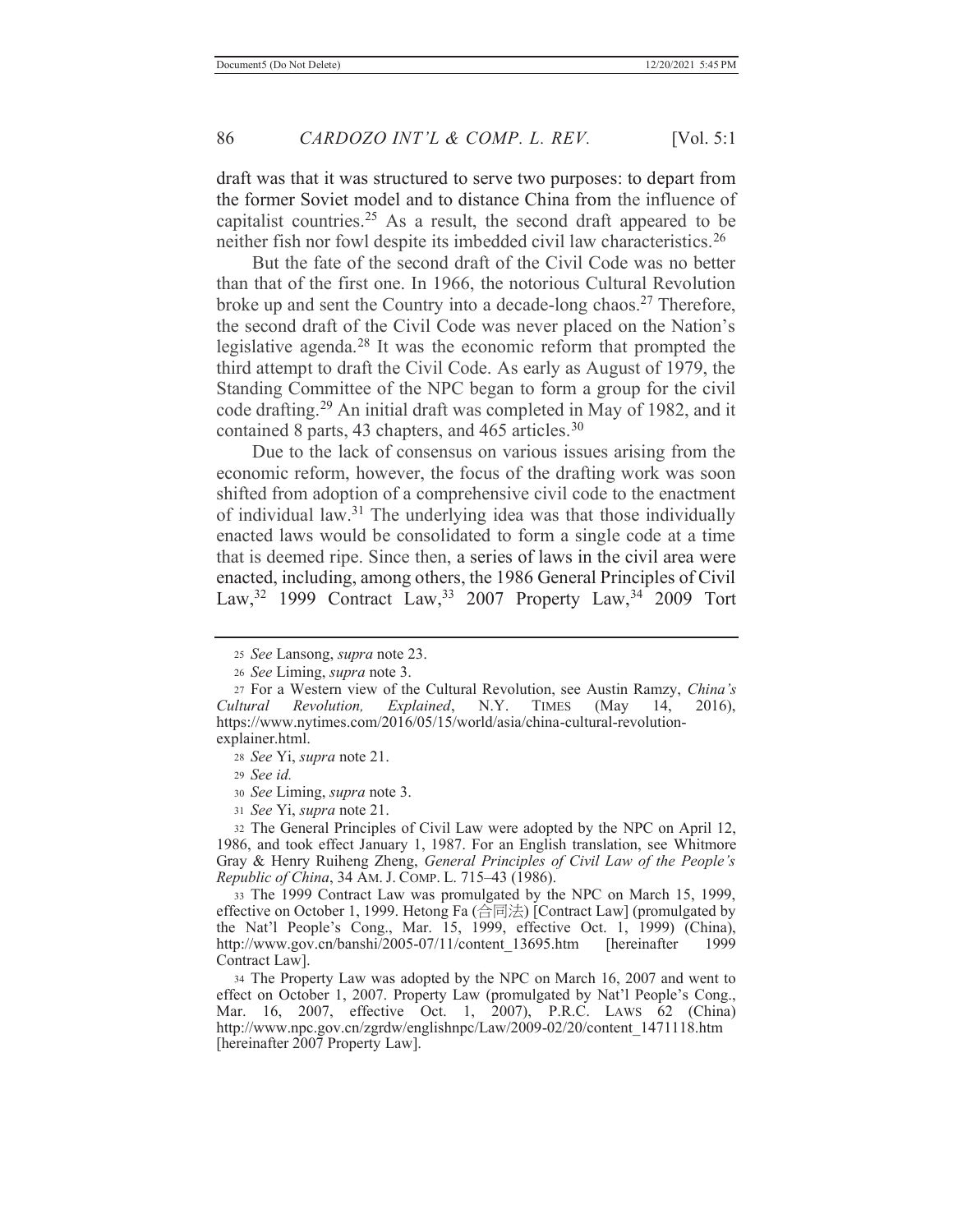draft was that it was structured to serve two purposes: to depart from the former Soviet model and to distance China from the influence of capitalist countries.<sup>25</sup> As a result, the second draft appeared to be neither fish nor fowl despite its imbedded civil law characteristics.26

 But the fate of the second draft of the Civil Code was no better than that of the first one. In 1966, the notorious Cultural Revolution broke up and sent the Country into a decade-long chaos.<sup>27</sup> Therefore, the second draft of the Civil Code was never placed on the Nation's legislative agenda.28 It was the economic reform that prompted the third attempt to draft the Civil Code. As early as August of 1979, the Standing Committee of the NPC began to form a group for the civil code drafting.29 An initial draft was completed in May of 1982, and it contained 8 parts, 43 chapters, and 465 articles.<sup>30</sup>

 Due to the lack of consensus on various issues arising from the economic reform, however, the focus of the drafting work was soon shifted from adoption of a comprehensive civil code to the enactment of individual law.31 The underlying idea was that those individually enacted laws would be consolidated to form a single code at a time that is deemed ripe. Since then, a series of laws in the civil area were enacted, including, among others, the 1986 General Principles of Civil Law,<sup>32</sup> 1999 Contract Law,<sup>33</sup> 2007 Property Law,<sup>34</sup> 2009 Tort

<sup>30</sup> *See* Liming, *supra* note 3.

<sup>31</sup> *See* Yi, *supra* note 21.

32 The General Principles of Civil Law were adopted by the NPC on April 12, 1986, and took effect January 1, 1987. For an English translation, see Whitmore Gray & Henry Ruiheng Zheng, *General Principles of Civil Law of the People's Republic of China*, 34 AM. J. COMP. L. 715–43 (1986).

33 The 1999 Contract Law was promulgated by the NPC on March 15, 1999, effective on October 1, 1999. Hetong Fa (合同法) [Contract Law] (promulgated by the Nat'l People's Cong., Mar. 15, 1999, effective Oct. 1, 1999) (China), http://www.gov.cn/banshi/2005-07/11/content\_13695.htm [hereinafter 1999 Contract Law].

34 The Property Law was adopted by the NPC on March 16, 2007 and went to effect on October 1, 2007. Property Law (promulgated by Nat'l People's Cong., Mar. 16, 2007, effective Oct. 1, 2007), P.R.C. LAWS 62 (China) http://www.npc.gov.cn/zgrdw/englishnpc/Law/2009-02/20/content\_1471118.htm [hereinafter 2007 Property Law].

<sup>25</sup> *See* Lansong, *supra* note 23.

<sup>26</sup> *See* Liming, *supra* note 3.

<sup>27</sup> For a Western view of the Cultural Revolution, see Austin Ramzy, *China's Cultural Revolution, Explained*, N.Y. TIMES (May 14, 2016), https://www.nytimes.com/2016/05/15/world/asia/china-cultural-revolutionexplainer.html.

<sup>28</sup> *See* Yi, *supra* note 21.

<sup>29</sup> *See id.*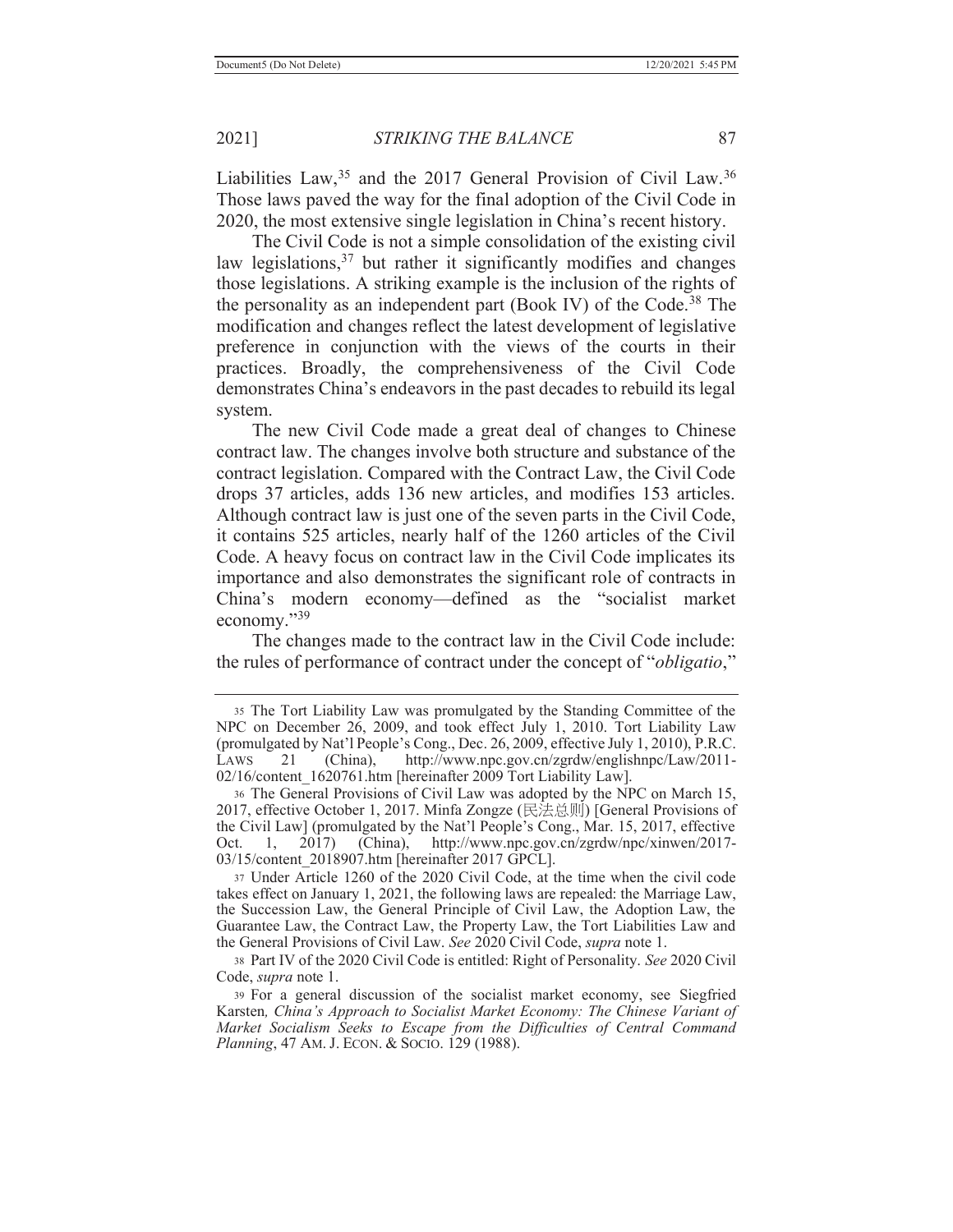Liabilities Law,  $35$  and the 2017 General Provision of Civil Law.  $36$ Those laws paved the way for the final adoption of the Civil Code in 2020, the most extensive single legislation in China's recent history.

 The Civil Code is not a simple consolidation of the existing civil law legislations,  $37$  but rather it significantly modifies and changes those legislations. A striking example is the inclusion of the rights of the personality as an independent part (Book IV) of the Code.38 The modification and changes reflect the latest development of legislative preference in conjunction with the views of the courts in their practices. Broadly, the comprehensiveness of the Civil Code demonstrates China's endeavors in the past decades to rebuild its legal system.

 The new Civil Code made a great deal of changes to Chinese contract law. The changes involve both structure and substance of the contract legislation. Compared with the Contract Law, the Civil Code drops 37 articles, adds 136 new articles, and modifies 153 articles. Although contract law is just one of the seven parts in the Civil Code, it contains 525 articles, nearly half of the 1260 articles of the Civil Code. A heavy focus on contract law in the Civil Code implicates its importance and also demonstrates the significant role of contracts in China's modern economy—defined as the "socialist market economy."<sup>39</sup>

 The changes made to the contract law in the Civil Code include: the rules of performance of contract under the concept of "*obligatio*,"

<sup>35</sup> The Tort Liability Law was promulgated by the Standing Committee of the NPC on December 26, 2009, and took effect July 1, 2010. Tort Liability Law (promulgated by Nat'l People's Cong., Dec. 26, 2009, effective July 1, 2010), P.R.C. LAWS 21 (China), http://www.npc.gov.cn/zgrdw/englishnpc/Law/2011- 02/16/content\_1620761.htm [hereinafter 2009 Tort Liability Law].

<sup>36</sup> The General Provisions of Civil Law was adopted by the NPC on March 15, 2017, effective October 1, 2017. Minfa Zongze (民法总则) [General Provisions of the Civil Law] (promulgated by the Nat'l People's Cong., Mar. 15, 2017, effective Oct. 1, 2017) (China), http://www.npc.gov.cn/zgrdw/npc/xinwen/2017- 03/15/content\_2018907.htm [hereinafter 2017 GPCL].

<sup>37</sup> Under Article 1260 of the 2020 Civil Code, at the time when the civil code takes effect on January 1, 2021, the following laws are repealed: the Marriage Law, the Succession Law, the General Principle of Civil Law, the Adoption Law, the Guarantee Law, the Contract Law, the Property Law, the Tort Liabilities Law and the General Provisions of Civil Law. *See* 2020 Civil Code, *supra* note 1.

<sup>38</sup> Part IV of the 2020 Civil Code is entitled: Right of Personality. *See* 2020 Civil Code, *supra* note 1.

<sup>39</sup> For a general discussion of the socialist market economy, see Siegfried Karsten*, China's Approach to Socialist Market Economy: The Chinese Variant of Market Socialism Seeks to Escape from the Difficulties of Central Command Planning*, 47 AM. J. ECON. & SOCIO. 129 (1988).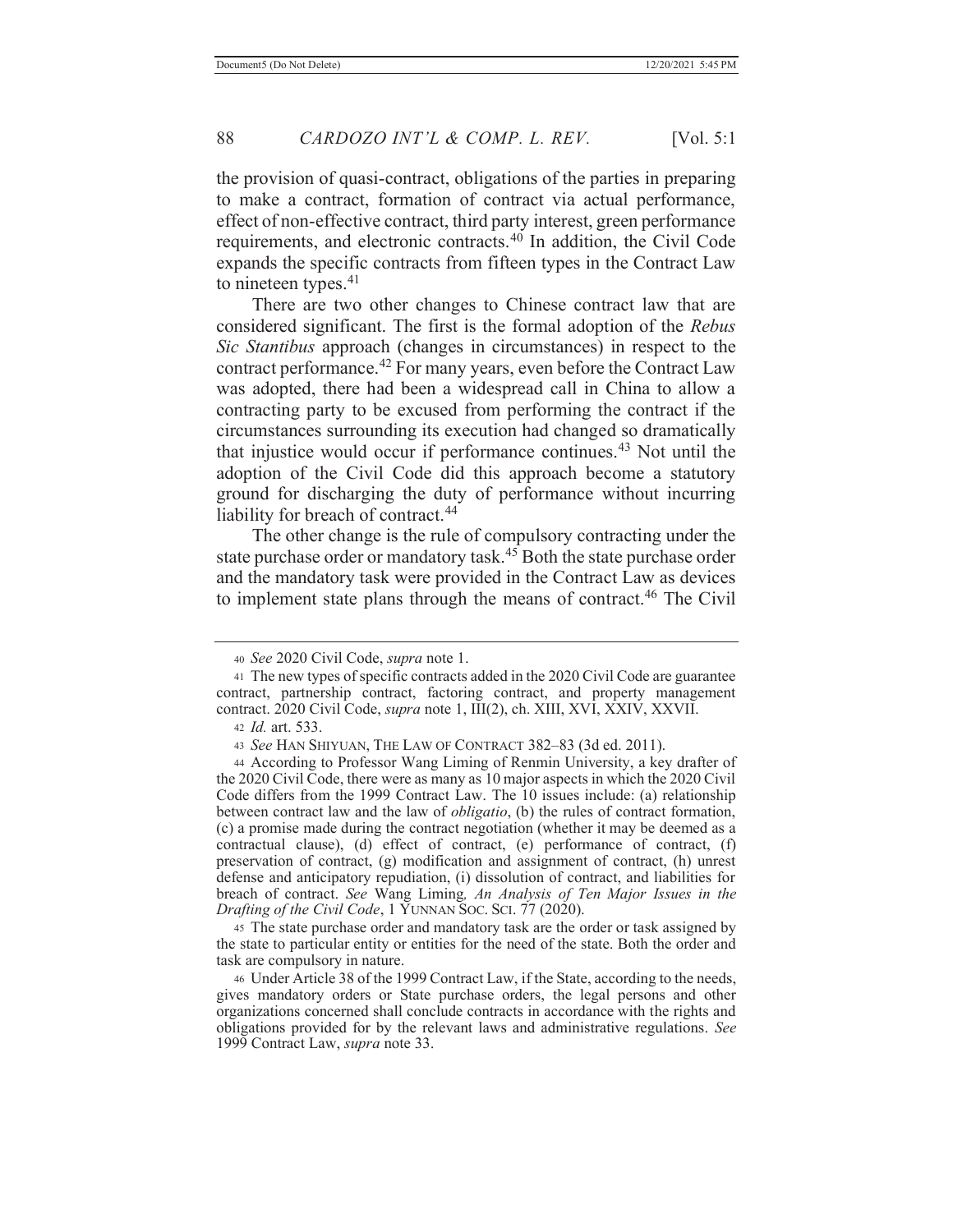the provision of quasi-contract, obligations of the parties in preparing to make a contract, formation of contract via actual performance, effect of non-effective contract, third party interest, green performance requirements, and electronic contracts.40 In addition, the Civil Code expands the specific contracts from fifteen types in the Contract Law to nineteen types.<sup>41</sup>

 There are two other changes to Chinese contract law that are considered significant. The first is the formal adoption of the *Rebus Sic Stantibus* approach (changes in circumstances) in respect to the contract performance.<sup>42</sup> For many years, even before the Contract Law was adopted, there had been a widespread call in China to allow a contracting party to be excused from performing the contract if the circumstances surrounding its execution had changed so dramatically that injustice would occur if performance continues.<sup>43</sup> Not until the adoption of the Civil Code did this approach become a statutory ground for discharging the duty of performance without incurring liability for breach of contract.<sup>44</sup>

 The other change is the rule of compulsory contracting under the state purchase order or mandatory task.<sup>45</sup> Both the state purchase order and the mandatory task were provided in the Contract Law as devices to implement state plans through the means of contract.<sup>46</sup> The Civil

44 According to Professor Wang Liming of Renmin University, a key drafter of the 2020 Civil Code, there were as many as 10 major aspects in which the 2020 Civil Code differs from the 1999 Contract Law. The 10 issues include: (a) relationship between contract law and the law of *obligatio*, (b) the rules of contract formation, (c) a promise made during the contract negotiation (whether it may be deemed as a contractual clause), (d) effect of contract, (e) performance of contract, (f) preservation of contract, (g) modification and assignment of contract, (h) unrest defense and anticipatory repudiation, (i) dissolution of contract, and liabilities for breach of contract. *See* Wang Liming*, An Analysis of Ten Major Issues in the Drafting of the Civil Code*, 1 YUNNAN SOC. SCI. 77 (2020).

45 The state purchase order and mandatory task are the order or task assigned by the state to particular entity or entities for the need of the state. Both the order and task are compulsory in nature.

<sup>40</sup> *See* 2020 Civil Code, *supra* note 1.

<sup>41</sup> The new types of specific contracts added in the 2020 Civil Code are guarantee contract, partnership contract, factoring contract, and property management contract. 2020 Civil Code, *supra* note 1, III(2), ch. XIII, XVI, XXIV, XXVII.

<sup>42</sup> *Id.* art. 533.

<sup>43</sup> *See* HAN SHIYUAN, THE LAW OF CONTRACT 382–83 (3d ed. 2011).

<sup>46</sup> Under Article 38 of the 1999 Contract Law, if the State, according to the needs, gives mandatory orders or State purchase orders, the legal persons and other organizations concerned shall conclude contracts in accordance with the rights and obligations provided for by the relevant laws and administrative regulations. *See* 1999 Contract Law, *supra* note 33.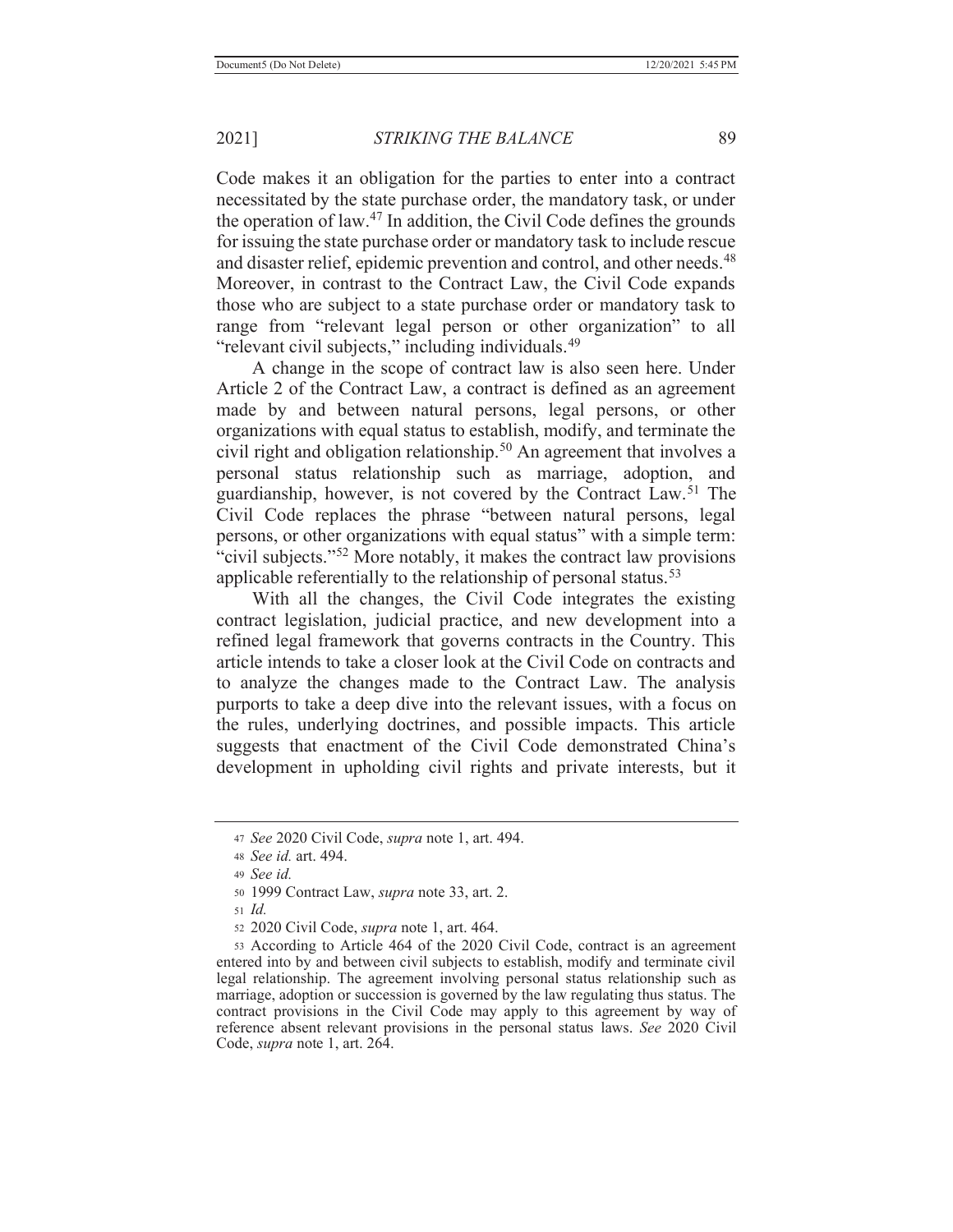Code makes it an obligation for the parties to enter into a contract necessitated by the state purchase order, the mandatory task, or under the operation of law.<sup>47</sup> In addition, the Civil Code defines the grounds for issuing the state purchase order or mandatory task to include rescue and disaster relief, epidemic prevention and control, and other needs.<sup>48</sup> Moreover, in contrast to the Contract Law, the Civil Code expands those who are subject to a state purchase order or mandatory task to range from "relevant legal person or other organization" to all "relevant civil subjects," including individuals.<sup>49</sup>

 A change in the scope of contract law is also seen here. Under Article 2 of the Contract Law, a contract is defined as an agreement made by and between natural persons, legal persons, or other organizations with equal status to establish, modify, and terminate the civil right and obligation relationship.50 An agreement that involves a personal status relationship such as marriage, adoption, and guardianship, however, is not covered by the Contract Law.51 The Civil Code replaces the phrase "between natural persons, legal persons, or other organizations with equal status" with a simple term: "civil subjects."<sup>52</sup> More notably, it makes the contract law provisions applicable referentially to the relationship of personal status.<sup>53</sup>

 With all the changes, the Civil Code integrates the existing contract legislation, judicial practice, and new development into a refined legal framework that governs contracts in the Country. This article intends to take a closer look at the Civil Code on contracts and to analyze the changes made to the Contract Law. The analysis purports to take a deep dive into the relevant issues, with a focus on the rules, underlying doctrines, and possible impacts. This article suggests that enactment of the Civil Code demonstrated China's development in upholding civil rights and private interests, but it

<sup>47</sup> *See* 2020 Civil Code, *supra* note 1, art. 494.

<sup>48</sup> *See id.* art. 494.

<sup>49</sup> *See id.*

<sup>50 1999</sup> Contract Law, *supra* note 33, art. 2.

<sup>51</sup> *Id.*

<sup>52 2020</sup> Civil Code, *supra* note 1, art. 464.

<sup>53</sup> According to Article 464 of the 2020 Civil Code, contract is an agreement entered into by and between civil subjects to establish, modify and terminate civil legal relationship. The agreement involving personal status relationship such as marriage, adoption or succession is governed by the law regulating thus status. The contract provisions in the Civil Code may apply to this agreement by way of reference absent relevant provisions in the personal status laws. *See* 2020 Civil Code, *supra* note 1, art. 264.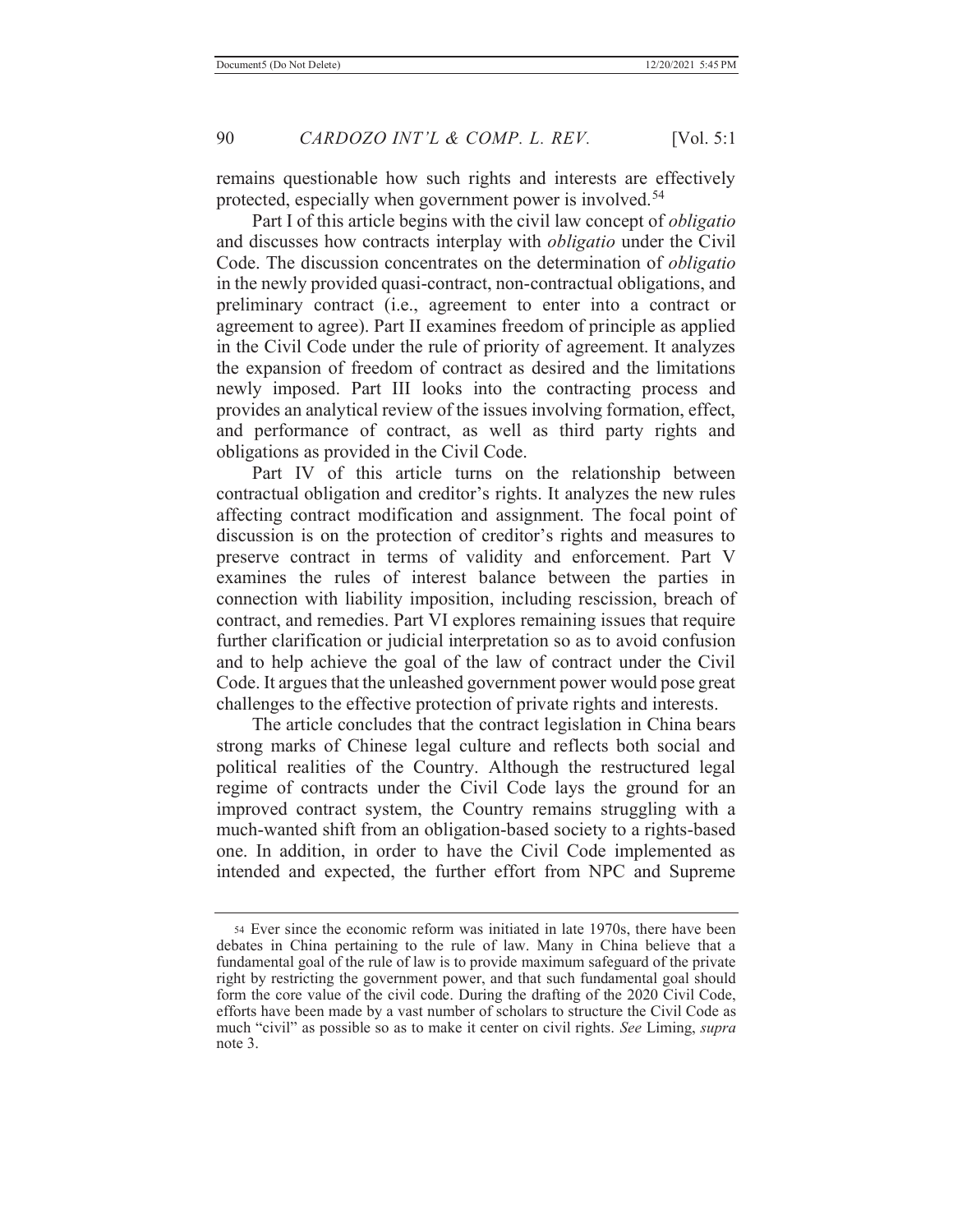remains questionable how such rights and interests are effectively protected, especially when government power is involved.<sup>54</sup>

 Part I of this article begins with the civil law concept of *obligatio*  and discusses how contracts interplay with *obligatio* under the Civil Code. The discussion concentrates on the determination of *obligatio* in the newly provided quasi-contract, non-contractual obligations, and preliminary contract (i.e., agreement to enter into a contract or agreement to agree). Part II examines freedom of principle as applied in the Civil Code under the rule of priority of agreement. It analyzes the expansion of freedom of contract as desired and the limitations newly imposed. Part III looks into the contracting process and provides an analytical review of the issues involving formation, effect, and performance of contract, as well as third party rights and obligations as provided in the Civil Code.

 Part IV of this article turns on the relationship between contractual obligation and creditor's rights. It analyzes the new rules affecting contract modification and assignment. The focal point of discussion is on the protection of creditor's rights and measures to preserve contract in terms of validity and enforcement. Part V examines the rules of interest balance between the parties in connection with liability imposition, including rescission, breach of contract, and remedies. Part VI explores remaining issues that require further clarification or judicial interpretation so as to avoid confusion and to help achieve the goal of the law of contract under the Civil Code. It argues that the unleashed government power would pose great challenges to the effective protection of private rights and interests.

 The article concludes that the contract legislation in China bears strong marks of Chinese legal culture and reflects both social and political realities of the Country. Although the restructured legal regime of contracts under the Civil Code lays the ground for an improved contract system, the Country remains struggling with a much-wanted shift from an obligation-based society to a rights-based one. In addition, in order to have the Civil Code implemented as intended and expected, the further effort from NPC and Supreme

<sup>54</sup> Ever since the economic reform was initiated in late 1970s, there have been debates in China pertaining to the rule of law. Many in China believe that a fundamental goal of the rule of law is to provide maximum safeguard of the private right by restricting the government power, and that such fundamental goal should form the core value of the civil code. During the drafting of the 2020 Civil Code, efforts have been made by a vast number of scholars to structure the Civil Code as much "civil" as possible so as to make it center on civil rights. *See* Liming, *supra* note 3.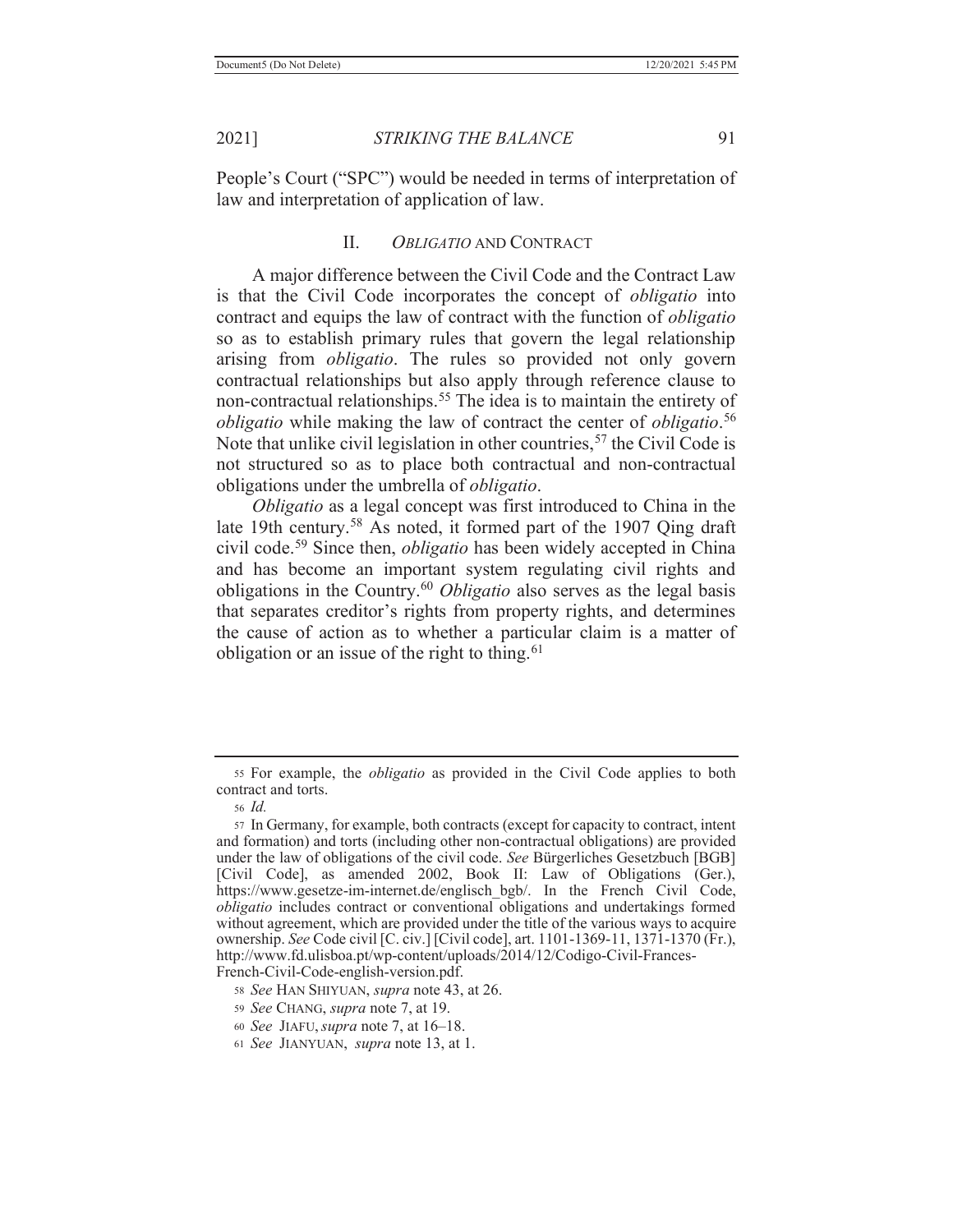People's Court ("SPC") would be needed in terms of interpretation of law and interpretation of application of law.

## II. *OBLIGATIO* AND CONTRACT

 A major difference between the Civil Code and the Contract Law is that the Civil Code incorporates the concept of *obligatio* into contract and equips the law of contract with the function of *obligatio* so as to establish primary rules that govern the legal relationship arising from *obligatio*. The rules so provided not only govern contractual relationships but also apply through reference clause to non-contractual relationships.<sup>55</sup> The idea is to maintain the entirety of *obligatio* while making the law of contract the center of *obligatio*. 56 Note that unlike civil legislation in other countries,<sup>57</sup> the Civil Code is not structured so as to place both contractual and non-contractual obligations under the umbrella of *obligatio*.

 *Obligatio* as a legal concept was first introduced to China in the late 19th century.<sup>58</sup> As noted, it formed part of the 1907 Qing draft civil code.59 Since then, *obligatio* has been widely accepted in China and has become an important system regulating civil rights and obligations in the Country.60 *Obligatio* also serves as the legal basis that separates creditor's rights from property rights, and determines the cause of action as to whether a particular claim is a matter of obligation or an issue of the right to thing. $61$ 

<sup>55</sup> For example, the *obligatio* as provided in the Civil Code applies to both contract and torts.

<sup>56</sup> *Id.*

<sup>57</sup> In Germany, for example, both contracts (except for capacity to contract, intent and formation) and torts (including other non-contractual obligations) are provided under the law of obligations of the civil code. *See* Bürgerliches Gesetzbuch [BGB] [Civil Code], as amended 2002, Book II: Law of Obligations (Ger.), https://www.gesetze-im-internet.de/englisch\_bgb/. In the French Civil Code, *obligatio* includes contract or conventional obligations and undertakings formed without agreement, which are provided under the title of the various ways to acquire ownership. *See* Code civil [C. civ.] [Civil code], art. 1101-1369-11, 1371-1370 (Fr.), http://www.fd.ulisboa.pt/wp-content/uploads/2014/12/Codigo-Civil-Frances-French-Civil-Code-english-version.pdf.

<sup>58</sup> *See* HAN SHIYUAN, *supra* note 43, at 26.

<sup>59</sup> *See* CHANG, *supra* note 7, at 19.

<sup>60</sup> *See* JIAFU,*supra* note 7, at 16–18.

<sup>61</sup> *See* JIANYUAN, *supra* note 13, at 1.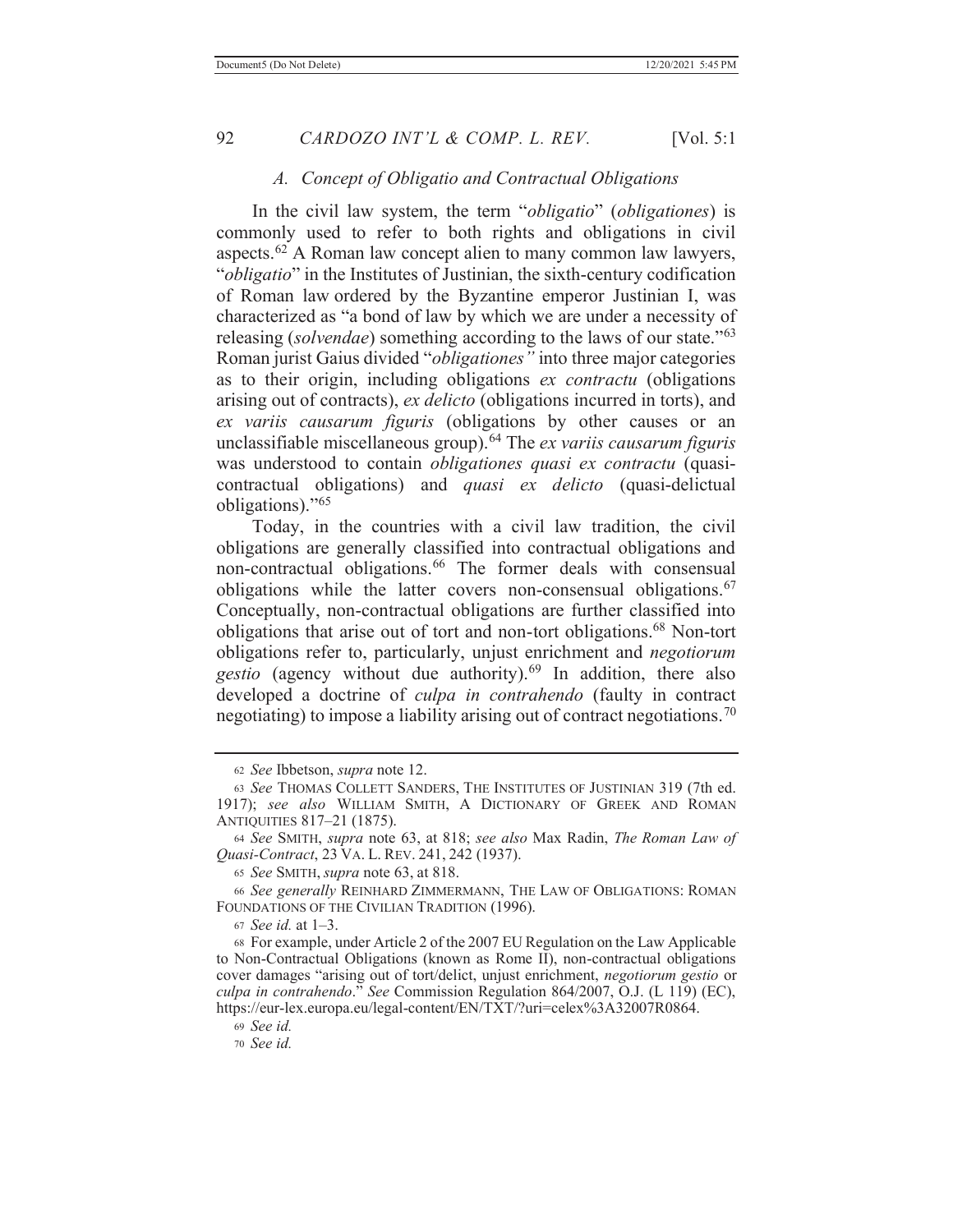#### *A. Concept of Obligatio and Contractual Obligations*

 In the civil law system, the term "*obligatio*" (*obligationes*) is commonly used to refer to both rights and obligations in civil aspects. $62$  A Roman law concept alien to many common law lawyers, "*obligatio*" in the Institutes of Justinian, the sixth-century codification of Roman law ordered by the Byzantine emperor Justinian I, was characterized as "a bond of law by which we are under a necessity of releasing (*solvendae*) something according to the laws of our state."<sup>63</sup> Roman jurist Gaius divided "*obligationes"* into three major categories as to their origin, including obligations *ex contractu* (obligations arising out of contracts), *ex delicto* (obligations incurred in torts), and *ex variis causarum figuris* (obligations by other causes or an unclassifiable miscellaneous group).64 The *ex variis causarum figuris*  was understood to contain *obligationes quasi ex contractu* (quasicontractual obligations) and *quasi ex delicto* (quasi-delictual obligations)."<sup>65</sup>

 Today, in the countries with a civil law tradition, the civil obligations are generally classified into contractual obligations and non-contractual obligations.<sup>66</sup> The former deals with consensual obligations while the latter covers non-consensual obligations.<sup>67</sup> Conceptually, non-contractual obligations are further classified into obligations that arise out of tort and non-tort obligations.68 Non-tort obligations refer to, particularly, unjust enrichment and *negotiorum gestio* (agency without due authority).69 In addition, there also developed a doctrine of *culpa in contrahendo* (faulty in contract negotiating) to impose a liability arising out of contract negotiations.<sup>70</sup>

<sup>65</sup> *See* SMITH, *supra* note 63, at 818.

<sup>66</sup> *See generally* REINHARD ZIMMERMANN, THE LAW OF OBLIGATIONS: ROMAN FOUNDATIONS OF THE CIVILIAN TRADITION (1996).

<sup>67</sup> *See id.* at 1–3.

68 For example, under Article 2 of the 2007 EU Regulation on the Law Applicable to Non-Contractual Obligations (known as Rome II), non-contractual obligations cover damages "arising out of tort/delict, unjust enrichment, *negotiorum gestio* or *culpa in contrahendo*." *See* Commission Regulation 864/2007, O.J. (L 119) (EC), https://eur-lex.europa.eu/legal-content/EN/TXT/?uri=celex%3A32007R0864.

<sup>69</sup> *See id.*

<sup>70</sup> *See id.*

<sup>62</sup> *See* Ibbetson, *supra* note 12.

<sup>63</sup> *See* THOMAS COLLETT SANDERS, THE INSTITUTES OF JUSTINIAN 319 (7th ed. 1917); *see also* WILLIAM SMITH, A DICTIONARY OF GREEK AND ROMAN ANTIQUITIES 817–21 (1875).

<sup>64</sup> *See* SMITH, *supra* note 63, at 818; *see also* Max Radin, *The Roman Law of Quasi-Contract*, 23 VA. L. REV. 241, 242 (1937).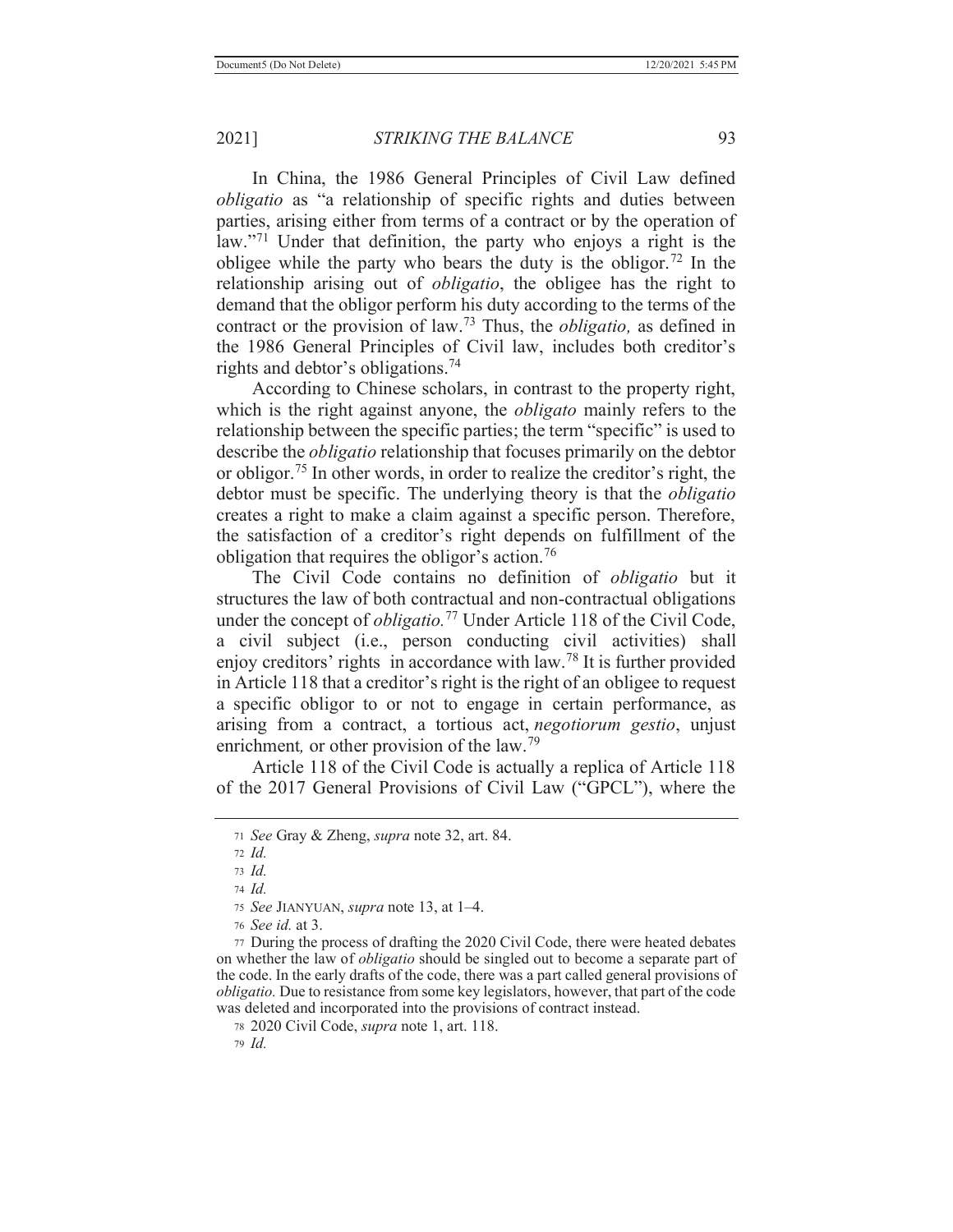In China, the 1986 General Principles of Civil Law defined *obligatio* as "a relationship of specific rights and duties between parties, arising either from terms of a contract or by the operation of law."<sup>71</sup> Under that definition, the party who enjoys a right is the obligee while the party who bears the duty is the obligor.<sup>72</sup> In the relationship arising out of *obligatio*, the obligee has the right to demand that the obligor perform his duty according to the terms of the contract or the provision of law.73 Thus, the *obligatio,* as defined in the 1986 General Principles of Civil law, includes both creditor's rights and debtor's obligations.<sup>74</sup>

 According to Chinese scholars, in contrast to the property right, which is the right against anyone, the *obligato* mainly refers to the relationship between the specific parties; the term "specific" is used to describe the *obligatio* relationship that focuses primarily on the debtor or obligor.75 In other words, in order to realize the creditor's right, the debtor must be specific. The underlying theory is that the *obligatio* creates a right to make a claim against a specific person. Therefore, the satisfaction of a creditor's right depends on fulfillment of the obligation that requires the obligor's action.<sup>76</sup>

 The Civil Code contains no definition of *obligatio* but it structures the law of both contractual and non-contractual obligations under the concept of *obligatio.*77 Under Article 118 of the Civil Code, a civil subject (i.e., person conducting civil activities) shall enjoy creditors' rights in accordance with law.78 It is further provided in Article 118 that a creditor's right is the right of an obligee to request a specific obligor to or not to engage in certain performance, as arising from a contract, a tortious act, *negotiorum gestio*, unjust enrichment, or other provision of the law.<sup>79</sup>

 Article 118 of the Civil Code is actually a replica of Article 118 of the 2017 General Provisions of Civil Law ("GPCL"), where the

<sup>74</sup> *Id.*

<sup>71</sup> *See* Gray & Zheng, *supra* note 32, art. 84.

<sup>72</sup> *Id.*

<sup>73</sup> *Id.*

<sup>75</sup> *See* JIANYUAN, *supra* note 13, at 1–4.

<sup>76</sup> *See id.* at 3.

<sup>77</sup> During the process of drafting the 2020 Civil Code, there were heated debates on whether the law of *obligatio* should be singled out to become a separate part of the code. In the early drafts of the code, there was a part called general provisions of *obligatio.* Due to resistance from some key legislators, however, that part of the code was deleted and incorporated into the provisions of contract instead.

<sup>78 2020</sup> Civil Code, *supra* note 1, art. 118.

<sup>79</sup> *Id.*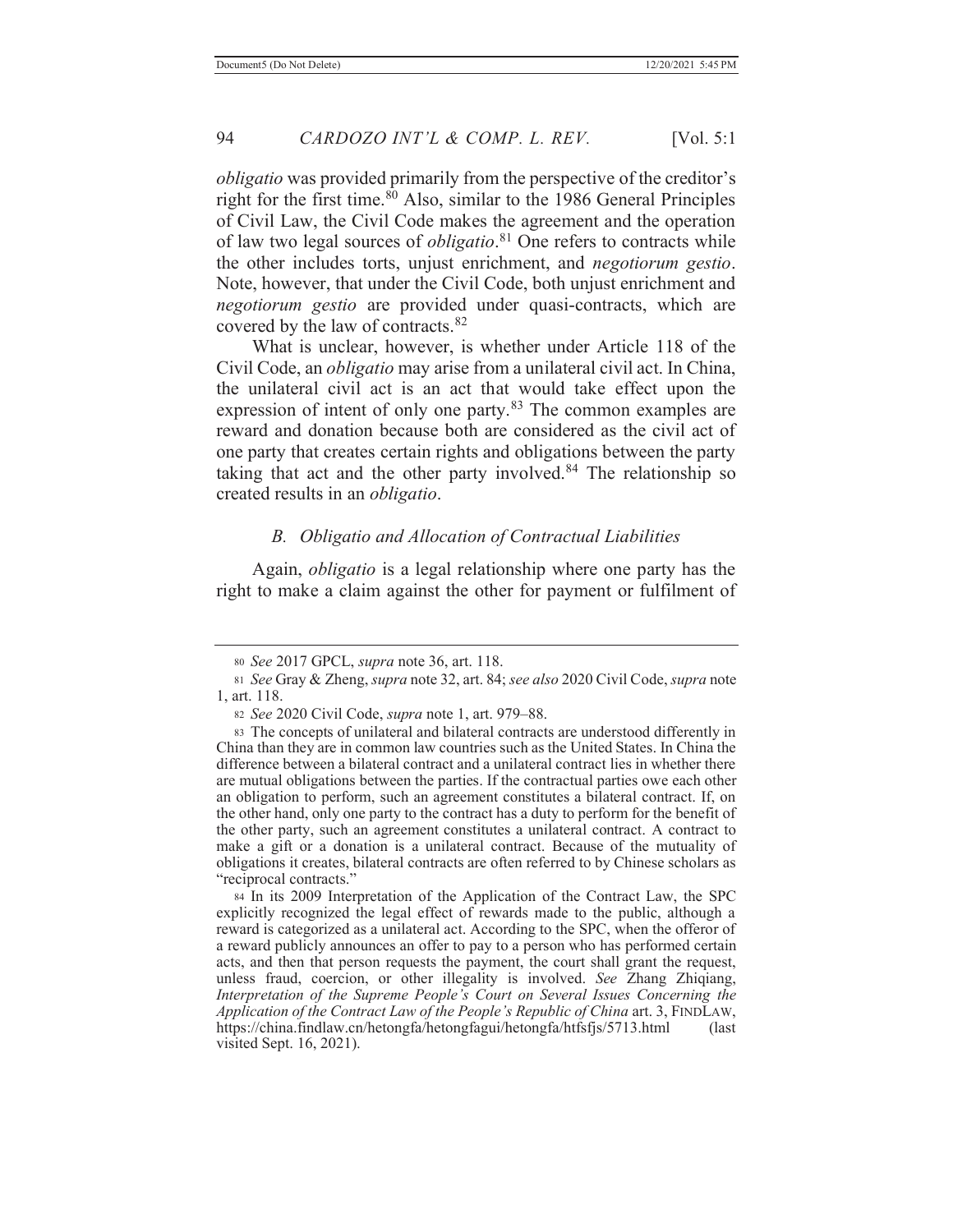*obligatio* was provided primarily from the perspective of the creditor's right for the first time. $80$  Also, similar to the 1986 General Principles of Civil Law, the Civil Code makes the agreement and the operation of law two legal sources of *obligatio*. 81 One refers to contracts while the other includes torts, unjust enrichment, and *negotiorum gestio*. Note, however, that under the Civil Code, both unjust enrichment and *negotiorum gestio* are provided under quasi-contracts, which are covered by the law of contracts.<sup>82</sup>

 What is unclear, however, is whether under Article 118 of the Civil Code, an *obligatio* may arise from a unilateral civil act. In China, the unilateral civil act is an act that would take effect upon the expression of intent of only one party.<sup>83</sup> The common examples are reward and donation because both are considered as the civil act of one party that creates certain rights and obligations between the party taking that act and the other party involved.84 The relationship so created results in an *obligatio*.

#### *B. Obligatio and Allocation of Contractual Liabilities*

 Again, *obligatio* is a legal relationship where one party has the right to make a claim against the other for payment or fulfilment of

<sup>80</sup> *See* 2017 GPCL, *supra* note 36, art. 118.

<sup>81</sup> *See* Gray & Zheng, *supra* note 32, art. 84; *see also* 2020 Civil Code, *supra* note 1, art. 118.

<sup>82</sup> *See* 2020 Civil Code, *supra* note 1, art. 979–88.

<sup>83</sup> The concepts of unilateral and bilateral contracts are understood differently in China than they are in common law countries such as the United States. In China the difference between a bilateral contract and a unilateral contract lies in whether there are mutual obligations between the parties. If the contractual parties owe each other an obligation to perform, such an agreement constitutes a bilateral contract. If, on the other hand, only one party to the contract has a duty to perform for the benefit of the other party, such an agreement constitutes a unilateral contract. A contract to make a gift or a donation is a unilateral contract. Because of the mutuality of obligations it creates, bilateral contracts are often referred to by Chinese scholars as "reciprocal contracts."

<sup>84</sup> In its 2009 Interpretation of the Application of the Contract Law, the SPC explicitly recognized the legal effect of rewards made to the public, although a reward is categorized as a unilateral act. According to the SPC, when the offeror of a reward publicly announces an offer to pay to a person who has performed certain acts, and then that person requests the payment, the court shall grant the request, unless fraud, coercion, or other illegality is involved. *See* Zhang Zhiqiang, *Interpretation of the Supreme People's Court on Several Issues Concerning the Application of the Contract Law of the People's Republic of China* art. 3, FINDLAW, https://china.findlaw.cn/hetongfa/hetongfagui/hetongfa/htfsfjs/5713.html (last visited Sept. 16, 2021).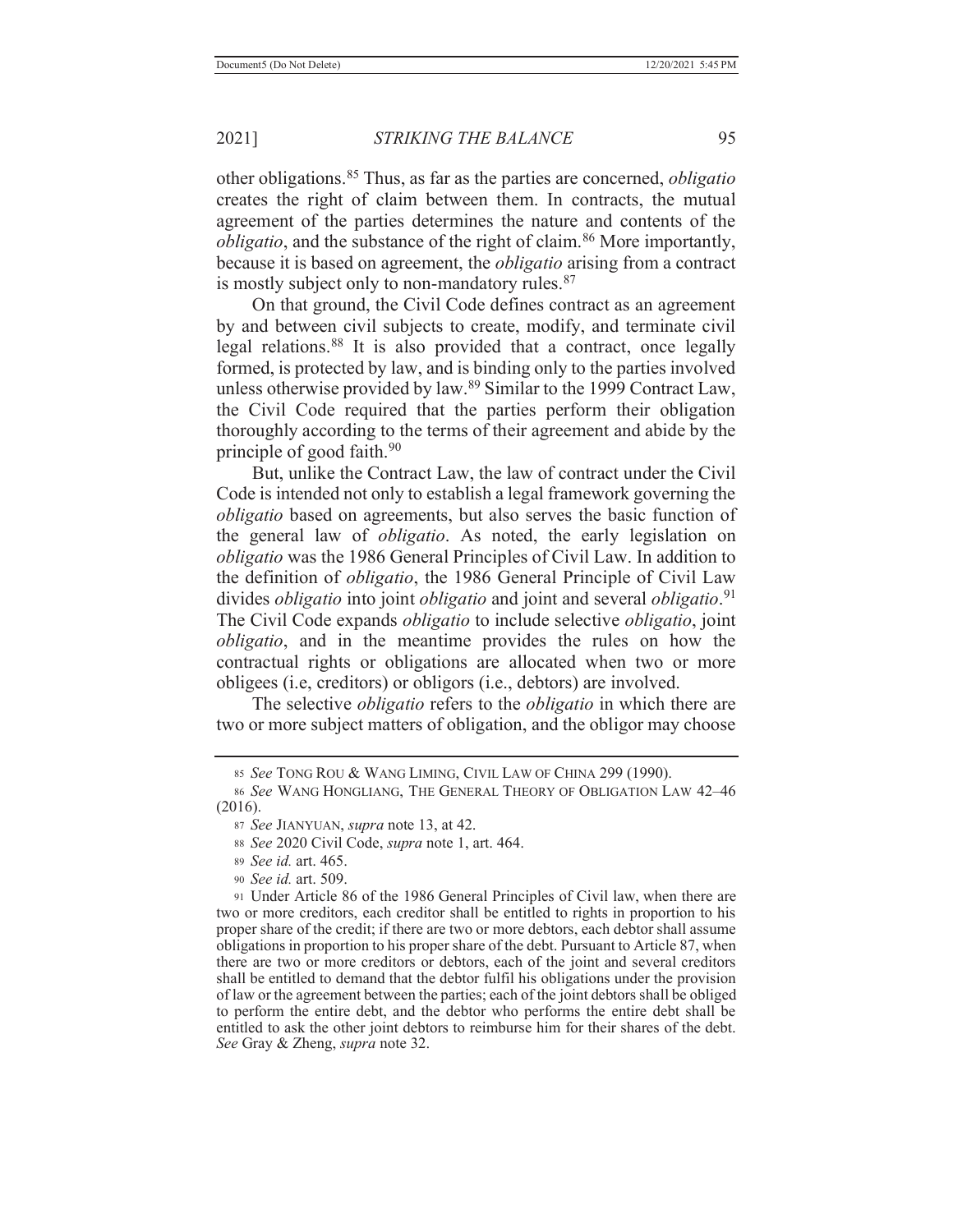other obligations.85 Thus, as far as the parties are concerned, *obligatio* creates the right of claim between them. In contracts, the mutual agreement of the parties determines the nature and contents of the *obligatio*, and the substance of the right of claim.<sup>86</sup> More importantly, because it is based on agreement, the *obligatio* arising from a contract is mostly subject only to non-mandatory rules.<sup>87</sup>

 On that ground, the Civil Code defines contract as an agreement by and between civil subjects to create, modify, and terminate civil legal relations.88 It is also provided that a contract, once legally formed, is protected by law, and is binding only to the parties involved unless otherwise provided by law.89 Similar to the 1999 Contract Law, the Civil Code required that the parties perform their obligation thoroughly according to the terms of their agreement and abide by the principle of good faith. $90$ 

 But, unlike the Contract Law, the law of contract under the Civil Code is intended not only to establish a legal framework governing the *obligatio* based on agreements, but also serves the basic function of the general law of *obligatio*. As noted, the early legislation on *obligatio* was the 1986 General Principles of Civil Law. In addition to the definition of *obligatio*, the 1986 General Principle of Civil Law divides *obligatio* into joint *obligatio* and joint and several *obligatio*. 91 The Civil Code expands *obligatio* to include selective *obligatio*, joint *obligatio*, and in the meantime provides the rules on how the contractual rights or obligations are allocated when two or more obligees (i.e, creditors) or obligors (i.e., debtors) are involved.

 The selective *obligatio* refers to the *obligatio* in which there are two or more subject matters of obligation, and the obligor may choose

- <sup>89</sup> *See id.* art. 465.
- <sup>90</sup> *See id.* art. 509.

<sup>85</sup> *See* TONG ROU & WANG LIMING, CIVIL LAW OF CHINA 299 (1990).

<sup>86</sup> *See* WANG HONGLIANG, THE GENERAL THEORY OF OBLIGATION LAW 42–46 (2016).

<sup>87</sup> *See* JIANYUAN, *supra* note 13, at 42.

<sup>88</sup> *See* 2020 Civil Code, *supra* note 1, art. 464.

<sup>91</sup> Under Article 86 of the 1986 General Principles of Civil law, when there are two or more creditors, each creditor shall be entitled to rights in proportion to his proper share of the credit; if there are two or more debtors, each debtor shall assume obligations in proportion to his proper share of the debt. Pursuant to Article 87, when there are two or more creditors or debtors, each of the joint and several creditors shall be entitled to demand that the debtor fulfil his obligations under the provision of law or the agreement between the parties; each of the joint debtors shall be obliged to perform the entire debt, and the debtor who performs the entire debt shall be entitled to ask the other joint debtors to reimburse him for their shares of the debt. *See* Gray & Zheng, *supra* note 32.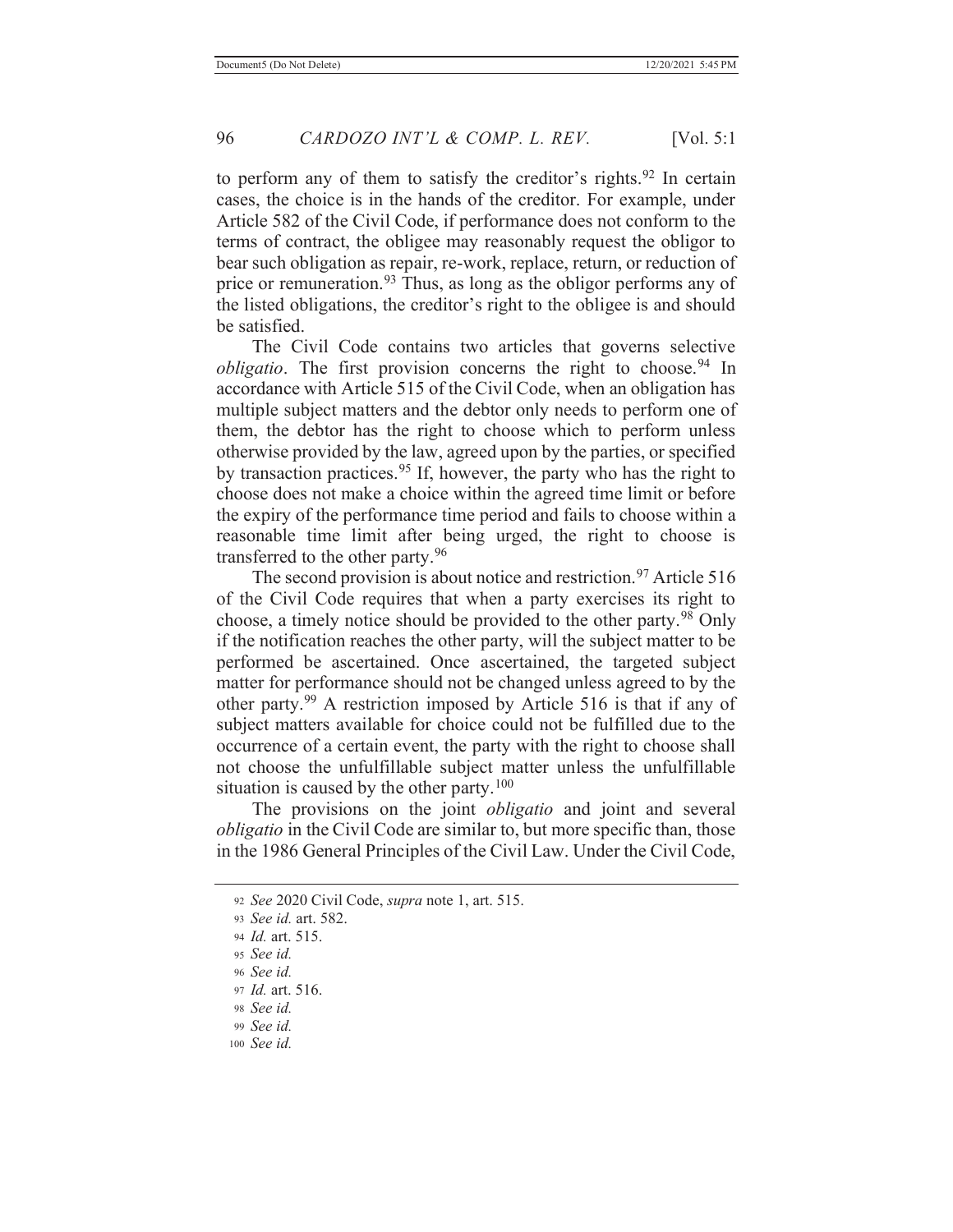to perform any of them to satisfy the creditor's rights.<sup>92</sup> In certain cases, the choice is in the hands of the creditor. For example, under Article 582 of the Civil Code, if performance does not conform to the terms of contract, the obligee may reasonably request the obligor to bear such obligation as repair, re-work, replace, return, or reduction of price or remuneration.<sup>93</sup> Thus, as long as the obligor performs any of the listed obligations, the creditor's right to the obligee is and should be satisfied.

 The Civil Code contains two articles that governs selective *obligatio*. The first provision concerns the right to choose.<sup>94</sup> In accordance with Article 515 of the Civil Code, when an obligation has multiple subject matters and the debtor only needs to perform one of them, the debtor has the right to choose which to perform unless otherwise provided by the law, agreed upon by the parties, or specified by transaction practices.95 If, however, the party who has the right to choose does not make a choice within the agreed time limit or before the expiry of the performance time period and fails to choose within a reasonable time limit after being urged, the right to choose is transferred to the other party.<sup>96</sup>

The second provision is about notice and restriction.<sup>97</sup> Article 516 of the Civil Code requires that when a party exercises its right to choose, a timely notice should be provided to the other party.<sup>98</sup> Only if the notification reaches the other party, will the subject matter to be performed be ascertained. Once ascertained, the targeted subject matter for performance should not be changed unless agreed to by the other party.99 A restriction imposed by Article 516 is that if any of subject matters available for choice could not be fulfilled due to the occurrence of a certain event, the party with the right to choose shall not choose the unfulfillable subject matter unless the unfulfillable situation is caused by the other party. $100$ 

 The provisions on the joint *obligatio* and joint and several *obligatio* in the Civil Code are similar to, but more specific than, those in the 1986 General Principles of the Civil Law. Under the Civil Code,

<sup>100</sup> *See id.*

<sup>92</sup> *See* 2020 Civil Code, *supra* note 1, art. 515.

<sup>93</sup> *See id.* art. 582.

<sup>94</sup> *Id.* art. 515.

<sup>95</sup> *See id.*

<sup>96</sup> *See id.*

<sup>97</sup> *Id.* art. 516.

<sup>98</sup> *See id.*

<sup>99</sup> *See id.*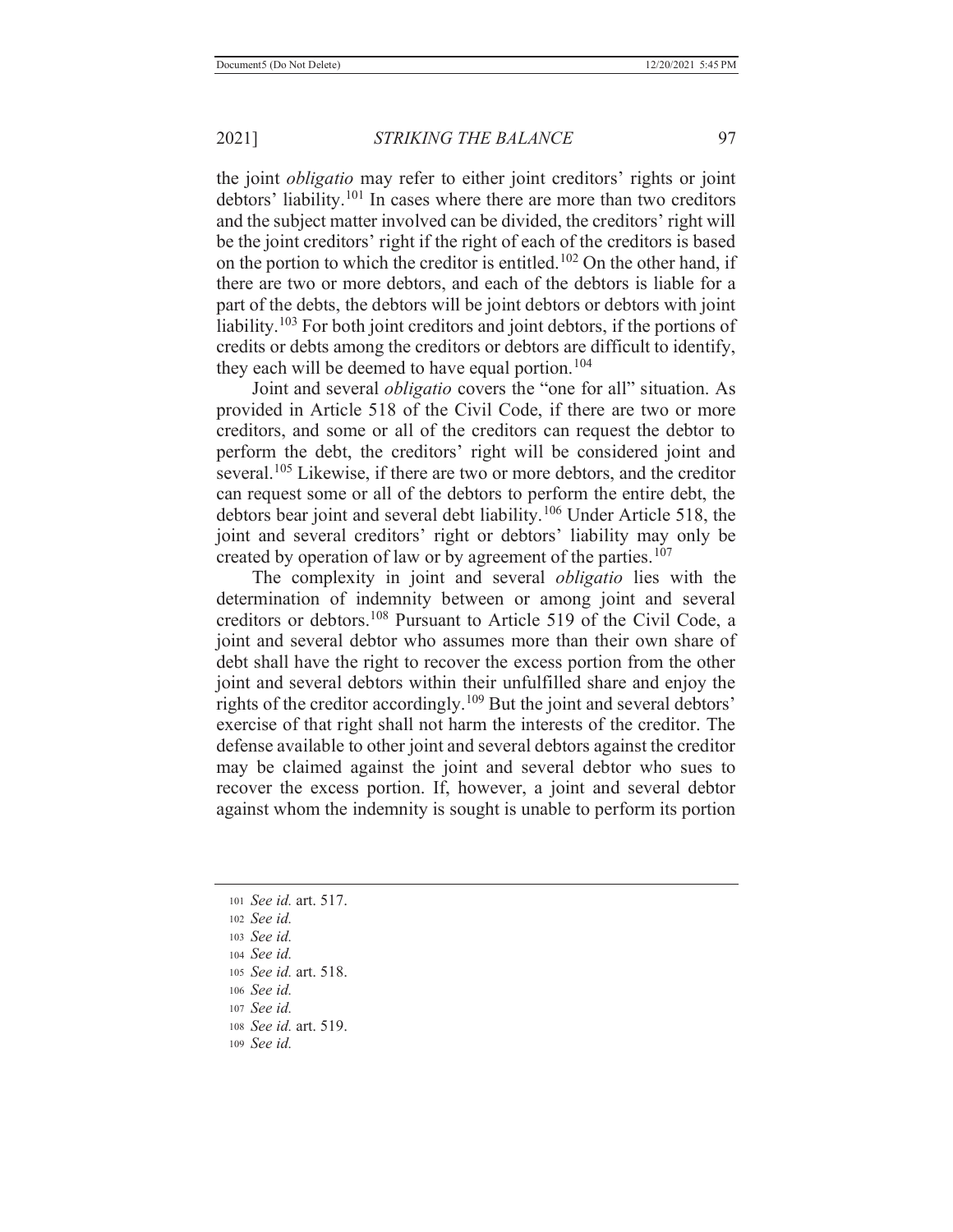the joint *obligatio* may refer to either joint creditors' rights or joint debtors' liability.101 In cases where there are more than two creditors and the subject matter involved can be divided, the creditors' right will be the joint creditors' right if the right of each of the creditors is based on the portion to which the creditor is entitled.102 On the other hand, if there are two or more debtors, and each of the debtors is liable for a part of the debts, the debtors will be joint debtors or debtors with joint liability.<sup>103</sup> For both joint creditors and joint debtors, if the portions of credits or debts among the creditors or debtors are difficult to identify, they each will be deemed to have equal portion.<sup>104</sup>

 Joint and several *obligatio* covers the "one for all" situation. As provided in Article 518 of the Civil Code, if there are two or more creditors, and some or all of the creditors can request the debtor to perform the debt, the creditors' right will be considered joint and several.<sup>105</sup> Likewise, if there are two or more debtors, and the creditor can request some or all of the debtors to perform the entire debt, the debtors bear joint and several debt liability.106 Under Article 518, the joint and several creditors' right or debtors' liability may only be created by operation of law or by agreement of the parties.<sup>107</sup>

 The complexity in joint and several *obligatio* lies with the determination of indemnity between or among joint and several creditors or debtors.108 Pursuant to Article 519 of the Civil Code, a joint and several debtor who assumes more than their own share of debt shall have the right to recover the excess portion from the other joint and several debtors within their unfulfilled share and enjoy the rights of the creditor accordingly.109 But the joint and several debtors' exercise of that right shall not harm the interests of the creditor. The defense available to other joint and several debtors against the creditor may be claimed against the joint and several debtor who sues to recover the excess portion. If, however, a joint and several debtor against whom the indemnity is sought is unable to perform its portion

<sup>105</sup> *See id.* art. 518.

- <sup>107</sup> *See id.*
- <sup>108</sup> *See id.* art. 519.
- <sup>109</sup> *See id.*

<sup>101</sup> *See id.* art. 517. <sup>102</sup> *See id.* <sup>103</sup> *See id.* <sup>104</sup> *See id.*

<sup>106</sup> *See id.*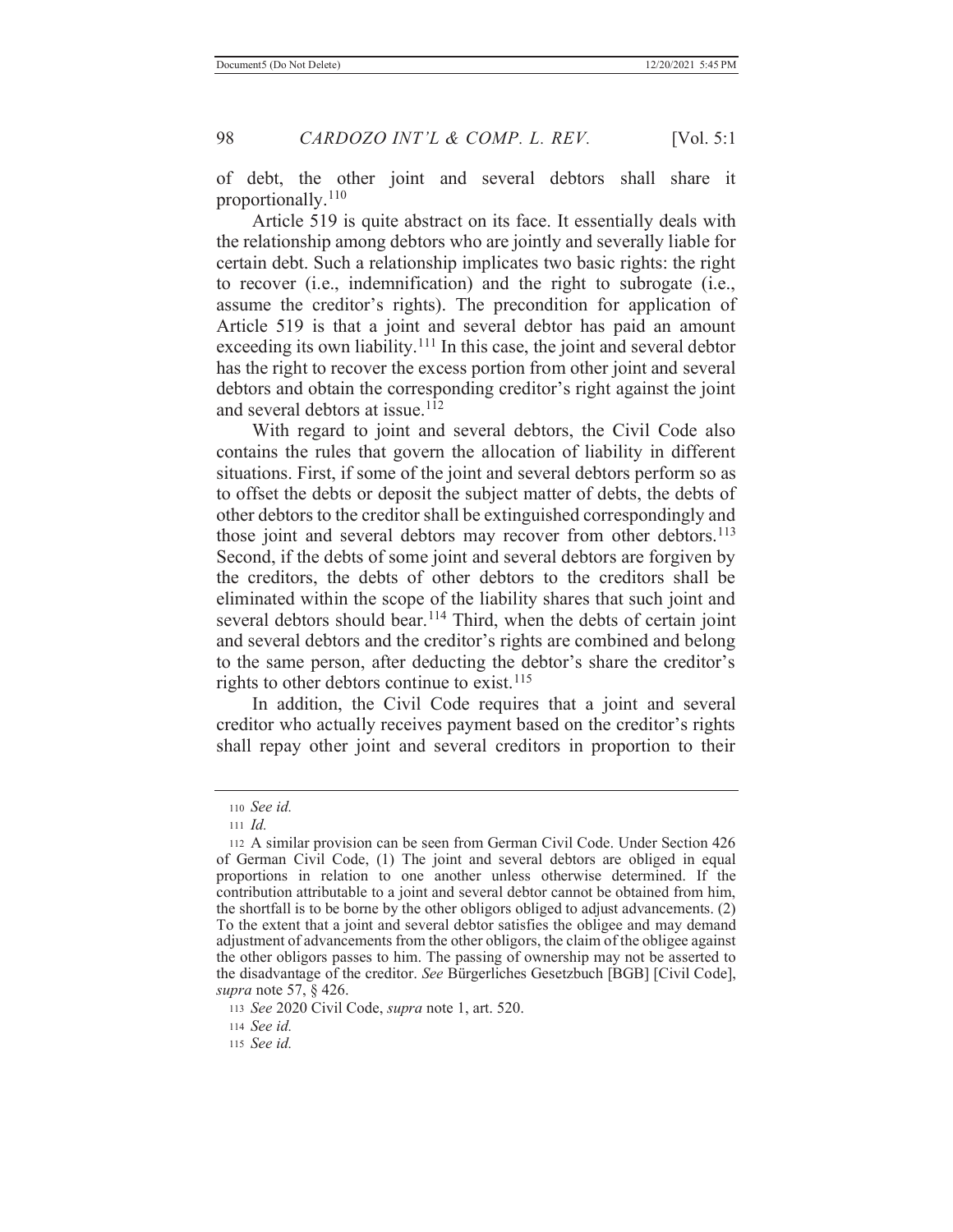of debt, the other joint and several debtors shall share it proportionally.<sup>110</sup>

 Article 519 is quite abstract on its face. It essentially deals with the relationship among debtors who are jointly and severally liable for certain debt. Such a relationship implicates two basic rights: the right to recover (i.e., indemnification) and the right to subrogate (i.e., assume the creditor's rights). The precondition for application of Article 519 is that a joint and several debtor has paid an amount exceeding its own liability.<sup>111</sup> In this case, the joint and several debtor has the right to recover the excess portion from other joint and several debtors and obtain the corresponding creditor's right against the joint and several debtors at issue.<sup>112</sup>

 With regard to joint and several debtors, the Civil Code also contains the rules that govern the allocation of liability in different situations. First, if some of the joint and several debtors perform so as to offset the debts or deposit the subject matter of debts, the debts of other debtors to the creditor shall be extinguished correspondingly and those joint and several debtors may recover from other debtors.<sup>113</sup> Second, if the debts of some joint and several debtors are forgiven by the creditors, the debts of other debtors to the creditors shall be eliminated within the scope of the liability shares that such joint and several debtors should bear.<sup>114</sup> Third, when the debts of certain joint and several debtors and the creditor's rights are combined and belong to the same person, after deducting the debtor's share the creditor's rights to other debtors continue to exist.<sup>115</sup>

 In addition, the Civil Code requires that a joint and several creditor who actually receives payment based on the creditor's rights shall repay other joint and several creditors in proportion to their

<sup>110</sup> *See id.*

<sup>111</sup> *Id.*

<sup>112</sup> A similar provision can be seen from German Civil Code. Under Section 426 of German Civil Code, (1) The joint and several debtors are obliged in equal proportions in relation to one another unless otherwise determined. If the contribution attributable to a joint and several debtor cannot be obtained from him, the shortfall is to be borne by the other obligors obliged to adjust advancements. (2) To the extent that a joint and several debtor satisfies the obligee and may demand adjustment of advancements from the other obligors, the claim of the obligee against the other obligors passes to him. The passing of ownership may not be asserted to the disadvantage of the creditor. *See* Bürgerliches Gesetzbuch [BGB] [Civil Code], *supra* note 57, § 426.

<sup>113</sup> *See* 2020 Civil Code, *supra* note 1, art. 520.

<sup>114</sup> *See id.*

<sup>115</sup> *See id.*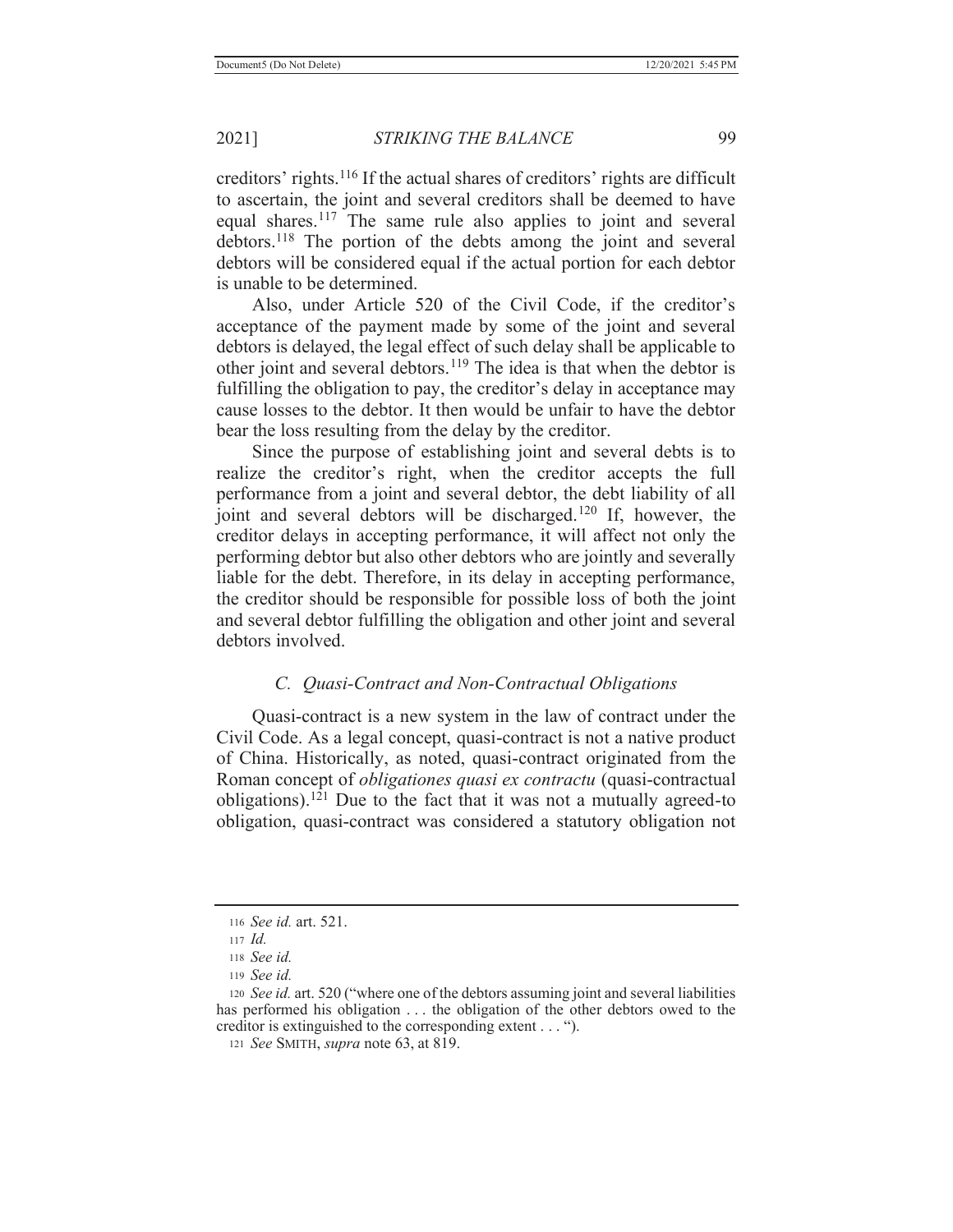creditors' rights.<sup>116</sup> If the actual shares of creditors' rights are difficult to ascertain, the joint and several creditors shall be deemed to have equal shares.<sup>117</sup> The same rule also applies to joint and several debtors.<sup>118</sup> The portion of the debts among the joint and several debtors will be considered equal if the actual portion for each debtor is unable to be determined.

Also, under Article 520 of the Civil Code, if the creditor's acceptance of the payment made by some of the joint and several debtors is delayed, the legal effect of such delay shall be applicable to other joint and several debtors.119 The idea is that when the debtor is fulfilling the obligation to pay, the creditor's delay in acceptance may cause losses to the debtor. It then would be unfair to have the debtor bear the loss resulting from the delay by the creditor.

 Since the purpose of establishing joint and several debts is to realize the creditor's right, when the creditor accepts the full performance from a joint and several debtor, the debt liability of all joint and several debtors will be discharged.120 If, however, the creditor delays in accepting performance, it will affect not only the performing debtor but also other debtors who are jointly and severally liable for the debt. Therefore, in its delay in accepting performance, the creditor should be responsible for possible loss of both the joint and several debtor fulfilling the obligation and other joint and several debtors involved.

## *C. Quasi-Contract and Non-Contractual Obligations*

 Quasi-contract is a new system in the law of contract under the Civil Code. As a legal concept, quasi-contract is not a native product of China. Historically, as noted, quasi-contract originated from the Roman concept of *obligationes quasi ex contractu* (quasi-contractual obligations).<sup>121</sup> Due to the fact that it was not a mutually agreed-to obligation, quasi-contract was considered a statutory obligation not

<sup>116</sup> *See id.* art. 521.

<sup>117</sup> *Id.*

<sup>118</sup> *See id.*

<sup>119</sup> *See id.*

<sup>120</sup> *See id.* art. 520 ("where one of the debtors assuming joint and several liabilities has performed his obligation . . . the obligation of the other debtors owed to the creditor is extinguished to the corresponding extent . . . ").

<sup>121</sup> *See* SMITH, *supra* note 63, at 819.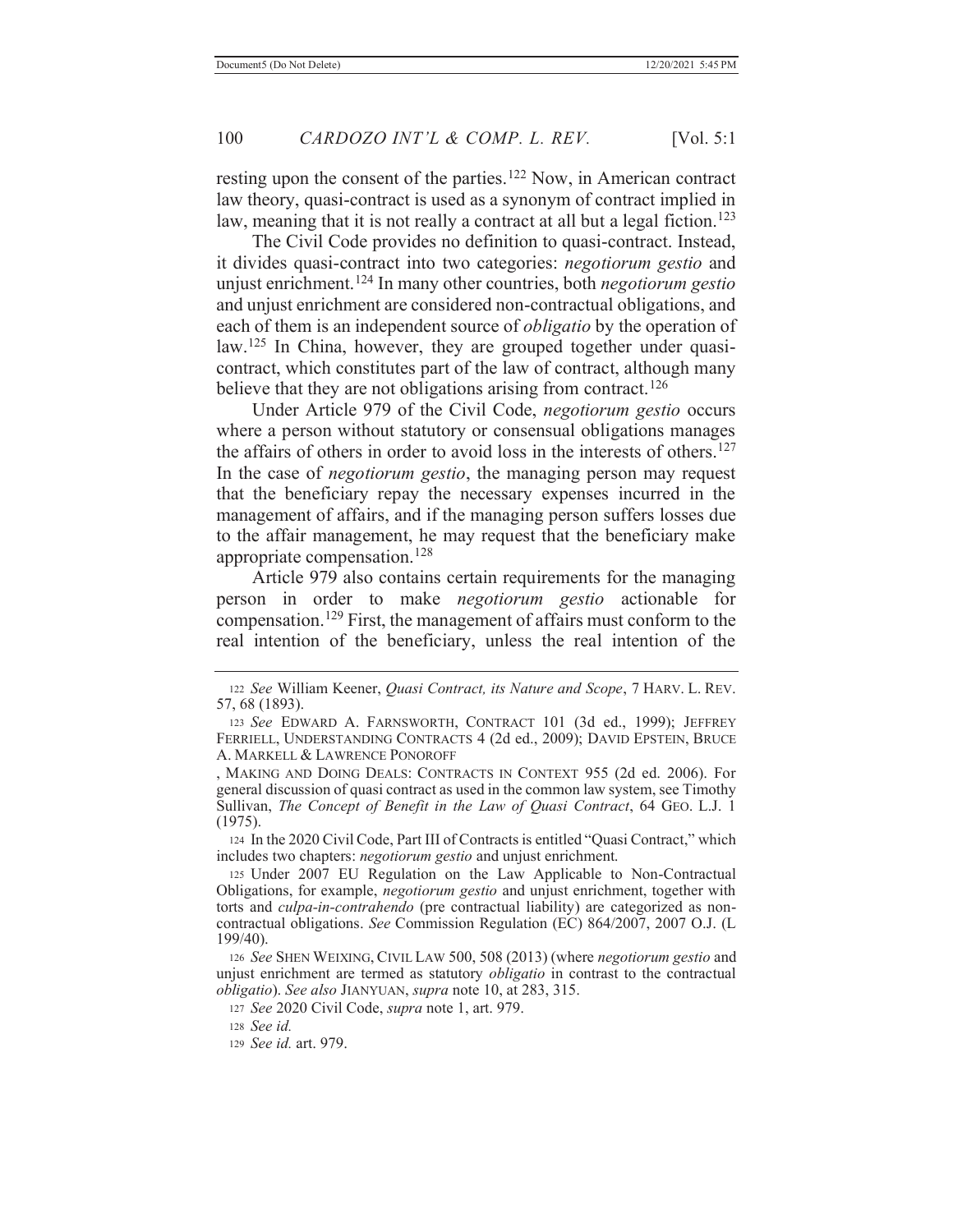resting upon the consent of the parties.<sup>122</sup> Now, in American contract law theory, quasi-contract is used as a synonym of contract implied in law, meaning that it is not really a contract at all but a legal fiction.<sup>123</sup>

 The Civil Code provides no definition to quasi-contract. Instead, it divides quasi-contract into two categories: *negotiorum gestio* and unjust enrichment.124 In many other countries, both *negotiorum gestio* and unjust enrichment are considered non-contractual obligations, and each of them is an independent source of *obligatio* by the operation of law.<sup>125</sup> In China, however, they are grouped together under quasicontract, which constitutes part of the law of contract, although many believe that they are not obligations arising from contract.<sup>126</sup>

 Under Article 979 of the Civil Code, *negotiorum gestio* occurs where a person without statutory or consensual obligations manages the affairs of others in order to avoid loss in the interests of others.<sup>127</sup> In the case of *negotiorum gestio*, the managing person may request that the beneficiary repay the necessary expenses incurred in the management of affairs, and if the managing person suffers losses due to the affair management, he may request that the beneficiary make appropriate compensation.<sup>128</sup>

 Article 979 also contains certain requirements for the managing person in order to make *negotiorum gestio* actionable for compensation.<sup>129</sup> First, the management of affairs must conform to the real intention of the beneficiary, unless the real intention of the

124 In the 2020 Civil Code, Part III of Contracts is entitled "Quasi Contract," which includes two chapters: *negotiorum gestio* and unjust enrichment.

<sup>122</sup> *See* William Keener, *Quasi Contract, its Nature and Scope*, 7 HARV. L. REV. 57, 68 (1893).

<sup>123</sup> *See* EDWARD A. FARNSWORTH, CONTRACT 101 (3d ed., 1999); JEFFREY FERRIELL, UNDERSTANDING CONTRACTS 4 (2d ed., 2009); DAVID EPSTEIN, BRUCE A. MARKELL & LAWRENCE PONOROFF

<sup>,</sup> MAKING AND DOING DEALS: CONTRACTS IN CONTEXT 955 (2d ed. 2006). For general discussion of quasi contract as used in the common law system, see Timothy Sullivan, *The Concept of Benefit in the Law of Quasi Contract*, 64 GEO. L.J. 1 (1975).

<sup>125</sup> Under 2007 EU Regulation on the Law Applicable to Non-Contractual Obligations, for example, *negotiorum gestio* and unjust enrichment, together with torts and *culpa-in-contrahendo* (pre contractual liability) are categorized as noncontractual obligations. *See* Commission Regulation (EC) 864/2007, 2007 O.J. (L 199/40).

<sup>126</sup> *See* SHEN WEIXING, CIVIL LAW 500, 508 (2013) (where *negotiorum gestio* and unjust enrichment are termed as statutory *obligatio* in contrast to the contractual *obligatio*). *See also* JIANYUAN, *supra* note 10, at 283, 315.

<sup>127</sup> *See* 2020 Civil Code, *supra* note 1, art. 979.

<sup>128</sup> *See id.*

<sup>129</sup> *See id.* art. 979.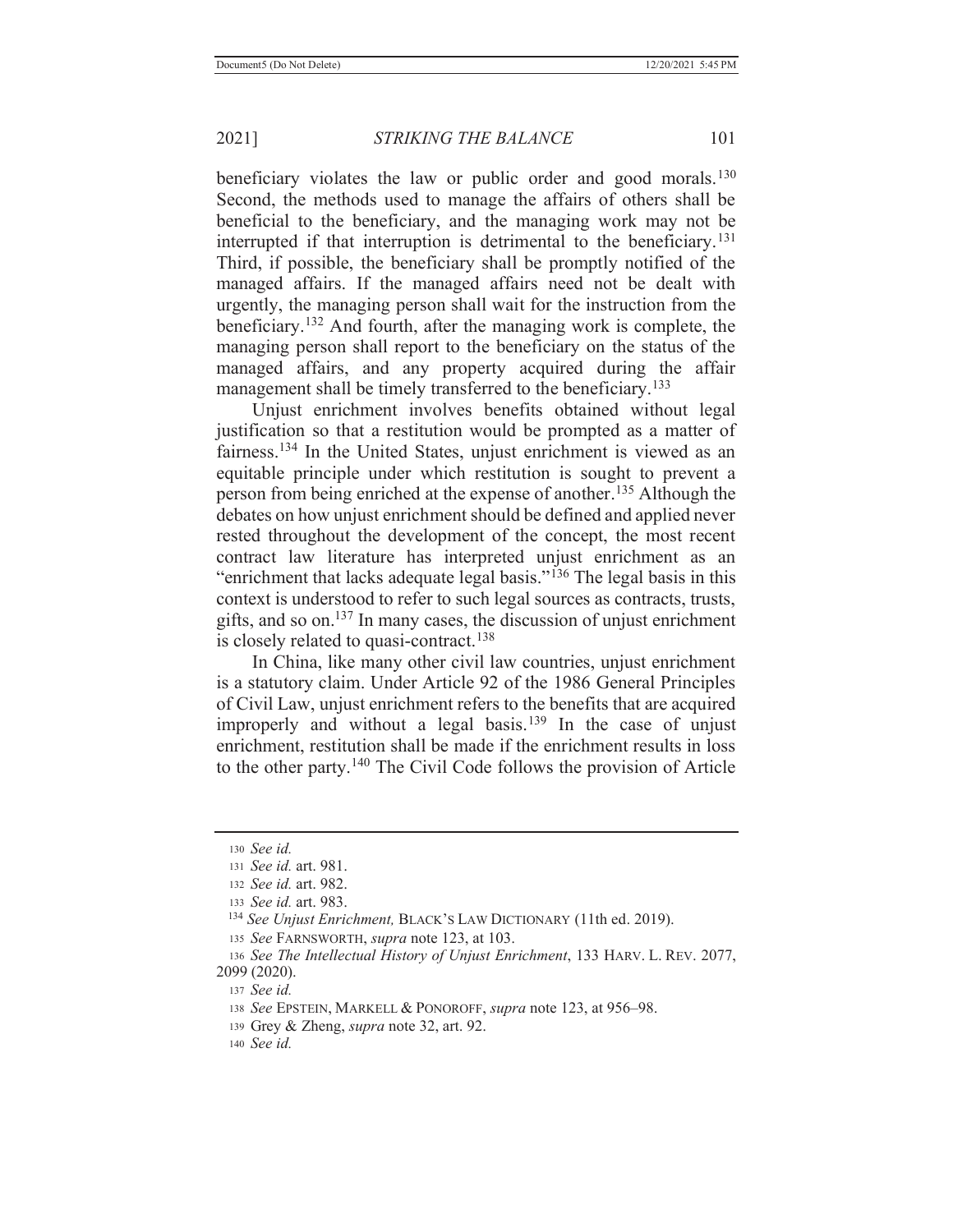beneficiary violates the law or public order and good morals.<sup>130</sup> Second, the methods used to manage the affairs of others shall be beneficial to the beneficiary, and the managing work may not be interrupted if that interruption is detrimental to the beneficiary.<sup>131</sup> Third, if possible, the beneficiary shall be promptly notified of the managed affairs. If the managed affairs need not be dealt with urgently, the managing person shall wait for the instruction from the beneficiary.132 And fourth, after the managing work is complete, the managing person shall report to the beneficiary on the status of the managed affairs, and any property acquired during the affair management shall be timely transferred to the beneficiary.<sup>133</sup>

 Unjust enrichment involves benefits obtained without legal justification so that a restitution would be prompted as a matter of fairness.<sup>134</sup> In the United States, unjust enrichment is viewed as an equitable principle under which restitution is sought to prevent a person from being enriched at the expense of another.<sup>135</sup> Although the debates on how unjust enrichment should be defined and applied never rested throughout the development of the concept, the most recent contract law literature has interpreted unjust enrichment as an "enrichment that lacks adequate legal basis."<sup>136</sup> The legal basis in this context is understood to refer to such legal sources as contracts, trusts, gifts, and so on.<sup>137</sup> In many cases, the discussion of unjust enrichment is closely related to quasi-contract.<sup>138</sup>

 In China, like many other civil law countries, unjust enrichment is a statutory claim. Under Article 92 of the 1986 General Principles of Civil Law, unjust enrichment refers to the benefits that are acquired improperly and without a legal basis.<sup>139</sup> In the case of unjust enrichment, restitution shall be made if the enrichment results in loss to the other party.140 The Civil Code follows the provision of Article

<sup>135</sup> *See* FARNSWORTH, *supra* note 123, at 103.

<sup>130</sup> *See id.*

<sup>131</sup> *See id.* art. 981.

<sup>132</sup> *See id.* art. 982.

<sup>133</sup> *See id.* art. 983.

 <sup>134</sup> *See Unjust Enrichment,* BLACK'S LAW DICTIONARY (11th ed. 2019).

<sup>136</sup> *See The Intellectual History of Unjust Enrichment*, 133 HARV. L. REV. 2077, 2099 (2020).

<sup>137</sup> *See id.*

<sup>138</sup> *See* EPSTEIN, MARKELL & PONOROFF, *supra* note 123, at 956–98.

<sup>139</sup> Grey & Zheng, *supra* note 32, art. 92.

<sup>140</sup> *See id.*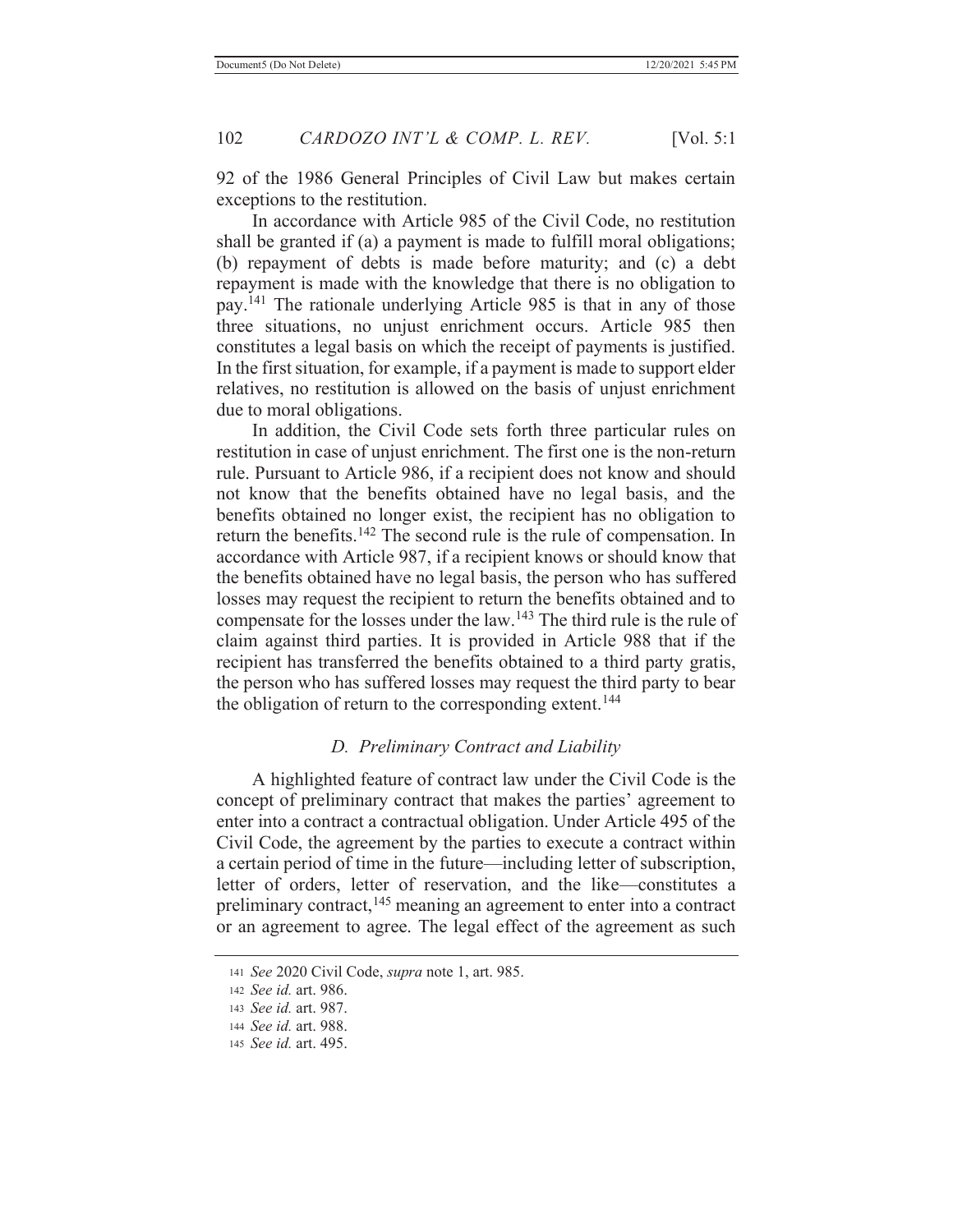92 of the 1986 General Principles of Civil Law but makes certain exceptions to the restitution.

 In accordance with Article 985 of the Civil Code, no restitution shall be granted if (a) a payment is made to fulfill moral obligations; (b) repayment of debts is made before maturity; and (c) a debt repayment is made with the knowledge that there is no obligation to pay.141 The rationale underlying Article 985 is that in any of those three situations, no unjust enrichment occurs. Article 985 then constitutes a legal basis on which the receipt of payments is justified. In the first situation, for example, if a payment is made to support elder relatives, no restitution is allowed on the basis of unjust enrichment due to moral obligations.

 In addition, the Civil Code sets forth three particular rules on restitution in case of unjust enrichment. The first one is the non-return rule. Pursuant to Article 986, if a recipient does not know and should not know that the benefits obtained have no legal basis, and the benefits obtained no longer exist, the recipient has no obligation to return the benefits.<sup>142</sup> The second rule is the rule of compensation. In accordance with Article 987, if a recipient knows or should know that the benefits obtained have no legal basis, the person who has suffered losses may request the recipient to return the benefits obtained and to compensate for the losses under the law.143 The third rule is the rule of claim against third parties. It is provided in Article 988 that if the recipient has transferred the benefits obtained to a third party gratis, the person who has suffered losses may request the third party to bear the obligation of return to the corresponding extent.<sup>144</sup>

## *D. Preliminary Contract and Liability*

 A highlighted feature of contract law under the Civil Code is the concept of preliminary contract that makes the parties' agreement to enter into a contract a contractual obligation. Under Article 495 of the Civil Code, the agreement by the parties to execute a contract within a certain period of time in the future—including letter of subscription, letter of orders, letter of reservation, and the like—constitutes a preliminary contract,<sup>145</sup> meaning an agreement to enter into a contract or an agreement to agree. The legal effect of the agreement as such

<sup>141</sup> *See* 2020 Civil Code, *supra* note 1, art. 985.

<sup>142</sup> *See id.* art. 986.

<sup>143</sup> *See id.* art. 987.

<sup>144</sup> *See id.* art. 988.

<sup>145</sup> *See id.* art. 495.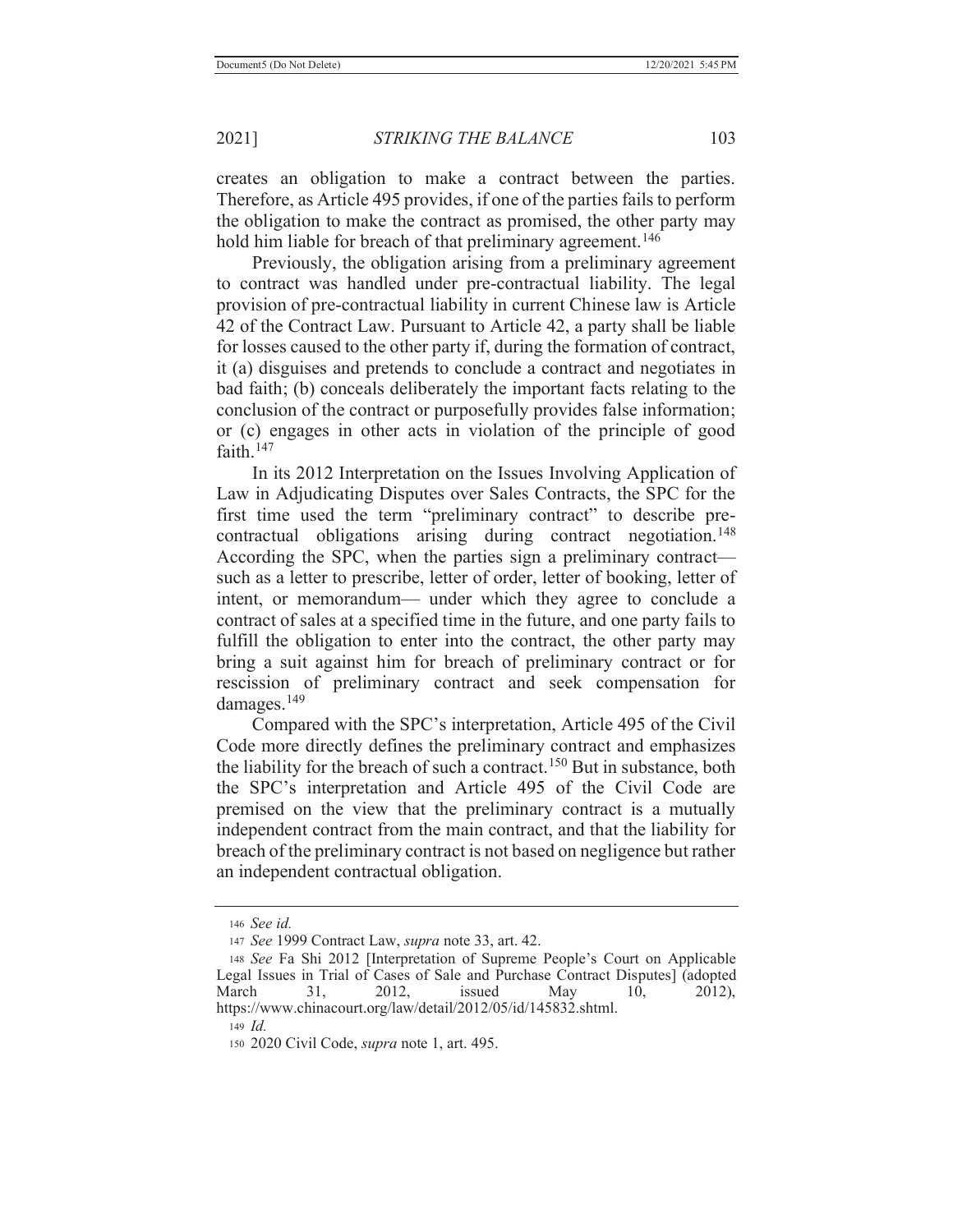creates an obligation to make a contract between the parties. Therefore, as Article 495 provides, if one of the parties fails to perform the obligation to make the contract as promised, the other party may hold him liable for breach of that preliminary agreement.<sup>146</sup>

 Previously, the obligation arising from a preliminary agreement to contract was handled under pre-contractual liability. The legal provision of pre-contractual liability in current Chinese law is Article 42 of the Contract Law. Pursuant to Article 42, a party shall be liable for losses caused to the other party if, during the formation of contract, it (a) disguises and pretends to conclude a contract and negotiates in bad faith; (b) conceals deliberately the important facts relating to the conclusion of the contract or purposefully provides false information; or (c) engages in other acts in violation of the principle of good faith.147

 In its 2012 Interpretation on the Issues Involving Application of Law in Adjudicating Disputes over Sales Contracts, the SPC for the first time used the term "preliminary contract" to describe precontractual obligations arising during contract negotiation.<sup>148</sup> According the SPC, when the parties sign a preliminary contract such as a letter to prescribe, letter of order, letter of booking, letter of intent, or memorandum— under which they agree to conclude a contract of sales at a specified time in the future, and one party fails to fulfill the obligation to enter into the contract, the other party may bring a suit against him for breach of preliminary contract or for rescission of preliminary contract and seek compensation for damages.<sup>149</sup>

Compared with the SPC's interpretation, Article 495 of the Civil Code more directly defines the preliminary contract and emphasizes the liability for the breach of such a contract.<sup>150</sup> But in substance, both the SPC's interpretation and Article 495 of the Civil Code are premised on the view that the preliminary contract is a mutually independent contract from the main contract, and that the liability for breach of the preliminary contract is not based on negligence but rather an independent contractual obligation.

<sup>146</sup> *See id.*

<sup>147</sup> *See* 1999 Contract Law, *supra* note 33, art. 42.

<sup>148</sup> *See* Fa Shi 2012 [Interpretation of Supreme People's Court on Applicable Legal Issues in Trial of Cases of Sale and Purchase Contract Disputes] (adopted March 31, 2012, issued May 10, 2012), https://www.chinacourt.org/law/detail/2012/05/id/145832.shtml.

<sup>149</sup> *Id.*

<sup>150 2020</sup> Civil Code, *supra* note 1, art. 495.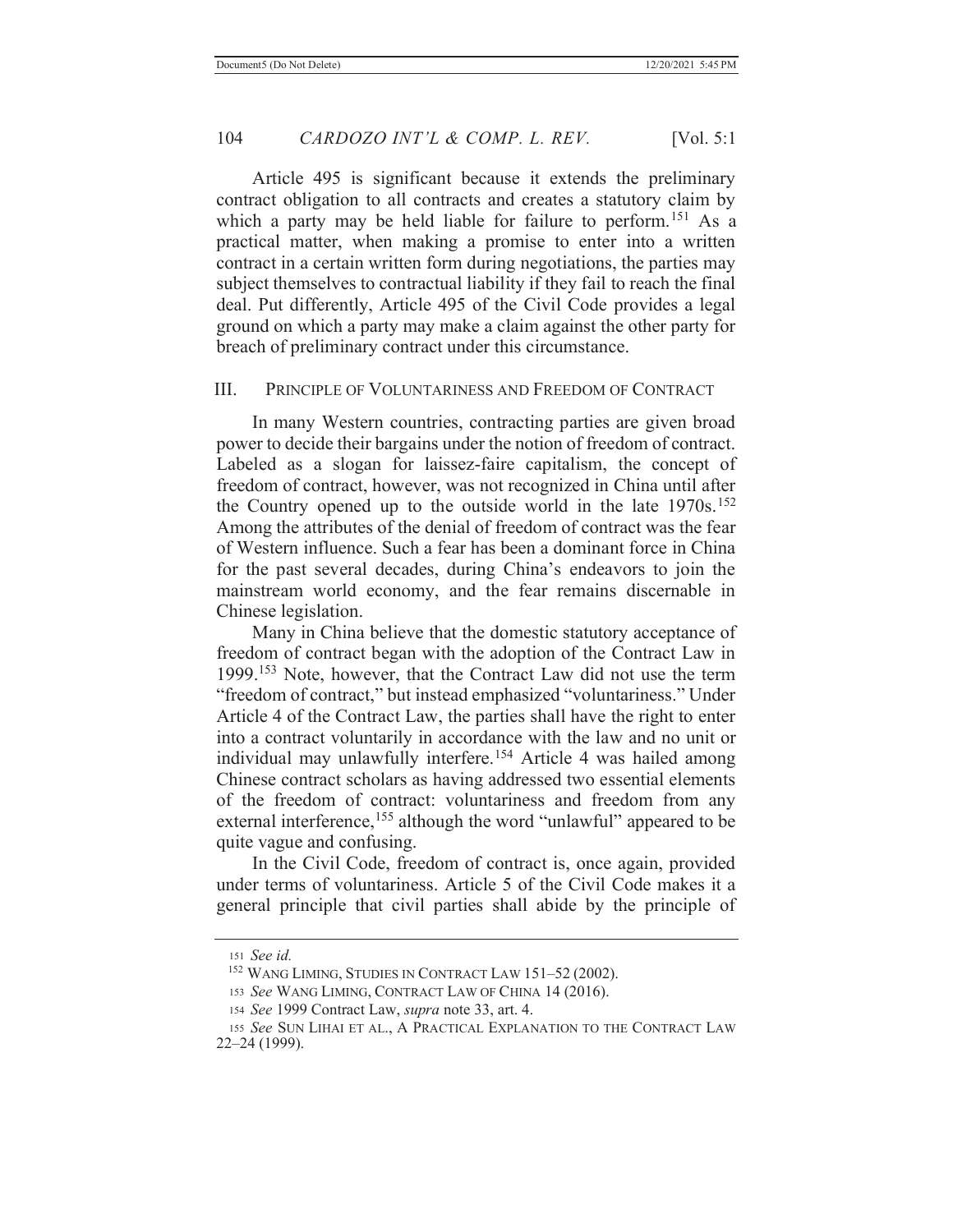Article 495 is significant because it extends the preliminary contract obligation to all contracts and creates a statutory claim by which a party may be held liable for failure to perform.<sup>151</sup> As a practical matter, when making a promise to enter into a written contract in a certain written form during negotiations, the parties may subject themselves to contractual liability if they fail to reach the final deal. Put differently, Article 495 of the Civil Code provides a legal ground on which a party may make a claim against the other party for breach of preliminary contract under this circumstance.

#### III. PRINCIPLE OF VOLUNTARINESS AND FREEDOM OF CONTRACT

 In many Western countries, contracting parties are given broad power to decide their bargains under the notion of freedom of contract. Labeled as a slogan for laissez-faire capitalism, the concept of freedom of contract, however, was not recognized in China until after the Country opened up to the outside world in the late 1970s.<sup>152</sup> Among the attributes of the denial of freedom of contract was the fear of Western influence. Such a fear has been a dominant force in China for the past several decades, during China's endeavors to join the mainstream world economy, and the fear remains discernable in Chinese legislation.

 Many in China believe that the domestic statutory acceptance of freedom of contract began with the adoption of the Contract Law in 1999.153 Note, however, that the Contract Law did not use the term "freedom of contract," but instead emphasized "voluntariness." Under Article 4 of the Contract Law, the parties shall have the right to enter into a contract voluntarily in accordance with the law and no unit or individual may unlawfully interfere.<sup>154</sup> Article 4 was hailed among Chinese contract scholars as having addressed two essential elements of the freedom of contract: voluntariness and freedom from any external interference,<sup>155</sup> although the word "unlawful" appeared to be quite vague and confusing.

 In the Civil Code, freedom of contract is, once again, provided under terms of voluntariness. Article 5 of the Civil Code makes it a general principle that civil parties shall abide by the principle of

<sup>151</sup> *See id.*

 <sup>152</sup> WANG LIMING, STUDIES IN CONTRACT LAW 151–52 (2002).

<sup>153</sup> *See* WANG LIMING, CONTRACT LAW OF CHINA 14 (2016).

<sup>154</sup> *See* 1999 Contract Law, *supra* note 33, art. 4.

<sup>155</sup> *See* SUN LIHAI ET AL., A PRACTICAL EXPLANATION TO THE CONTRACT LAW 22–24 (1999).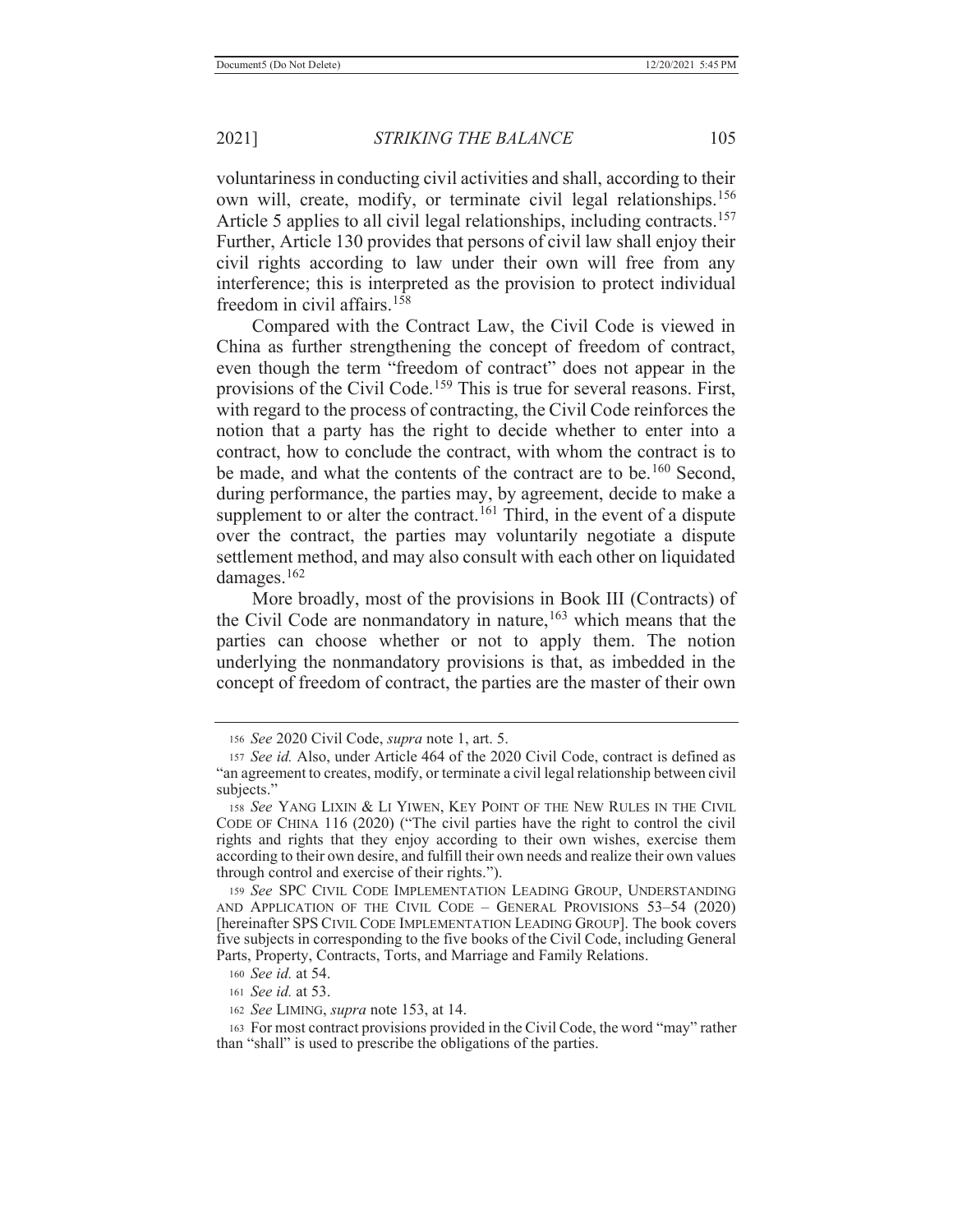voluntariness in conducting civil activities and shall, according to their own will, create, modify, or terminate civil legal relationships.<sup>156</sup> Article 5 applies to all civil legal relationships, including contracts.<sup>157</sup> Further, Article 130 provides that persons of civil law shall enjoy their civil rights according to law under their own will free from any interference; this is interpreted as the provision to protect individual freedom in civil affairs.<sup>158</sup>

 Compared with the Contract Law, the Civil Code is viewed in China as further strengthening the concept of freedom of contract, even though the term "freedom of contract" does not appear in the provisions of the Civil Code.<sup>159</sup> This is true for several reasons. First, with regard to the process of contracting, the Civil Code reinforces the notion that a party has the right to decide whether to enter into a contract, how to conclude the contract, with whom the contract is to be made, and what the contents of the contract are to be.<sup>160</sup> Second, during performance, the parties may, by agreement, decide to make a supplement to or alter the contract.<sup>161</sup> Third, in the event of a dispute over the contract, the parties may voluntarily negotiate a dispute settlement method, and may also consult with each other on liquidated damages.162

 More broadly, most of the provisions in Book III (Contracts) of the Civil Code are nonmandatory in nature,  $163$  which means that the parties can choose whether or not to apply them. The notion underlying the nonmandatory provisions is that, as imbedded in the concept of freedom of contract, the parties are the master of their own

<sup>160</sup> *See id.* at 54.

<sup>161</sup> *See id.* at 53.

<sup>156</sup> *See* 2020 Civil Code, *supra* note 1, art. 5.

<sup>157</sup> *See id.* Also, under Article 464 of the 2020 Civil Code, contract is defined as "an agreement to creates, modify, or terminate a civil legal relationship between civil subjects."

<sup>158</sup> *See* YANG LIXIN & LI YIWEN, KEY POINT OF THE NEW RULES IN THE CIVIL CODE OF CHINA 116 (2020) ("The civil parties have the right to control the civil rights and rights that they enjoy according to their own wishes, exercise them according to their own desire, and fulfill their own needs and realize their own values through control and exercise of their rights.").

<sup>159</sup> *See* SPC CIVIL CODE IMPLEMENTATION LEADING GROUP, UNDERSTANDING AND APPLICATION OF THE CIVIL CODE – GENERAL PROVISIONS 53–54 (2020) [hereinafter SPS CIVIL CODE IMPLEMENTATION LEADING GROUP]. The book covers five subjects in corresponding to the five books of the Civil Code, including General Parts, Property, Contracts, Torts, and Marriage and Family Relations.

<sup>162</sup> *See* LIMING, *supra* note 153, at 14.

<sup>163</sup> For most contract provisions provided in the Civil Code, the word "may" rather than "shall" is used to prescribe the obligations of the parties.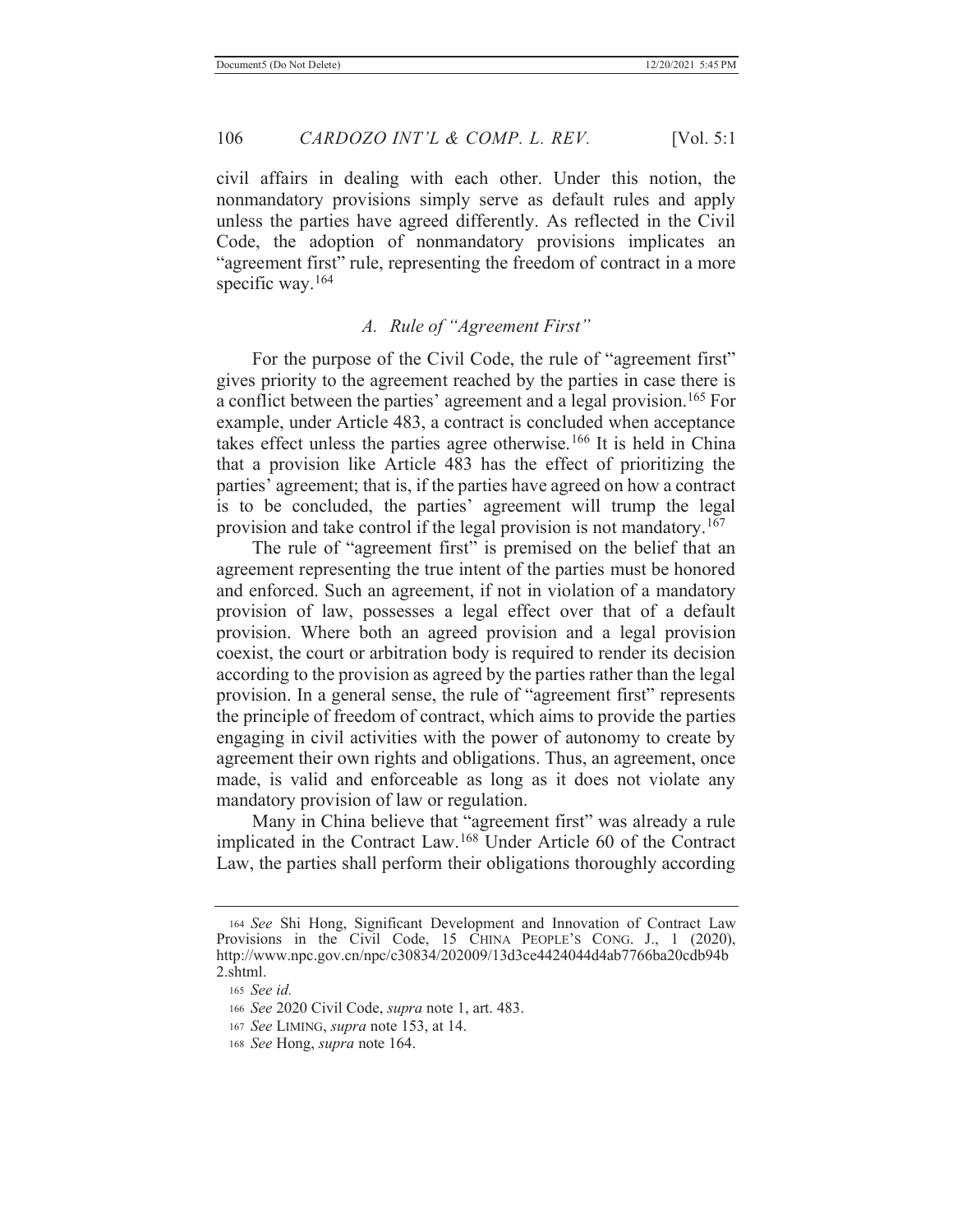civil affairs in dealing with each other. Under this notion, the nonmandatory provisions simply serve as default rules and apply unless the parties have agreed differently. As reflected in the Civil Code, the adoption of nonmandatory provisions implicates an "agreement first" rule, representing the freedom of contract in a more specific way.<sup>164</sup>

## *A. Rule of "Agreement First"*

For the purpose of the Civil Code, the rule of "agreement first" gives priority to the agreement reached by the parties in case there is a conflict between the parties' agreement and a legal provision.165 For example, under Article 483, a contract is concluded when acceptance takes effect unless the parties agree otherwise.166 It is held in China that a provision like Article 483 has the effect of prioritizing the parties' agreement; that is, if the parties have agreed on how a contract is to be concluded, the parties' agreement will trump the legal provision and take control if the legal provision is not mandatory.<sup>167</sup>

The rule of "agreement first" is premised on the belief that an agreement representing the true intent of the parties must be honored and enforced. Such an agreement, if not in violation of a mandatory provision of law, possesses a legal effect over that of a default provision. Where both an agreed provision and a legal provision coexist, the court or arbitration body is required to render its decision according to the provision as agreed by the parties rather than the legal provision. In a general sense, the rule of "agreement first" represents the principle of freedom of contract, which aims to provide the parties engaging in civil activities with the power of autonomy to create by agreement their own rights and obligations. Thus, an agreement, once made, is valid and enforceable as long as it does not violate any mandatory provision of law or regulation.

Many in China believe that "agreement first" was already a rule implicated in the Contract Law.168 Under Article 60 of the Contract Law, the parties shall perform their obligations thoroughly according

<sup>164</sup> *See* Shi Hong, Significant Development and Innovation of Contract Law Provisions in the Civil Code, 15 CHINA PEOPLE'S CONG. J., 1 (2020), http://www.npc.gov.cn/npc/c30834/202009/13d3ce4424044d4ab7766ba20cdb94b 2.shtml.

<sup>165</sup> *See id.*

<sup>166</sup> *See* 2020 Civil Code, *supra* note 1, art. 483.

<sup>167</sup> *See* LIMING, *supra* note 153, at 14.

<sup>168</sup> *See* Hong, *supra* note 164.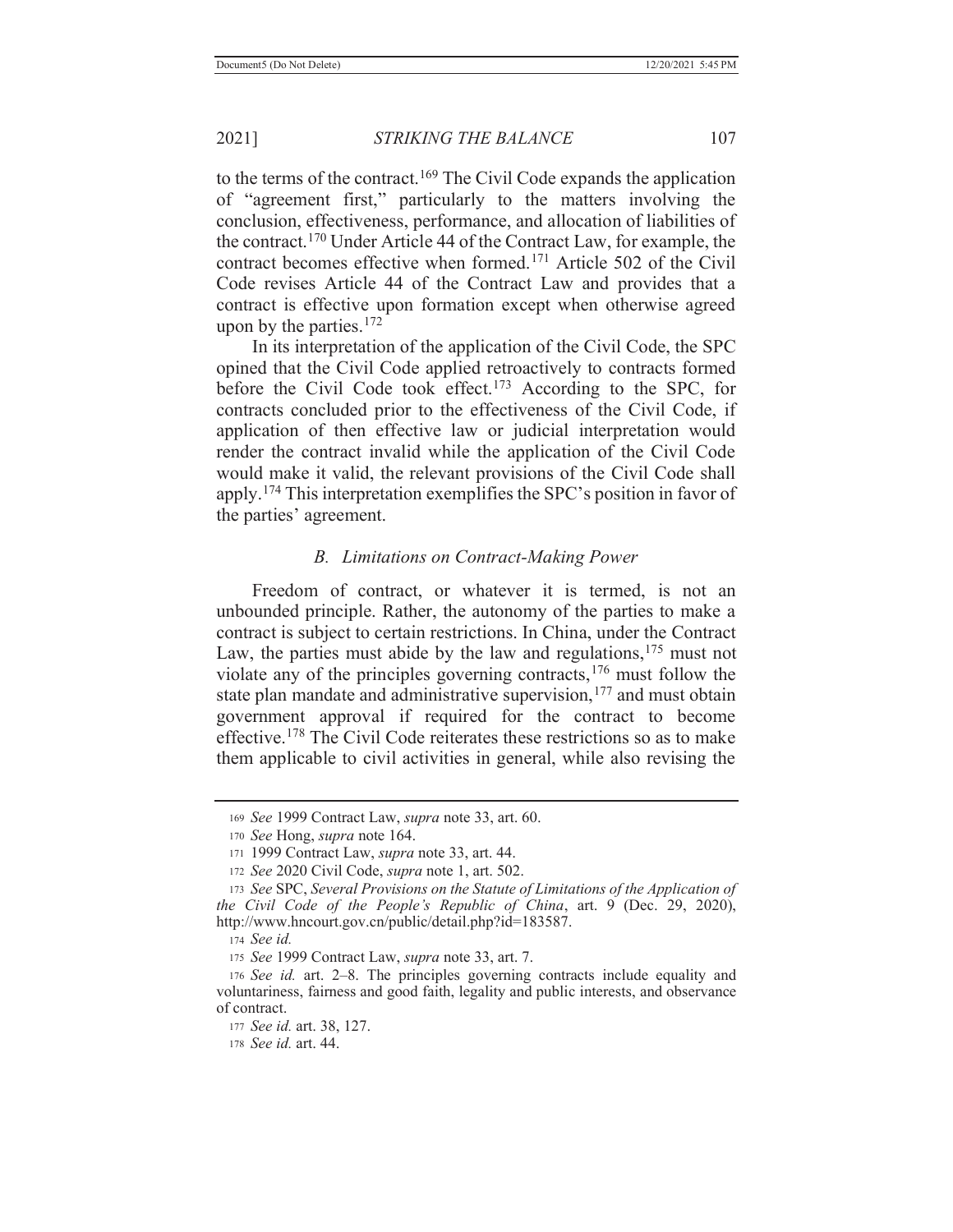to the terms of the contract.<sup>169</sup> The Civil Code expands the application of "agreement first," particularly to the matters involving the conclusion, effectiveness, performance, and allocation of liabilities of the contract.170 Under Article 44 of the Contract Law, for example, the contract becomes effective when formed.171 Article 502 of the Civil Code revises Article 44 of the Contract Law and provides that a contract is effective upon formation except when otherwise agreed upon by the parties. $172$ 

 In its interpretation of the application of the Civil Code, the SPC opined that the Civil Code applied retroactively to contracts formed before the Civil Code took effect.<sup>173</sup> According to the SPC, for contracts concluded prior to the effectiveness of the Civil Code, if application of then effective law or judicial interpretation would render the contract invalid while the application of the Civil Code would make it valid, the relevant provisions of the Civil Code shall apply.174 This interpretation exemplifies the SPC's position in favor of the parties' agreement.

## *B. Limitations on Contract-Making Power*

 Freedom of contract, or whatever it is termed, is not an unbounded principle. Rather, the autonomy of the parties to make a contract is subject to certain restrictions. In China, under the Contract Law, the parties must abide by the law and regulations,  $175$  must not violate any of the principles governing contracts,176 must follow the state plan mandate and administrative supervision,<sup>177</sup> and must obtain government approval if required for the contract to become effective.178 The Civil Code reiterates these restrictions so as to make them applicable to civil activities in general, while also revising the

<sup>169</sup> *See* 1999 Contract Law, *supra* note 33, art. 60.

<sup>170</sup> *See* Hong, *supra* note 164.

<sup>171 1999</sup> Contract Law, *supra* note 33, art. 44.

<sup>172</sup> *See* 2020 Civil Code, *supra* note 1, art. 502.

<sup>173</sup> *See* SPC, *Several Provisions on the Statute of Limitations of the Application of the Civil Code of the People's Republic of China*, art. 9 (Dec. 29, 2020), http://www.hncourt.gov.cn/public/detail.php?id=183587.

<sup>174</sup> *See id.*

<sup>175</sup> *See* 1999 Contract Law, *supra* note 33, art. 7.

<sup>176</sup> *See id.* art. 2–8. The principles governing contracts include equality and voluntariness, fairness and good faith, legality and public interests, and observance of contract.

<sup>177</sup> *See id.* art. 38, 127.

<sup>178</sup> *See id.* art. 44.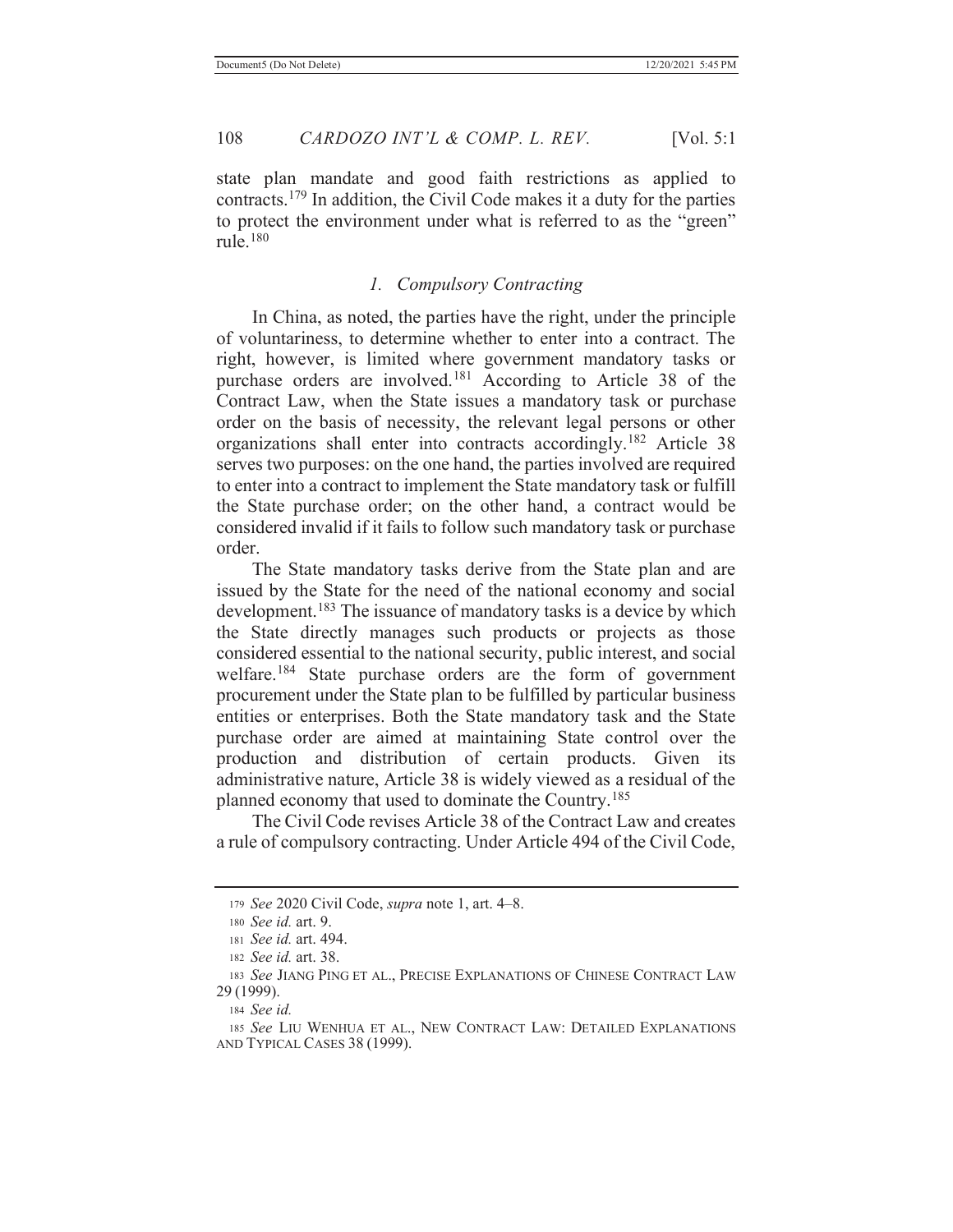state plan mandate and good faith restrictions as applied to contracts.179 In addition, the Civil Code makes it a duty for the parties to protect the environment under what is referred to as the "green" rule. $180$ 

## *1. Compulsory Contracting*

 In China, as noted, the parties have the right, under the principle of voluntariness, to determine whether to enter into a contract. The right, however, is limited where government mandatory tasks or purchase orders are involved.<sup>181</sup> According to Article 38 of the Contract Law, when the State issues a mandatory task or purchase order on the basis of necessity, the relevant legal persons or other organizations shall enter into contracts accordingly.182 Article 38 serves two purposes: on the one hand, the parties involved are required to enter into a contract to implement the State mandatory task or fulfill the State purchase order; on the other hand, a contract would be considered invalid if it fails to follow such mandatory task or purchase order.

 The State mandatory tasks derive from the State plan and are issued by the State for the need of the national economy and social development.<sup>183</sup> The issuance of mandatory tasks is a device by which the State directly manages such products or projects as those considered essential to the national security, public interest, and social welfare.184 State purchase orders are the form of government procurement under the State plan to be fulfilled by particular business entities or enterprises. Both the State mandatory task and the State purchase order are aimed at maintaining State control over the production and distribution of certain products. Given its administrative nature, Article 38 is widely viewed as a residual of the planned economy that used to dominate the Country.185

 The Civil Code revises Article 38 of the Contract Law and creates a rule of compulsory contracting. Under Article 494 of the Civil Code,

<sup>179</sup> *See* 2020 Civil Code, *supra* note 1, art. 4–8.

<sup>180</sup> *See id.* art. 9.

<sup>181</sup> *See id.* art. 494.

<sup>182</sup> *See id.* art. 38.

<sup>183</sup> *See* JIANG PING ET AL., PRECISE EXPLANATIONS OF CHINESE CONTRACT LAW 29 (1999).

<sup>184</sup> *See id.*

<sup>185</sup> *See* LIU WENHUA ET AL., NEW CONTRACT LAW: DETAILED EXPLANATIONS AND TYPICAL CASES 38 (1999).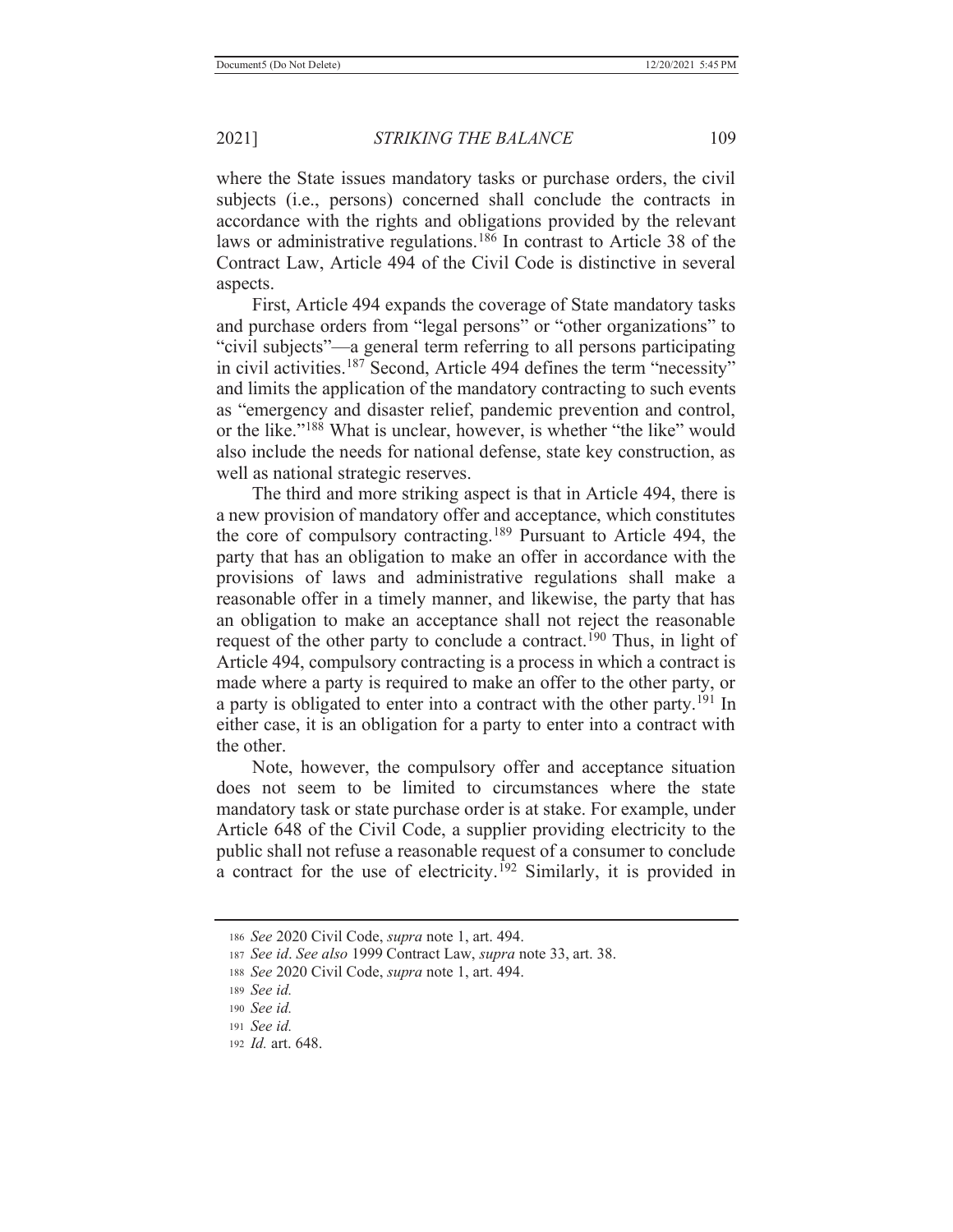where the State issues mandatory tasks or purchase orders, the civil subjects (i.e., persons) concerned shall conclude the contracts in accordance with the rights and obligations provided by the relevant laws or administrative regulations.<sup>186</sup> In contrast to Article 38 of the Contract Law, Article 494 of the Civil Code is distinctive in several aspects.

 First, Article 494 expands the coverage of State mandatory tasks and purchase orders from "legal persons" or "other organizations" to "civil subjects"—a general term referring to all persons participating in civil activities.187 Second, Article 494 defines the term "necessity" and limits the application of the mandatory contracting to such events as "emergency and disaster relief, pandemic prevention and control, or the like."<sup>188</sup> What is unclear, however, is whether "the like" would also include the needs for national defense, state key construction, as well as national strategic reserves.

 The third and more striking aspect is that in Article 494, there is a new provision of mandatory offer and acceptance, which constitutes the core of compulsory contracting.189 Pursuant to Article 494, the party that has an obligation to make an offer in accordance with the provisions of laws and administrative regulations shall make a reasonable offer in a timely manner, and likewise, the party that has an obligation to make an acceptance shall not reject the reasonable request of the other party to conclude a contract.<sup>190</sup> Thus, in light of Article 494, compulsory contracting is a process in which a contract is made where a party is required to make an offer to the other party, or a party is obligated to enter into a contract with the other party.<sup>191</sup> In either case, it is an obligation for a party to enter into a contract with the other.

 Note, however, the compulsory offer and acceptance situation does not seem to be limited to circumstances where the state mandatory task or state purchase order is at stake. For example, under Article 648 of the Civil Code, a supplier providing electricity to the public shall not refuse a reasonable request of a consumer to conclude a contract for the use of electricity.<sup>192</sup> Similarly, it is provided in

<sup>186</sup> *See* 2020 Civil Code, *supra* note 1, art. 494.

<sup>187</sup> *See id*. *See also* 1999 Contract Law, *supra* note 33, art. 38.

<sup>188</sup> *See* 2020 Civil Code, *supra* note 1, art. 494.

<sup>189</sup> *See id.*

<sup>190</sup> *See id.*

<sup>191</sup> *See id.*

<sup>192</sup> *Id.* art. 648.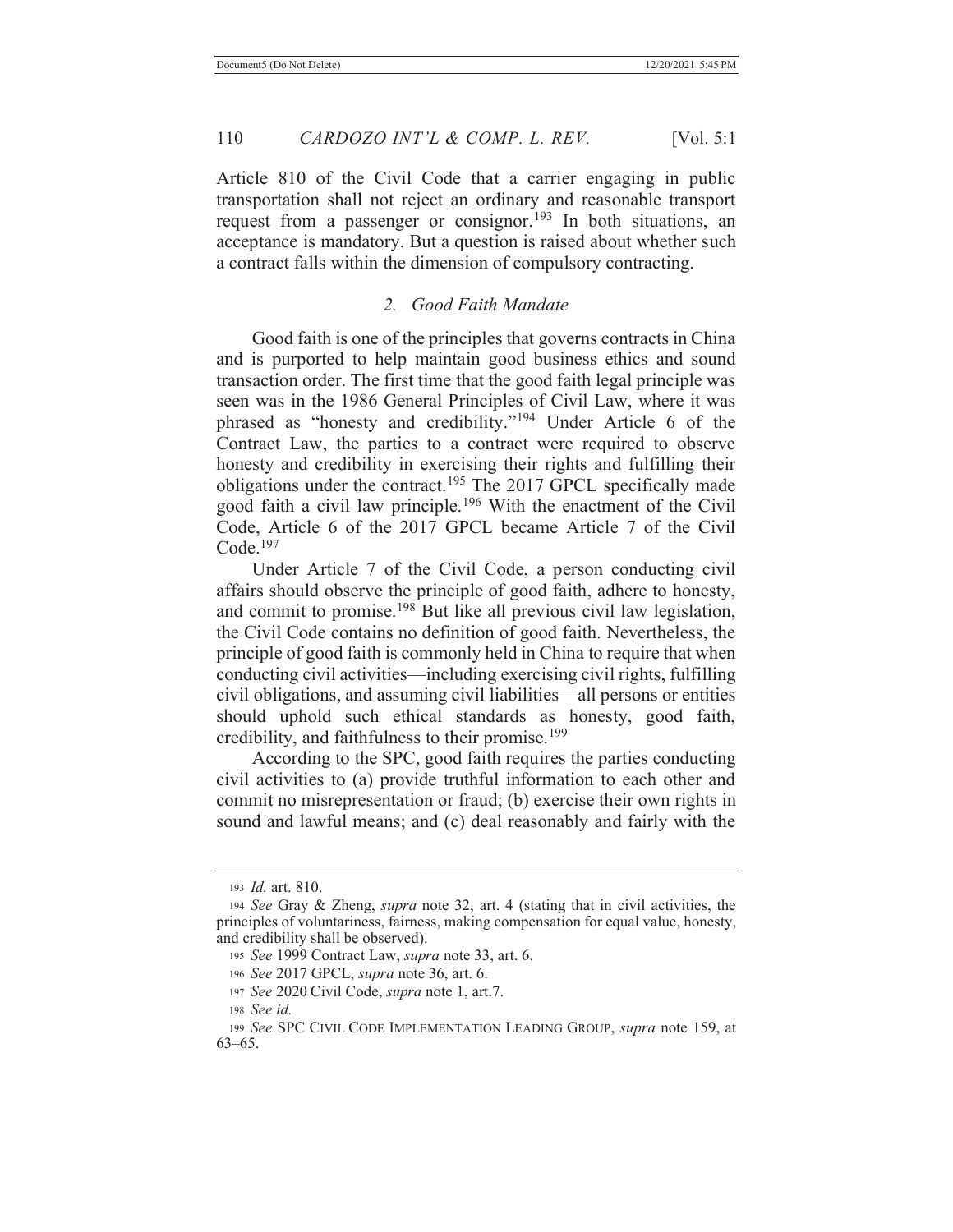Article 810 of the Civil Code that a carrier engaging in public transportation shall not reject an ordinary and reasonable transport request from a passenger or consignor.<sup>193</sup> In both situations, an acceptance is mandatory. But a question is raised about whether such a contract falls within the dimension of compulsory contracting.

## *2. Good Faith Mandate*

 Good faith is one of the principles that governs contracts in China and is purported to help maintain good business ethics and sound transaction order. The first time that the good faith legal principle was seen was in the 1986 General Principles of Civil Law, where it was phrased as "honesty and credibility."194 Under Article 6 of the Contract Law, the parties to a contract were required to observe honesty and credibility in exercising their rights and fulfilling their obligations under the contract.<sup>195</sup> The 2017 GPCL specifically made good faith a civil law principle.196 With the enactment of the Civil Code, Article 6 of the 2017 GPCL became Article 7 of the Civil Code.197

 Under Article 7 of the Civil Code, a person conducting civil affairs should observe the principle of good faith, adhere to honesty, and commit to promise.198 But like all previous civil law legislation, the Civil Code contains no definition of good faith. Nevertheless, the principle of good faith is commonly held in China to require that when conducting civil activities—including exercising civil rights, fulfilling civil obligations, and assuming civil liabilities—all persons or entities should uphold such ethical standards as honesty, good faith, credibility, and faithfulness to their promise.<sup>199</sup>

 According to the SPC, good faith requires the parties conducting civil activities to (a) provide truthful information to each other and commit no misrepresentation or fraud; (b) exercise their own rights in sound and lawful means; and (c) deal reasonably and fairly with the

<sup>193</sup> *Id.* art. 810.

<sup>194</sup> *See* Gray & Zheng, *supra* note 32, art. 4 (stating that in civil activities, the principles of voluntariness, fairness, making compensation for equal value, honesty, and credibility shall be observed).

<sup>195</sup> *See* 1999 Contract Law, *supra* note 33, art. 6.

<sup>196</sup> *See* 2017 GPCL, *supra* note 36, art. 6.

<sup>197</sup> *See* 2020 Civil Code, *supra* note 1, art.7.

<sup>198</sup> *See id.*

<sup>199</sup> *See* SPC CIVIL CODE IMPLEMENTATION LEADING GROUP, *supra* note 159, at 63–65.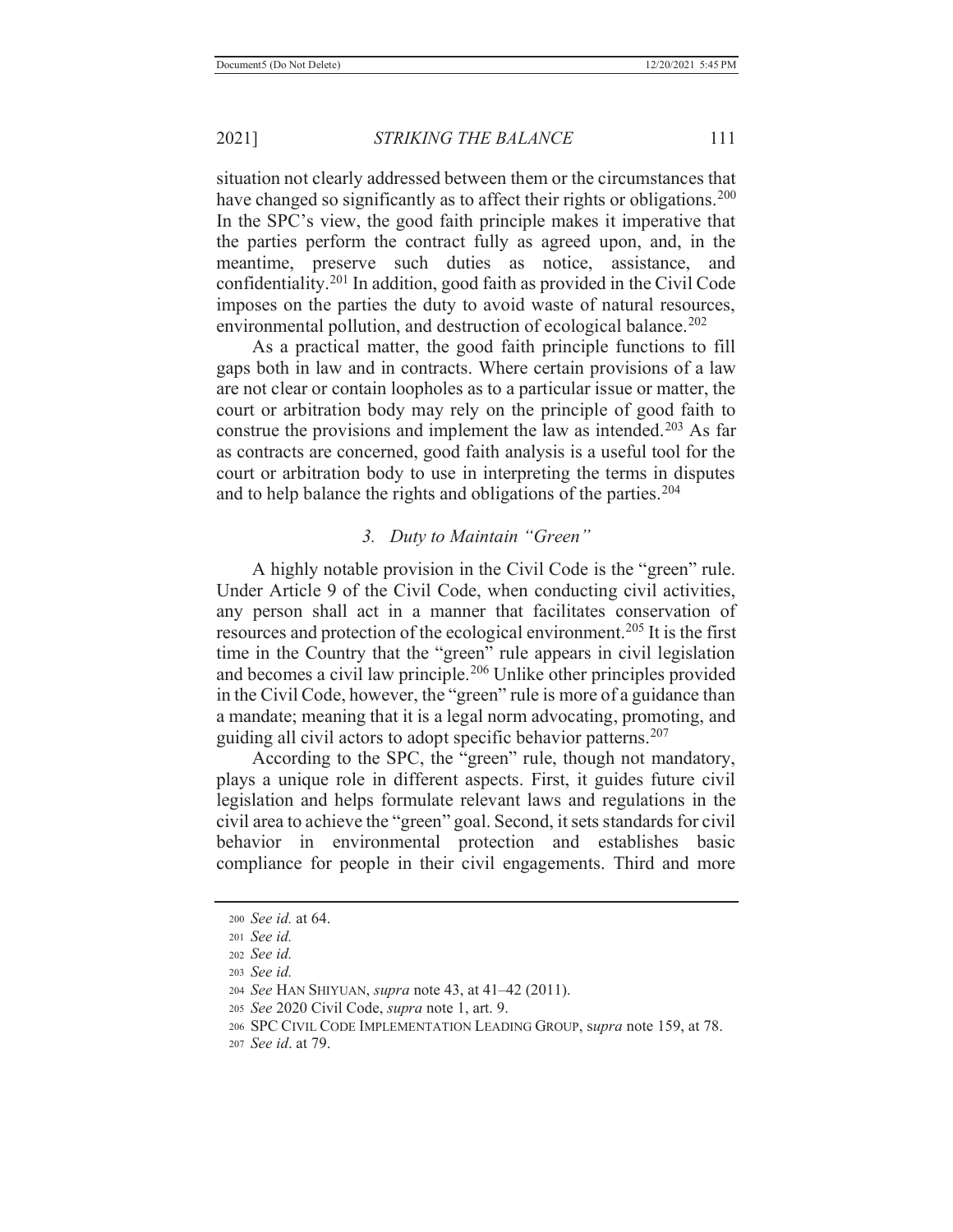situation not clearly addressed between them or the circumstances that have changed so significantly as to affect their rights or obligations.<sup>200</sup> In the SPC's view, the good faith principle makes it imperative that the parties perform the contract fully as agreed upon, and, in the meantime, preserve such duties as notice, assistance, and confidentiality.201 In addition, good faith as provided in the Civil Code imposes on the parties the duty to avoid waste of natural resources, environmental pollution, and destruction of ecological balance.<sup>202</sup>

 As a practical matter, the good faith principle functions to fill gaps both in law and in contracts. Where certain provisions of a law are not clear or contain loopholes as to a particular issue or matter, the court or arbitration body may rely on the principle of good faith to construe the provisions and implement the law as intended.<sup>203</sup> As far as contracts are concerned, good faith analysis is a useful tool for the court or arbitration body to use in interpreting the terms in disputes and to help balance the rights and obligations of the parties.<sup>204</sup>

## *3. Duty to Maintain "Green"*

 A highly notable provision in the Civil Code is the "green" rule. Under Article 9 of the Civil Code, when conducting civil activities, any person shall act in a manner that facilitates conservation of resources and protection of the ecological environment.205 It is the first time in the Country that the "green" rule appears in civil legislation and becomes a civil law principle.206 Unlike other principles provided in the Civil Code, however, the "green" rule is more of a guidance than a mandate; meaning that it is a legal norm advocating, promoting, and guiding all civil actors to adopt specific behavior patterns.<sup>207</sup>

According to the SPC, the "green" rule, though not mandatory, plays a unique role in different aspects. First, it guides future civil legislation and helps formulate relevant laws and regulations in the civil area to achieve the "green" goal. Second, it sets standards for civil behavior in environmental protection and establishes basic compliance for people in their civil engagements. Third and more

<sup>200</sup> *See id.* at 64.

<sup>201</sup> *See id.*

<sup>202</sup> *See id.*

<sup>203</sup> *See id.*

<sup>204</sup> *See* HAN SHIYUAN, *supra* note 43, at 41–42 (2011).

<sup>205</sup> *See* 2020 Civil Code, *supra* note 1, art. 9.

<sup>206</sup> SPC CIVIL CODE IMPLEMENTATION LEADING GROUP, s*upra* note 159, at 78.

<sup>207</sup> *See id*. at 79.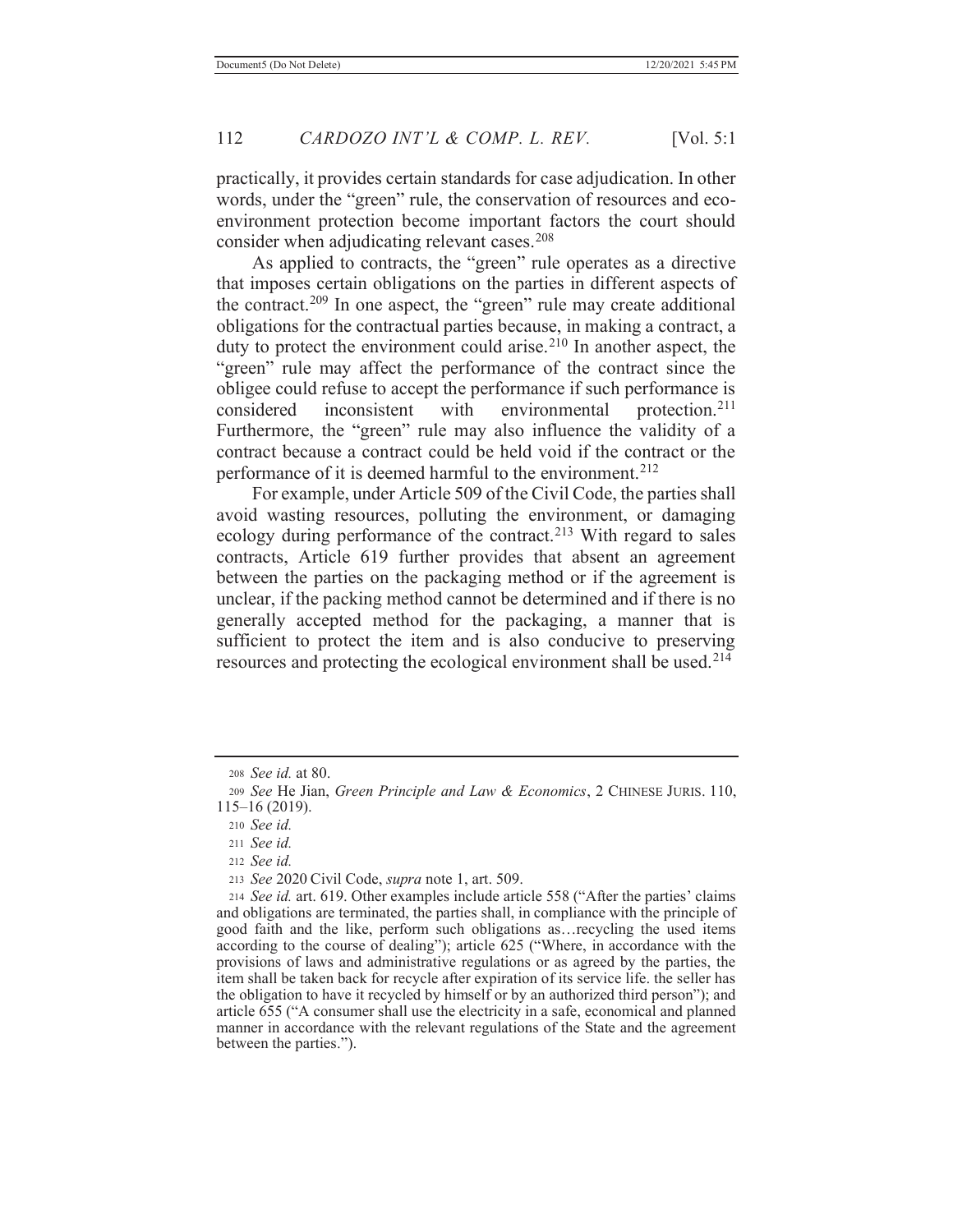practically, it provides certain standards for case adjudication. In other words, under the "green" rule, the conservation of resources and ecoenvironment protection become important factors the court should consider when adjudicating relevant cases.<sup>208</sup>

 As applied to contracts, the "green" rule operates as a directive that imposes certain obligations on the parties in different aspects of the contract.209 In one aspect, the "green" rule may create additional obligations for the contractual parties because, in making a contract, a duty to protect the environment could arise.<sup>210</sup> In another aspect, the "green" rule may affect the performance of the contract since the obligee could refuse to accept the performance if such performance is considered inconsistent with environmental protection.<sup>211</sup> Furthermore, the "green" rule may also influence the validity of a contract because a contract could be held void if the contract or the performance of it is deemed harmful to the environment.<sup>212</sup>

 For example, under Article 509 of the Civil Code, the parties shall avoid wasting resources, polluting the environment, or damaging ecology during performance of the contract.<sup>213</sup> With regard to sales contracts, Article 619 further provides that absent an agreement between the parties on the packaging method or if the agreement is unclear, if the packing method cannot be determined and if there is no generally accepted method for the packaging, a manner that is sufficient to protect the item and is also conducive to preserving resources and protecting the ecological environment shall be used.<sup>214</sup>

<sup>212</sup> *See id.*

<sup>208</sup> *See id.* at 80.

<sup>209</sup> *See* He Jian, *Green Principle and Law & Economics*, 2 CHINESE JURIS. 110, 115–16 (2019).

<sup>210</sup> *See id.*

<sup>211</sup> *See id.*

<sup>213</sup> *See* 2020 Civil Code, *supra* note 1, art. 509.

<sup>214</sup> *See id.* art. 619. Other examples include article 558 ("After the parties' claims and obligations are terminated, the parties shall, in compliance with the principle of good faith and the like, perform such obligations as…recycling the used items according to the course of dealing"); article 625 ("Where, in accordance with the provisions of laws and administrative regulations or as agreed by the parties, the item shall be taken back for recycle after expiration of its service life. the seller has the obligation to have it recycled by himself or by an authorized third person"); and article 655 ("A consumer shall use the electricity in a safe, economical and planned manner in accordance with the relevant regulations of the State and the agreement between the parties.").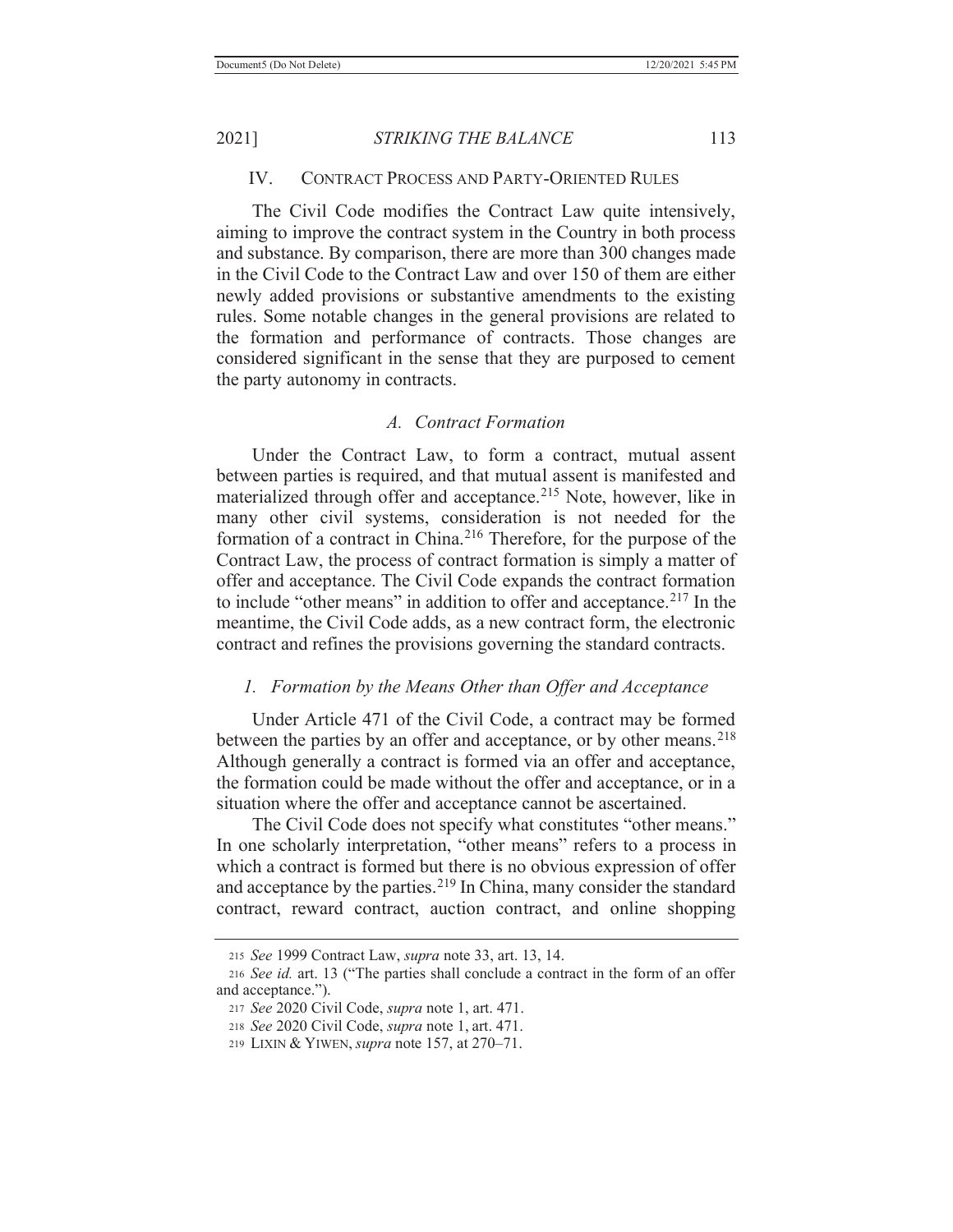#### IV. CONTRACT PROCESS AND PARTY-ORIENTED RULES

 The Civil Code modifies the Contract Law quite intensively, aiming to improve the contract system in the Country in both process and substance. By comparison, there are more than 300 changes made in the Civil Code to the Contract Law and over 150 of them are either newly added provisions or substantive amendments to the existing rules. Some notable changes in the general provisions are related to the formation and performance of contracts. Those changes are considered significant in the sense that they are purposed to cement the party autonomy in contracts.

#### *A. Contract Formation*

 Under the Contract Law, to form a contract, mutual assent between parties is required, and that mutual assent is manifested and materialized through offer and acceptance.<sup>215</sup> Note, however, like in many other civil systems, consideration is not needed for the formation of a contract in China.216 Therefore, for the purpose of the Contract Law, the process of contract formation is simply a matter of offer and acceptance. The Civil Code expands the contract formation to include "other means" in addition to offer and acceptance.217 In the meantime, the Civil Code adds, as a new contract form, the electronic contract and refines the provisions governing the standard contracts.

## *1. Formation by the Means Other than Offer and Acceptance*

 Under Article 471 of the Civil Code, a contract may be formed between the parties by an offer and acceptance, or by other means.<sup>218</sup> Although generally a contract is formed via an offer and acceptance, the formation could be made without the offer and acceptance, or in a situation where the offer and acceptance cannot be ascertained.

The Civil Code does not specify what constitutes "other means." In one scholarly interpretation, "other means" refers to a process in which a contract is formed but there is no obvious expression of offer and acceptance by the parties.<sup>219</sup> In China, many consider the standard contract, reward contract, auction contract, and online shopping

<sup>215</sup> *See* 1999 Contract Law, *supra* note 33, art. 13, 14.

<sup>216</sup> *See id.* art. 13 ("The parties shall conclude a contract in the form of an offer and acceptance.").

<sup>217</sup> *See* 2020 Civil Code, *supra* note 1, art. 471.

<sup>218</sup> *See* 2020 Civil Code, *supra* note 1, art. 471.

<sup>219</sup> LIXIN & YIWEN, *supra* note 157, at 270–71.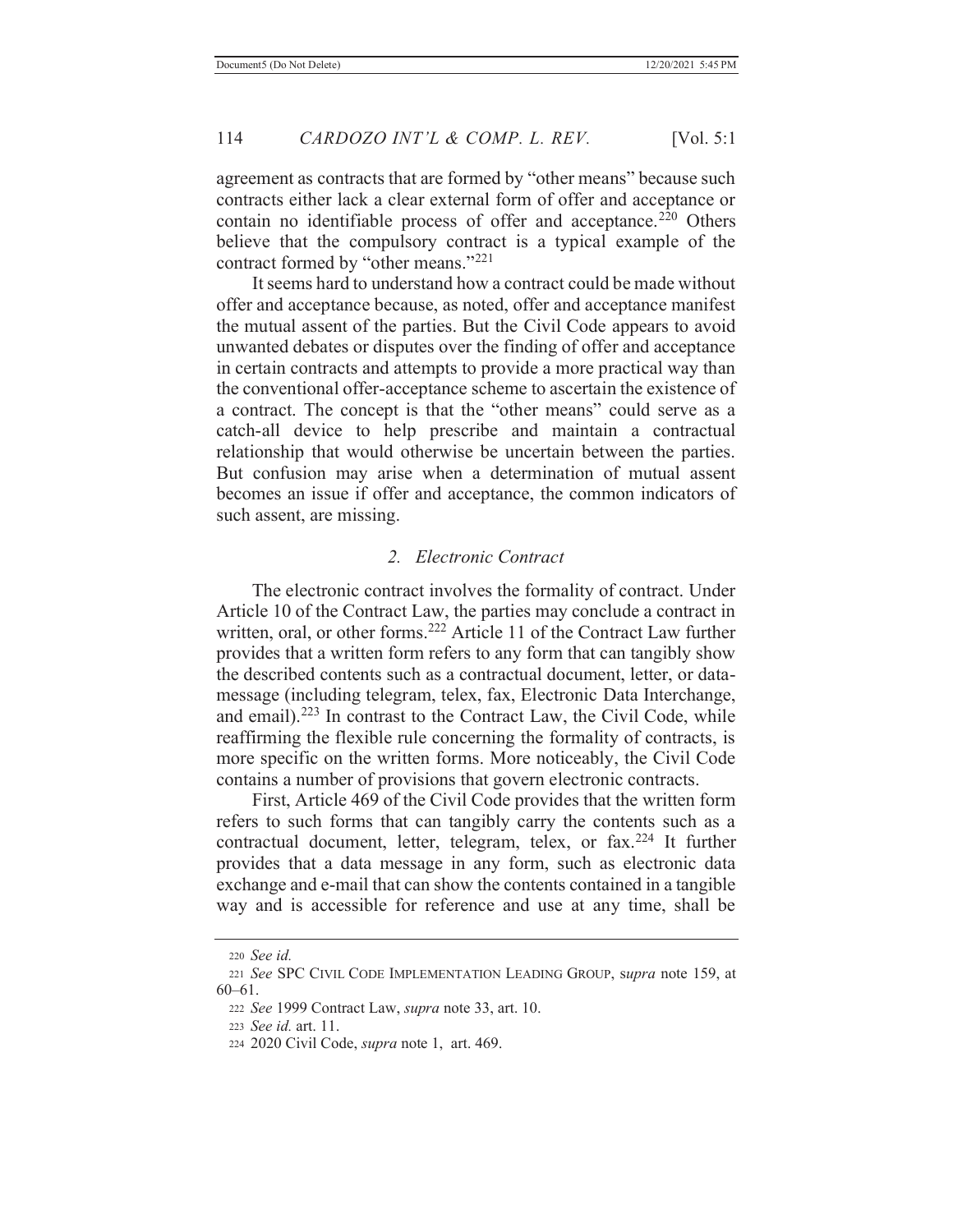agreement as contracts that are formed by "other means" because such contracts either lack a clear external form of offer and acceptance or contain no identifiable process of offer and acceptance.<sup>220</sup> Others believe that the compulsory contract is a typical example of the contract formed by "other means."<sup>221</sup>

 It seems hard to understand how a contract could be made without offer and acceptance because, as noted, offer and acceptance manifest the mutual assent of the parties. But the Civil Code appears to avoid unwanted debates or disputes over the finding of offer and acceptance in certain contracts and attempts to provide a more practical way than the conventional offer-acceptance scheme to ascertain the existence of a contract. The concept is that the "other means" could serve as a catch-all device to help prescribe and maintain a contractual relationship that would otherwise be uncertain between the parties. But confusion may arise when a determination of mutual assent becomes an issue if offer and acceptance, the common indicators of such assent, are missing.

### *2. Electronic Contract*

 The electronic contract involves the formality of contract. Under Article 10 of the Contract Law, the parties may conclude a contract in written, oral, or other forms.<sup>222</sup> Article 11 of the Contract Law further provides that a written form refers to any form that can tangibly show the described contents such as a contractual document, letter, or datamessage (including telegram, telex, fax, Electronic Data Interchange, and email).223 In contrast to the Contract Law, the Civil Code, while reaffirming the flexible rule concerning the formality of contracts, is more specific on the written forms. More noticeably, the Civil Code contains a number of provisions that govern electronic contracts.

 First, Article 469 of the Civil Code provides that the written form refers to such forms that can tangibly carry the contents such as a contractual document, letter, telegram, telex, or fax.<sup>224</sup> It further provides that a data message in any form, such as electronic data exchange and e-mail that can show the contents contained in a tangible way and is accessible for reference and use at any time, shall be

<sup>220</sup> *See id.*

<sup>221</sup> *See* SPC CIVIL CODE IMPLEMENTATION LEADING GROUP, s*upra* note 159, at 60–61.

<sup>222</sup> *See* 1999 Contract Law, *supra* note 33, art. 10.

<sup>223</sup> *See id.* art. 11.

<sup>224 2020</sup> Civil Code, *supra* note 1, art. 469.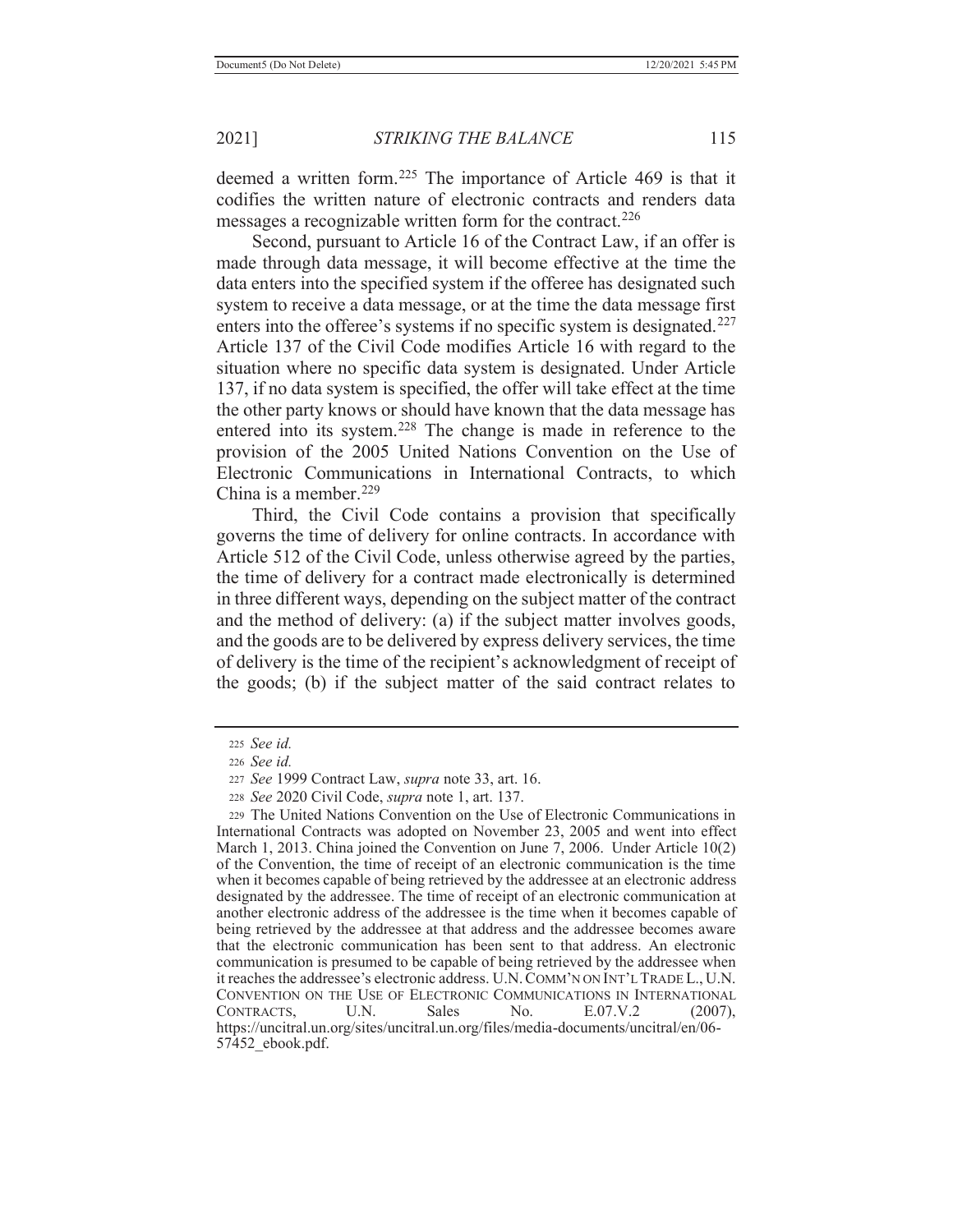deemed a written form.225 The importance of Article 469 is that it codifies the written nature of electronic contracts and renders data messages a recognizable written form for the contract.<sup>226</sup>

 Second, pursuant to Article 16 of the Contract Law, if an offer is made through data message, it will become effective at the time the data enters into the specified system if the offeree has designated such system to receive a data message, or at the time the data message first enters into the offeree's systems if no specific system is designated.<sup>227</sup> Article 137 of the Civil Code modifies Article 16 with regard to the situation where no specific data system is designated. Under Article 137, if no data system is specified, the offer will take effect at the time the other party knows or should have known that the data message has entered into its system.<sup>228</sup> The change is made in reference to the provision of the 2005 United Nations Convention on the Use of Electronic Communications in International Contracts, to which China is a member.<sup>229</sup>

 Third, the Civil Code contains a provision that specifically governs the time of delivery for online contracts. In accordance with Article 512 of the Civil Code, unless otherwise agreed by the parties, the time of delivery for a contract made electronically is determined in three different ways, depending on the subject matter of the contract and the method of delivery: (a) if the subject matter involves goods, and the goods are to be delivered by express delivery services, the time of delivery is the time of the recipient's acknowledgment of receipt of the goods; (b) if the subject matter of the said contract relates to

<sup>225</sup> *See id.*

<sup>226</sup> *See id.*

<sup>227</sup> *See* 1999 Contract Law, *supra* note 33, art. 16.

<sup>228</sup> *See* 2020 Civil Code, *supra* note 1, art. 137.

<sup>229</sup> The United Nations Convention on the Use of Electronic Communications in International Contracts was adopted on November 23, 2005 and went into effect March 1, 2013. China joined the Convention on June 7, 2006. Under Article 10(2) of the Convention, the time of receipt of an electronic communication is the time when it becomes capable of being retrieved by the addressee at an electronic address designated by the addressee. The time of receipt of an electronic communication at another electronic address of the addressee is the time when it becomes capable of being retrieved by the addressee at that address and the addressee becomes aware that the electronic communication has been sent to that address. An electronic communication is presumed to be capable of being retrieved by the addressee when it reaches the addressee's electronic address. U.N.COMM'N ON INT'L TRADE L., U.N. CONVENTION ON THE USE OF ELECTRONIC COMMUNICATIONS IN INTERNATIONAL CONTRACTS, U.N. Sales No. E.07.V.2 (2007), https://uncitral.un.org/sites/uncitral.un.org/files/media-documents/uncitral/en/06- 57452\_ebook.pdf.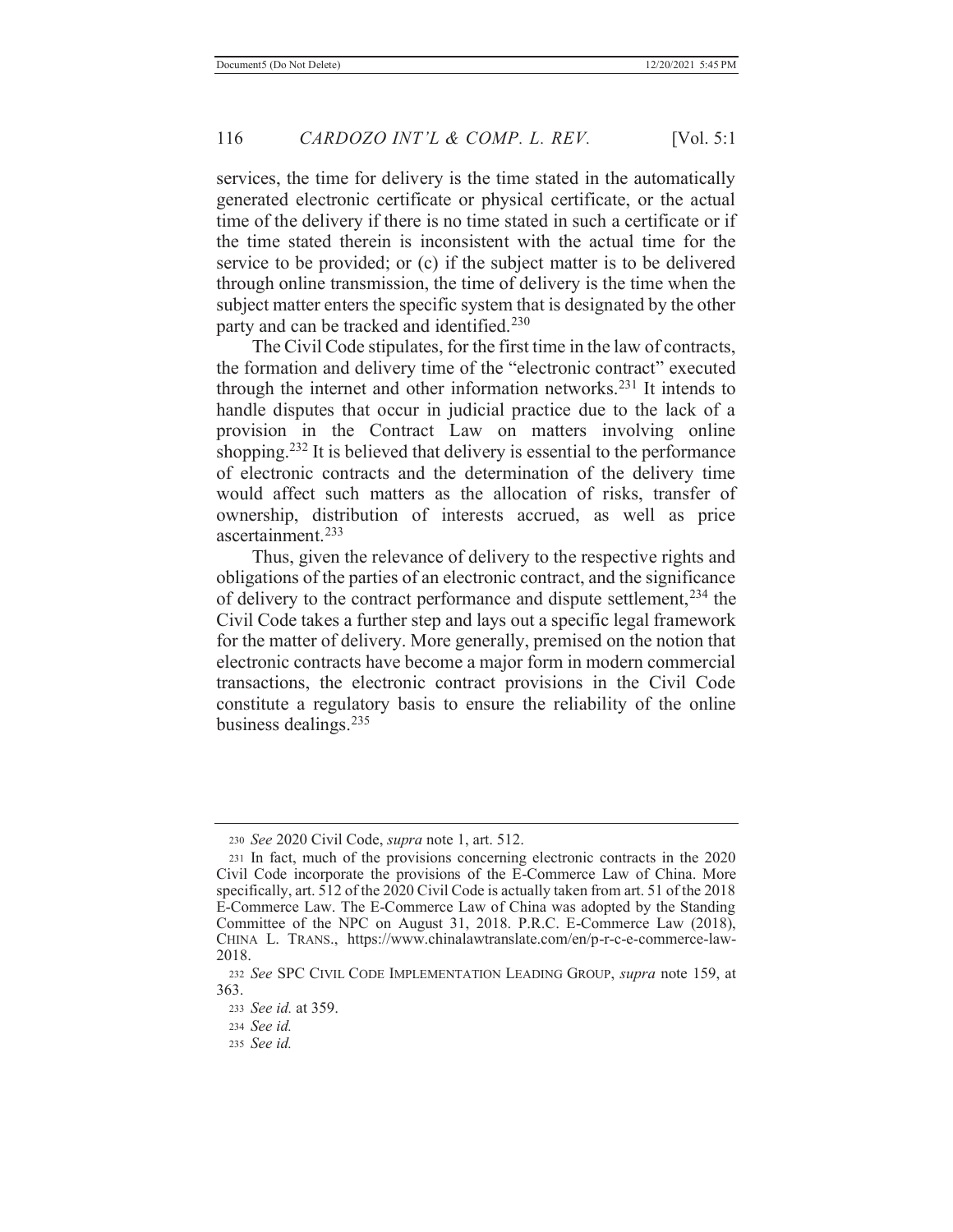services, the time for delivery is the time stated in the automatically generated electronic certificate or physical certificate, or the actual time of the delivery if there is no time stated in such a certificate or if the time stated therein is inconsistent with the actual time for the service to be provided; or (c) if the subject matter is to be delivered through online transmission, the time of delivery is the time when the subject matter enters the specific system that is designated by the other party and can be tracked and identified.<sup>230</sup>

 The Civil Code stipulates, for the first time in the law of contracts, the formation and delivery time of the "electronic contract" executed through the internet and other information networks.<sup>231</sup> It intends to handle disputes that occur in judicial practice due to the lack of a provision in the Contract Law on matters involving online shopping.<sup>232</sup> It is believed that delivery is essential to the performance of electronic contracts and the determination of the delivery time would affect such matters as the allocation of risks, transfer of ownership, distribution of interests accrued, as well as price ascertainment.233

 Thus, given the relevance of delivery to the respective rights and obligations of the parties of an electronic contract, and the significance of delivery to the contract performance and dispute settlement,<sup>234</sup> the Civil Code takes a further step and lays out a specific legal framework for the matter of delivery. More generally, premised on the notion that electronic contracts have become a major form in modern commercial transactions, the electronic contract provisions in the Civil Code constitute a regulatory basis to ensure the reliability of the online business dealings.235

<sup>230</sup> *See* 2020 Civil Code, *supra* note 1, art. 512.

<sup>231</sup> In fact, much of the provisions concerning electronic contracts in the 2020 Civil Code incorporate the provisions of the E-Commerce Law of China. More specifically, art. 512 of the 2020 Civil Code is actually taken from art. 51 of the 2018 E-Commerce Law. The E-Commerce Law of China was adopted by the Standing Committee of the NPC on August 31, 2018. P.R.C. E-Commerce Law (2018), CHINA L. TRANS., https://www.chinalawtranslate.com/en/p-r-c-e-commerce-law-2018.

<sup>232</sup> *See* SPC CIVIL CODE IMPLEMENTATION LEADING GROUP, *supra* note 159, at 363.

<sup>233</sup> *See id.* at 359.

<sup>234</sup> *See id.*

<sup>235</sup> *See id.*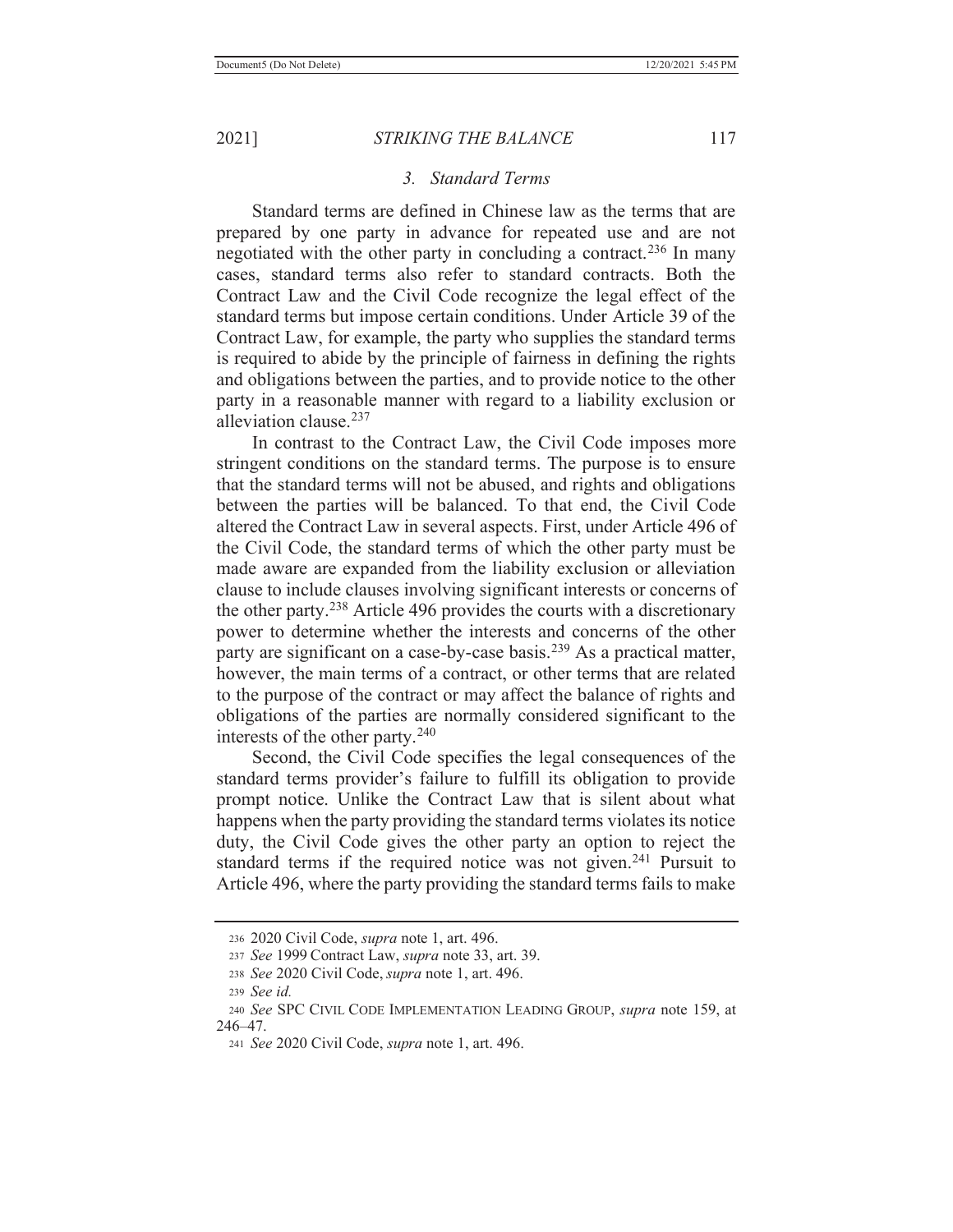#### *3. Standard Terms*

 Standard terms are defined in Chinese law as the terms that are prepared by one party in advance for repeated use and are not negotiated with the other party in concluding a contract.<sup>236</sup> In many cases, standard terms also refer to standard contracts. Both the Contract Law and the Civil Code recognize the legal effect of the standard terms but impose certain conditions. Under Article 39 of the Contract Law, for example, the party who supplies the standard terms is required to abide by the principle of fairness in defining the rights and obligations between the parties, and to provide notice to the other party in a reasonable manner with regard to a liability exclusion or alleviation clause.237

 In contrast to the Contract Law, the Civil Code imposes more stringent conditions on the standard terms. The purpose is to ensure that the standard terms will not be abused, and rights and obligations between the parties will be balanced. To that end, the Civil Code altered the Contract Law in several aspects. First, under Article 496 of the Civil Code, the standard terms of which the other party must be made aware are expanded from the liability exclusion or alleviation clause to include clauses involving significant interests or concerns of the other party.238 Article 496 provides the courts with a discretionary power to determine whether the interests and concerns of the other party are significant on a case-by-case basis.<sup>239</sup> As a practical matter, however, the main terms of a contract, or other terms that are related to the purpose of the contract or may affect the balance of rights and obligations of the parties are normally considered significant to the interests of the other party.240

 Second, the Civil Code specifies the legal consequences of the standard terms provider's failure to fulfill its obligation to provide prompt notice. Unlike the Contract Law that is silent about what happens when the party providing the standard terms violates its notice duty, the Civil Code gives the other party an option to reject the standard terms if the required notice was not given.<sup>241</sup> Pursuit to Article 496, where the party providing the standard terms fails to make

<sup>236 2020</sup> Civil Code, *supra* note 1, art. 496.

<sup>237</sup> *See* 1999 Contract Law, *supra* note 33, art. 39.

<sup>238</sup> *See* 2020 Civil Code, *supra* note 1, art. 496.

<sup>239</sup> *See id.*

<sup>240</sup> *See* SPC CIVIL CODE IMPLEMENTATION LEADING GROUP, *supra* note 159, at 246–47.

<sup>241</sup> *See* 2020 Civil Code, *supra* note 1, art. 496.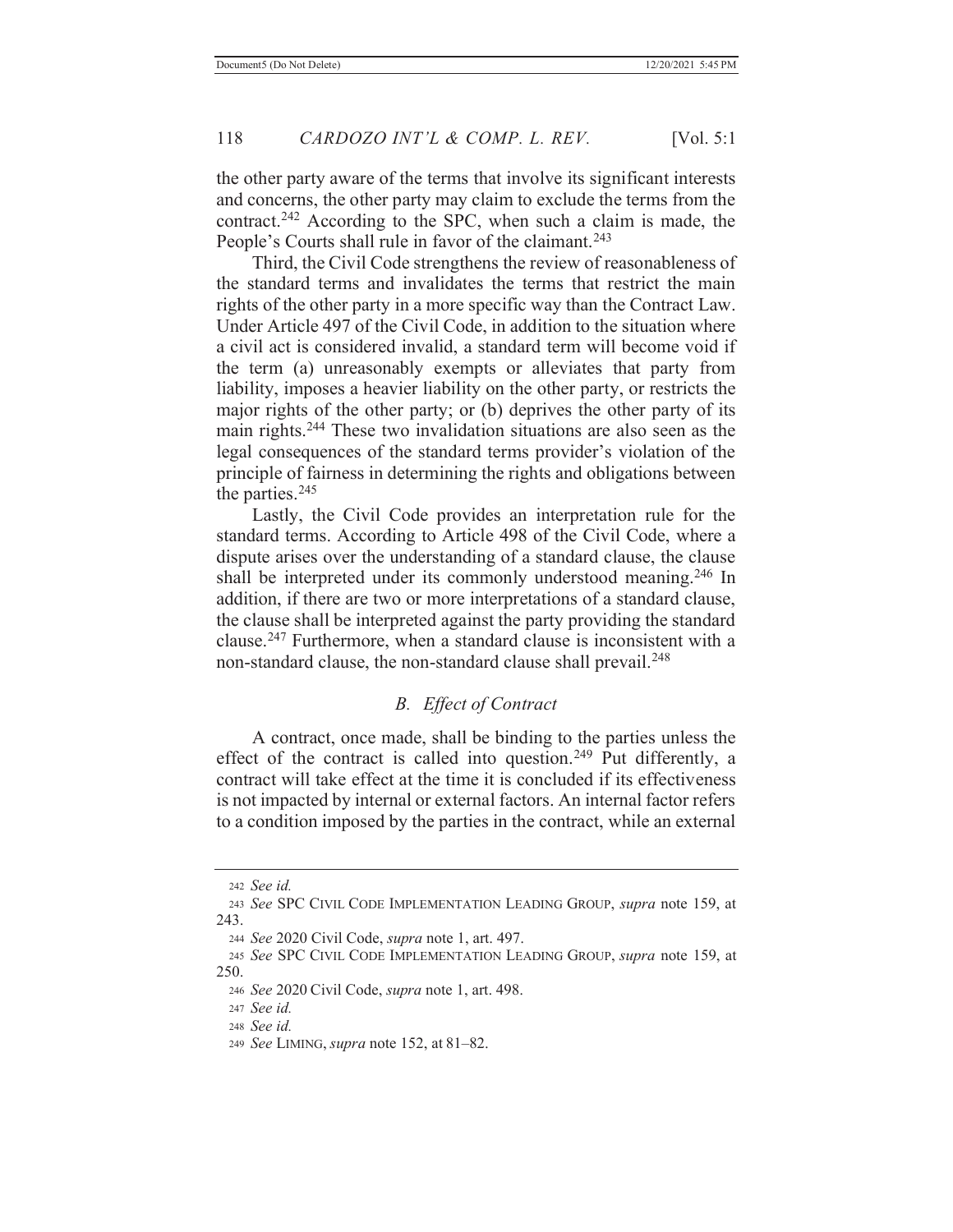the other party aware of the terms that involve its significant interests and concerns, the other party may claim to exclude the terms from the contract.242 According to the SPC, when such a claim is made, the People's Courts shall rule in favor of the claimant.<sup>243</sup>

 Third, the Civil Code strengthens the review of reasonableness of the standard terms and invalidates the terms that restrict the main rights of the other party in a more specific way than the Contract Law. Under Article 497 of the Civil Code, in addition to the situation where a civil act is considered invalid, a standard term will become void if the term (a) unreasonably exempts or alleviates that party from liability, imposes a heavier liability on the other party, or restricts the major rights of the other party; or (b) deprives the other party of its main rights.244 These two invalidation situations are also seen as the legal consequences of the standard terms provider's violation of the principle of fairness in determining the rights and obligations between the parties. $245$ 

 Lastly, the Civil Code provides an interpretation rule for the standard terms. According to Article 498 of the Civil Code, where a dispute arises over the understanding of a standard clause, the clause shall be interpreted under its commonly understood meaning.<sup>246</sup> In addition, if there are two or more interpretations of a standard clause, the clause shall be interpreted against the party providing the standard clause.247 Furthermore, when a standard clause is inconsistent with a non-standard clause, the non-standard clause shall prevail.<sup>248</sup>

# *B. Effect of Contract*

 A contract, once made, shall be binding to the parties unless the effect of the contract is called into question.<sup>249</sup> Put differently, a contract will take effect at the time it is concluded if its effectiveness is not impacted by internal or external factors. An internal factor refers to a condition imposed by the parties in the contract, while an external

<sup>242</sup> *See id.*

<sup>243</sup> *See* SPC CIVIL CODE IMPLEMENTATION LEADING GROUP, *supra* note 159, at 243.

<sup>244</sup> *See* 2020 Civil Code, *supra* note 1, art. 497.

<sup>245</sup> *See* SPC CIVIL CODE IMPLEMENTATION LEADING GROUP, *supra* note 159, at 250.

<sup>246</sup> *See* 2020 Civil Code, *supra* note 1, art. 498.

<sup>247</sup> *See id.*

<sup>248</sup> *See id.*

<sup>249</sup> *See* LIMING, *supra* note 152, at 81–82.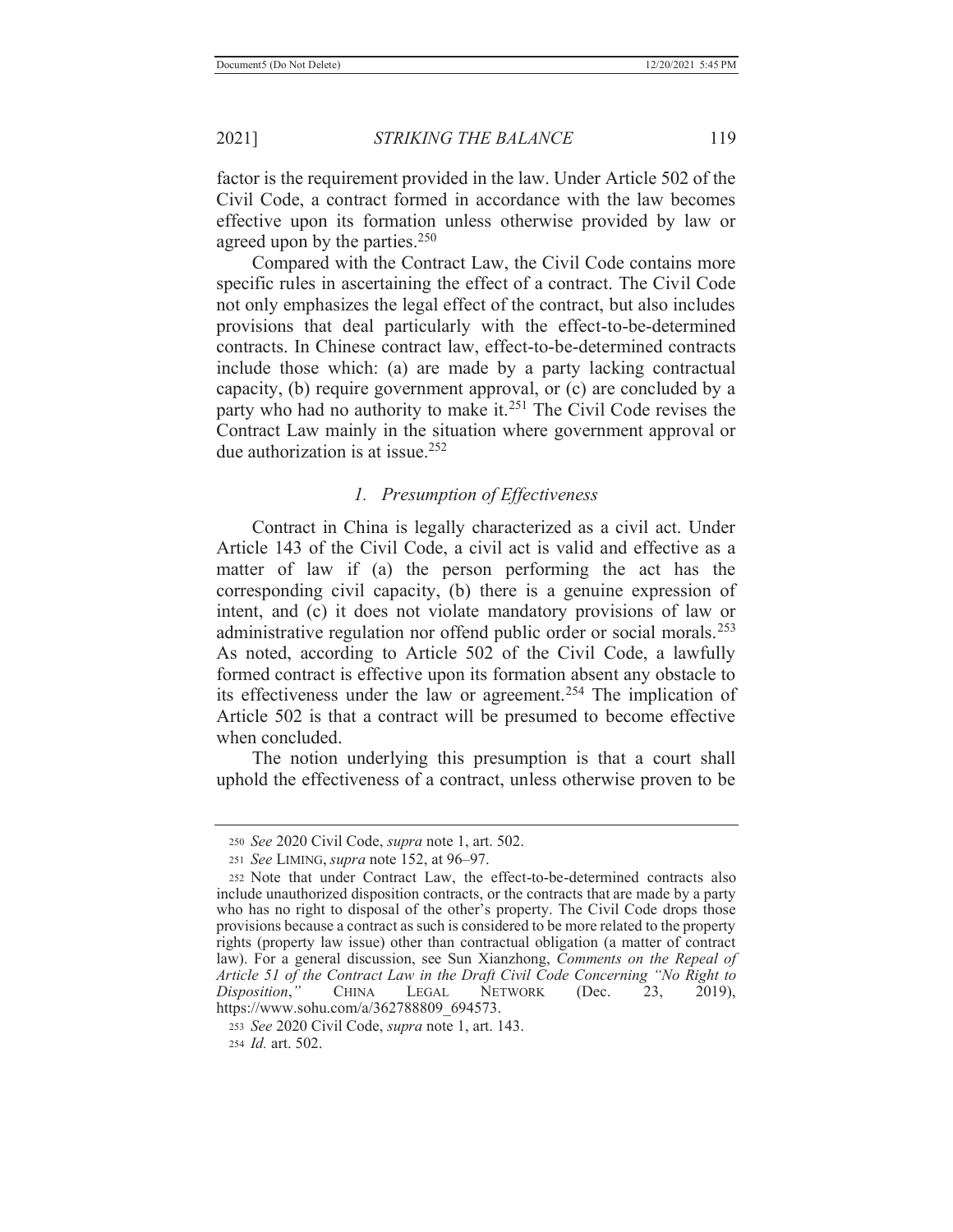factor is the requirement provided in the law. Under Article 502 of the Civil Code, a contract formed in accordance with the law becomes effective upon its formation unless otherwise provided by law or agreed upon by the parties.<sup>250</sup>

 Compared with the Contract Law, the Civil Code contains more specific rules in ascertaining the effect of a contract. The Civil Code not only emphasizes the legal effect of the contract, but also includes provisions that deal particularly with the effect-to-be-determined contracts. In Chinese contract law, effect-to-be-determined contracts include those which: (a) are made by a party lacking contractual capacity, (b) require government approval, or (c) are concluded by a party who had no authority to make it.<sup>251</sup> The Civil Code revises the Contract Law mainly in the situation where government approval or due authorization is at issue.252

## *1. Presumption of Effectiveness*

 Contract in China is legally characterized as a civil act. Under Article 143 of the Civil Code, a civil act is valid and effective as a matter of law if (a) the person performing the act has the corresponding civil capacity, (b) there is a genuine expression of intent, and (c) it does not violate mandatory provisions of law or administrative regulation nor offend public order or social morals.253 As noted, according to Article 502 of the Civil Code, a lawfully formed contract is effective upon its formation absent any obstacle to its effectiveness under the law or agreement.<sup>254</sup> The implication of Article 502 is that a contract will be presumed to become effective when concluded.

 The notion underlying this presumption is that a court shall uphold the effectiveness of a contract, unless otherwise proven to be

<sup>250</sup> *See* 2020 Civil Code, *supra* note 1, art. 502.

<sup>251</sup> *See* LIMING, *supra* note 152, at 96–97.

<sup>252</sup> Note that under Contract Law, the effect-to-be-determined contracts also include unauthorized disposition contracts, or the contracts that are made by a party who has no right to disposal of the other's property. The Civil Code drops those provisions because a contract as such is considered to be more related to the property rights (property law issue) other than contractual obligation (a matter of contract law). For a general discussion, see Sun Xianzhong, *Comments on the Repeal of Article 51 of the Contract Law in the Draft Civil Code Concerning "No Right to Disposition*," CHINA LEGAL NETWORK (Dec. 23, 2019), https://www.sohu.com/a/362788809\_694573.

<sup>253</sup> *See* 2020 Civil Code, *supra* note 1, art. 143. 254 *Id.* art. 502.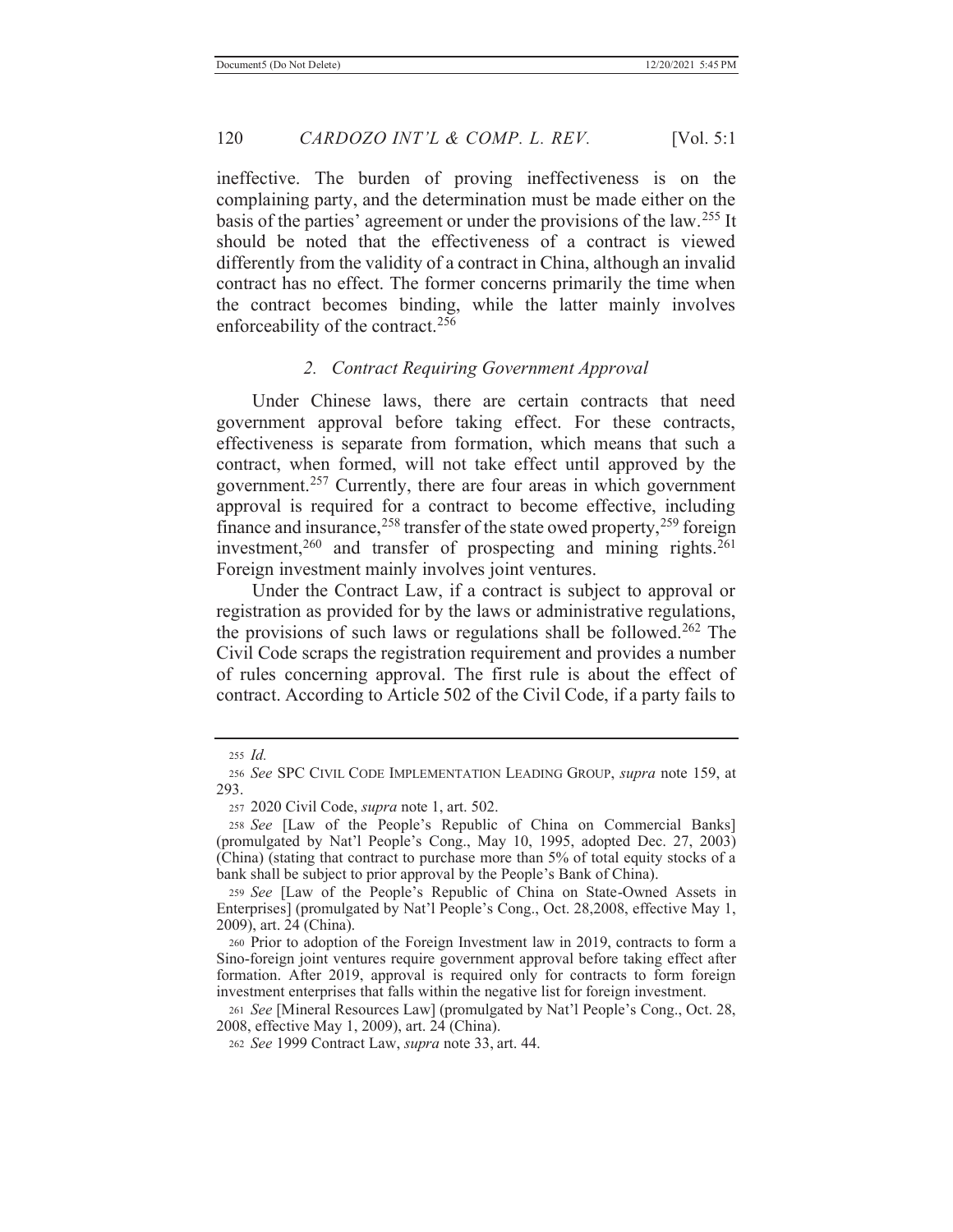ineffective. The burden of proving ineffectiveness is on the complaining party, and the determination must be made either on the basis of the parties' agreement or under the provisions of the law.255 It should be noted that the effectiveness of a contract is viewed differently from the validity of a contract in China, although an invalid contract has no effect. The former concerns primarily the time when the contract becomes binding, while the latter mainly involves enforceability of the contract.<sup>256</sup>

### *2. Contract Requiring Government Approval*

 Under Chinese laws, there are certain contracts that need government approval before taking effect. For these contracts, effectiveness is separate from formation, which means that such a contract, when formed, will not take effect until approved by the government.257 Currently, there are four areas in which government approval is required for a contract to become effective, including finance and insurance,  $258$  transfer of the state owed property,  $259$  foreign investment,<sup>260</sup> and transfer of prospecting and mining rights.<sup>261</sup> Foreign investment mainly involves joint ventures.

 Under the Contract Law, if a contract is subject to approval or registration as provided for by the laws or administrative regulations, the provisions of such laws or regulations shall be followed.<sup>262</sup> The Civil Code scraps the registration requirement and provides a number of rules concerning approval. The first rule is about the effect of contract. According to Article 502 of the Civil Code, if a party fails to

<sup>255</sup> *Id.*

<sup>256</sup> *See* SPC CIVIL CODE IMPLEMENTATION LEADING GROUP, *supra* note 159, at 293.

<sup>257 2020</sup> Civil Code, *supra* note 1, art. 502.

<sup>258</sup> *See* [Law of the People's Republic of China on Commercial Banks] (promulgated by Nat'l People's Cong., May 10, 1995, adopted Dec. 27, 2003) (China) (stating that contract to purchase more than 5% of total equity stocks of a bank shall be subject to prior approval by the People's Bank of China).

<sup>259</sup> *See* [Law of the People's Republic of China on State-Owned Assets in Enterprises] (promulgated by Nat'l People's Cong., Oct. 28,2008, effective May 1, 2009), art. 24 (China).

<sup>260</sup> Prior to adoption of the Foreign Investment law in 2019, contracts to form a Sino-foreign joint ventures require government approval before taking effect after formation. After 2019, approval is required only for contracts to form foreign investment enterprises that falls within the negative list for foreign investment.

<sup>261</sup> *See* [Mineral Resources Law] (promulgated by Nat'l People's Cong., Oct. 28, 2008, effective May 1, 2009), art. 24 (China).

<sup>262</sup> *See* 1999 Contract Law, *supra* note 33, art. 44.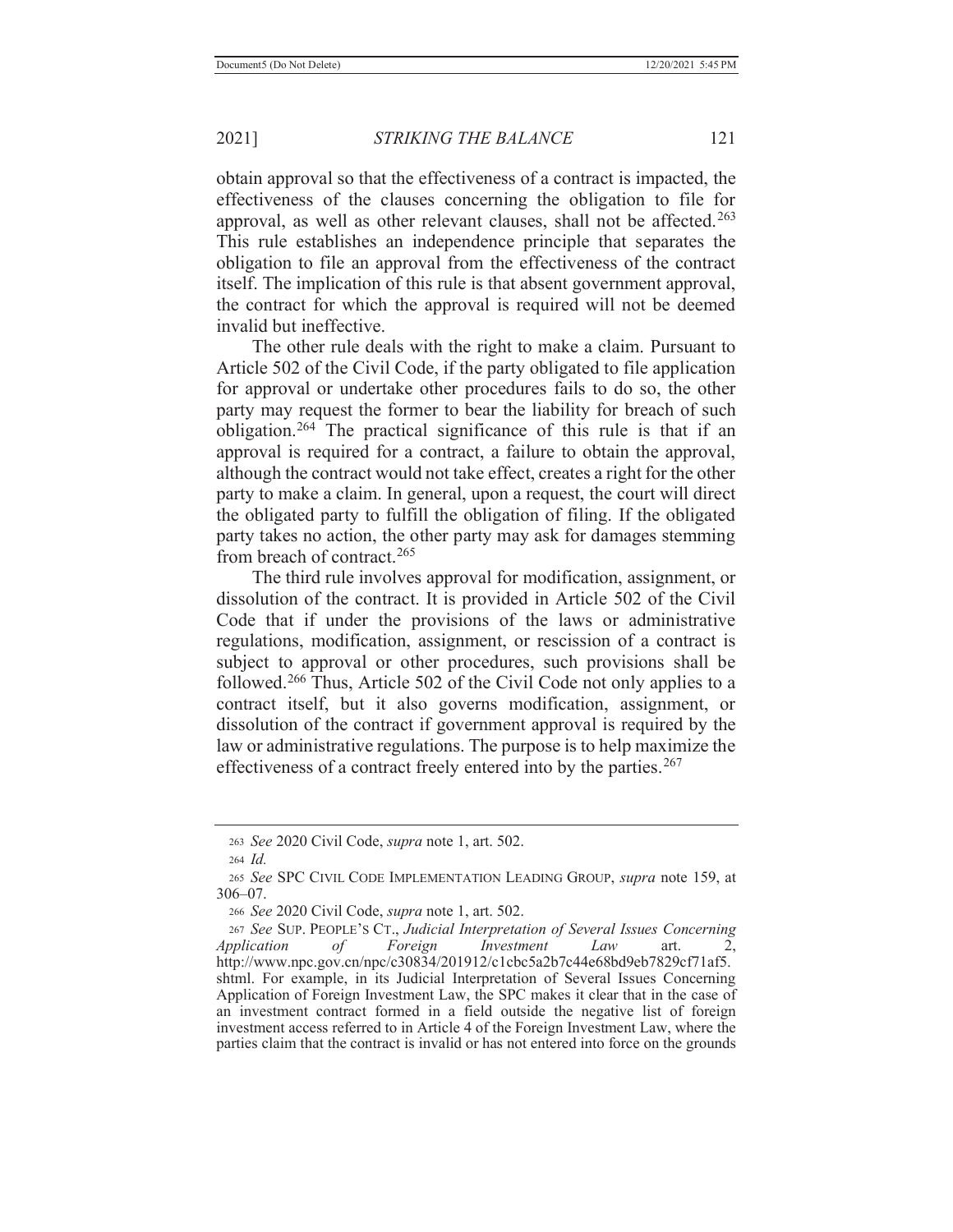obtain approval so that the effectiveness of a contract is impacted, the effectiveness of the clauses concerning the obligation to file for approval, as well as other relevant clauses, shall not be affected.<sup>263</sup> This rule establishes an independence principle that separates the obligation to file an approval from the effectiveness of the contract itself. The implication of this rule is that absent government approval, the contract for which the approval is required will not be deemed invalid but ineffective.

 The other rule deals with the right to make a claim. Pursuant to Article 502 of the Civil Code, if the party obligated to file application for approval or undertake other procedures fails to do so, the other party may request the former to bear the liability for breach of such obligation.<sup>264</sup> The practical significance of this rule is that if an approval is required for a contract, a failure to obtain the approval, although the contract would not take effect, creates a right for the other party to make a claim. In general, upon a request, the court will direct the obligated party to fulfill the obligation of filing. If the obligated party takes no action, the other party may ask for damages stemming from breach of contract.265

 The third rule involves approval for modification, assignment, or dissolution of the contract. It is provided in Article 502 of the Civil Code that if under the provisions of the laws or administrative regulations, modification, assignment, or rescission of a contract is subject to approval or other procedures, such provisions shall be followed.266 Thus, Article 502 of the Civil Code not only applies to a contract itself, but it also governs modification, assignment, or dissolution of the contract if government approval is required by the law or administrative regulations. The purpose is to help maximize the effectiveness of a contract freely entered into by the parties.<sup>267</sup>

<sup>263</sup> *See* 2020 Civil Code, *supra* note 1, art. 502.

<sup>264</sup> *Id.*

<sup>265</sup> *See* SPC CIVIL CODE IMPLEMENTATION LEADING GROUP, *supra* note 159, at 306–07.

<sup>266</sup> *See* 2020 Civil Code, *supra* note 1, art. 502.

<sup>267</sup> *See* SUP. PEOPLE'S CT., *Judicial Interpretation of Several Issues Concerning Application of Foreign Investment Law* art. http://www.npc.gov.cn/npc/c30834/201912/c1cbc5a2b7c44e68bd9eb7829cf71af5. shtml. For example, in its Judicial Interpretation of Several Issues Concerning Application of Foreign Investment Law, the SPC makes it clear that in the case of an investment contract formed in a field outside the negative list of foreign investment access referred to in Article 4 of the Foreign Investment Law, where the parties claim that the contract is invalid or has not entered into force on the grounds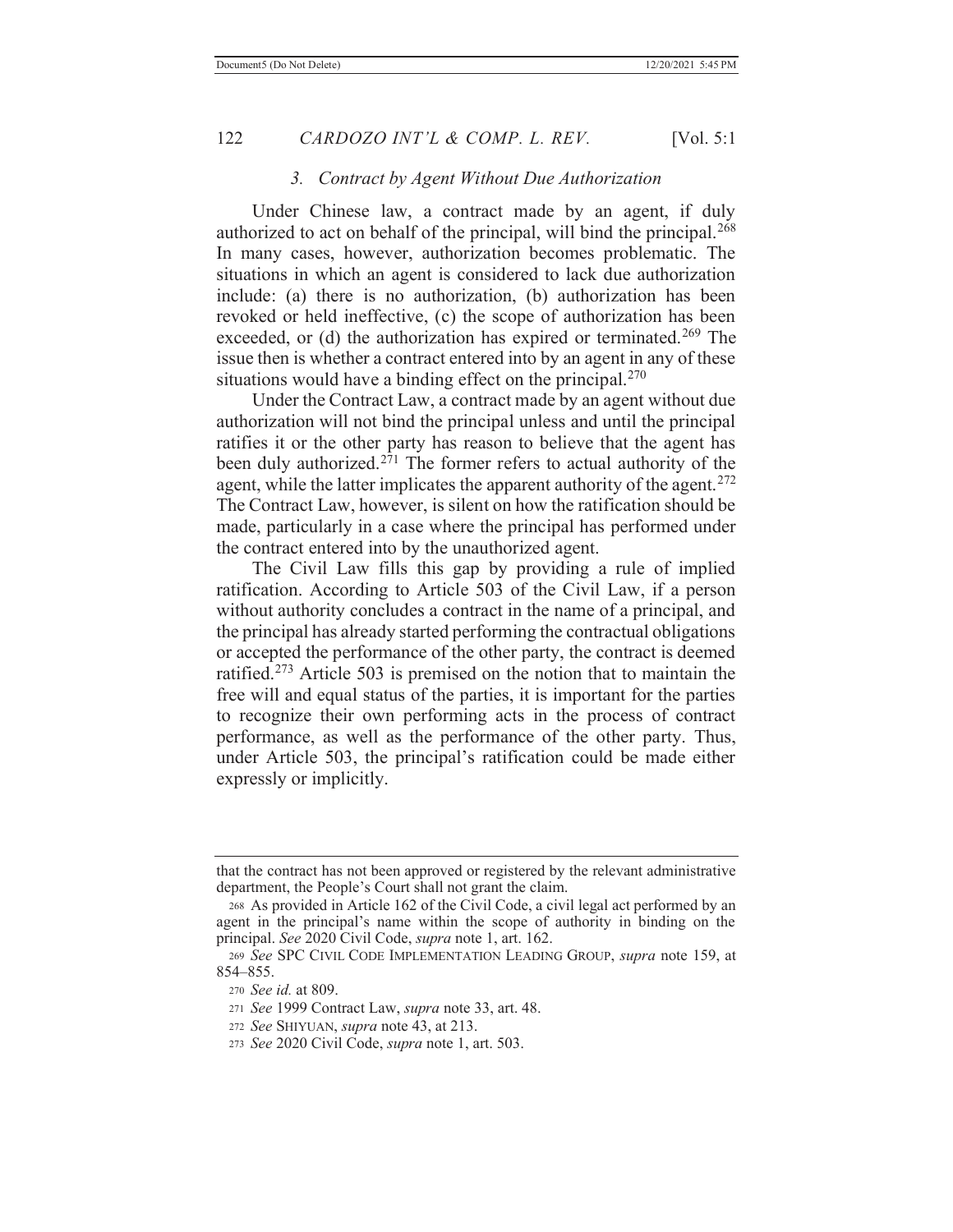#### *3. Contract by Agent Without Due Authorization*

 Under Chinese law, a contract made by an agent, if duly authorized to act on behalf of the principal, will bind the principal.<sup>268</sup> In many cases, however, authorization becomes problematic. The situations in which an agent is considered to lack due authorization include: (a) there is no authorization, (b) authorization has been revoked or held ineffective, (c) the scope of authorization has been exceeded, or (d) the authorization has expired or terminated.<sup>269</sup> The issue then is whether a contract entered into by an agent in any of these situations would have a binding effect on the principal.<sup>270</sup>

 Under the Contract Law, a contract made by an agent without due authorization will not bind the principal unless and until the principal ratifies it or the other party has reason to believe that the agent has been duly authorized.<sup>271</sup> The former refers to actual authority of the agent, while the latter implicates the apparent authority of the agent.<sup>272</sup> The Contract Law, however, is silent on how the ratification should be made, particularly in a case where the principal has performed under the contract entered into by the unauthorized agent.

 The Civil Law fills this gap by providing a rule of implied ratification. According to Article 503 of the Civil Law, if a person without authority concludes a contract in the name of a principal, and the principal has already started performing the contractual obligations or accepted the performance of the other party, the contract is deemed ratified.273 Article 503 is premised on the notion that to maintain the free will and equal status of the parties, it is important for the parties to recognize their own performing acts in the process of contract performance, as well as the performance of the other party. Thus, under Article 503, the principal's ratification could be made either expressly or implicitly.

that the contract has not been approved or registered by the relevant administrative department, the People's Court shall not grant the claim.

<sup>268</sup> As provided in Article 162 of the Civil Code, a civil legal act performed by an agent in the principal's name within the scope of authority in binding on the principal. *See* 2020 Civil Code, *supra* note 1, art. 162.

<sup>269</sup> *See* SPC CIVIL CODE IMPLEMENTATION LEADING GROUP, *supra* note 159, at 854–855.

<sup>270</sup> *See id.* at 809.

<sup>271</sup> *See* 1999 Contract Law, *supra* note 33, art. 48.

<sup>272</sup> *See* SHIYUAN, *supra* note 43, at 213.

<sup>273</sup> *See* 2020 Civil Code, *supra* note 1, art. 503.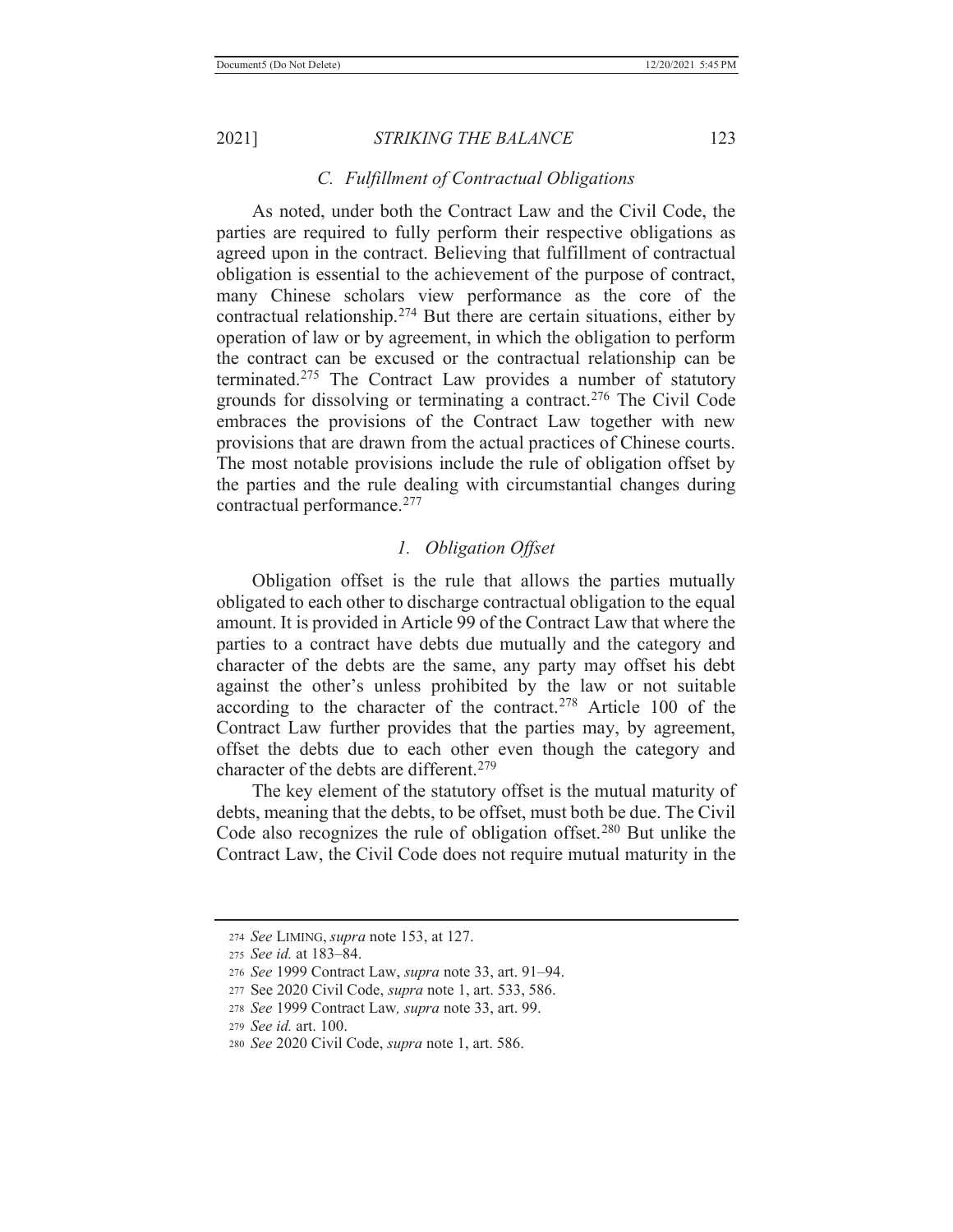#### *C. Fulfillment of Contractual Obligations*

 As noted, under both the Contract Law and the Civil Code, the parties are required to fully perform their respective obligations as agreed upon in the contract. Believing that fulfillment of contractual obligation is essential to the achievement of the purpose of contract, many Chinese scholars view performance as the core of the contractual relationship.<sup>274</sup> But there are certain situations, either by operation of law or by agreement, in which the obligation to perform the contract can be excused or the contractual relationship can be terminated.275 The Contract Law provides a number of statutory grounds for dissolving or terminating a contract.276 The Civil Code embraces the provisions of the Contract Law together with new provisions that are drawn from the actual practices of Chinese courts. The most notable provisions include the rule of obligation offset by the parties and the rule dealing with circumstantial changes during contractual performance.277

#### *1. Obligation Offset*

 Obligation offset is the rule that allows the parties mutually obligated to each other to discharge contractual obligation to the equal amount. It is provided in Article 99 of the Contract Law that where the parties to a contract have debts due mutually and the category and character of the debts are the same, any party may offset his debt against the other's unless prohibited by the law or not suitable according to the character of the contract.278 Article 100 of the Contract Law further provides that the parties may, by agreement, offset the debts due to each other even though the category and character of the debts are different.<sup>279</sup>

 The key element of the statutory offset is the mutual maturity of debts, meaning that the debts, to be offset, must both be due. The Civil Code also recognizes the rule of obligation offset.<sup>280</sup> But unlike the Contract Law, the Civil Code does not require mutual maturity in the

<sup>274</sup> *See* LIMING, *supra* note 153, at 127.

<sup>275</sup> *See id.* at 183–84.

<sup>276</sup> *See* 1999 Contract Law, *supra* note 33, art. 91–94.

<sup>277</sup> See 2020 Civil Code, *supra* note 1, art. 533, 586.

<sup>278</sup> *See* 1999 Contract Law*, supra* note 33, art. 99.

<sup>279</sup> *See id.* art. 100.

<sup>280</sup> *See* 2020 Civil Code, *supra* note 1, art. 586.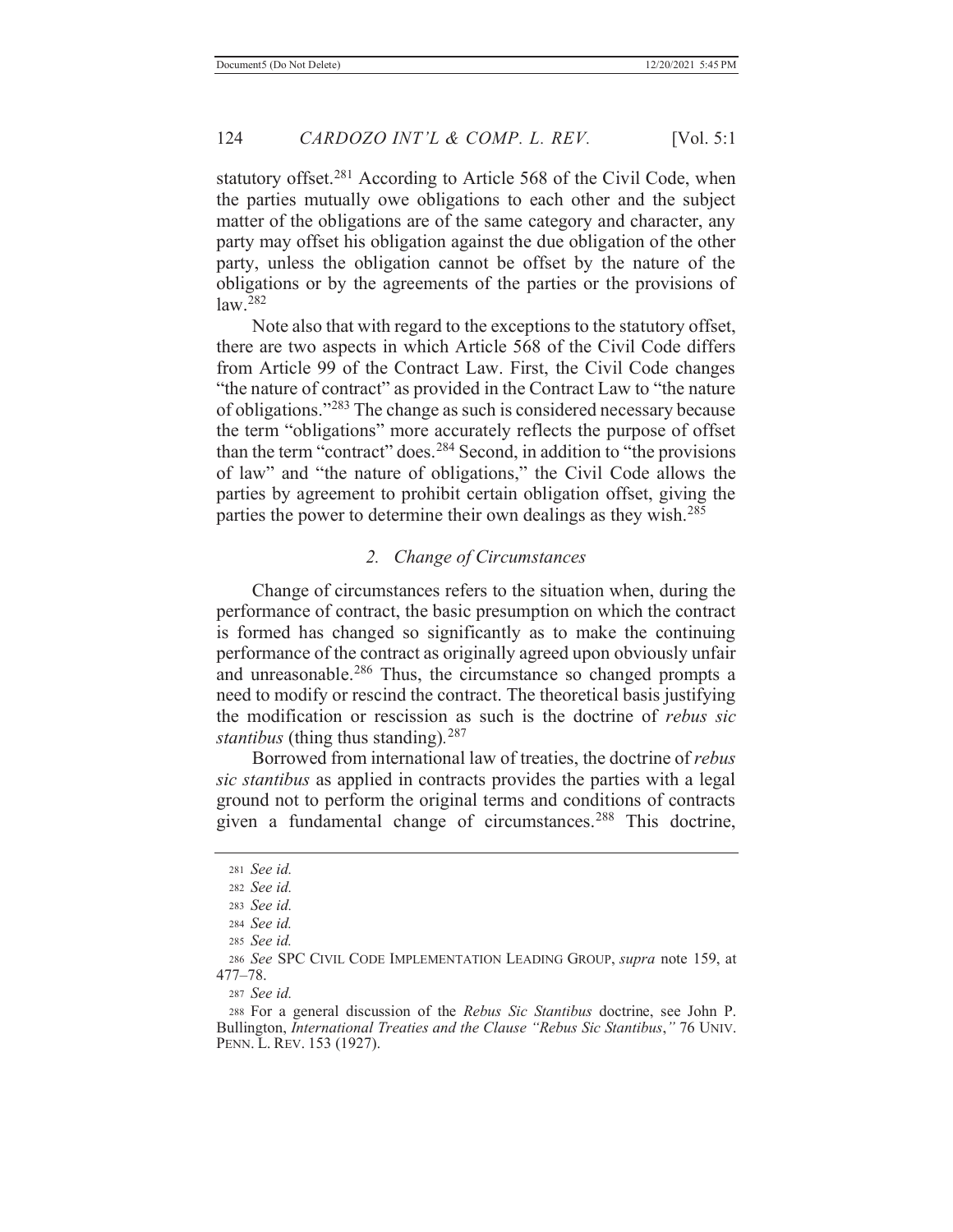statutory offset.<sup>281</sup> According to Article 568 of the Civil Code, when the parties mutually owe obligations to each other and the subject matter of the obligations are of the same category and character, any party may offset his obligation against the due obligation of the other party, unless the obligation cannot be offset by the nature of the obligations or by the agreements of the parties or the provisions of law.282

 Note also that with regard to the exceptions to the statutory offset, there are two aspects in which Article 568 of the Civil Code differs from Article 99 of the Contract Law. First, the Civil Code changes "the nature of contract" as provided in the Contract Law to "the nature of obligations."283 The change as such is considered necessary because the term "obligations" more accurately reflects the purpose of offset than the term "contract" does.<sup>284</sup> Second, in addition to "the provisions of law" and "the nature of obligations," the Civil Code allows the parties by agreement to prohibit certain obligation offset, giving the parties the power to determine their own dealings as they wish.<sup>285</sup>

#### *2. Change of Circumstances*

 Change of circumstances refers to the situation when, during the performance of contract, the basic presumption on which the contract is formed has changed so significantly as to make the continuing performance of the contract as originally agreed upon obviously unfair and unreasonable.286 Thus, the circumstance so changed prompts a need to modify or rescind the contract. The theoretical basis justifying the modification or rescission as such is the doctrine of *rebus sic stantibus* (thing thus standing)*.* 287

 Borrowed from international law of treaties, the doctrine of *rebus sic stantibus* as applied in contracts provides the parties with a legal ground not to perform the original terms and conditions of contracts given a fundamental change of circumstances.<sup>288</sup> This doctrine,

<sup>287</sup> *See id.*

288 For a general discussion of the *Rebus Sic Stantibus* doctrine, see John P. Bullington, *International Treaties and the Clause "Rebus Sic Stantibus*,*"* 76 UNIV. PENN. L. REV. 153 (1927).

<sup>281</sup> *See id.*

<sup>282</sup> *See id.*

<sup>283</sup> *See id.*

<sup>284</sup> *See id.*

<sup>285</sup> *See id.*

<sup>286</sup> *See* SPC CIVIL CODE IMPLEMENTATION LEADING GROUP, *supra* note 159, at 477–78.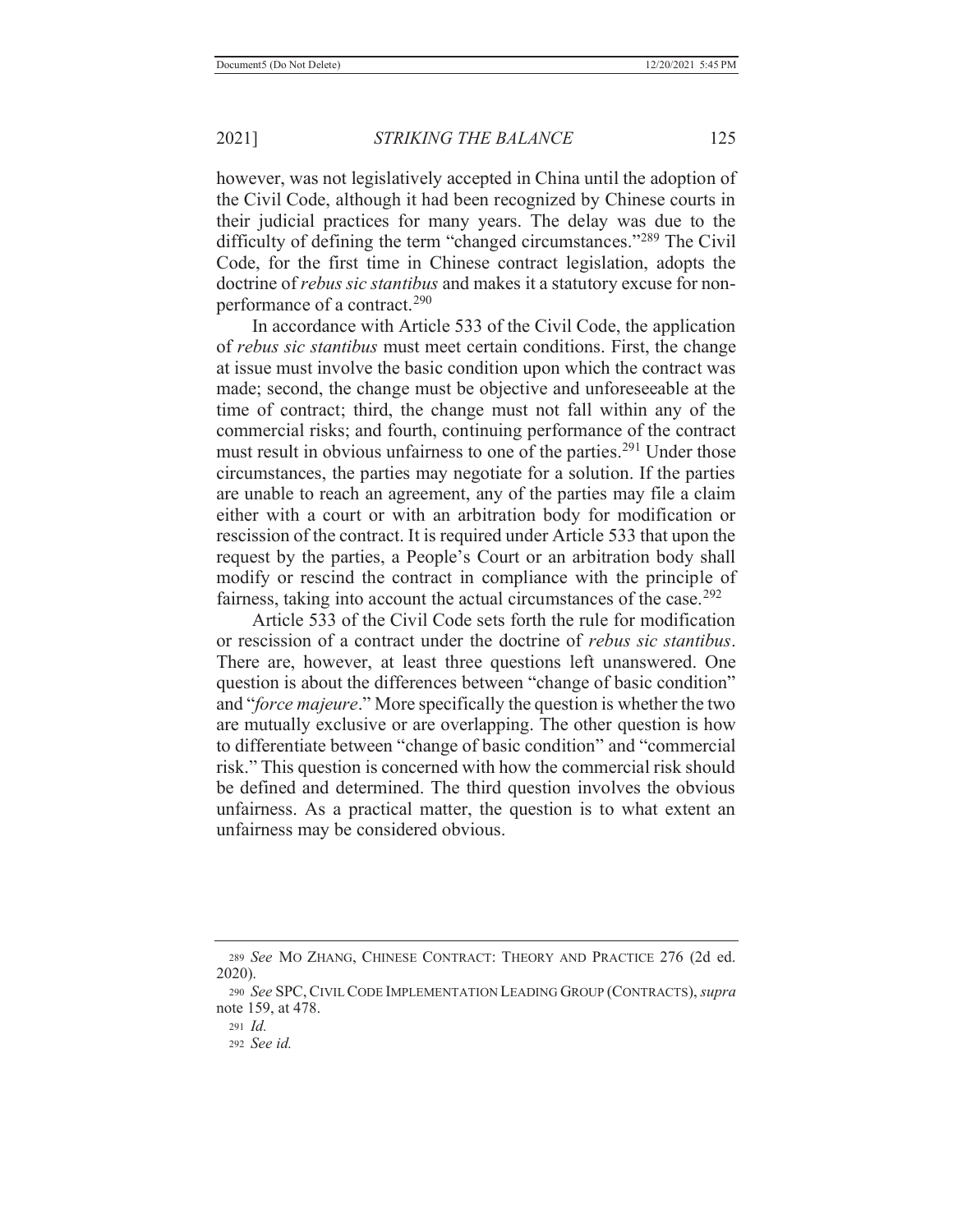however, was not legislatively accepted in China until the adoption of the Civil Code, although it had been recognized by Chinese courts in their judicial practices for many years. The delay was due to the difficulty of defining the term "changed circumstances."<sup>289</sup> The Civil Code, for the first time in Chinese contract legislation, adopts the doctrine of *rebus sic stantibus* and makes it a statutory excuse for nonperformance of a contract.<sup>290</sup>

 In accordance with Article 533 of the Civil Code, the application of *rebus sic stantibus* must meet certain conditions. First, the change at issue must involve the basic condition upon which the contract was made; second, the change must be objective and unforeseeable at the time of contract; third, the change must not fall within any of the commercial risks; and fourth, continuing performance of the contract must result in obvious unfairness to one of the parties.<sup>291</sup> Under those circumstances, the parties may negotiate for a solution. If the parties are unable to reach an agreement, any of the parties may file a claim either with a court or with an arbitration body for modification or rescission of the contract. It is required under Article 533 that upon the request by the parties, a People's Court or an arbitration body shall modify or rescind the contract in compliance with the principle of fairness, taking into account the actual circumstances of the case.<sup>292</sup>

 Article 533 of the Civil Code sets forth the rule for modification or rescission of a contract under the doctrine of *rebus sic stantibus*. There are, however, at least three questions left unanswered. One question is about the differences between "change of basic condition" and "*force majeure*." More specifically the question is whether the two are mutually exclusive or are overlapping. The other question is how to differentiate between "change of basic condition" and "commercial risk." This question is concerned with how the commercial risk should be defined and determined. The third question involves the obvious unfairness. As a practical matter, the question is to what extent an unfairness may be considered obvious.

<sup>289</sup> *See* MO ZHANG, CHINESE CONTRACT: THEORY AND PRACTICE 276 (2d ed. 2020).

<sup>290</sup> *See* SPC,CIVIL CODE IMPLEMENTATION LEADING GROUP (CONTRACTS), *supra* note 159, at 478.

<sup>291</sup> *Id.*

<sup>292</sup> *See id.*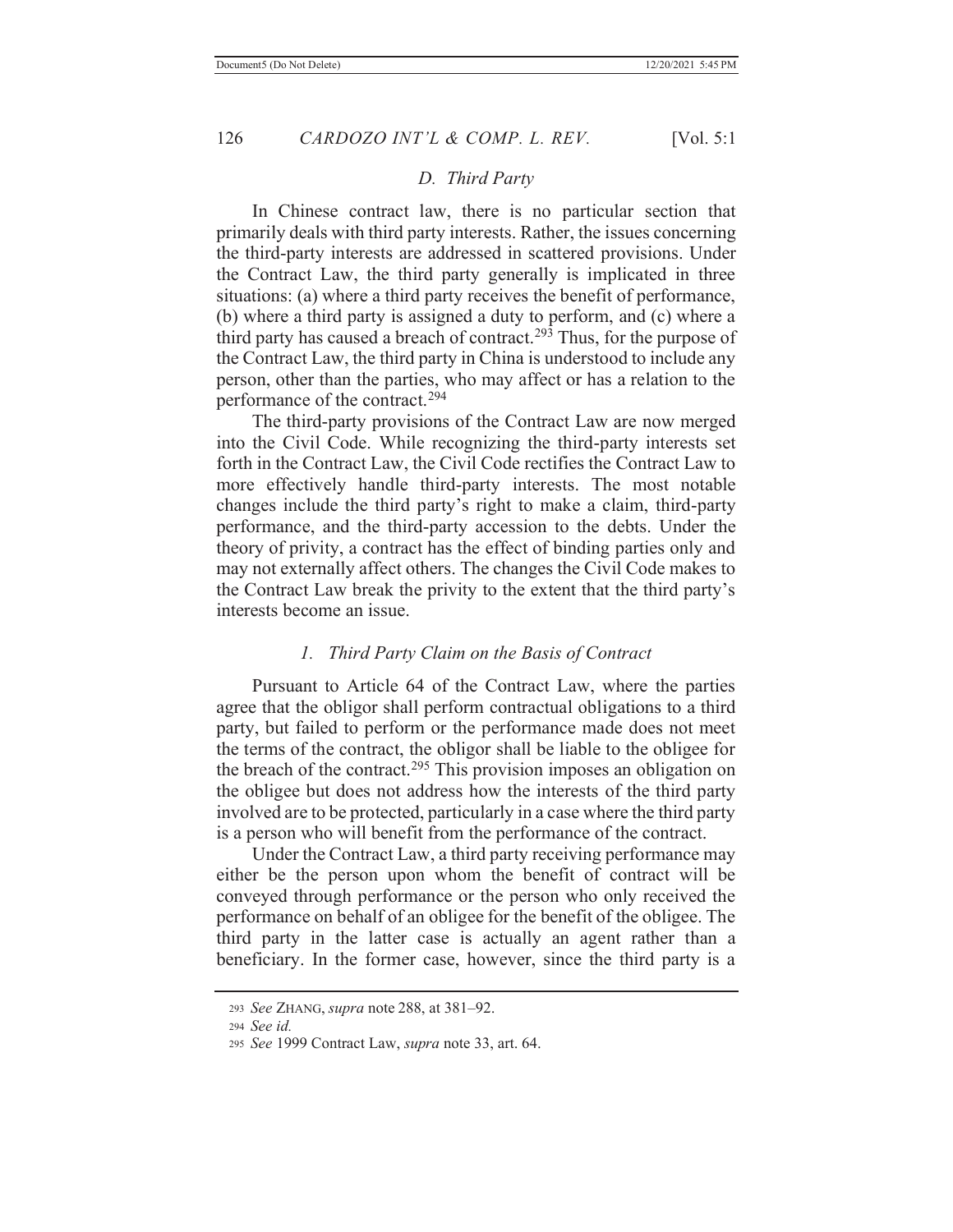## *D. Third Party*

 In Chinese contract law, there is no particular section that primarily deals with third party interests. Rather, the issues concerning the third-party interests are addressed in scattered provisions. Under the Contract Law, the third party generally is implicated in three situations: (a) where a third party receives the benefit of performance, (b) where a third party is assigned a duty to perform, and (c) where a third party has caused a breach of contract.<sup>293</sup> Thus, for the purpose of the Contract Law, the third party in China is understood to include any person, other than the parties, who may affect or has a relation to the performance of the contract.294

 The third-party provisions of the Contract Law are now merged into the Civil Code. While recognizing the third-party interests set forth in the Contract Law, the Civil Code rectifies the Contract Law to more effectively handle third-party interests. The most notable changes include the third party's right to make a claim, third-party performance, and the third-party accession to the debts. Under the theory of privity, a contract has the effect of binding parties only and may not externally affect others. The changes the Civil Code makes to the Contract Law break the privity to the extent that the third party's interests become an issue.

### *1. Third Party Claim on the Basis of Contract*

 Pursuant to Article 64 of the Contract Law, where the parties agree that the obligor shall perform contractual obligations to a third party, but failed to perform or the performance made does not meet the terms of the contract, the obligor shall be liable to the obligee for the breach of the contract.<sup>295</sup> This provision imposes an obligation on the obligee but does not address how the interests of the third party involved are to be protected, particularly in a case where the third party is a person who will benefit from the performance of the contract.

 Under the Contract Law, a third party receiving performance may either be the person upon whom the benefit of contract will be conveyed through performance or the person who only received the performance on behalf of an obligee for the benefit of the obligee. The third party in the latter case is actually an agent rather than a beneficiary. In the former case, however, since the third party is a

<sup>293</sup> *See* ZHANG, *supra* note 288, at 381–92.

<sup>294</sup> *See id.*

<sup>295</sup> *See* 1999 Contract Law, *supra* note 33, art. 64.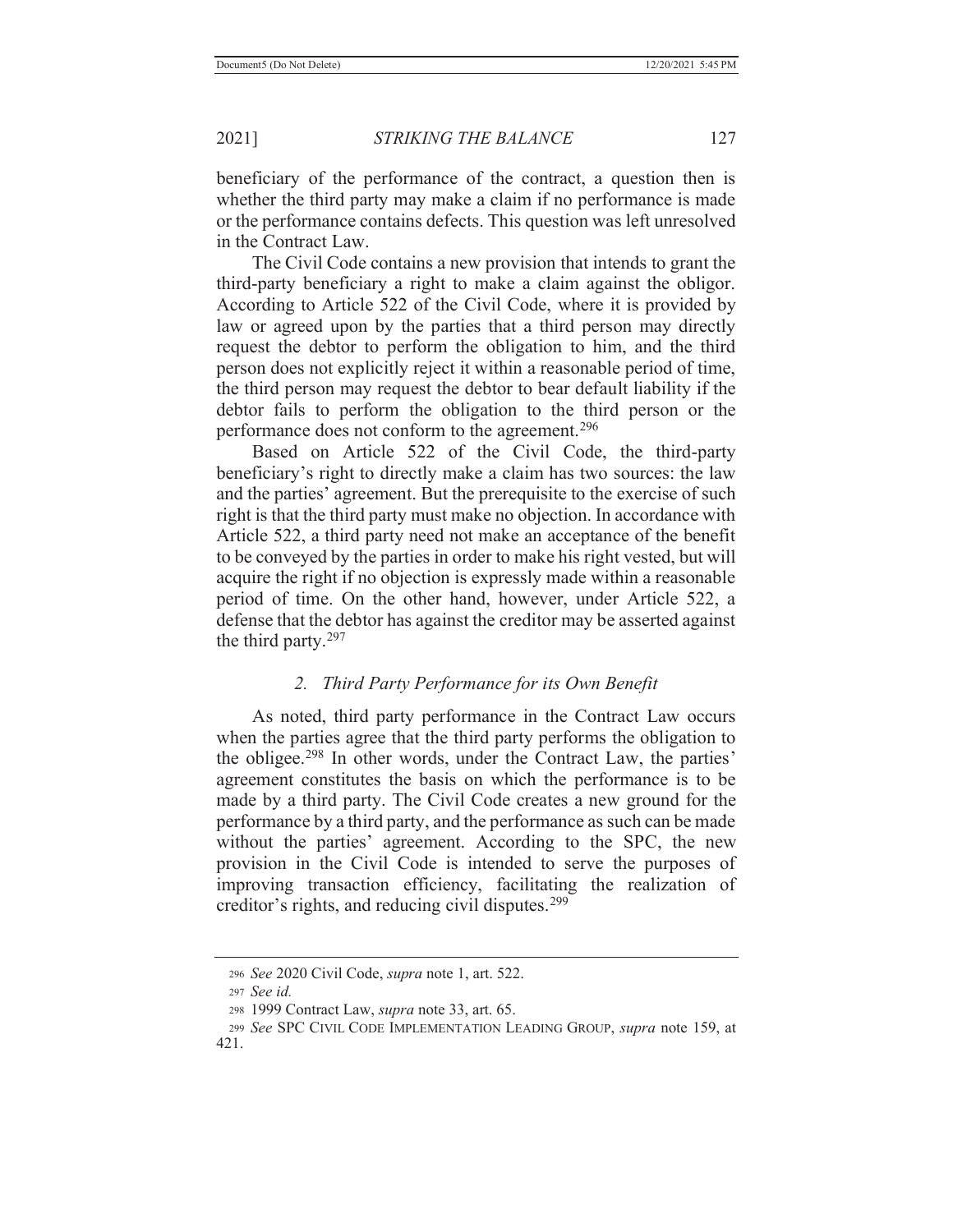beneficiary of the performance of the contract, a question then is whether the third party may make a claim if no performance is made or the performance contains defects. This question was left unresolved in the Contract Law.

 The Civil Code contains a new provision that intends to grant the third-party beneficiary a right to make a claim against the obligor. According to Article 522 of the Civil Code, where it is provided by law or agreed upon by the parties that a third person may directly request the debtor to perform the obligation to him, and the third person does not explicitly reject it within a reasonable period of time, the third person may request the debtor to bear default liability if the debtor fails to perform the obligation to the third person or the performance does not conform to the agreement.<sup>296</sup>

 Based on Article 522 of the Civil Code, the third-party beneficiary's right to directly make a claim has two sources: the law and the parties' agreement. But the prerequisite to the exercise of such right is that the third party must make no objection. In accordance with Article 522, a third party need not make an acceptance of the benefit to be conveyed by the parties in order to make his right vested, but will acquire the right if no objection is expressly made within a reasonable period of time. On the other hand, however, under Article 522, a defense that the debtor has against the creditor may be asserted against the third party.297

# *2. Third Party Performance for its Own Benefit*

 As noted, third party performance in the Contract Law occurs when the parties agree that the third party performs the obligation to the obligee.298 In other words, under the Contract Law, the parties' agreement constitutes the basis on which the performance is to be made by a third party. The Civil Code creates a new ground for the performance by a third party, and the performance as such can be made without the parties' agreement. According to the SPC, the new provision in the Civil Code is intended to serve the purposes of improving transaction efficiency, facilitating the realization of creditor's rights, and reducing civil disputes.<sup>299</sup>

<sup>296</sup> *See* 2020 Civil Code, *supra* note 1, art. 522.

<sup>297</sup> *See id.*

<sup>298 1999</sup> Contract Law, *supra* note 33, art. 65.

<sup>299</sup> *See* SPC CIVIL CODE IMPLEMENTATION LEADING GROUP, *supra* note 159, at 421.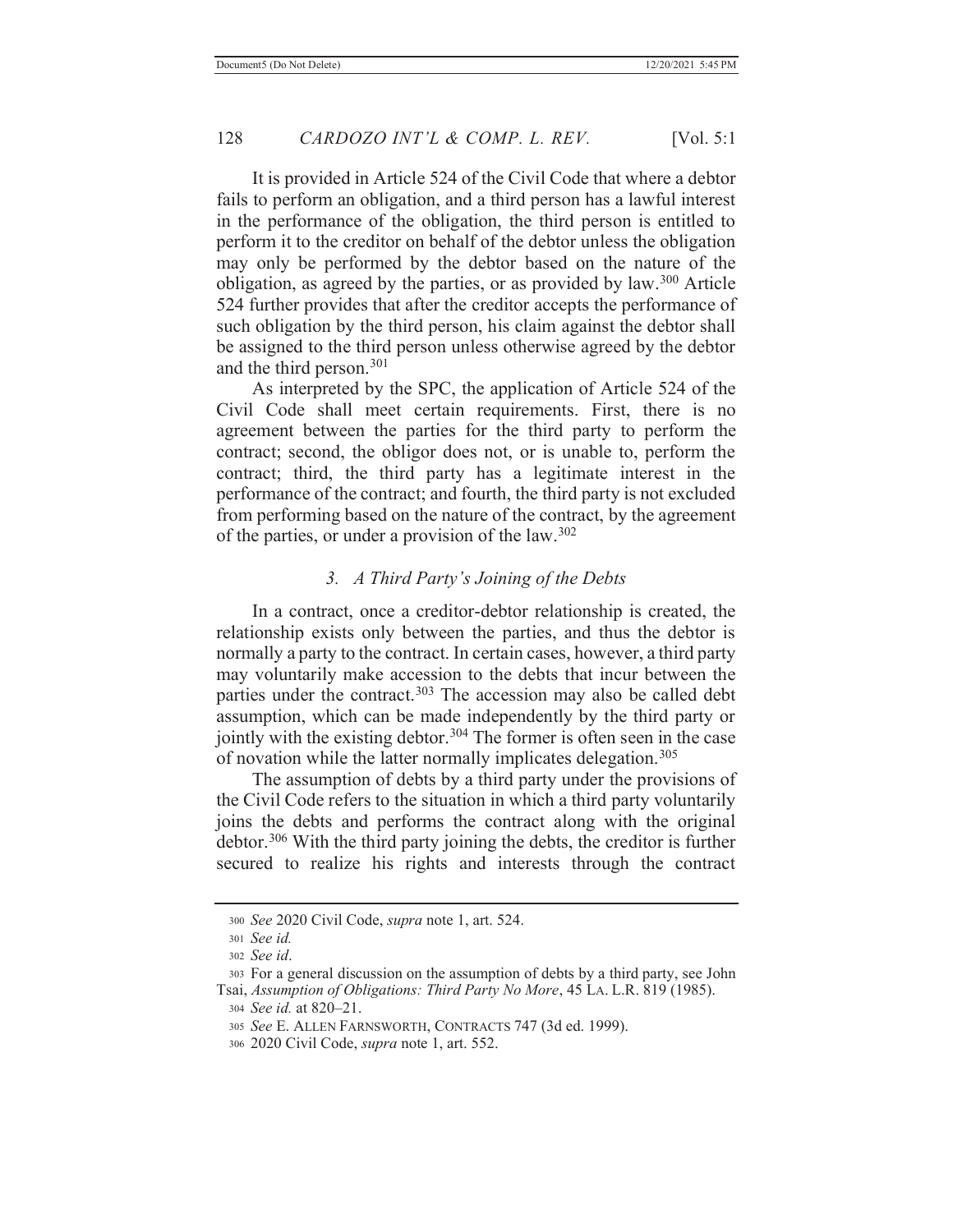It is provided in Article 524 of the Civil Code that where a debtor fails to perform an obligation, and a third person has a lawful interest in the performance of the obligation, the third person is entitled to perform it to the creditor on behalf of the debtor unless the obligation may only be performed by the debtor based on the nature of the obligation, as agreed by the parties, or as provided by  $law.^{300}$  Article 524 further provides that after the creditor accepts the performance of such obligation by the third person, his claim against the debtor shall be assigned to the third person unless otherwise agreed by the debtor and the third person.301

 As interpreted by the SPC, the application of Article 524 of the Civil Code shall meet certain requirements. First, there is no agreement between the parties for the third party to perform the contract; second, the obligor does not, or is unable to, perform the contract; third, the third party has a legitimate interest in the performance of the contract; and fourth, the third party is not excluded from performing based on the nature of the contract, by the agreement of the parties, or under a provision of the  $law.^{302}$ 

## *3. A Third Party's Joining of the Debts*

 In a contract, once a creditor-debtor relationship is created, the relationship exists only between the parties, and thus the debtor is normally a party to the contract. In certain cases, however, a third party may voluntarily make accession to the debts that incur between the parties under the contract.<sup>303</sup> The accession may also be called debt assumption, which can be made independently by the third party or jointly with the existing debtor.<sup>304</sup> The former is often seen in the case of novation while the latter normally implicates delegation.<sup>305</sup>

 The assumption of debts by a third party under the provisions of the Civil Code refers to the situation in which a third party voluntarily joins the debts and performs the contract along with the original debtor.306 With the third party joining the debts, the creditor is further secured to realize his rights and interests through the contract

<sup>300</sup> *See* 2020 Civil Code, *supra* note 1, art. 524.

<sup>301</sup> *See id.*

<sup>302</sup> *See id*.

<sup>303</sup> For a general discussion on the assumption of debts by a third party, see John Tsai, *Assumption of Obligations: Third Party No More*, 45 LA. L.R. 819 (1985).

<sup>304</sup> *See id.* at 820–21.

<sup>305</sup> *See* E. ALLEN FARNSWORTH, CONTRACTS 747 (3d ed. 1999).

<sup>306 2020</sup> Civil Code, *supra* note 1, art. 552.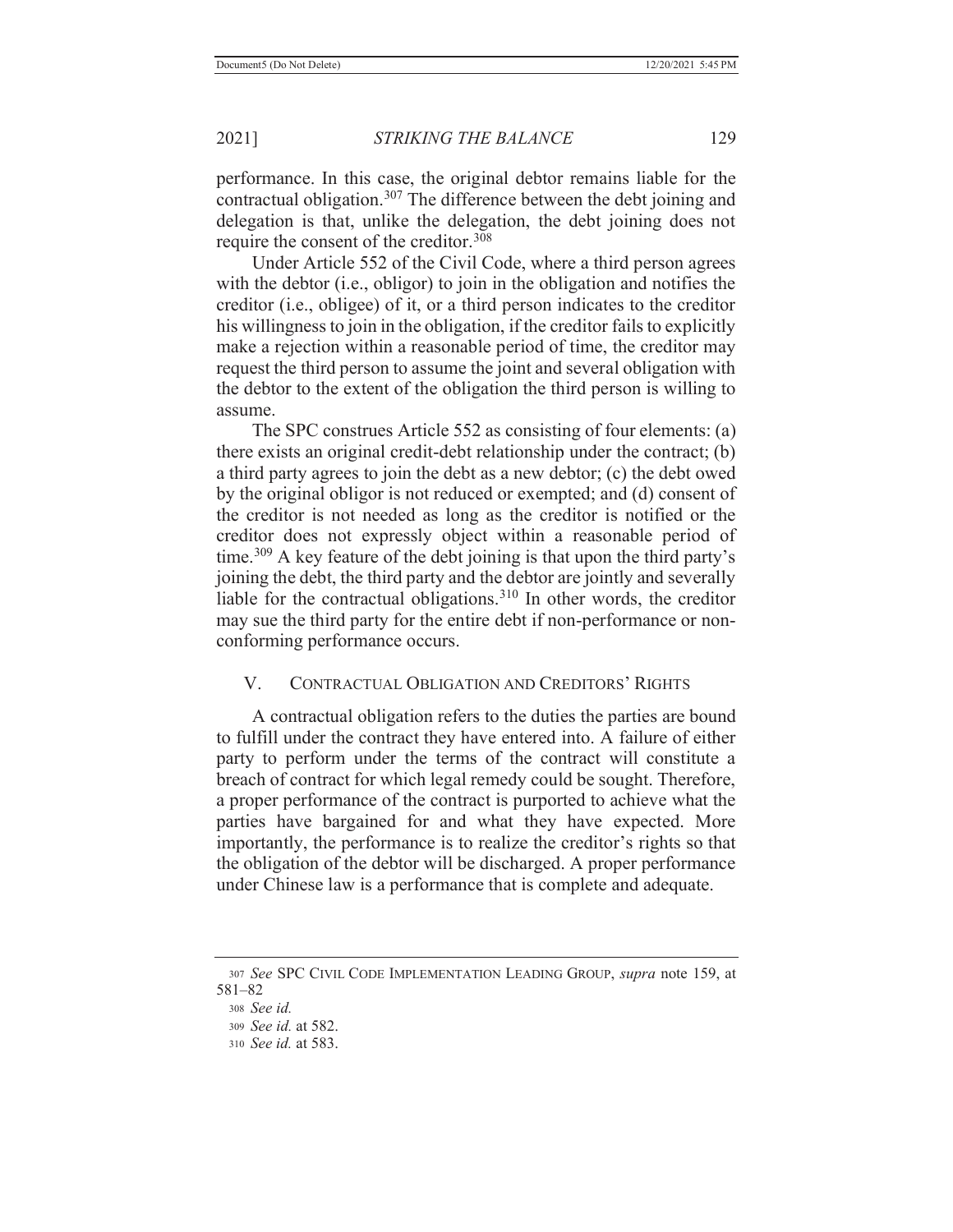performance. In this case, the original debtor remains liable for the contractual obligation.307 The difference between the debt joining and delegation is that, unlike the delegation, the debt joining does not require the consent of the creditor.<sup>308</sup>

 Under Article 552 of the Civil Code, where a third person agrees with the debtor (i.e., obligor) to join in the obligation and notifies the creditor (i.e., obligee) of it, or a third person indicates to the creditor his willingness to join in the obligation, if the creditor fails to explicitly make a rejection within a reasonable period of time, the creditor may request the third person to assume the joint and several obligation with the debtor to the extent of the obligation the third person is willing to assume.

 The SPC construes Article 552 as consisting of four elements: (a) there exists an original credit-debt relationship under the contract; (b) a third party agrees to join the debt as a new debtor; (c) the debt owed by the original obligor is not reduced or exempted; and (d) consent of the creditor is not needed as long as the creditor is notified or the creditor does not expressly object within a reasonable period of time.<sup>309</sup> A key feature of the debt joining is that upon the third party's joining the debt, the third party and the debtor are jointly and severally liable for the contractual obligations.<sup>310</sup> In other words, the creditor may sue the third party for the entire debt if non-performance or nonconforming performance occurs.

## V. CONTRACTUAL OBLIGATION AND CREDITORS' RIGHTS

 A contractual obligation refers to the duties the parties are bound to fulfill under the contract they have entered into. A failure of either party to perform under the terms of the contract will constitute a breach of contract for which legal remedy could be sought. Therefore, a proper performance of the contract is purported to achieve what the parties have bargained for and what they have expected. More importantly, the performance is to realize the creditor's rights so that the obligation of the debtor will be discharged. A proper performance under Chinese law is a performance that is complete and adequate.

<sup>307</sup> *See* SPC CIVIL CODE IMPLEMENTATION LEADING GROUP, *supra* note 159, at 581–82 <sup>308</sup> *See id.*

<sup>309</sup> *See id.* at 582.

<sup>310</sup> *See id.* at 583.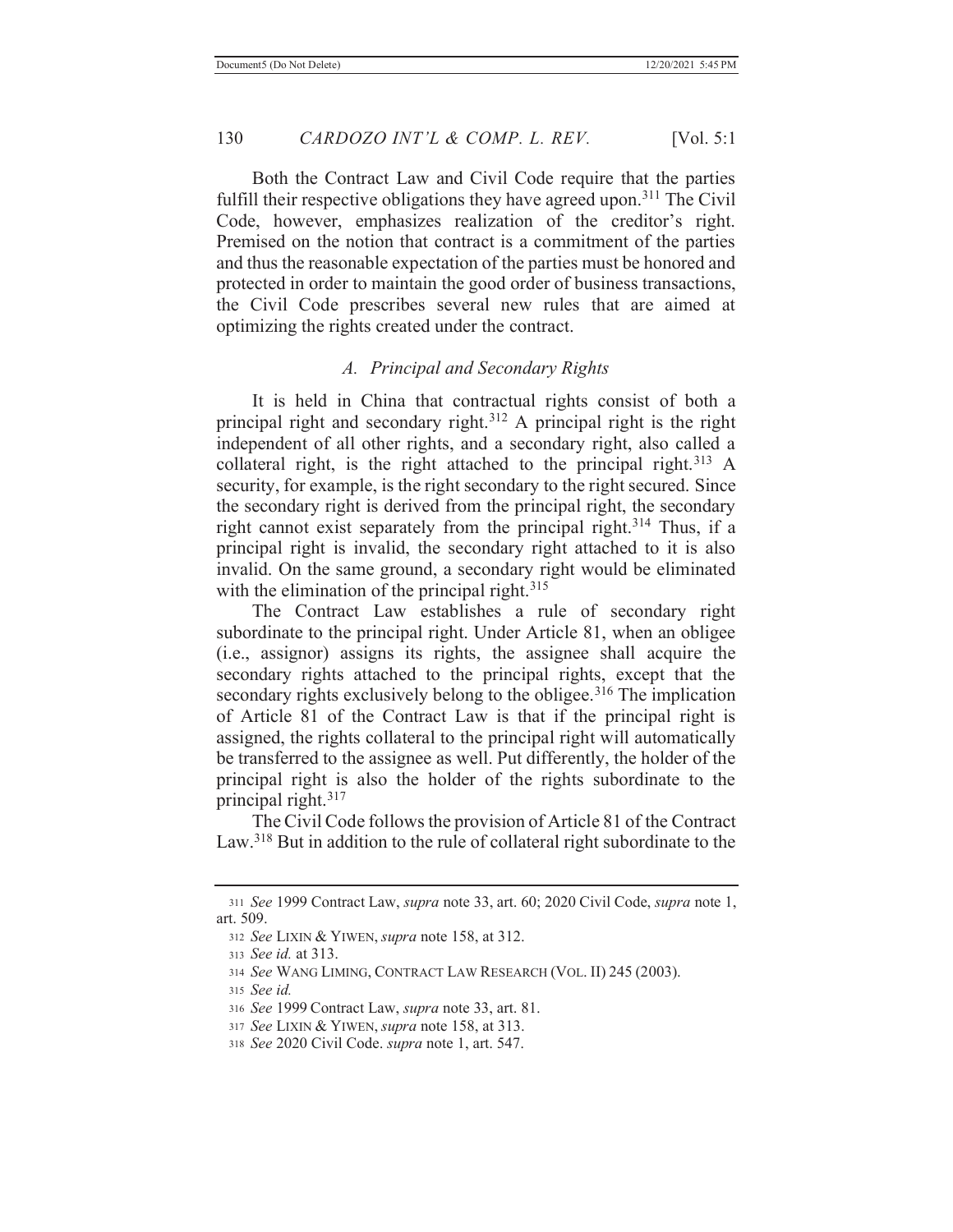Both the Contract Law and Civil Code require that the parties fulfill their respective obligations they have agreed upon.<sup>311</sup> The Civil Code, however, emphasizes realization of the creditor's right. Premised on the notion that contract is a commitment of the parties and thus the reasonable expectation of the parties must be honored and protected in order to maintain the good order of business transactions, the Civil Code prescribes several new rules that are aimed at optimizing the rights created under the contract.

#### *A. Principal and Secondary Rights*

 It is held in China that contractual rights consist of both a principal right and secondary right.312 A principal right is the right independent of all other rights, and a secondary right, also called a collateral right, is the right attached to the principal right.<sup>313</sup> A security, for example, is the right secondary to the right secured. Since the secondary right is derived from the principal right, the secondary right cannot exist separately from the principal right.<sup>314</sup> Thus, if a principal right is invalid, the secondary right attached to it is also invalid. On the same ground, a secondary right would be eliminated with the elimination of the principal right. $315$ 

 The Contract Law establishes a rule of secondary right subordinate to the principal right. Under Article 81, when an obligee (i.e., assignor) assigns its rights, the assignee shall acquire the secondary rights attached to the principal rights, except that the secondary rights exclusively belong to the obligee.<sup>316</sup> The implication of Article 81 of the Contract Law is that if the principal right is assigned, the rights collateral to the principal right will automatically be transferred to the assignee as well. Put differently, the holder of the principal right is also the holder of the rights subordinate to the principal right.317

 The Civil Code follows the provision of Article 81 of the Contract Law.318 But in addition to the rule of collateral right subordinate to the

<sup>311</sup> *See* 1999 Contract Law, *supra* note 33, art. 60; 2020 Civil Code, *supra* note 1, art. 509.

<sup>312</sup> *See* LIXIN & YIWEN, *supra* note 158, at 312.

<sup>313</sup> *See id.* at 313.

<sup>314</sup> *See* WANG LIMING, CONTRACT LAW RESEARCH (VOL. II) 245 (2003).

<sup>315</sup> *See id.*

<sup>316</sup> *See* 1999 Contract Law, *supra* note 33, art. 81.

<sup>317</sup> *See* LIXIN & YIWEN, *supra* note 158, at 313.

<sup>318</sup> *See* 2020 Civil Code. *supra* note 1, art. 547.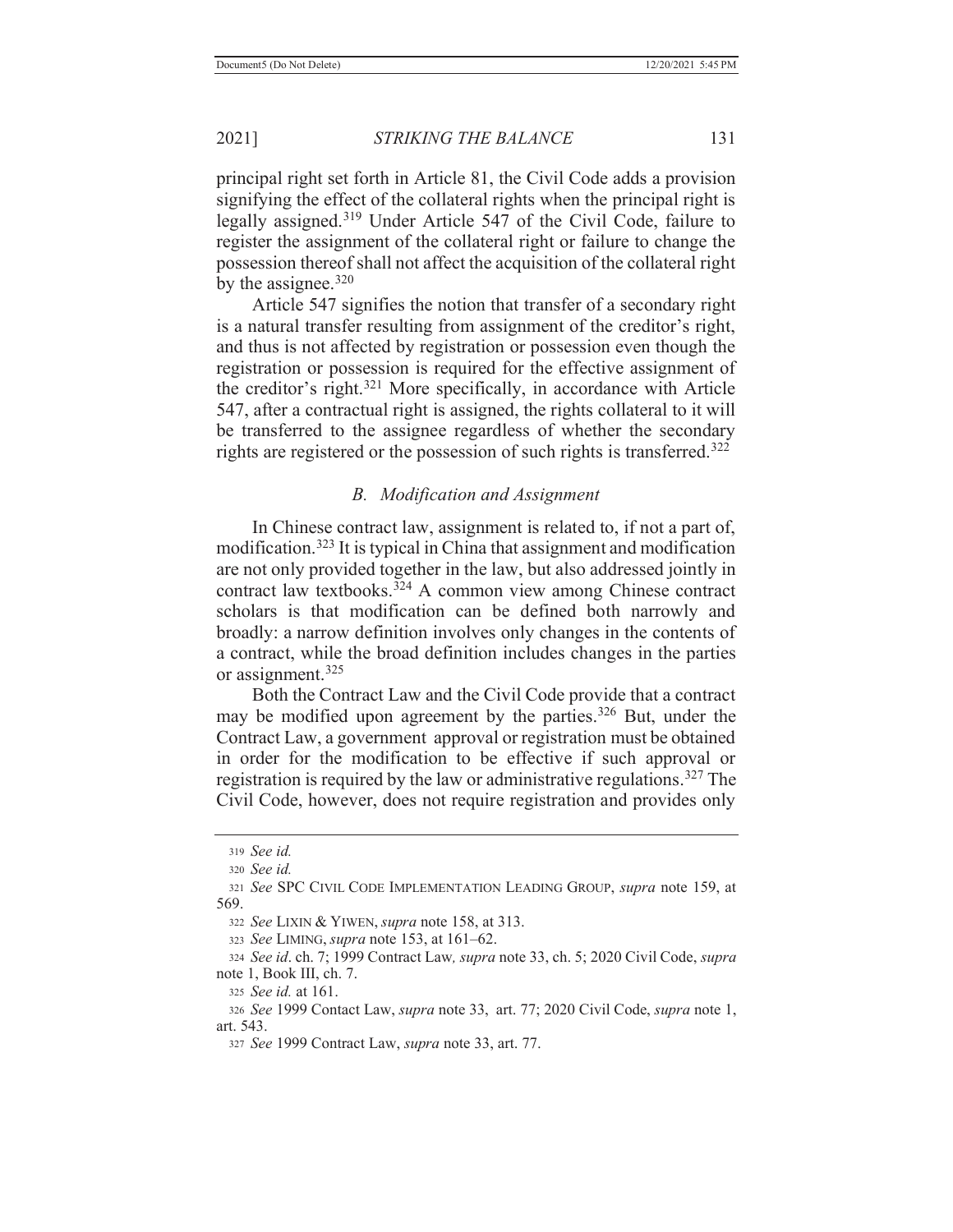principal right set forth in Article 81, the Civil Code adds a provision signifying the effect of the collateral rights when the principal right is legally assigned.319 Under Article 547 of the Civil Code, failure to register the assignment of the collateral right or failure to change the possession thereof shall not affect the acquisition of the collateral right by the assignee. $320$ 

 Article 547 signifies the notion that transfer of a secondary right is a natural transfer resulting from assignment of the creditor's right, and thus is not affected by registration or possession even though the registration or possession is required for the effective assignment of the creditor's right.321 More specifically, in accordance with Article 547, after a contractual right is assigned, the rights collateral to it will be transferred to the assignee regardless of whether the secondary rights are registered or the possession of such rights is transferred.<sup>322</sup>

## *B. Modification and Assignment*

 In Chinese contract law, assignment is related to, if not a part of, modification.323 It is typical in China that assignment and modification are not only provided together in the law, but also addressed jointly in contract law textbooks.324 A common view among Chinese contract scholars is that modification can be defined both narrowly and broadly: a narrow definition involves only changes in the contents of a contract, while the broad definition includes changes in the parties or assignment.<sup>325</sup>

 Both the Contract Law and the Civil Code provide that a contract may be modified upon agreement by the parties.<sup>326</sup> But, under the Contract Law, a government approval or registration must be obtained in order for the modification to be effective if such approval or registration is required by the law or administrative regulations.327 The Civil Code, however, does not require registration and provides only

<sup>322</sup> *See* LIXIN & YIWEN, *supra* note 158, at 313.

<sup>323</sup> *See* LIMING, *supra* note 153, at 161–62.

<sup>324</sup> *See id*. ch. 7; 1999 Contract Law*, supra* note 33, ch. 5; 2020 Civil Code, *supra* note 1, Book III, ch. 7.

<sup>325</sup> *See id.* at 161.

<sup>326</sup> *See* 1999 Contact Law, *supra* note 33, art. 77; 2020 Civil Code, *supra* note 1, art. 543.

<sup>319</sup> *See id.*

<sup>320</sup> *See id.*

<sup>321</sup> *See* SPC CIVIL CODE IMPLEMENTATION LEADING GROUP, *supra* note 159, at 569.

<sup>327</sup> *See* 1999 Contract Law, *supra* note 33, art. 77.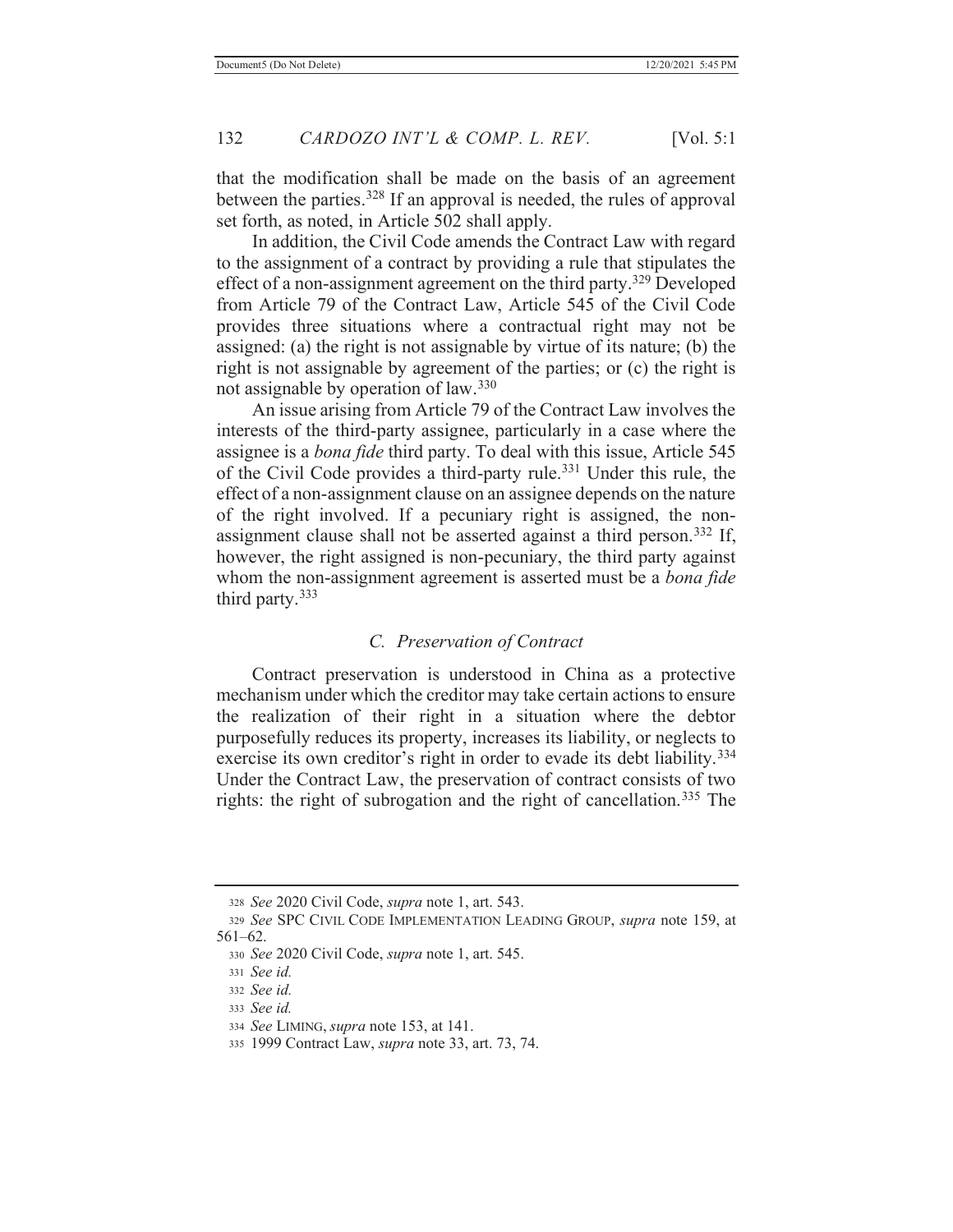that the modification shall be made on the basis of an agreement between the parties.<sup>328</sup> If an approval is needed, the rules of approval set forth, as noted, in Article 502 shall apply.

 In addition, the Civil Code amends the Contract Law with regard to the assignment of a contract by providing a rule that stipulates the effect of a non-assignment agreement on the third party.<sup>329</sup> Developed from Article 79 of the Contract Law, Article 545 of the Civil Code provides three situations where a contractual right may not be assigned: (a) the right is not assignable by virtue of its nature; (b) the right is not assignable by agreement of the parties; or (c) the right is not assignable by operation of law.<sup>330</sup>

 An issue arising from Article 79 of the Contract Law involves the interests of the third-party assignee, particularly in a case where the assignee is a *bona fide* third party. To deal with this issue, Article 545 of the Civil Code provides a third-party rule.331 Under this rule, the effect of a non-assignment clause on an assignee depends on the nature of the right involved. If a pecuniary right is assigned, the nonassignment clause shall not be asserted against a third person.<sup>332</sup> If, however, the right assigned is non-pecuniary, the third party against whom the non-assignment agreement is asserted must be a *bona fide*  third party.<sup>333</sup>

## *C. Preservation of Contract*

 Contract preservation is understood in China as a protective mechanism under which the creditor may take certain actions to ensure the realization of their right in a situation where the debtor purposefully reduces its property, increases its liability, or neglects to exercise its own creditor's right in order to evade its debt liability.<sup>334</sup> Under the Contract Law, the preservation of contract consists of two rights: the right of subrogation and the right of cancellation.<sup>335</sup> The

<sup>328</sup> *See* 2020 Civil Code, *supra* note 1, art. 543.

<sup>329</sup> *See* SPC CIVIL CODE IMPLEMENTATION LEADING GROUP, *supra* note 159, at 561–62.

<sup>330</sup> *See* 2020 Civil Code, *supra* note 1, art. 545.

<sup>331</sup> *See id.*

<sup>332</sup> *See id.*

<sup>333</sup> *See id.*

<sup>334</sup> *See* LIMING, *supra* note 153, at 141.

<sup>335 1999</sup> Contract Law, *supra* note 33, art. 73, 74.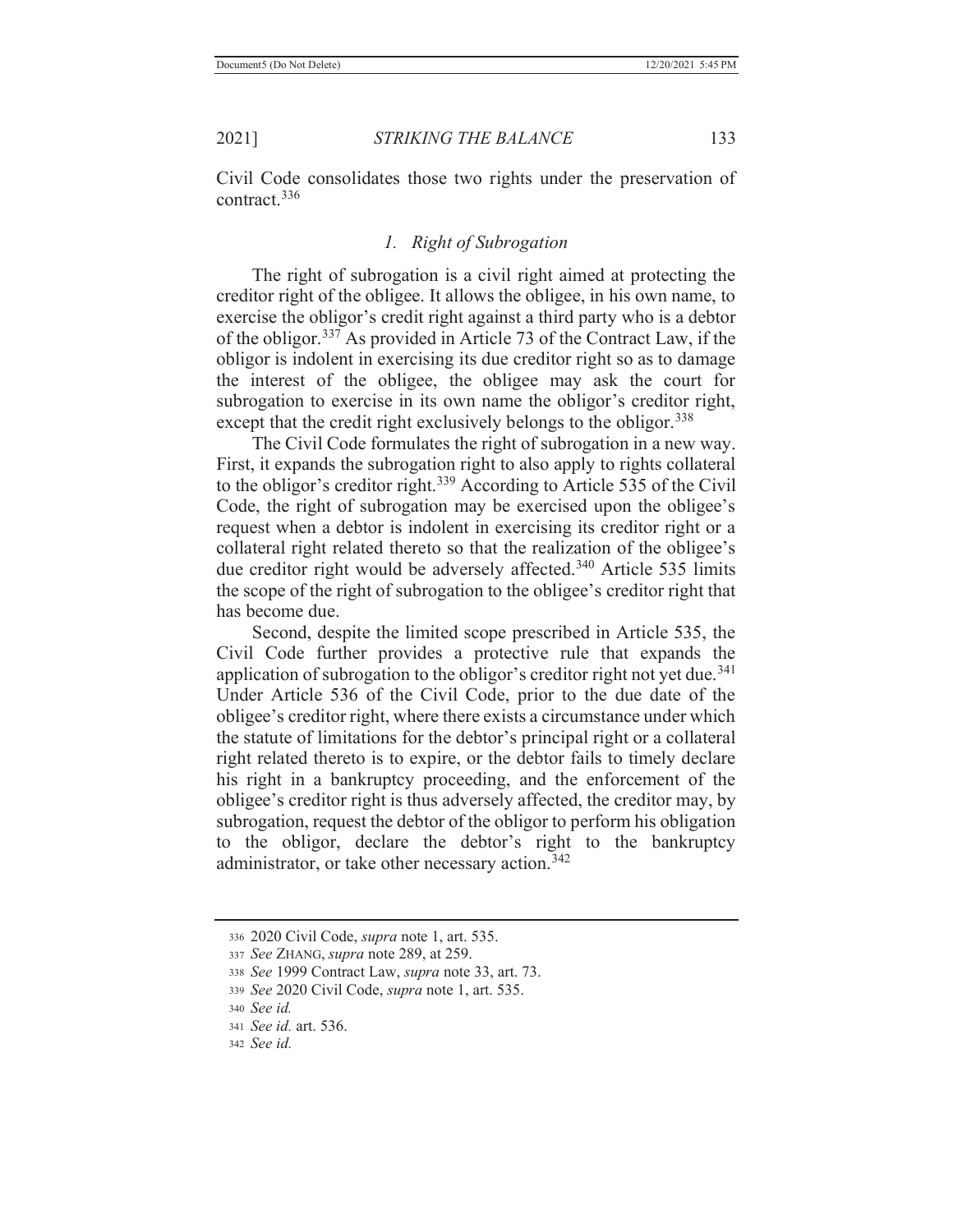Civil Code consolidates those two rights under the preservation of contract.336

## *1. Right of Subrogation*

 The right of subrogation is a civil right aimed at protecting the creditor right of the obligee. It allows the obligee, in his own name, to exercise the obligor's credit right against a third party who is a debtor of the obligor.337 As provided in Article 73 of the Contract Law, if the obligor is indolent in exercising its due creditor right so as to damage the interest of the obligee, the obligee may ask the court for subrogation to exercise in its own name the obligor's creditor right, except that the credit right exclusively belongs to the obligor.<sup>338</sup>

 The Civil Code formulates the right of subrogation in a new way. First, it expands the subrogation right to also apply to rights collateral to the obligor's creditor right.339 According to Article 535 of the Civil Code, the right of subrogation may be exercised upon the obligee's request when a debtor is indolent in exercising its creditor right or a collateral right related thereto so that the realization of the obligee's due creditor right would be adversely affected.<sup>340</sup> Article 535 limits the scope of the right of subrogation to the obligee's creditor right that has become due.

 Second, despite the limited scope prescribed in Article 535, the Civil Code further provides a protective rule that expands the application of subrogation to the obligor's creditor right not yet due.<sup>341</sup> Under Article 536 of the Civil Code, prior to the due date of the obligee's creditor right, where there exists a circumstance under which the statute of limitations for the debtor's principal right or a collateral right related thereto is to expire, or the debtor fails to timely declare his right in a bankruptcy proceeding, and the enforcement of the obligee's creditor right is thus adversely affected, the creditor may, by subrogation, request the debtor of the obligor to perform his obligation to the obligor, declare the debtor's right to the bankruptcy administrator, or take other necessary action.<sup>342</sup>

<sup>336 2020</sup> Civil Code, *supra* note 1, art. 535.

<sup>337</sup> *See* ZHANG, *supra* note 289, at 259.

<sup>338</sup> *See* 1999 Contract Law, *supra* note 33, art. 73.

<sup>339</sup> *See* 2020 Civil Code, *supra* note 1, art. 535.

<sup>340</sup> *See id.*

<sup>341</sup> *See id.* art. 536.

<sup>342</sup> *See id.*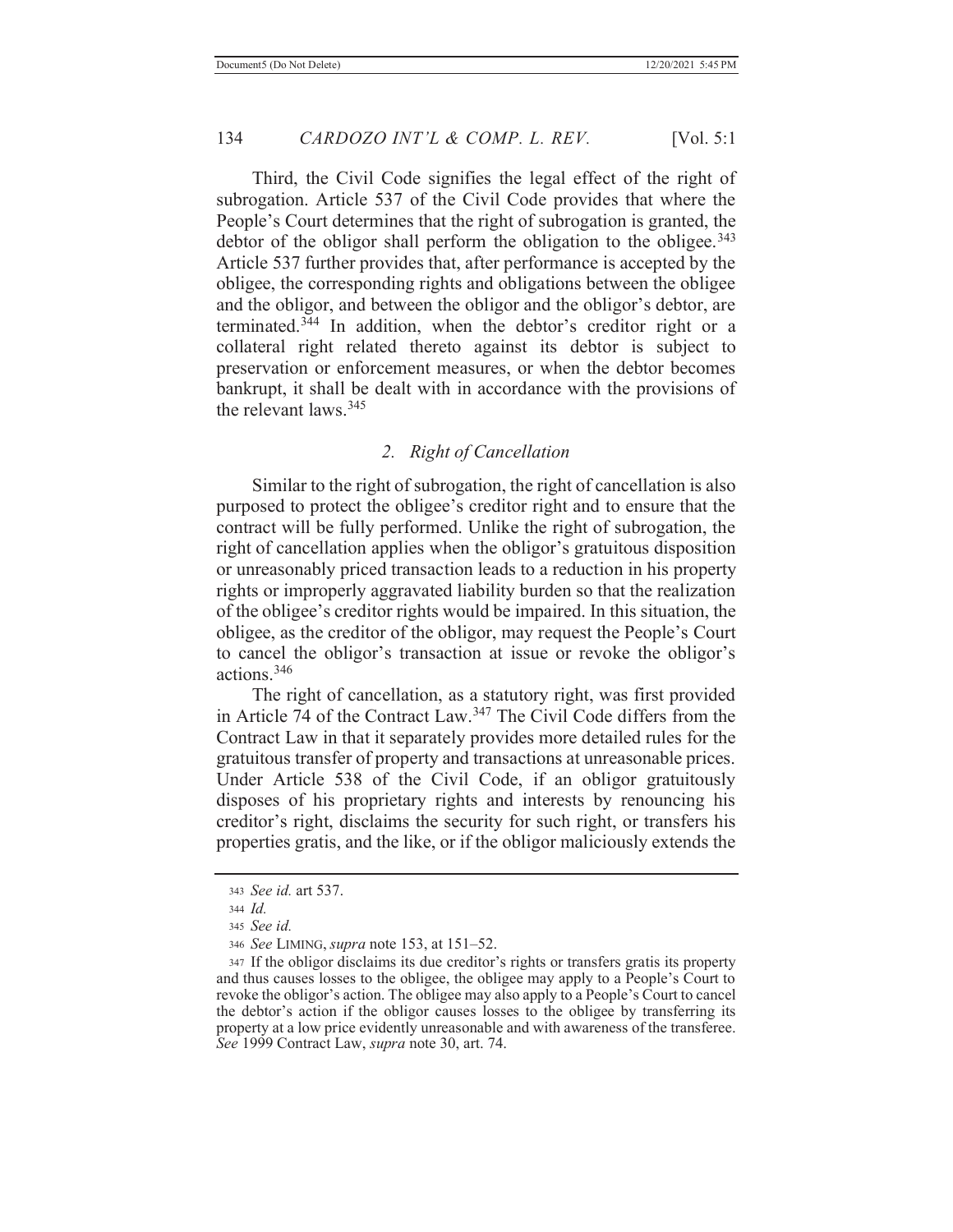Third, the Civil Code signifies the legal effect of the right of subrogation. Article 537 of the Civil Code provides that where the People's Court determines that the right of subrogation is granted, the debtor of the obligor shall perform the obligation to the obligee.<sup>343</sup> Article 537 further provides that, after performance is accepted by the obligee, the corresponding rights and obligations between the obligee and the obligor, and between the obligor and the obligor's debtor, are terminated.344 In addition, when the debtor's creditor right or a collateral right related thereto against its debtor is subject to preservation or enforcement measures, or when the debtor becomes bankrupt, it shall be dealt with in accordance with the provisions of the relevant laws.345

### *2. Right of Cancellation*

 Similar to the right of subrogation, the right of cancellation is also purposed to protect the obligee's creditor right and to ensure that the contract will be fully performed. Unlike the right of subrogation, the right of cancellation applies when the obligor's gratuitous disposition or unreasonably priced transaction leads to a reduction in his property rights or improperly aggravated liability burden so that the realization of the obligee's creditor rights would be impaired. In this situation, the obligee, as the creditor of the obligor, may request the People's Court to cancel the obligor's transaction at issue or revoke the obligor's actions.346

 The right of cancellation, as a statutory right, was first provided in Article 74 of the Contract Law.347 The Civil Code differs from the Contract Law in that it separately provides more detailed rules for the gratuitous transfer of property and transactions at unreasonable prices. Under Article 538 of the Civil Code, if an obligor gratuitously disposes of his proprietary rights and interests by renouncing his creditor's right, disclaims the security for such right, or transfers his properties gratis, and the like, or if the obligor maliciously extends the

<sup>343</sup> *See id.* art 537.

<sup>344</sup> *Id.*

<sup>345</sup> *See id.*

<sup>346</sup> *See* LIMING, *supra* note 153, at 151–52.

<sup>347</sup> If the obligor disclaims its due creditor's rights or transfers gratis its property and thus causes losses to the obligee, the obligee may apply to a People's Court to revoke the obligor's action. The obligee may also apply to a People's Court to cancel the debtor's action if the obligor causes losses to the obligee by transferring its property at a low price evidently unreasonable and with awareness of the transferee. *See* 1999 Contract Law, *supra* note 30, art. 74.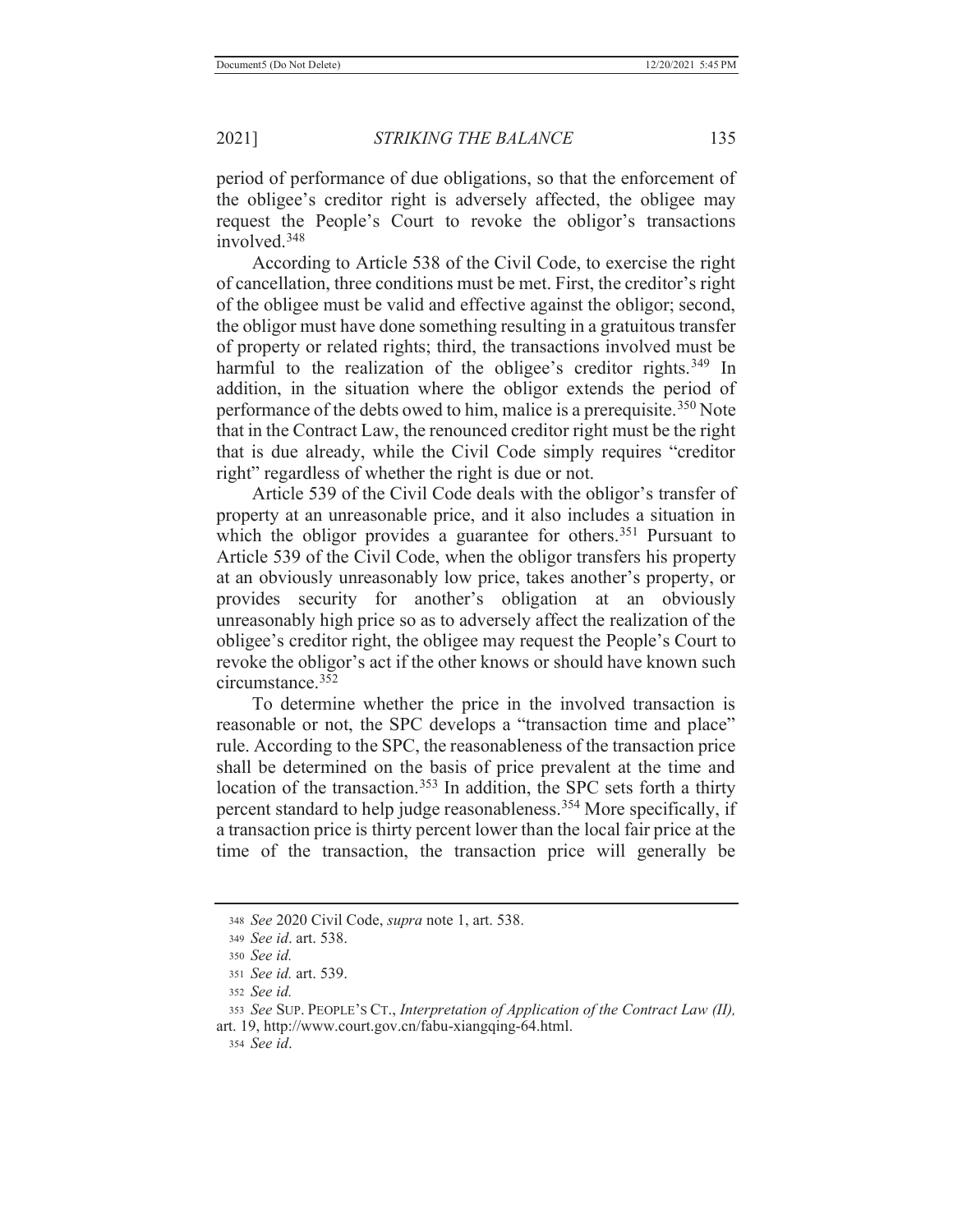period of performance of due obligations, so that the enforcement of the obligee's creditor right is adversely affected, the obligee may request the People's Court to revoke the obligor's transactions involved.348

 According to Article 538 of the Civil Code, to exercise the right of cancellation, three conditions must be met. First, the creditor's right of the obligee must be valid and effective against the obligor; second, the obligor must have done something resulting in a gratuitous transfer of property or related rights; third, the transactions involved must be harmful to the realization of the obligee's creditor rights.<sup>349</sup> In addition, in the situation where the obligor extends the period of performance of the debts owed to him, malice is a prerequisite.<sup>350</sup> Note that in the Contract Law, the renounced creditor right must be the right that is due already, while the Civil Code simply requires "creditor right" regardless of whether the right is due or not.

 Article 539 of the Civil Code deals with the obligor's transfer of property at an unreasonable price, and it also includes a situation in which the obligor provides a guarantee for others.<sup>351</sup> Pursuant to Article 539 of the Civil Code, when the obligor transfers his property at an obviously unreasonably low price, takes another's property, or provides security for another's obligation at an obviously unreasonably high price so as to adversely affect the realization of the obligee's creditor right, the obligee may request the People's Court to revoke the obligor's act if the other knows or should have known such circumstance.352

 To determine whether the price in the involved transaction is reasonable or not, the SPC develops a "transaction time and place" rule. According to the SPC, the reasonableness of the transaction price shall be determined on the basis of price prevalent at the time and location of the transaction.<sup>353</sup> In addition, the SPC sets forth a thirty percent standard to help judge reasonableness.<sup>354</sup> More specifically, if a transaction price is thirty percent lower than the local fair price at the time of the transaction, the transaction price will generally be

<sup>348</sup> *See* 2020 Civil Code, *supra* note 1, art. 538.

<sup>349</sup> *See id*. art. 538.

<sup>350</sup> *See id.*

<sup>351</sup> *See id.* art. 539.

<sup>352</sup> *See id.*

<sup>353</sup> *See* SUP. PEOPLE'S CT., *Interpretation of Application of the Contract Law (II),*  art. 19, http://www.court.gov.cn/fabu-xiangqing-64.html.

<sup>354</sup> *See id*.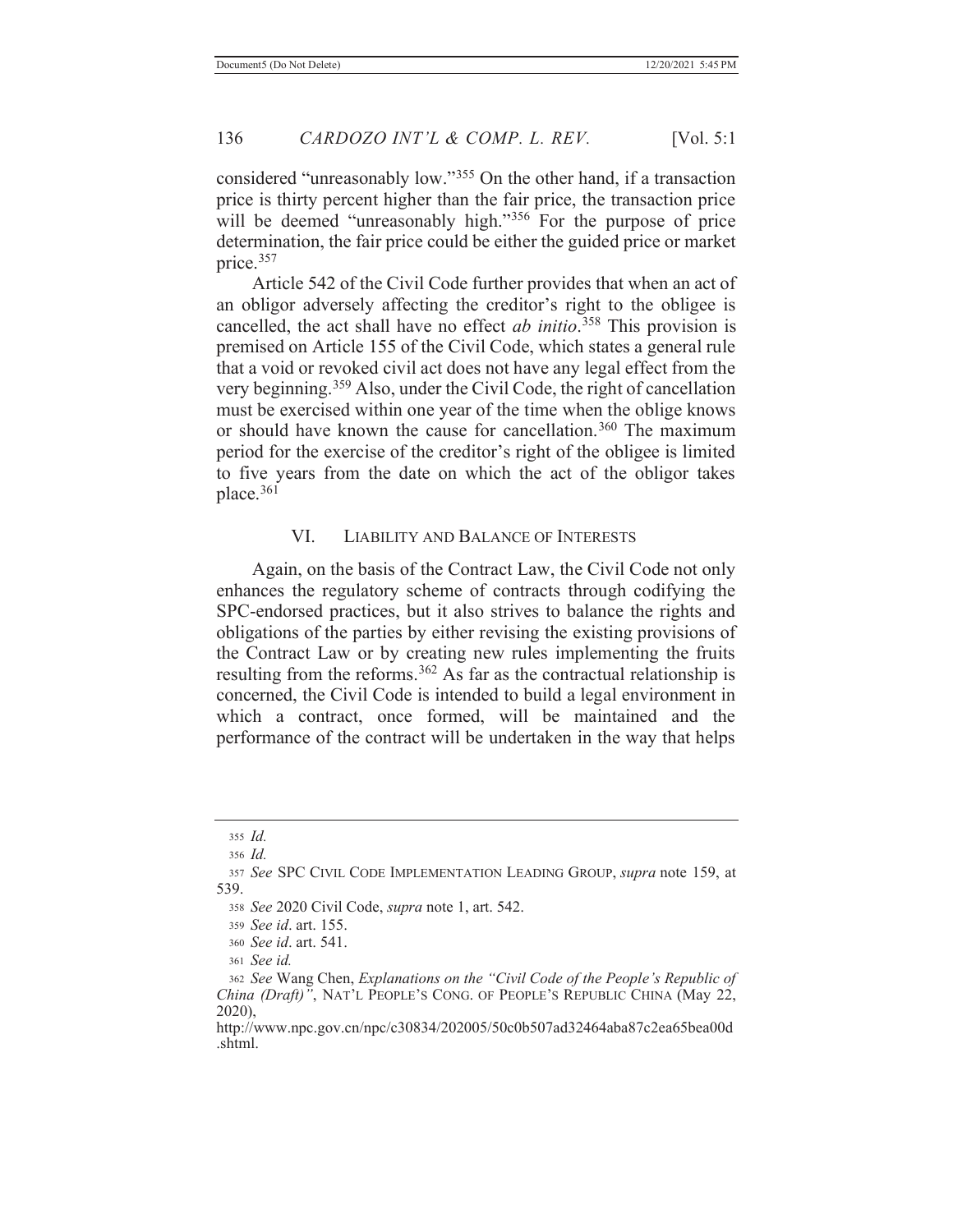considered "unreasonably low."355 On the other hand, if a transaction price is thirty percent higher than the fair price, the transaction price will be deemed "unreasonably high."<sup>356</sup> For the purpose of price determination, the fair price could be either the guided price or market price.357

 Article 542 of the Civil Code further provides that when an act of an obligor adversely affecting the creditor's right to the obligee is cancelled, the act shall have no effect *ab initio*. 358 This provision is premised on Article 155 of the Civil Code, which states a general rule that a void or revoked civil act does not have any legal effect from the very beginning.359 Also, under the Civil Code, the right of cancellation must be exercised within one year of the time when the oblige knows or should have known the cause for cancellation.<sup>360</sup> The maximum period for the exercise of the creditor's right of the obligee is limited to five years from the date on which the act of the obligor takes place.<sup>361</sup>

## VI. LIABILITY AND BALANCE OF INTERESTS

 Again, on the basis of the Contract Law, the Civil Code not only enhances the regulatory scheme of contracts through codifying the SPC-endorsed practices, but it also strives to balance the rights and obligations of the parties by either revising the existing provisions of the Contract Law or by creating new rules implementing the fruits resulting from the reforms.<sup>362</sup> As far as the contractual relationship is concerned, the Civil Code is intended to build a legal environment in which a contract, once formed, will be maintained and the performance of the contract will be undertaken in the way that helps

<sup>355</sup> *Id.* <sup>356</sup> *Id.*

<sup>357</sup> *See* SPC CIVIL CODE IMPLEMENTATION LEADING GROUP, *supra* note 159, at 539.

<sup>358</sup> *See* 2020 Civil Code, *supra* note 1, art. 542.

<sup>359</sup> *See id*. art. 155.

<sup>360</sup> *See id*. art. 541.

<sup>361</sup> *See id.*

<sup>362</sup> *See* Wang Chen, *Explanations on the "Civil Code of the People's Republic of China (Draft)"*, NAT'L PEOPLE'S CONG. OF PEOPLE'S REPUBLIC CHINA (May 22, 2020),

http://www.npc.gov.cn/npc/c30834/202005/50c0b507ad32464aba87c2ea65bea00d .shtml.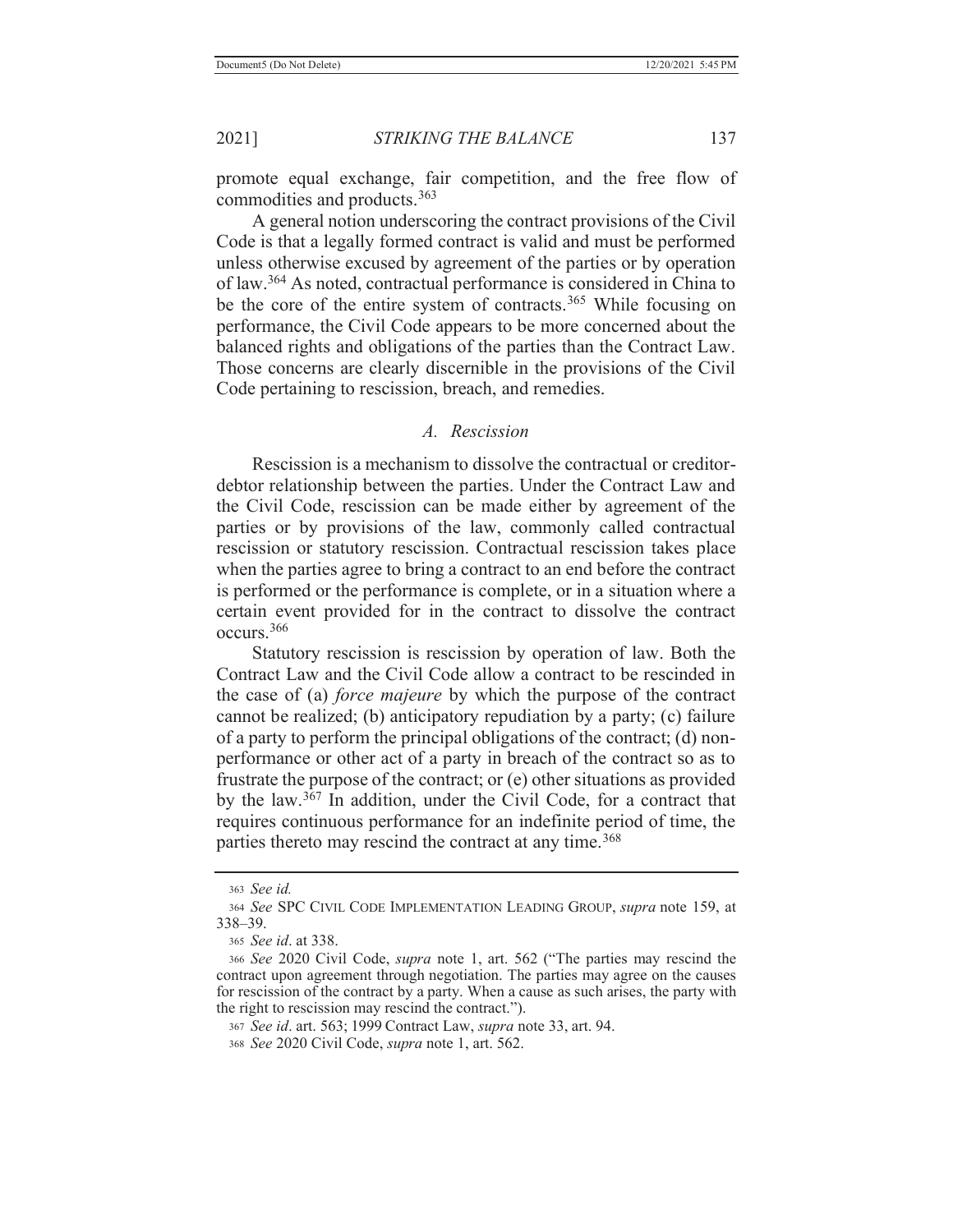promote equal exchange, fair competition, and the free flow of commodities and products.363

 A general notion underscoring the contract provisions of the Civil Code is that a legally formed contract is valid and must be performed unless otherwise excused by agreement of the parties or by operation of law.364 As noted, contractual performance is considered in China to be the core of the entire system of contracts.<sup>365</sup> While focusing on performance, the Civil Code appears to be more concerned about the balanced rights and obligations of the parties than the Contract Law. Those concerns are clearly discernible in the provisions of the Civil Code pertaining to rescission, breach, and remedies.

#### *A. Rescission*

 Rescission is a mechanism to dissolve the contractual or creditordebtor relationship between the parties. Under the Contract Law and the Civil Code, rescission can be made either by agreement of the parties or by provisions of the law, commonly called contractual rescission or statutory rescission. Contractual rescission takes place when the parties agree to bring a contract to an end before the contract is performed or the performance is complete, or in a situation where a certain event provided for in the contract to dissolve the contract occurs.366

 Statutory rescission is rescission by operation of law. Both the Contract Law and the Civil Code allow a contract to be rescinded in the case of (a) *force majeure* by which the purpose of the contract cannot be realized; (b) anticipatory repudiation by a party; (c) failure of a party to perform the principal obligations of the contract; (d) nonperformance or other act of a party in breach of the contract so as to frustrate the purpose of the contract; or (e) other situations as provided by the law.367 In addition, under the Civil Code, for a contract that requires continuous performance for an indefinite period of time, the parties thereto may rescind the contract at any time.<sup>368</sup>

<sup>363</sup> *See id.*

<sup>364</sup> *See* SPC CIVIL CODE IMPLEMENTATION LEADING GROUP, *supra* note 159, at 338–39.

<sup>365</sup> *See id*. at 338.

<sup>366</sup> *See* 2020 Civil Code, *supra* note 1, art. 562 ("The parties may rescind the contract upon agreement through negotiation. The parties may agree on the causes for rescission of the contract by a party. When a cause as such arises, the party with the right to rescission may rescind the contract.").

<sup>367</sup> *See id*. art. 563; 1999 Contract Law, *supra* note 33, art. 94.

<sup>368</sup> *See* 2020 Civil Code, *supra* note 1, art. 562.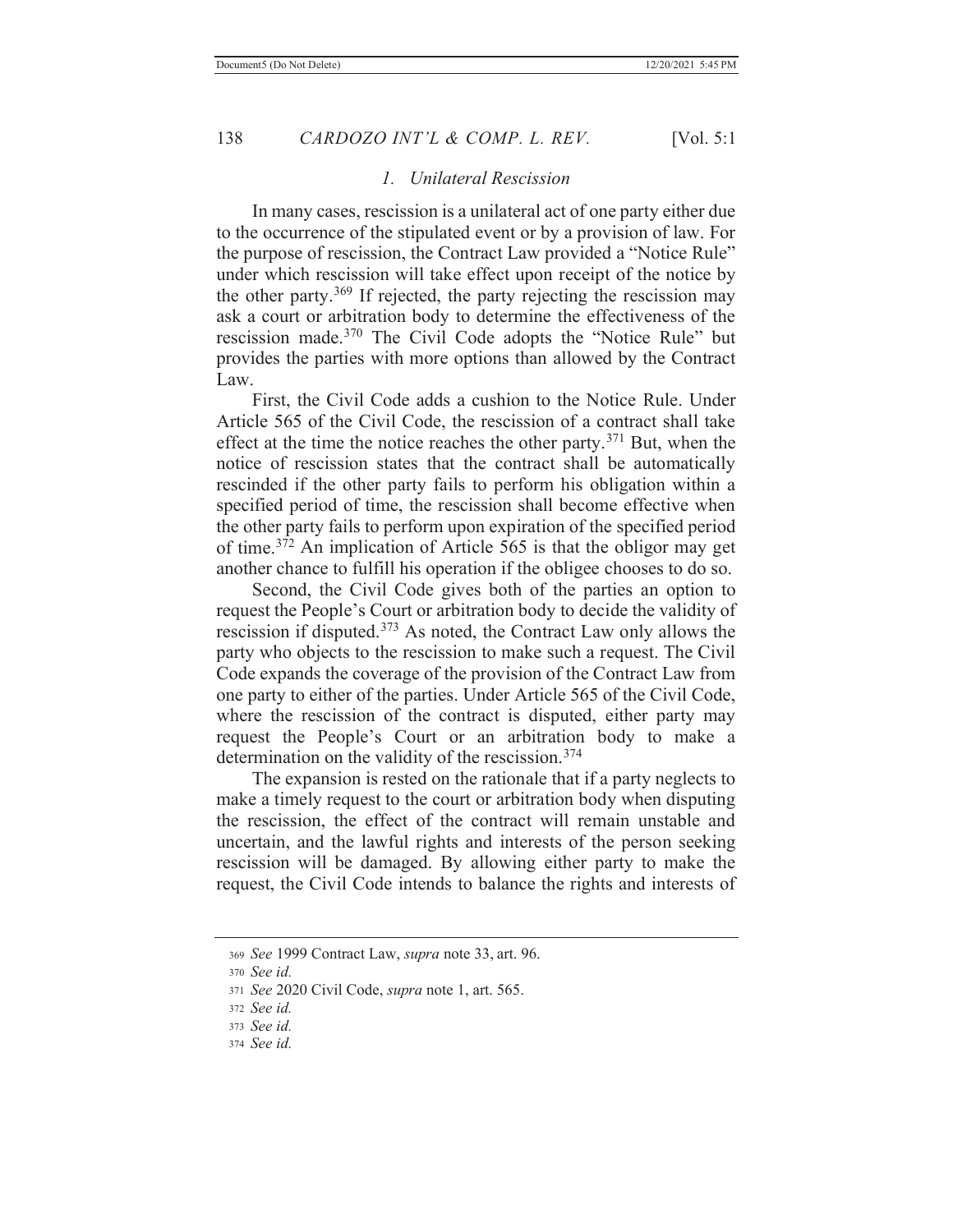#### *1. Unilateral Rescission*

 In many cases, rescission is a unilateral act of one party either due to the occurrence of the stipulated event or by a provision of law. For the purpose of rescission, the Contract Law provided a "Notice Rule" under which rescission will take effect upon receipt of the notice by the other party.<sup>369</sup> If rejected, the party rejecting the rescission may ask a court or arbitration body to determine the effectiveness of the rescission made.370 The Civil Code adopts the "Notice Rule" but provides the parties with more options than allowed by the Contract Law.

 First, the Civil Code adds a cushion to the Notice Rule. Under Article 565 of the Civil Code, the rescission of a contract shall take effect at the time the notice reaches the other party.<sup>371</sup> But, when the notice of rescission states that the contract shall be automatically rescinded if the other party fails to perform his obligation within a specified period of time, the rescission shall become effective when the other party fails to perform upon expiration of the specified period of time.372 An implication of Article 565 is that the obligor may get another chance to fulfill his operation if the obligee chooses to do so.

 Second, the Civil Code gives both of the parties an option to request the People's Court or arbitration body to decide the validity of rescission if disputed.373 As noted, the Contract Law only allows the party who objects to the rescission to make such a request. The Civil Code expands the coverage of the provision of the Contract Law from one party to either of the parties. Under Article 565 of the Civil Code, where the rescission of the contract is disputed, either party may request the People's Court or an arbitration body to make a determination on the validity of the rescission.<sup>374</sup>

 The expansion is rested on the rationale that if a party neglects to make a timely request to the court or arbitration body when disputing the rescission, the effect of the contract will remain unstable and uncertain, and the lawful rights and interests of the person seeking rescission will be damaged. By allowing either party to make the request, the Civil Code intends to balance the rights and interests of

<sup>369</sup> *See* 1999 Contract Law, *supra* note 33, art. 96.

<sup>370</sup> *See id.*

<sup>371</sup> *See* 2020 Civil Code, *supra* note 1, art. 565.

<sup>372</sup> *See id.*

<sup>373</sup> *See id.*

<sup>374</sup> *See id.*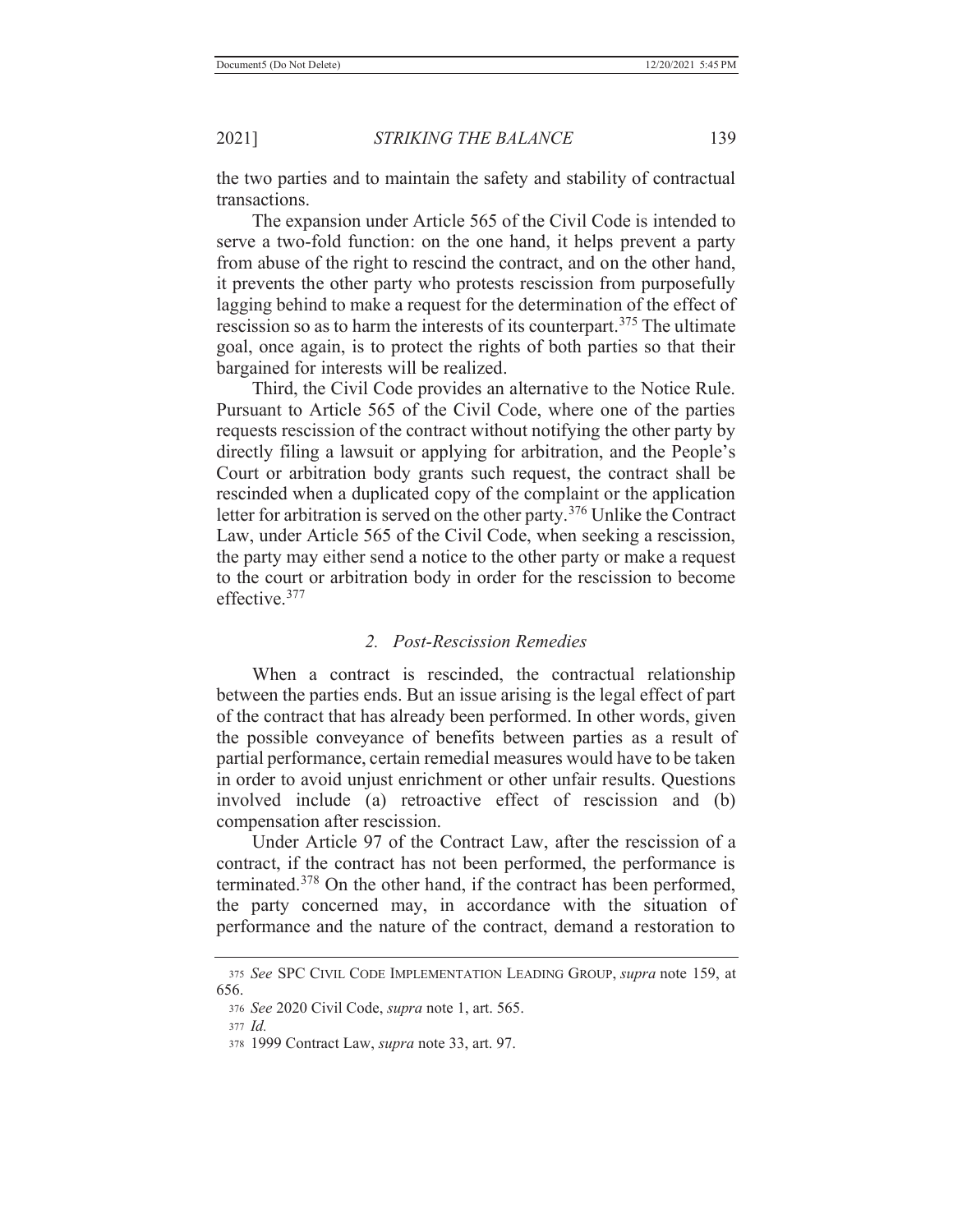the two parties and to maintain the safety and stability of contractual transactions.

 The expansion under Article 565 of the Civil Code is intended to serve a two-fold function: on the one hand, it helps prevent a party from abuse of the right to rescind the contract, and on the other hand, it prevents the other party who protests rescission from purposefully lagging behind to make a request for the determination of the effect of rescission so as to harm the interests of its counterpart.<sup>375</sup> The ultimate goal, once again, is to protect the rights of both parties so that their bargained for interests will be realized.

 Third, the Civil Code provides an alternative to the Notice Rule. Pursuant to Article 565 of the Civil Code, where one of the parties requests rescission of the contract without notifying the other party by directly filing a lawsuit or applying for arbitration, and the People's Court or arbitration body grants such request, the contract shall be rescinded when a duplicated copy of the complaint or the application letter for arbitration is served on the other party.<sup>376</sup> Unlike the Contract Law, under Article 565 of the Civil Code, when seeking a rescission, the party may either send a notice to the other party or make a request to the court or arbitration body in order for the rescission to become effective.377

## *2. Post-Rescission Remedies*

 When a contract is rescinded, the contractual relationship between the parties ends. But an issue arising is the legal effect of part of the contract that has already been performed. In other words, given the possible conveyance of benefits between parties as a result of partial performance, certain remedial measures would have to be taken in order to avoid unjust enrichment or other unfair results. Questions involved include (a) retroactive effect of rescission and (b) compensation after rescission.

 Under Article 97 of the Contract Law, after the rescission of a contract, if the contract has not been performed, the performance is terminated.378 On the other hand, if the contract has been performed, the party concerned may, in accordance with the situation of performance and the nature of the contract, demand a restoration to

<sup>375</sup> *See* SPC CIVIL CODE IMPLEMENTATION LEADING GROUP, *supra* note 159, at 656.

<sup>376</sup> *See* 2020 Civil Code, *supra* note 1, art. 565.

<sup>377</sup> *Id.*

<sup>378 1999</sup> Contract Law, *supra* note 33, art. 97.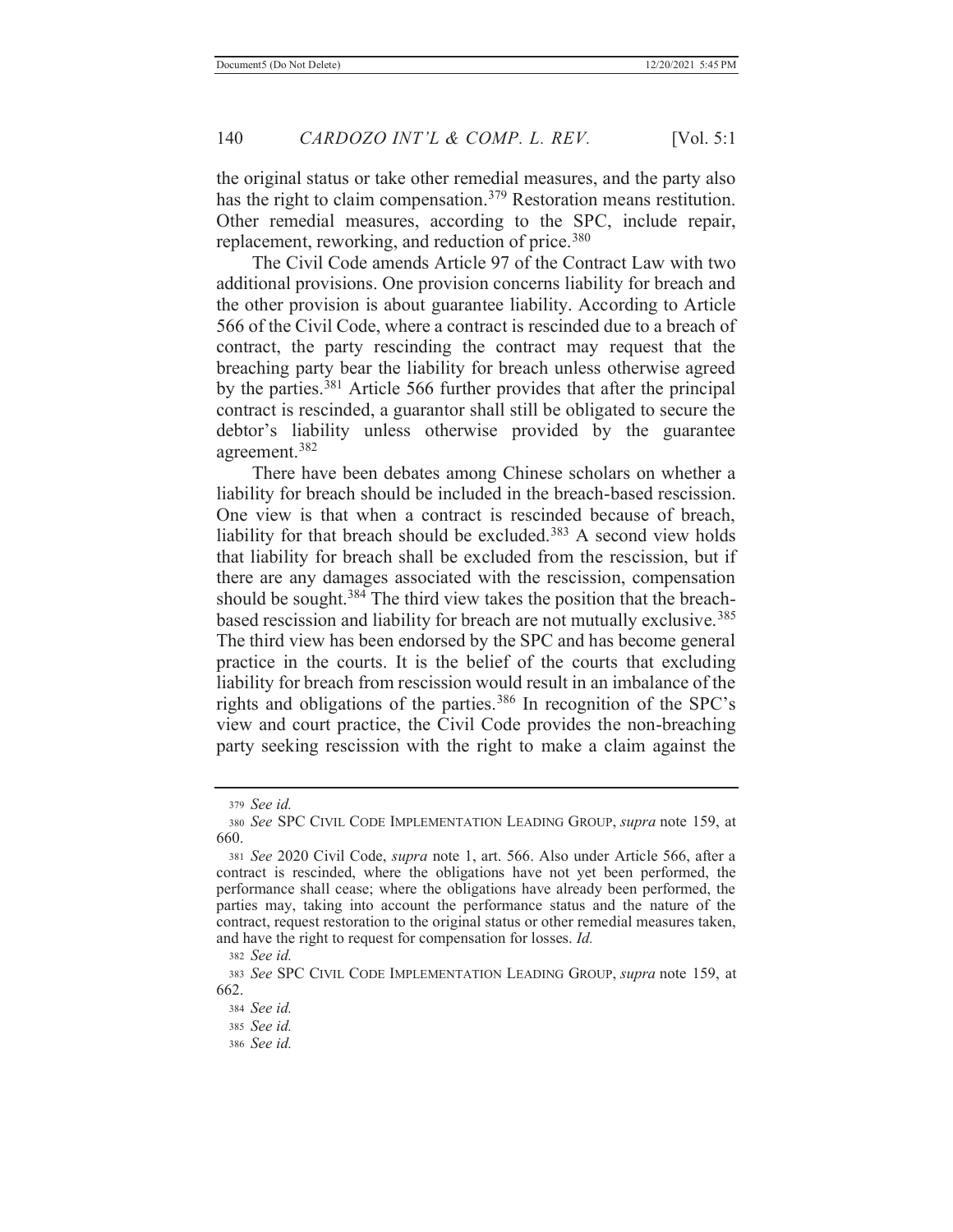the original status or take other remedial measures, and the party also has the right to claim compensation.<sup>379</sup> Restoration means restitution. Other remedial measures, according to the SPC, include repair, replacement, reworking, and reduction of price.<sup>380</sup>

 The Civil Code amends Article 97 of the Contract Law with two additional provisions. One provision concerns liability for breach and the other provision is about guarantee liability. According to Article 566 of the Civil Code, where a contract is rescinded due to a breach of contract, the party rescinding the contract may request that the breaching party bear the liability for breach unless otherwise agreed by the parties.<sup>381</sup> Article 566 further provides that after the principal contract is rescinded, a guarantor shall still be obligated to secure the debtor's liability unless otherwise provided by the guarantee agreement.382

 There have been debates among Chinese scholars on whether a liability for breach should be included in the breach-based rescission. One view is that when a contract is rescinded because of breach, liability for that breach should be excluded.<sup>383</sup> A second view holds that liability for breach shall be excluded from the rescission, but if there are any damages associated with the rescission, compensation should be sought.<sup>384</sup> The third view takes the position that the breachbased rescission and liability for breach are not mutually exclusive.<sup>385</sup> The third view has been endorsed by the SPC and has become general practice in the courts. It is the belief of the courts that excluding liability for breach from rescission would result in an imbalance of the rights and obligations of the parties.<sup>386</sup> In recognition of the SPC's view and court practice, the Civil Code provides the non-breaching party seeking rescission with the right to make a claim against the

<sup>379</sup> *See id.*

<sup>380</sup> *See* SPC CIVIL CODE IMPLEMENTATION LEADING GROUP, *supra* note 159, at 660.

<sup>381</sup> *See* 2020 Civil Code, *supra* note 1, art. 566. Also under Article 566, after a contract is rescinded, where the obligations have not yet been performed, the performance shall cease; where the obligations have already been performed, the parties may, taking into account the performance status and the nature of the contract, request restoration to the original status or other remedial measures taken, and have the right to request for compensation for losses. *Id.*

<sup>382</sup> *See id.*

<sup>383</sup> *See* SPC CIVIL CODE IMPLEMENTATION LEADING GROUP, *supra* note 159, at 662.

<sup>384</sup> *See id.*

<sup>385</sup> *See id.*

<sup>386</sup> *See id.*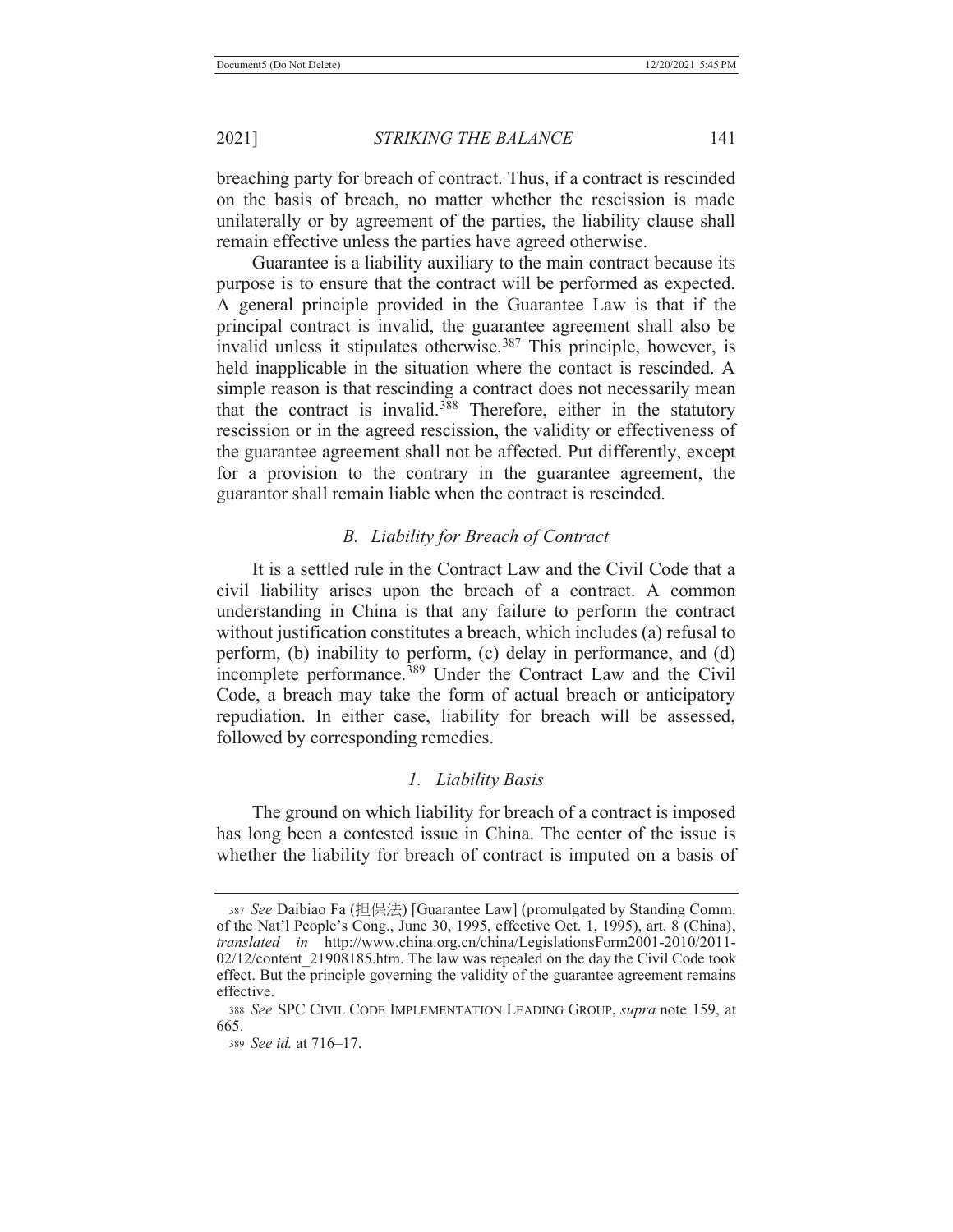breaching party for breach of contract. Thus, if a contract is rescinded on the basis of breach, no matter whether the rescission is made unilaterally or by agreement of the parties, the liability clause shall remain effective unless the parties have agreed otherwise.

 Guarantee is a liability auxiliary to the main contract because its purpose is to ensure that the contract will be performed as expected. A general principle provided in the Guarantee Law is that if the principal contract is invalid, the guarantee agreement shall also be invalid unless it stipulates otherwise.<sup>387</sup> This principle, however, is held inapplicable in the situation where the contact is rescinded. A simple reason is that rescinding a contract does not necessarily mean that the contract is invalid.<sup>388</sup> Therefore, either in the statutory rescission or in the agreed rescission, the validity or effectiveness of the guarantee agreement shall not be affected. Put differently, except for a provision to the contrary in the guarantee agreement, the guarantor shall remain liable when the contract is rescinded.

## *B. Liability for Breach of Contract*

 It is a settled rule in the Contract Law and the Civil Code that a civil liability arises upon the breach of a contract. A common understanding in China is that any failure to perform the contract without justification constitutes a breach, which includes (a) refusal to perform, (b) inability to perform, (c) delay in performance, and (d) incomplete performance.<sup>389</sup> Under the Contract Law and the Civil Code, a breach may take the form of actual breach or anticipatory repudiation. In either case, liability for breach will be assessed, followed by corresponding remedies.

### *1. Liability Basis*

 The ground on which liability for breach of a contract is imposed has long been a contested issue in China. The center of the issue is whether the liability for breach of contract is imputed on a basis of

<sup>387</sup> *See* Daibiao Fa (㉭ᾅ㱽) [Guarantee Law] (promulgated by Standing Comm. of the Nat'l People's Cong., June 30, 1995, effective Oct. 1, 1995), art. 8 (China), *translated in* http://www.china.org.cn/china/LegislationsForm2001-2010/2011- 02/12/content 21908185.htm. The law was repealed on the day the Civil Code took effect. But the principle governing the validity of the guarantee agreement remains effective.

<sup>388</sup> *See* SPC CIVIL CODE IMPLEMENTATION LEADING GROUP, *supra* note 159, at 665.

<sup>389</sup> *See id.* at 716–17.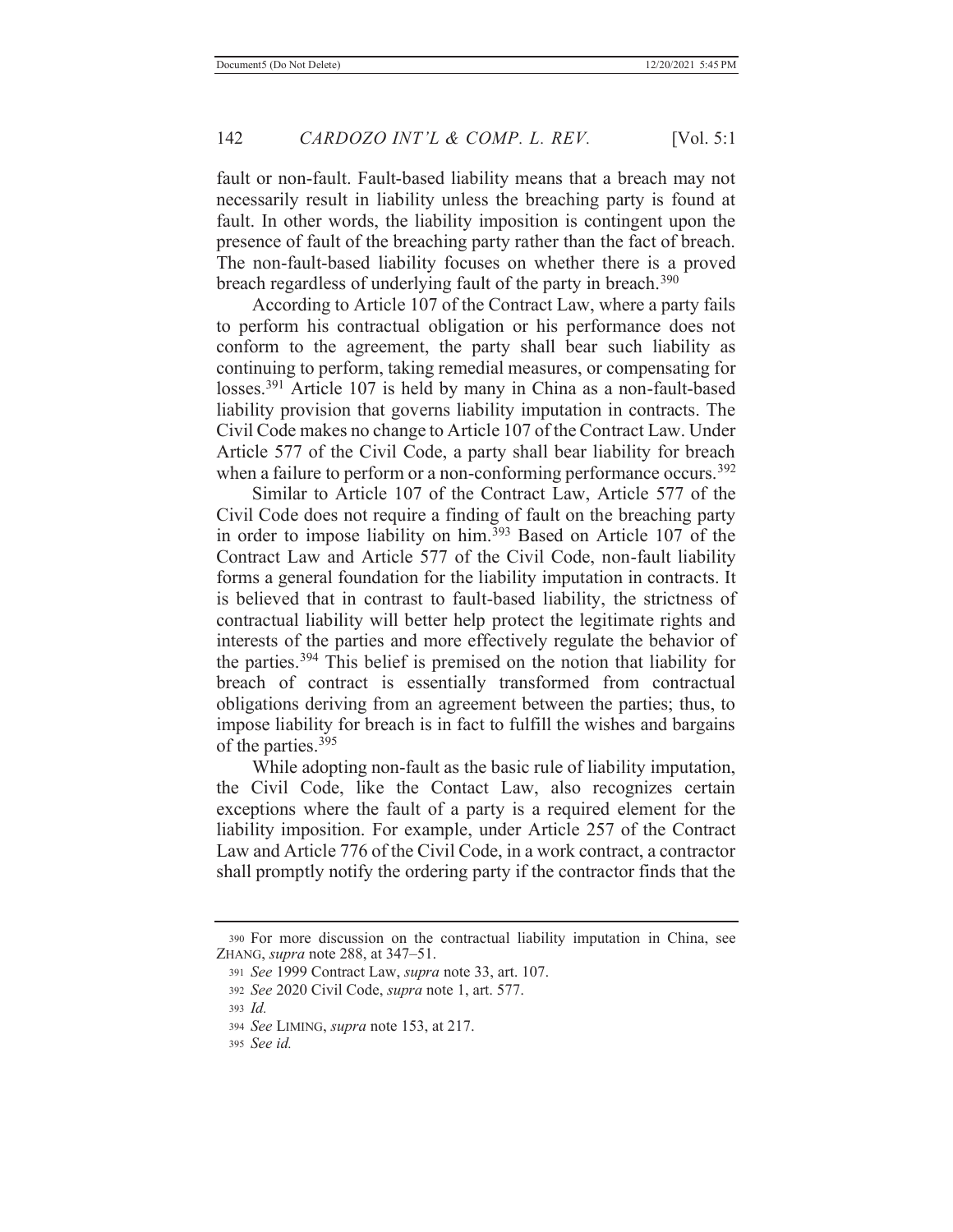fault or non-fault. Fault-based liability means that a breach may not necessarily result in liability unless the breaching party is found at fault. In other words, the liability imposition is contingent upon the presence of fault of the breaching party rather than the fact of breach. The non-fault-based liability focuses on whether there is a proved breach regardless of underlying fault of the party in breach.<sup>390</sup>

 According to Article 107 of the Contract Law, where a party fails to perform his contractual obligation or his performance does not conform to the agreement, the party shall bear such liability as continuing to perform, taking remedial measures, or compensating for losses.391 Article 107 is held by many in China as a non-fault-based liability provision that governs liability imputation in contracts. The Civil Code makes no change to Article 107 of the Contract Law. Under Article 577 of the Civil Code, a party shall bear liability for breach when a failure to perform or a non-conforming performance occurs.<sup>392</sup>

 Similar to Article 107 of the Contract Law, Article 577 of the Civil Code does not require a finding of fault on the breaching party in order to impose liability on him.<sup>393</sup> Based on Article 107 of the Contract Law and Article 577 of the Civil Code, non-fault liability forms a general foundation for the liability imputation in contracts. It is believed that in contrast to fault-based liability, the strictness of contractual liability will better help protect the legitimate rights and interests of the parties and more effectively regulate the behavior of the parties.394 This belief is premised on the notion that liability for breach of contract is essentially transformed from contractual obligations deriving from an agreement between the parties; thus, to impose liability for breach is in fact to fulfill the wishes and bargains of the parties.395

 While adopting non-fault as the basic rule of liability imputation, the Civil Code, like the Contact Law, also recognizes certain exceptions where the fault of a party is a required element for the liability imposition. For example, under Article 257 of the Contract Law and Article 776 of the Civil Code, in a work contract, a contractor shall promptly notify the ordering party if the contractor finds that the

<sup>390</sup> For more discussion on the contractual liability imputation in China, see ZHANG, *supra* note 288, at 347–51.

<sup>391</sup> *See* 1999 Contract Law, *supra* note 33, art. 107.

<sup>392</sup> *See* 2020 Civil Code, *supra* note 1, art. 577.

<sup>393</sup> *Id.*

<sup>394</sup> *See* LIMING, *supra* note 153, at 217.

<sup>395</sup> *See id.*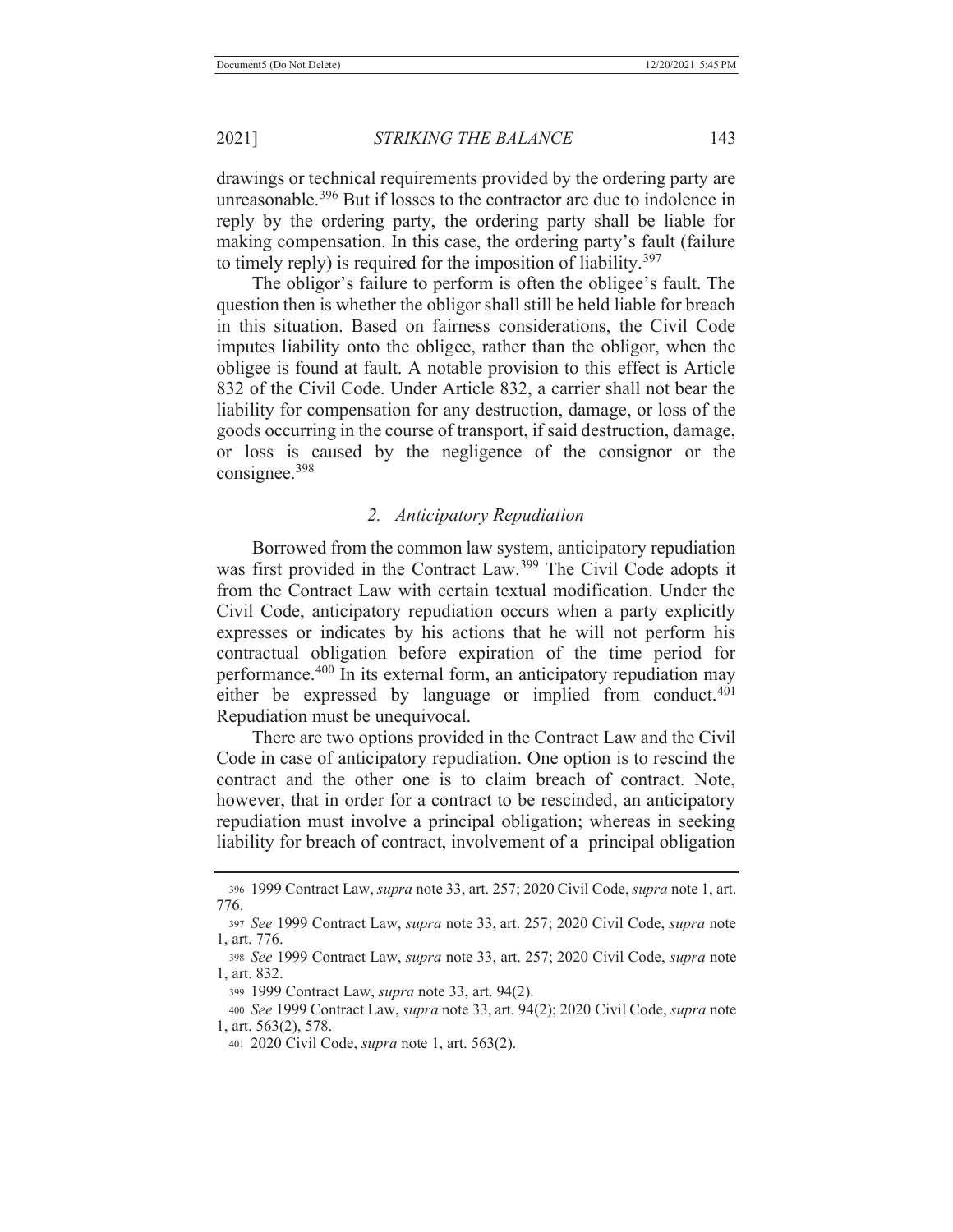drawings or technical requirements provided by the ordering party are unreasonable.<sup>396</sup> But if losses to the contractor are due to indolence in reply by the ordering party, the ordering party shall be liable for making compensation. In this case, the ordering party's fault (failure to timely reply) is required for the imposition of liability.<sup>397</sup>

The obligor's failure to perform is often the obligee's fault. The question then is whether the obligor shall still be held liable for breach in this situation. Based on fairness considerations, the Civil Code imputes liability onto the obligee, rather than the obligor, when the obligee is found at fault. A notable provision to this effect is Article 832 of the Civil Code. Under Article 832, a carrier shall not bear the liability for compensation for any destruction, damage, or loss of the goods occurring in the course of transport, if said destruction, damage, or loss is caused by the negligence of the consignor or the consignee.398

## *2. Anticipatory Repudiation*

 Borrowed from the common law system, anticipatory repudiation was first provided in the Contract Law.399 The Civil Code adopts it from the Contract Law with certain textual modification. Under the Civil Code, anticipatory repudiation occurs when a party explicitly expresses or indicates by his actions that he will not perform his contractual obligation before expiration of the time period for performance.400 In its external form, an anticipatory repudiation may either be expressed by language or implied from conduct.<sup>401</sup> Repudiation must be unequivocal.

 There are two options provided in the Contract Law and the Civil Code in case of anticipatory repudiation. One option is to rescind the contract and the other one is to claim breach of contract. Note, however, that in order for a contract to be rescinded, an anticipatory repudiation must involve a principal obligation; whereas in seeking liability for breach of contract, involvement of a principal obligation

<sup>396 1999</sup> Contract Law, *supra* note 33, art. 257; 2020 Civil Code, *supra* note 1, art. 776.

<sup>397</sup> *See* 1999 Contract Law, *supra* note 33, art. 257; 2020 Civil Code, *supra* note 1, art. 776.

<sup>398</sup> *See* 1999 Contract Law, *supra* note 33, art. 257; 2020 Civil Code, *supra* note 1, art. 832.

<sup>399 1999</sup> Contract Law, *supra* note 33, art. 94(2).

<sup>400</sup> *See* 1999 Contract Law, *supra* note 33, art. 94(2); 2020 Civil Code, *supra* note 1, art. 563(2), 578.

<sup>401 2020</sup> Civil Code, *supra* note 1, art. 563(2).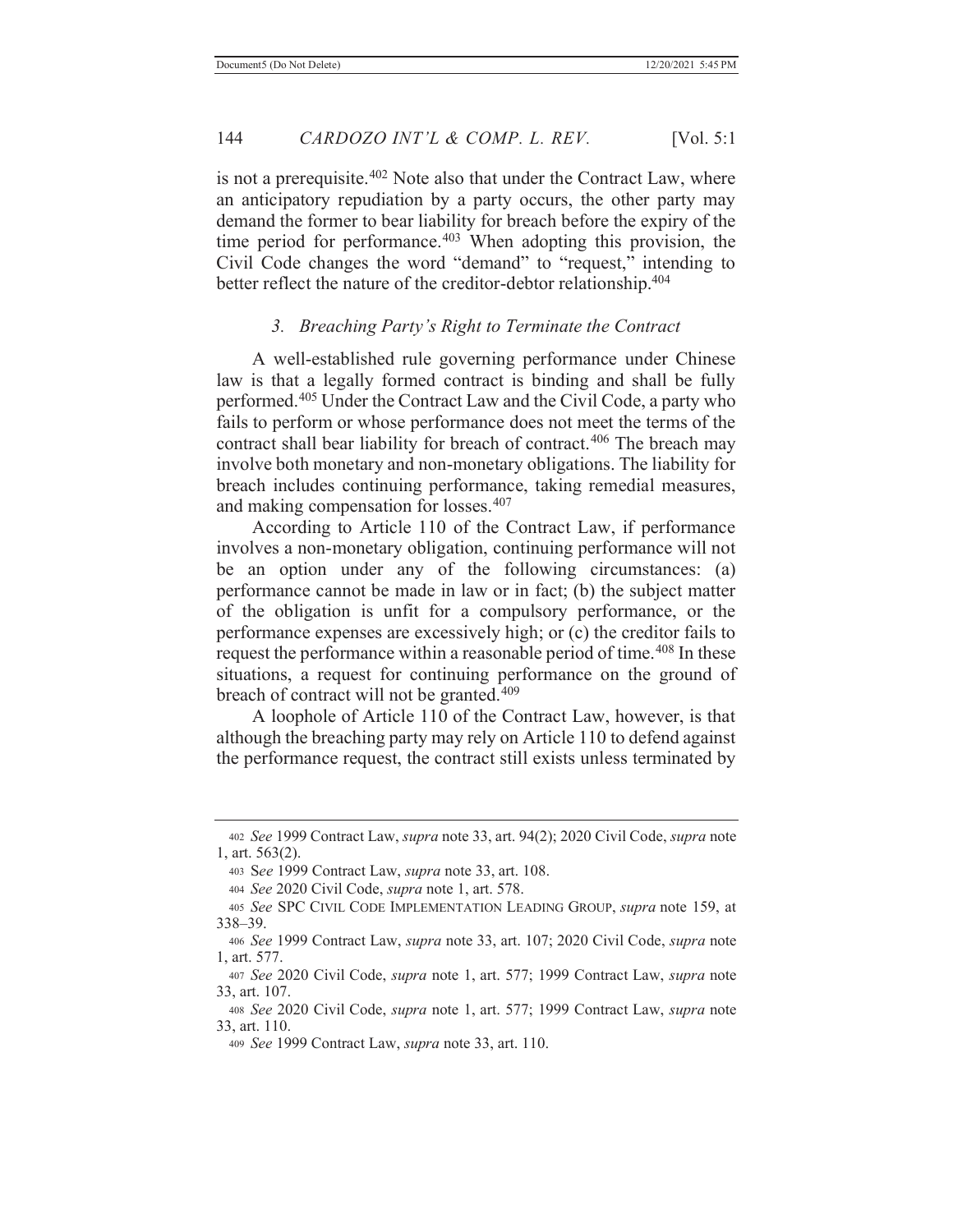is not a prerequisite.<sup>402</sup> Note also that under the Contract Law, where an anticipatory repudiation by a party occurs, the other party may demand the former to bear liability for breach before the expiry of the time period for performance. $403$  When adopting this provision, the Civil Code changes the word "demand" to "request," intending to better reflect the nature of the creditor-debtor relationship.<sup>404</sup>

## *3. Breaching Party's Right to Terminate the Contract*

 A well-established rule governing performance under Chinese law is that a legally formed contract is binding and shall be fully performed.405 Under the Contract Law and the Civil Code, a party who fails to perform or whose performance does not meet the terms of the contract shall bear liability for breach of contract.406 The breach may involve both monetary and non-monetary obligations. The liability for breach includes continuing performance, taking remedial measures, and making compensation for losses.407

 According to Article 110 of the Contract Law, if performance involves a non-monetary obligation, continuing performance will not be an option under any of the following circumstances: (a) performance cannot be made in law or in fact; (b) the subject matter of the obligation is unfit for a compulsory performance, or the performance expenses are excessively high; or (c) the creditor fails to request the performance within a reasonable period of time.<sup>408</sup> In these situations, a request for continuing performance on the ground of breach of contract will not be granted.<sup>409</sup>

 A loophole of Article 110 of the Contract Law, however, is that although the breaching party may rely on Article 110 to defend against the performance request, the contract still exists unless terminated by

<sup>402</sup> *See* 1999 Contract Law, *supra* note 33, art. 94(2); 2020 Civil Code, *supra* note 1, art. 563(2).

<sup>403</sup> S*ee* 1999 Contract Law, *supra* note 33, art. 108.

<sup>404</sup> *See* 2020 Civil Code, *supra* note 1, art. 578.

<sup>405</sup> *See* SPC CIVIL CODE IMPLEMENTATION LEADING GROUP, *supra* note 159, at 338–39.

<sup>406</sup> *See* 1999 Contract Law, *supra* note 33, art. 107; 2020 Civil Code, *supra* note 1, art. 577.

<sup>407</sup> *See* 2020 Civil Code, *supra* note 1, art. 577; 1999 Contract Law, *supra* note 33, art. 107.

<sup>408</sup> *See* 2020 Civil Code, *supra* note 1, art. 577; 1999 Contract Law, *supra* note 33, art. 110.

<sup>409</sup> *See* 1999 Contract Law, *supra* note 33, art. 110.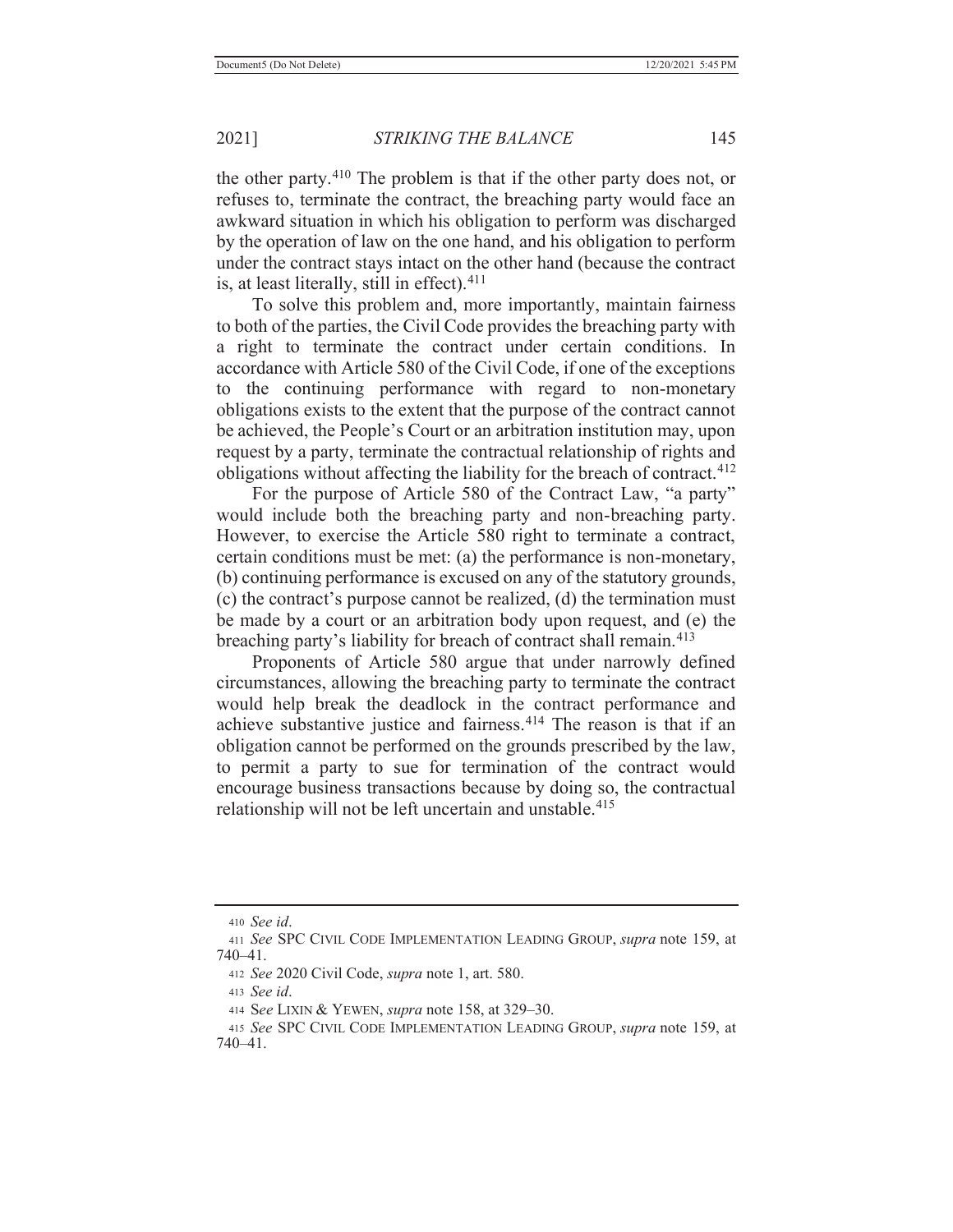the other party.410 The problem is that if the other party does not, or refuses to, terminate the contract, the breaching party would face an awkward situation in which his obligation to perform was discharged by the operation of law on the one hand, and his obligation to perform under the contract stays intact on the other hand (because the contract is, at least literally, still in effect). $411$ 

 To solve this problem and, more importantly, maintain fairness to both of the parties, the Civil Code provides the breaching party with a right to terminate the contract under certain conditions. In accordance with Article 580 of the Civil Code, if one of the exceptions to the continuing performance with regard to non-monetary obligations exists to the extent that the purpose of the contract cannot be achieved, the People's Court or an arbitration institution may, upon request by a party, terminate the contractual relationship of rights and obligations without affecting the liability for the breach of contract.<sup>412</sup>

For the purpose of Article 580 of the Contract Law, "a party" would include both the breaching party and non-breaching party. However, to exercise the Article 580 right to terminate a contract, certain conditions must be met: (a) the performance is non-monetary, (b) continuing performance is excused on any of the statutory grounds, (c) the contract's purpose cannot be realized, (d) the termination must be made by a court or an arbitration body upon request, and (e) the breaching party's liability for breach of contract shall remain.<sup>413</sup>

 Proponents of Article 580 argue that under narrowly defined circumstances, allowing the breaching party to terminate the contract would help break the deadlock in the contract performance and achieve substantive justice and fairness.<sup>414</sup> The reason is that if an obligation cannot be performed on the grounds prescribed by the law, to permit a party to sue for termination of the contract would encourage business transactions because by doing so, the contractual relationship will not be left uncertain and unstable.<sup>415</sup>

<sup>410</sup> *See id*.

<sup>411</sup> *See* SPC CIVIL CODE IMPLEMENTATION LEADING GROUP, *supra* note 159, at 740–41.

<sup>412</sup> *See* 2020 Civil Code, *supra* note 1, art. 580.

<sup>413</sup> *See id*.

<sup>414</sup> S*ee* LIXIN & YEWEN, *supra* note 158, at 329–30.

<sup>415</sup> *See* SPC CIVIL CODE IMPLEMENTATION LEADING GROUP, *supra* note 159, at 740–41.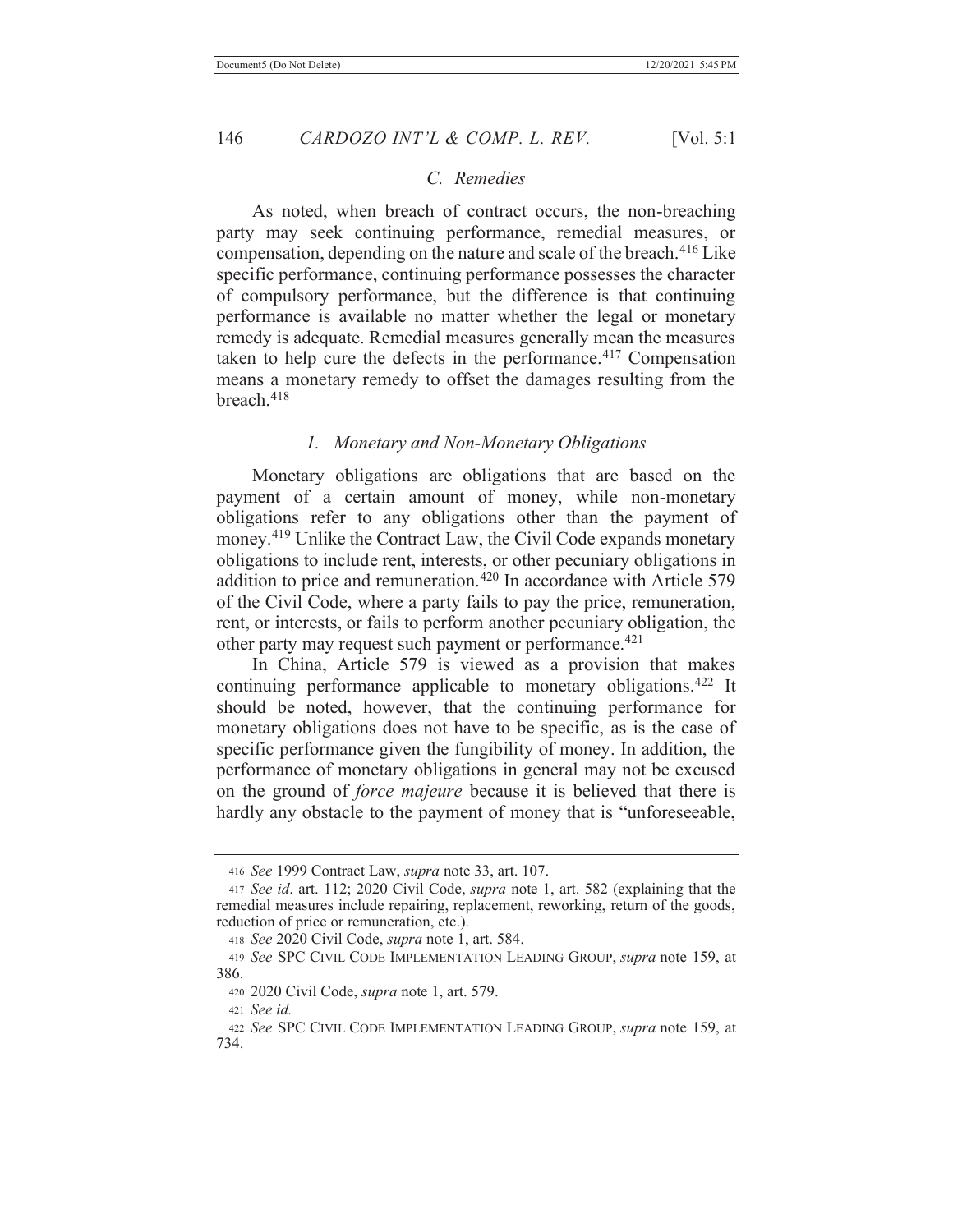### *C. Remedies*

 As noted, when breach of contract occurs, the non-breaching party may seek continuing performance, remedial measures, or compensation, depending on the nature and scale of the breach.<sup>416</sup> Like specific performance, continuing performance possesses the character of compulsory performance, but the difference is that continuing performance is available no matter whether the legal or monetary remedy is adequate. Remedial measures generally mean the measures taken to help cure the defects in the performance.<sup>417</sup> Compensation means a monetary remedy to offset the damages resulting from the breach.418

#### *1. Monetary and Non-Monetary Obligations*

 Monetary obligations are obligations that are based on the payment of a certain amount of money, while non-monetary obligations refer to any obligations other than the payment of money.<sup>419</sup> Unlike the Contract Law, the Civil Code expands monetary obligations to include rent, interests, or other pecuniary obligations in addition to price and remuneration.<sup>420</sup> In accordance with Article 579 of the Civil Code, where a party fails to pay the price, remuneration, rent, or interests, or fails to perform another pecuniary obligation, the other party may request such payment or performance.<sup>421</sup>

 In China, Article 579 is viewed as a provision that makes continuing performance applicable to monetary obligations.<sup>422</sup> It should be noted, however, that the continuing performance for monetary obligations does not have to be specific, as is the case of specific performance given the fungibility of money. In addition, the performance of monetary obligations in general may not be excused on the ground of *force majeure* because it is believed that there is hardly any obstacle to the payment of money that is "unforeseeable,

<sup>416</sup> *See* 1999 Contract Law, *supra* note 33, art. 107.

<sup>417</sup> *See id*. art. 112; 2020 Civil Code, *supra* note 1, art. 582 (explaining that the remedial measures include repairing, replacement, reworking, return of the goods, reduction of price or remuneration, etc.).

<sup>418</sup> *See* 2020 Civil Code, *supra* note 1, art. 584.

<sup>419</sup> *See* SPC CIVIL CODE IMPLEMENTATION LEADING GROUP, *supra* note 159, at 386.

<sup>420 2020</sup> Civil Code, *supra* note 1, art. 579.

<sup>421</sup> *See id.*

<sup>422</sup> *See* SPC CIVIL CODE IMPLEMENTATION LEADING GROUP, *supra* note 159, at 734.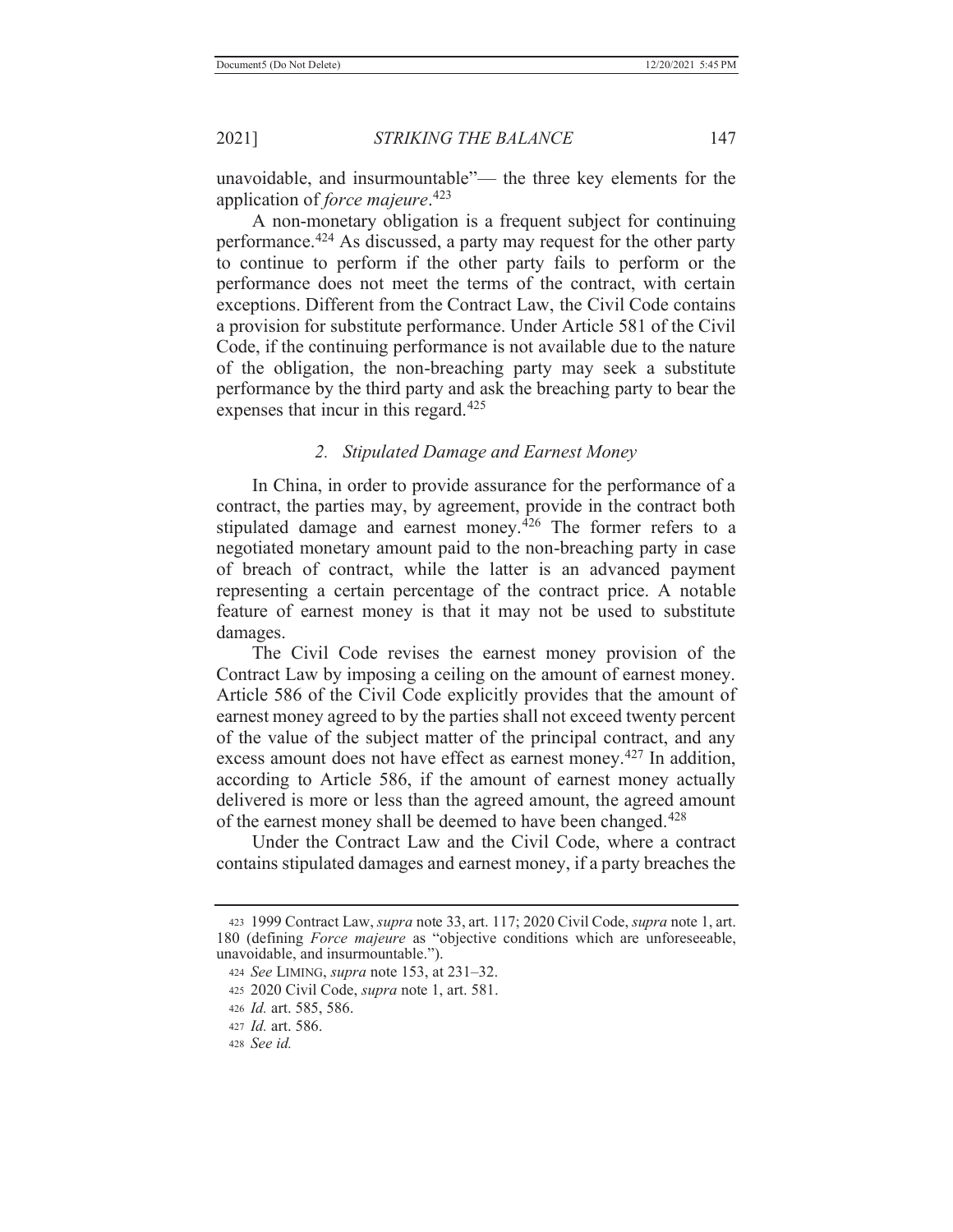unavoidable, and insurmountable"— the three key elements for the application of *force majeure*. 423

 A non-monetary obligation is a frequent subject for continuing performance.424 As discussed, a party may request for the other party to continue to perform if the other party fails to perform or the performance does not meet the terms of the contract, with certain exceptions. Different from the Contract Law, the Civil Code contains a provision for substitute performance. Under Article 581 of the Civil Code, if the continuing performance is not available due to the nature of the obligation, the non-breaching party may seek a substitute performance by the third party and ask the breaching party to bear the expenses that incur in this regard.<sup>425</sup>

### *2. Stipulated Damage and Earnest Money*

 In China, in order to provide assurance for the performance of a contract, the parties may, by agreement, provide in the contract both stipulated damage and earnest money. $426$  The former refers to a negotiated monetary amount paid to the non-breaching party in case of breach of contract, while the latter is an advanced payment representing a certain percentage of the contract price. A notable feature of earnest money is that it may not be used to substitute damages.

 The Civil Code revises the earnest money provision of the Contract Law by imposing a ceiling on the amount of earnest money. Article 586 of the Civil Code explicitly provides that the amount of earnest money agreed to by the parties shall not exceed twenty percent of the value of the subject matter of the principal contract, and any excess amount does not have effect as earnest money.<sup>427</sup> In addition, according to Article 586, if the amount of earnest money actually delivered is more or less than the agreed amount, the agreed amount of the earnest money shall be deemed to have been changed.<sup>428</sup>

 Under the Contract Law and the Civil Code, where a contract contains stipulated damages and earnest money, if a party breaches the

<sup>423 1999</sup> Contract Law, *supra* note 33, art. 117; 2020 Civil Code, *supra* note 1, art. 180 (defining *Force majeure* as "objective conditions which are unforeseeable, unavoidable, and insurmountable.").

<sup>424</sup> *See* LIMING, *supra* note 153, at 231–32.

<sup>425 2020</sup> Civil Code, *supra* note 1, art. 581.

<sup>426</sup> *Id.* art. 585, 586.

<sup>427</sup> *Id.* art. 586.

<sup>428</sup> *See id.*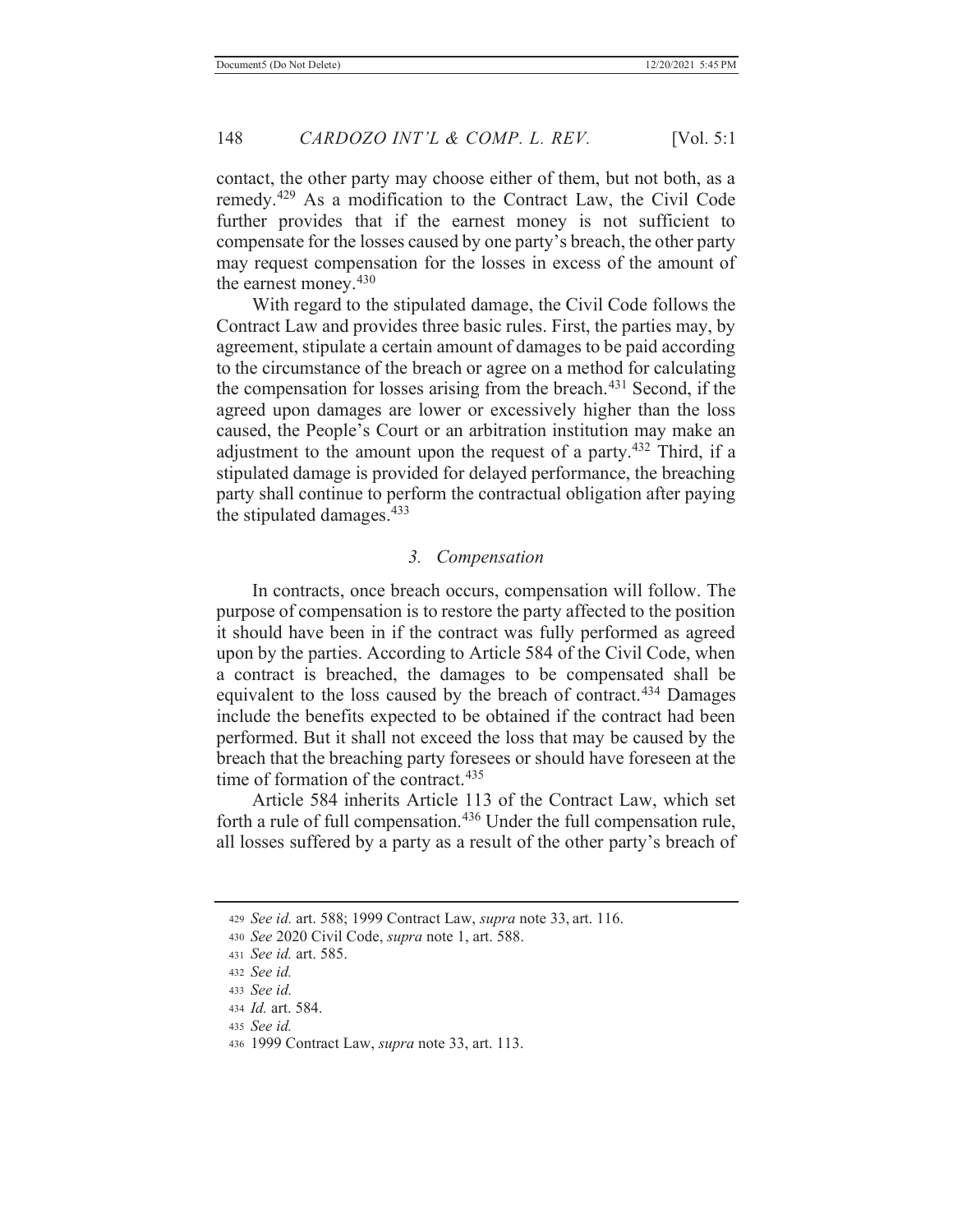contact, the other party may choose either of them, but not both, as a remedy.429 As a modification to the Contract Law, the Civil Code further provides that if the earnest money is not sufficient to compensate for the losses caused by one party's breach, the other party may request compensation for the losses in excess of the amount of the earnest money.430

 With regard to the stipulated damage, the Civil Code follows the Contract Law and provides three basic rules. First, the parties may, by agreement, stipulate a certain amount of damages to be paid according to the circumstance of the breach or agree on a method for calculating the compensation for losses arising from the breach. $431$  Second, if the agreed upon damages are lower or excessively higher than the loss caused, the People's Court or an arbitration institution may make an adjustment to the amount upon the request of a party.<sup>432</sup> Third, if a stipulated damage is provided for delayed performance, the breaching party shall continue to perform the contractual obligation after paying the stipulated damages. $433$ 

#### *3. Compensation*

 In contracts, once breach occurs, compensation will follow. The purpose of compensation is to restore the party affected to the position it should have been in if the contract was fully performed as agreed upon by the parties. According to Article 584 of the Civil Code, when a contract is breached, the damages to be compensated shall be equivalent to the loss caused by the breach of contract.<sup>434</sup> Damages include the benefits expected to be obtained if the contract had been performed. But it shall not exceed the loss that may be caused by the breach that the breaching party foresees or should have foreseen at the time of formation of the contract. $435$ 

 Article 584 inherits Article 113 of the Contract Law, which set forth a rule of full compensation.<sup>436</sup> Under the full compensation rule, all losses suffered by a party as a result of the other party's breach of

<sup>429</sup> *See id.* art. 588; 1999 Contract Law, *supra* note 33, art. 116.

<sup>430</sup> *See* 2020 Civil Code, *supra* note 1, art. 588.

<sup>431</sup> *See id.* art. 585.

<sup>432</sup> *See id.*

<sup>433</sup> *See id.*

<sup>434</sup> *Id.* art. 584.

<sup>435</sup> *See id.*

<sup>436 1999</sup> Contract Law, *supra* note 33, art. 113.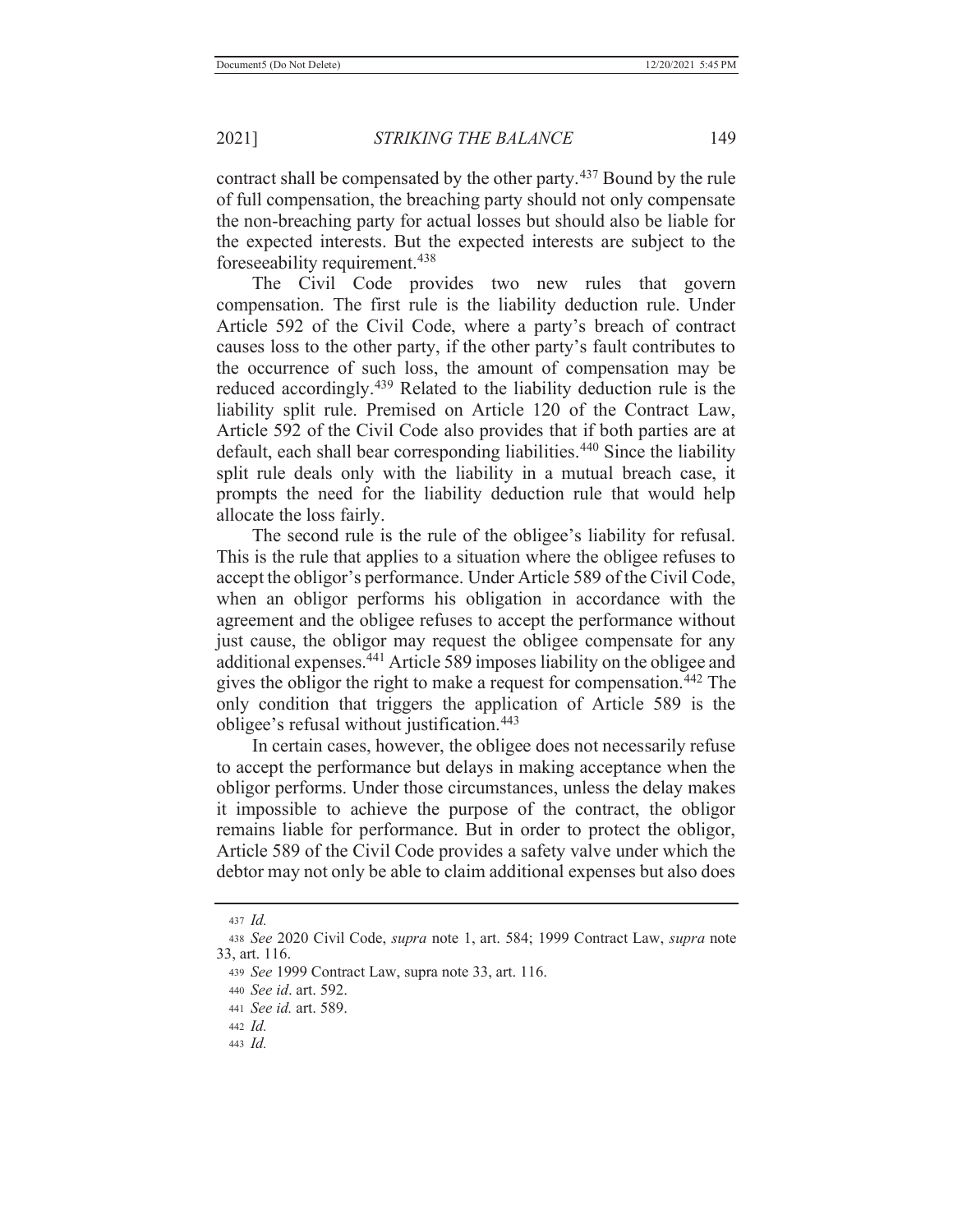contract shall be compensated by the other party.<sup>437</sup> Bound by the rule of full compensation, the breaching party should not only compensate the non-breaching party for actual losses but should also be liable for the expected interests. But the expected interests are subject to the foreseeability requirement.438

 The Civil Code provides two new rules that govern compensation. The first rule is the liability deduction rule. Under Article 592 of the Civil Code, where a party's breach of contract causes loss to the other party, if the other party's fault contributes to the occurrence of such loss, the amount of compensation may be reduced accordingly.<sup>439</sup> Related to the liability deduction rule is the liability split rule. Premised on Article 120 of the Contract Law, Article 592 of the Civil Code also provides that if both parties are at default, each shall bear corresponding liabilities.<sup>440</sup> Since the liability split rule deals only with the liability in a mutual breach case, it prompts the need for the liability deduction rule that would help allocate the loss fairly.

The second rule is the rule of the obligee's liability for refusal. This is the rule that applies to a situation where the obligee refuses to accept the obligor's performance. Under Article 589 of the Civil Code, when an obligor performs his obligation in accordance with the agreement and the obligee refuses to accept the performance without just cause, the obligor may request the obligee compensate for any additional expenses.441 Article 589 imposes liability on the obligee and gives the obligor the right to make a request for compensation.442 The only condition that triggers the application of Article 589 is the obligee's refusal without justification.<sup>443</sup>

 In certain cases, however, the obligee does not necessarily refuse to accept the performance but delays in making acceptance when the obligor performs. Under those circumstances, unless the delay makes it impossible to achieve the purpose of the contract, the obligor remains liable for performance. But in order to protect the obligor, Article 589 of the Civil Code provides a safety valve under which the debtor may not only be able to claim additional expenses but also does

<sup>437</sup> *Id.*

<sup>438</sup> *See* 2020 Civil Code, *supra* note 1, art. 584; 1999 Contract Law, *supra* note 33, art. 116.

<sup>439</sup> *See* 1999 Contract Law, supra note 33, art. 116.

<sup>440</sup> *See id*. art. 592.

<sup>441</sup> *See id.* art. 589.

<sup>442</sup> *Id.*

<sup>443</sup> *Id.*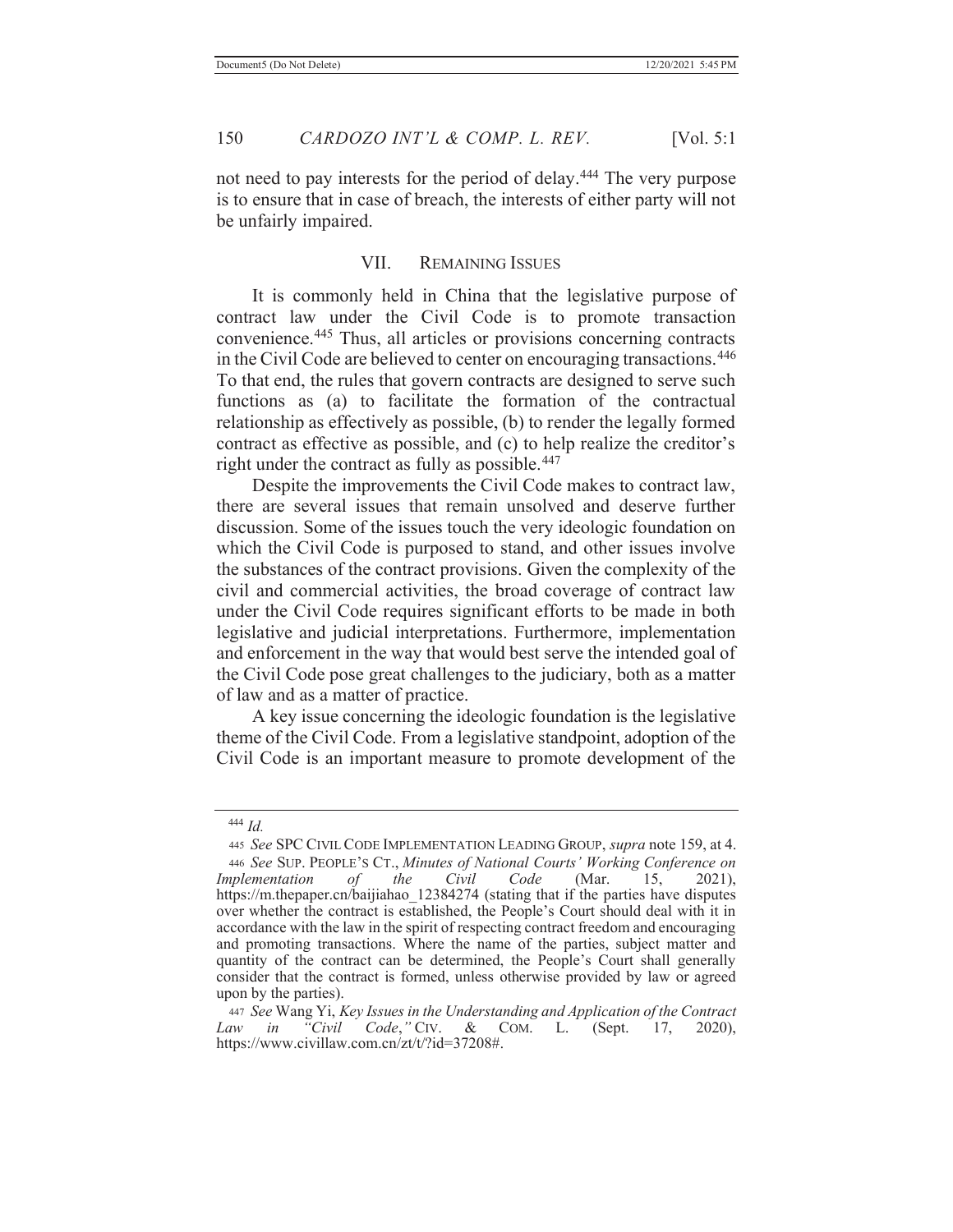not need to pay interests for the period of delay.<sup>444</sup> The very purpose is to ensure that in case of breach, the interests of either party will not be unfairly impaired.

### VII. REMAINING ISSUES

 It is commonly held in China that the legislative purpose of contract law under the Civil Code is to promote transaction convenience.445 Thus, all articles or provisions concerning contracts in the Civil Code are believed to center on encouraging transactions.446 To that end, the rules that govern contracts are designed to serve such functions as (a) to facilitate the formation of the contractual relationship as effectively as possible, (b) to render the legally formed contract as effective as possible, and (c) to help realize the creditor's right under the contract as fully as possible.<sup>447</sup>

 Despite the improvements the Civil Code makes to contract law, there are several issues that remain unsolved and deserve further discussion. Some of the issues touch the very ideologic foundation on which the Civil Code is purposed to stand, and other issues involve the substances of the contract provisions. Given the complexity of the civil and commercial activities, the broad coverage of contract law under the Civil Code requires significant efforts to be made in both legislative and judicial interpretations. Furthermore, implementation and enforcement in the way that would best serve the intended goal of the Civil Code pose great challenges to the judiciary, both as a matter of law and as a matter of practice.

 A key issue concerning the ideologic foundation is the legislative theme of the Civil Code. From a legislative standpoint, adoption of the Civil Code is an important measure to promote development of the

 <sup>444</sup> *Id.*

<sup>445</sup> *See* SPC CIVIL CODE IMPLEMENTATION LEADING GROUP, *supra* note 159, at 4. <sup>446</sup> *See* SUP. PEOPLE'S CT., *Minutes of National Courts' Working Conference on Implementation of the Civil Code* (Mar. 15, 2021), https://m.thepaper.cn/baijiahao\_12384274 (stating that if the parties have disputes over whether the contract is established, the People's Court should deal with it in accordance with the law in the spirit of respecting contract freedom and encouraging and promoting transactions. Where the name of the parties, subject matter and quantity of the contract can be determined, the People's Court shall generally consider that the contract is formed, unless otherwise provided by law or agreed upon by the parties).

<sup>447</sup> *See* Wang Yi, *Key Issues in the Understanding and Application of the Contract Law in "Civil Code*,*"* CIV. & COM. L. (Sept. 17, 2020), https://www.civillaw.com.cn/zt/t/?id=37208#.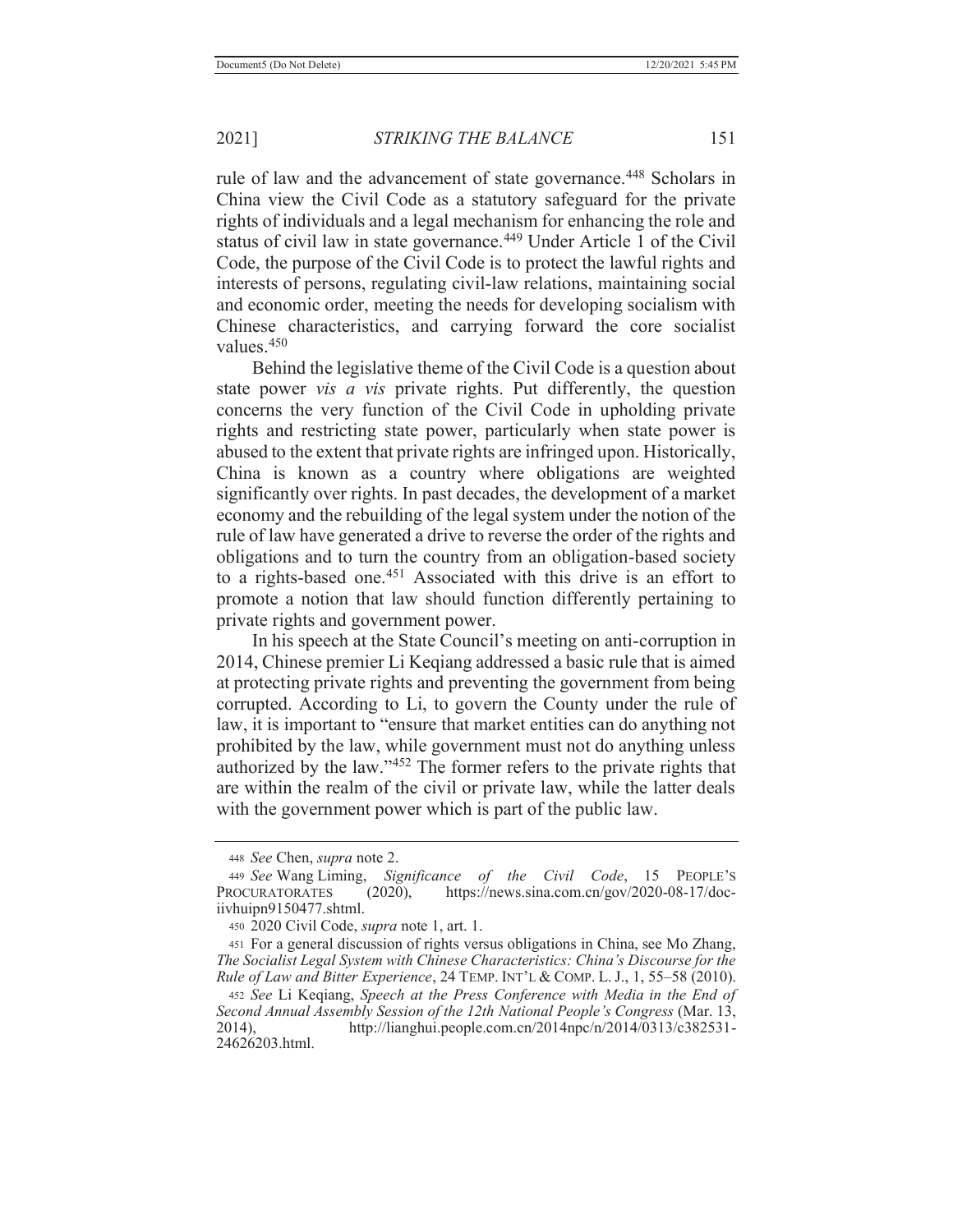rule of law and the advancement of state governance.<sup>448</sup> Scholars in China view the Civil Code as a statutory safeguard for the private rights of individuals and a legal mechanism for enhancing the role and status of civil law in state governance.<sup>449</sup> Under Article 1 of the Civil Code, the purpose of the Civil Code is to protect the lawful rights and interests of persons, regulating civil-law relations, maintaining social and economic order, meeting the needs for developing socialism with Chinese characteristics, and carrying forward the core socialist values.450

 Behind the legislative theme of the Civil Code is a question about state power *vis a vis* private rights. Put differently, the question concerns the very function of the Civil Code in upholding private rights and restricting state power, particularly when state power is abused to the extent that private rights are infringed upon. Historically, China is known as a country where obligations are weighted significantly over rights. In past decades, the development of a market economy and the rebuilding of the legal system under the notion of the rule of law have generated a drive to reverse the order of the rights and obligations and to turn the country from an obligation-based society to a rights-based one.451 Associated with this drive is an effort to promote a notion that law should function differently pertaining to private rights and government power.

In his speech at the State Council's meeting on anti-corruption in 2014, Chinese premier Li Keqiang addressed a basic rule that is aimed at protecting private rights and preventing the government from being corrupted. According to Li, to govern the County under the rule of law, it is important to "ensure that market entities can do anything not prohibited by the law, while government must not do anything unless authorized by the law."452 The former refers to the private rights that are within the realm of the civil or private law, while the latter deals with the government power which is part of the public law.

<sup>448</sup> *See* Chen, *supra* note 2.

<sup>449</sup> *See* Wang Liming, *Significance of the Civil Code*, 15 PEOPLE'S PROCURATORATES (2020), https://news.sina.com.cn/gov/2020-08-17/dociivhuipn9150477.shtml.

<sup>450 2020</sup> Civil Code, *supra* note 1, art. 1.

<sup>451</sup> For a general discussion of rights versus obligations in China, see Mo Zhang, *The Socialist Legal System with Chinese Characteristics: China's Discourse for the Rule of Law and Bitter Experience*, 24 TEMP. INT'L & COMP. L. J., 1, 55–58 (2010).

<sup>452</sup> *See* Li Keqiang, *Speech at the Press Conference with Media in the End of Second Annual Assembly Session of the 12th National People's Congress* (Mar. 13, 2014), http://lianghui.people.com.cn/2014npc/n/2014/0313/c382531- 24626203.html.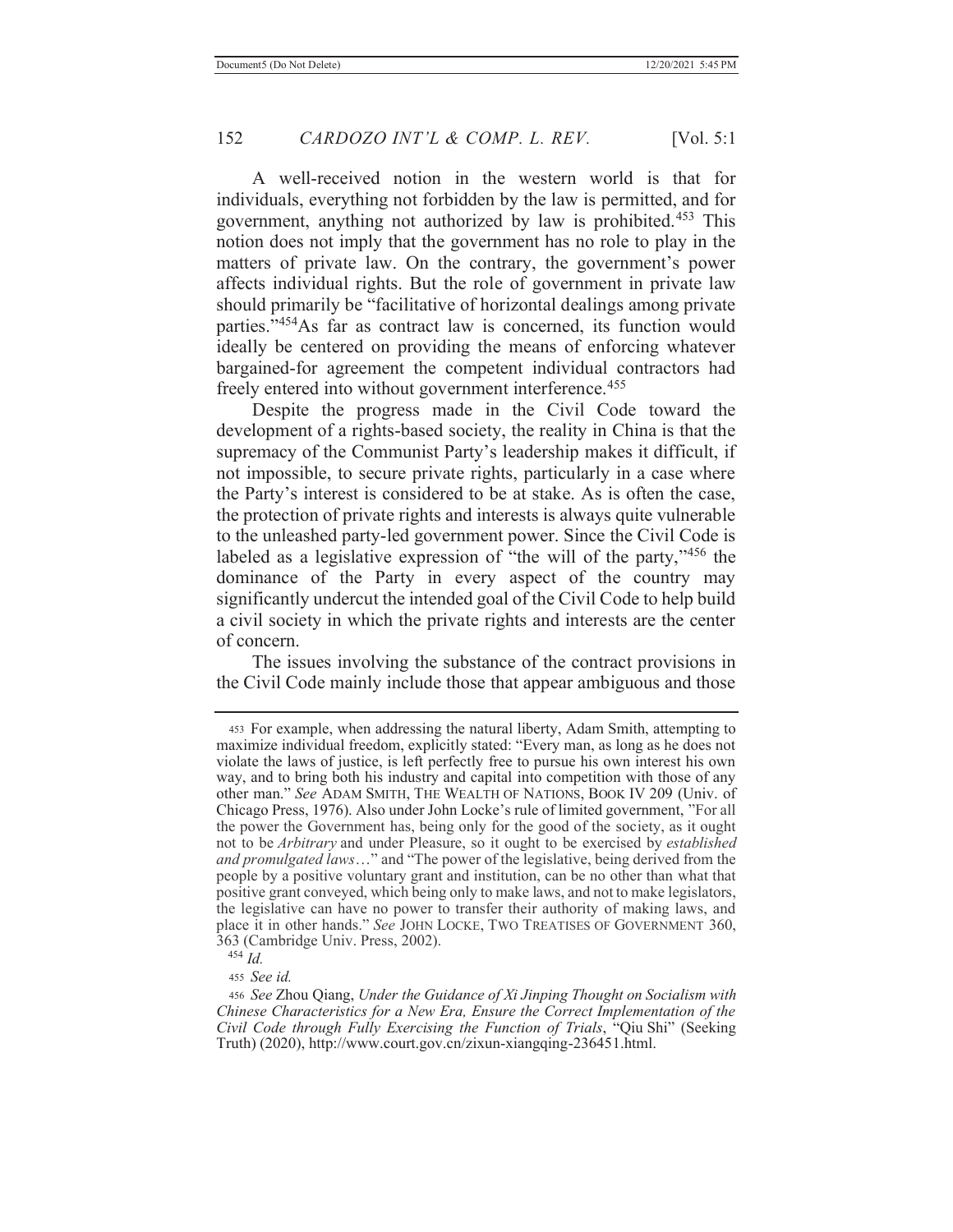A well-received notion in the western world is that for individuals, everything not forbidden by the law is permitted, and for government, anything not authorized by law is prohibited.453 This notion does not imply that the government has no role to play in the matters of private law. On the contrary, the government's power affects individual rights. But the role of government in private law should primarily be "facilitative of horizontal dealings among private parties."454As far as contract law is concerned, its function would ideally be centered on providing the means of enforcing whatever bargained-for agreement the competent individual contractors had freely entered into without government interference.<sup>455</sup>

 Despite the progress made in the Civil Code toward the development of a rights-based society, the reality in China is that the supremacy of the Communist Party's leadership makes it difficult, if not impossible, to secure private rights, particularly in a case where the Party's interest is considered to be at stake. As is often the case, the protection of private rights and interests is always quite vulnerable to the unleashed party-led government power. Since the Civil Code is labeled as a legislative expression of "the will of the party,"456 the dominance of the Party in every aspect of the country may significantly undercut the intended goal of the Civil Code to help build a civil society in which the private rights and interests are the center of concern.

 The issues involving the substance of the contract provisions in the Civil Code mainly include those that appear ambiguous and those

<sup>455</sup> *See id.*

<sup>453</sup> For example, when addressing the natural liberty, Adam Smith, attempting to maximize individual freedom, explicitly stated: "Every man, as long as he does not violate the laws of justice, is left perfectly free to pursue his own interest his own way, and to bring both his industry and capital into competition with those of any other man." *See* ADAM SMITH, THE WEALTH OF NATIONS, BOOK IV 209 (Univ. of Chicago Press, 1976). Also under John Locke's rule of limited government, "For all the power the Government has, being only for the good of the society, as it ought not to be *Arbitrary* and under Pleasure, so it ought to be exercised by *established and promulgated laws*…" and "The power of the legislative, being derived from the people by a positive voluntary grant and institution, can be no other than what that positive grant conveyed, which being only to make laws, and not to make legislators, the legislative can have no power to transfer their authority of making laws, and place it in other hands." *See* JOHN LOCKE, TWO TREATISES OF GOVERNMENT 360, 363 (Cambridge Univ. Press, 2002).

 $454 \overline{Id}$ 

<sup>456</sup> *See* Zhou Qiang, *Under the Guidance of Xi Jinping Thought on Socialism with Chinese Characteristics for a New Era, Ensure the Correct Implementation of the Civil Code through Fully Exercising the Function of Trials*, "Qiu Shi" (Seeking Truth) (2020), http://www.court.gov.cn/zixun-xiangqing-236451.html.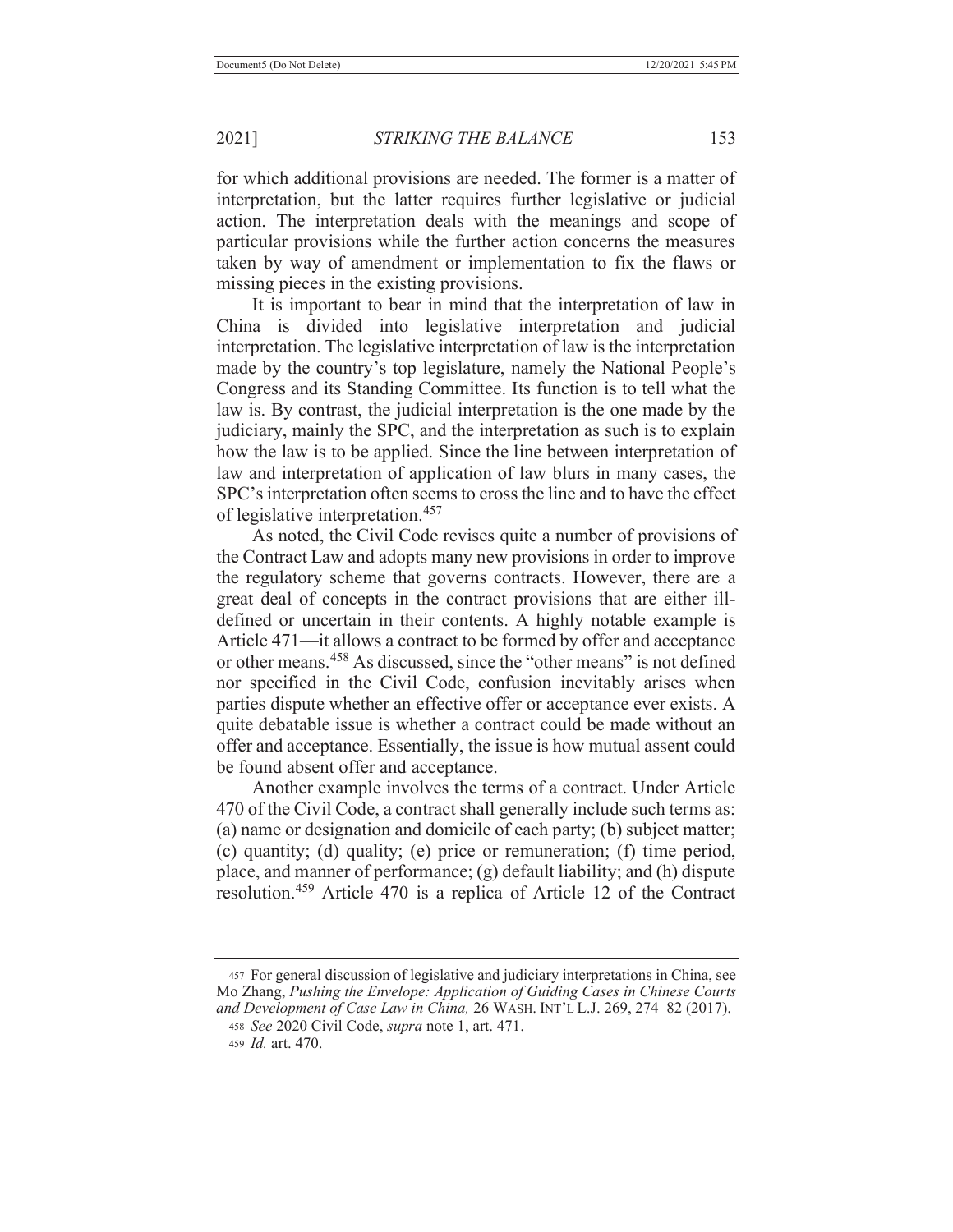for which additional provisions are needed. The former is a matter of interpretation, but the latter requires further legislative or judicial action. The interpretation deals with the meanings and scope of particular provisions while the further action concerns the measures taken by way of amendment or implementation to fix the flaws or missing pieces in the existing provisions.

 It is important to bear in mind that the interpretation of law in China is divided into legislative interpretation and judicial interpretation. The legislative interpretation of law is the interpretation made by the country's top legislature, namely the National People's Congress and its Standing Committee. Its function is to tell what the law is. By contrast, the judicial interpretation is the one made by the judiciary, mainly the SPC, and the interpretation as such is to explain how the law is to be applied. Since the line between interpretation of law and interpretation of application of law blurs in many cases, the SPC's interpretation often seems to cross the line and to have the effect of legislative interpretation.457

 As noted, the Civil Code revises quite a number of provisions of the Contract Law and adopts many new provisions in order to improve the regulatory scheme that governs contracts. However, there are a great deal of concepts in the contract provisions that are either illdefined or uncertain in their contents. A highly notable example is Article 471—it allows a contract to be formed by offer and acceptance or other means.458 As discussed, since the "other means" is not defined nor specified in the Civil Code, confusion inevitably arises when parties dispute whether an effective offer or acceptance ever exists. A quite debatable issue is whether a contract could be made without an offer and acceptance. Essentially, the issue is how mutual assent could be found absent offer and acceptance.

 Another example involves the terms of a contract. Under Article 470 of the Civil Code, a contract shall generally include such terms as: (a) name or designation and domicile of each party; (b) subject matter; (c) quantity; (d) quality; (e) price or remuneration; (f) time period, place, and manner of performance; (g) default liability; and (h) dispute resolution.459 Article 470 is a replica of Article 12 of the Contract

<sup>457</sup> For general discussion of legislative and judiciary interpretations in China, see Mo Zhang, *Pushing the Envelope: Application of Guiding Cases in Chinese Courts and Development of Case Law in China,* 26 WASH. INT'L L.J. 269, 274–82 (2017).

<sup>458</sup> *See* 2020 Civil Code, *supra* note 1, art. 471.

<sup>459</sup> *Id.* art. 470.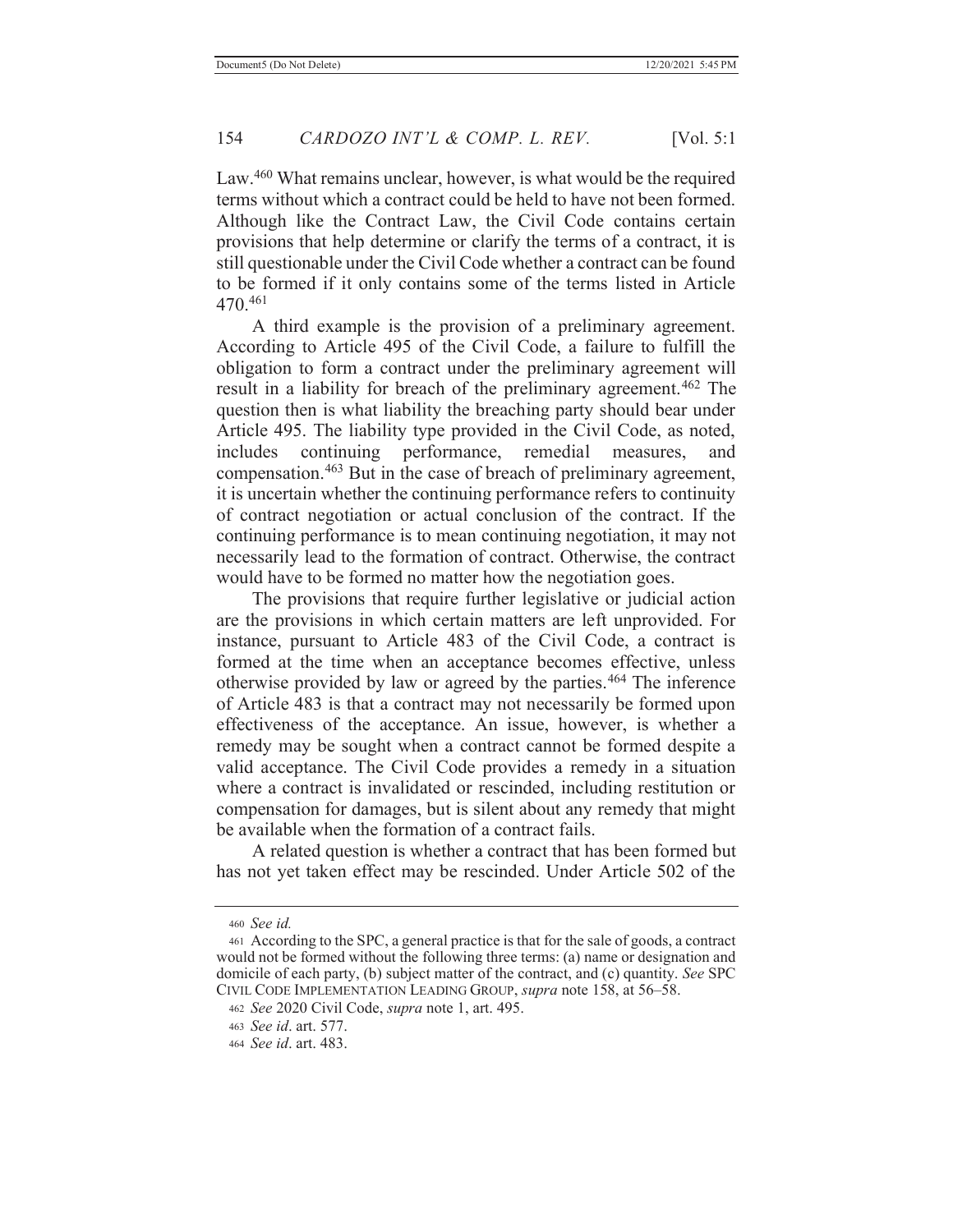Law.<sup>460</sup> What remains unclear, however, is what would be the required terms without which a contract could be held to have not been formed. Although like the Contract Law, the Civil Code contains certain provisions that help determine or clarify the terms of a contract, it is still questionable under the Civil Code whether a contract can be found to be formed if it only contains some of the terms listed in Article 470.461

 A third example is the provision of a preliminary agreement. According to Article 495 of the Civil Code, a failure to fulfill the obligation to form a contract under the preliminary agreement will result in a liability for breach of the preliminary agreement.<sup>462</sup> The question then is what liability the breaching party should bear under Article 495. The liability type provided in the Civil Code, as noted, includes continuing performance, remedial measures, and compensation.463 But in the case of breach of preliminary agreement, it is uncertain whether the continuing performance refers to continuity of contract negotiation or actual conclusion of the contract. If the continuing performance is to mean continuing negotiation, it may not necessarily lead to the formation of contract. Otherwise, the contract would have to be formed no matter how the negotiation goes.

 The provisions that require further legislative or judicial action are the provisions in which certain matters are left unprovided. For instance, pursuant to Article 483 of the Civil Code, a contract is formed at the time when an acceptance becomes effective, unless otherwise provided by law or agreed by the parties.464 The inference of Article 483 is that a contract may not necessarily be formed upon effectiveness of the acceptance. An issue, however, is whether a remedy may be sought when a contract cannot be formed despite a valid acceptance. The Civil Code provides a remedy in a situation where a contract is invalidated or rescinded, including restitution or compensation for damages, but is silent about any remedy that might be available when the formation of a contract fails.

 A related question is whether a contract that has been formed but has not yet taken effect may be rescinded. Under Article 502 of the

<sup>460</sup> *See id.*

<sup>461</sup> According to the SPC, a general practice is that for the sale of goods, a contract would not be formed without the following three terms: (a) name or designation and domicile of each party, (b) subject matter of the contract, and (c) quantity. *See* SPC CIVIL CODE IMPLEMENTATION LEADING GROUP, *supra* note 158, at 56–58.

<sup>462</sup> *See* 2020 Civil Code, *supra* note 1, art. 495.

<sup>463</sup> *See id*. art. 577.

<sup>464</sup> *See id*. art. 483.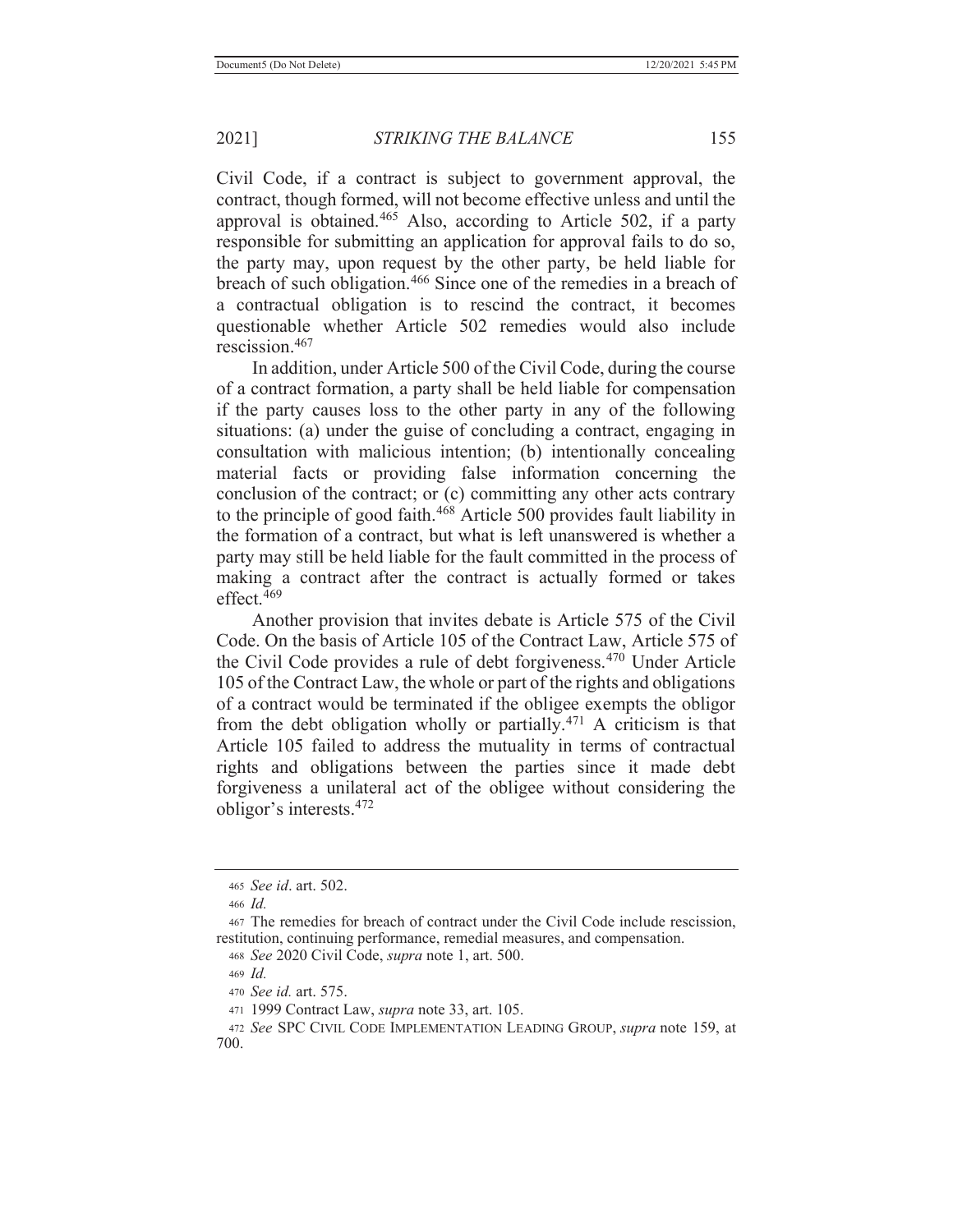Civil Code, if a contract is subject to government approval, the contract, though formed, will not become effective unless and until the approval is obtained.465 Also, according to Article 502, if a party responsible for submitting an application for approval fails to do so, the party may, upon request by the other party, be held liable for breach of such obligation.466 Since one of the remedies in a breach of a contractual obligation is to rescind the contract, it becomes questionable whether Article 502 remedies would also include rescission.467

 In addition, under Article 500 of the Civil Code, during the course of a contract formation, a party shall be held liable for compensation if the party causes loss to the other party in any of the following situations: (a) under the guise of concluding a contract, engaging in consultation with malicious intention; (b) intentionally concealing material facts or providing false information concerning the conclusion of the contract; or (c) committing any other acts contrary to the principle of good faith.<sup>468</sup> Article 500 provides fault liability in the formation of a contract, but what is left unanswered is whether a party may still be held liable for the fault committed in the process of making a contract after the contract is actually formed or takes effect.469

 Another provision that invites debate is Article 575 of the Civil Code. On the basis of Article 105 of the Contract Law, Article 575 of the Civil Code provides a rule of debt forgiveness.470 Under Article 105 of the Contract Law, the whole or part of the rights and obligations of a contract would be terminated if the obligee exempts the obligor from the debt obligation wholly or partially. $471$  A criticism is that Article 105 failed to address the mutuality in terms of contractual rights and obligations between the parties since it made debt forgiveness a unilateral act of the obligee without considering the obligor's interests.<sup>472</sup>

<sup>465</sup> *See id*. art. 502.

<sup>466</sup> *Id.*

<sup>467</sup> The remedies for breach of contract under the Civil Code include rescission, restitution, continuing performance, remedial measures, and compensation.

<sup>468</sup> *See* 2020 Civil Code, *supra* note 1, art. 500.

<sup>469</sup> *Id.*

<sup>470</sup> *See id.* art. 575.

<sup>471 1999</sup> Contract Law, *supra* note 33, art. 105.

<sup>472</sup> *See* SPC CIVIL CODE IMPLEMENTATION LEADING GROUP, *supra* note 159, at 700.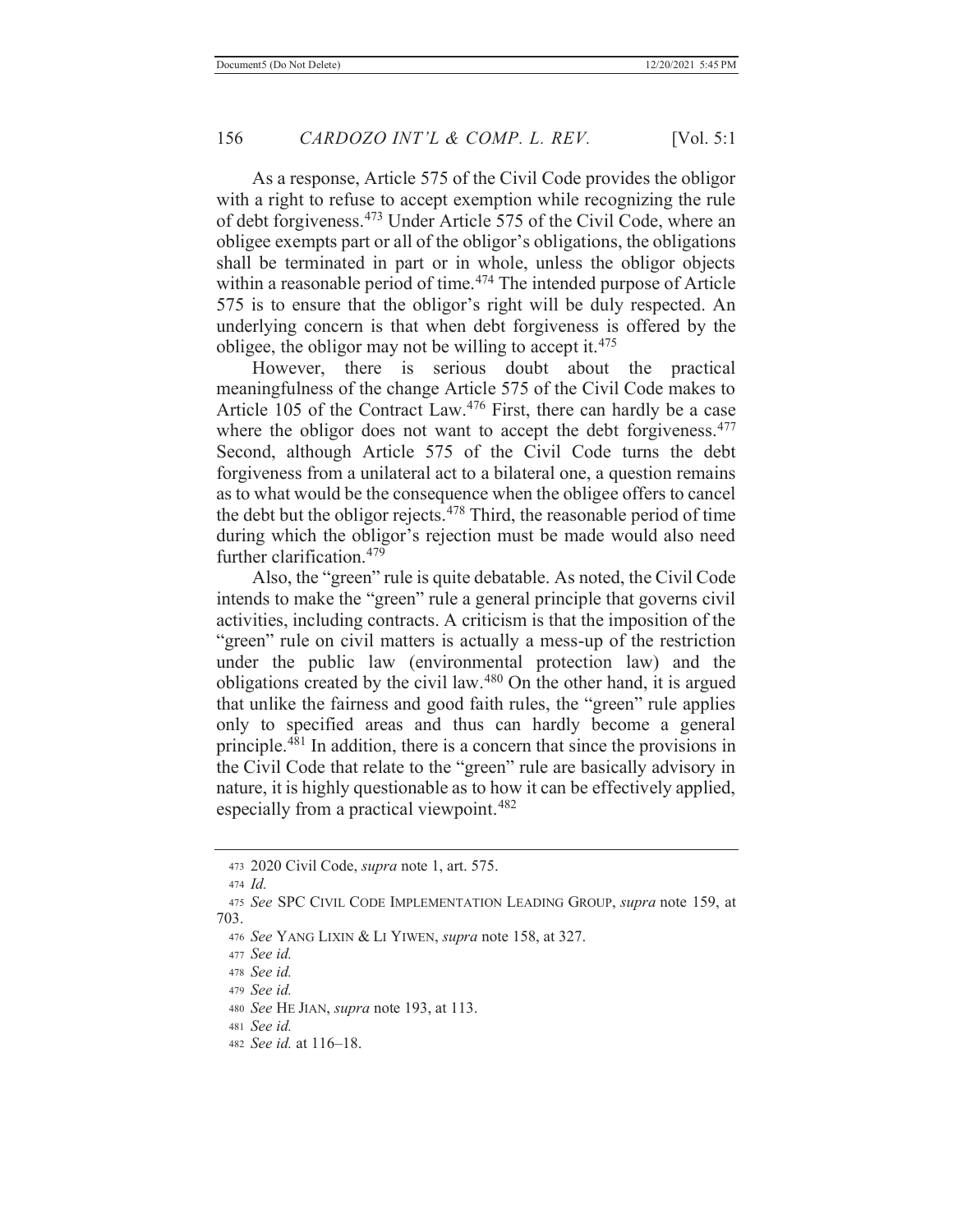As a response, Article 575 of the Civil Code provides the obligor with a right to refuse to accept exemption while recognizing the rule of debt forgiveness.473 Under Article 575 of the Civil Code, where an obligee exempts part or all of the obligor's obligations, the obligations shall be terminated in part or in whole, unless the obligor objects within a reasonable period of time.<sup>474</sup> The intended purpose of Article 575 is to ensure that the obligor's right will be duly respected. An underlying concern is that when debt forgiveness is offered by the obligee, the obligor may not be willing to accept it.<sup>475</sup>

 However, there is serious doubt about the practical meaningfulness of the change Article 575 of the Civil Code makes to Article 105 of the Contract Law.<sup>476</sup> First, there can hardly be a case where the obligor does not want to accept the debt forgiveness.<sup>477</sup> Second, although Article 575 of the Civil Code turns the debt forgiveness from a unilateral act to a bilateral one, a question remains as to what would be the consequence when the obligee offers to cancel the debt but the obligor rejects.<sup>478</sup> Third, the reasonable period of time during which the obligor's rejection must be made would also need further clarification.479

Also, the "green" rule is quite debatable. As noted, the Civil Code intends to make the "green" rule a general principle that governs civil activities, including contracts. A criticism is that the imposition of the "green" rule on civil matters is actually a mess-up of the restriction under the public law (environmental protection law) and the obligations created by the civil law.480 On the other hand, it is argued that unlike the fairness and good faith rules, the "green" rule applies only to specified areas and thus can hardly become a general principle.481 In addition, there is a concern that since the provisions in the Civil Code that relate to the "green" rule are basically advisory in nature, it is highly questionable as to how it can be effectively applied, especially from a practical viewpoint.<sup>482</sup>

482 *See id.* at 116–18.

<sup>473 2020</sup> Civil Code, *supra* note 1, art. 575.

<sup>474</sup> *Id.*

<sup>475</sup> *See* SPC CIVIL CODE IMPLEMENTATION LEADING GROUP, *supra* note 159, at 703.

<sup>476</sup> *See* YANG LIXIN & LI YIWEN, *supra* note 158, at 327.

<sup>477</sup> *See id.*

<sup>478</sup> *See id.*

<sup>479</sup> *See id.*

<sup>480</sup> *See* HE JIAN, *supra* note 193, at 113.

<sup>481</sup> *See id.*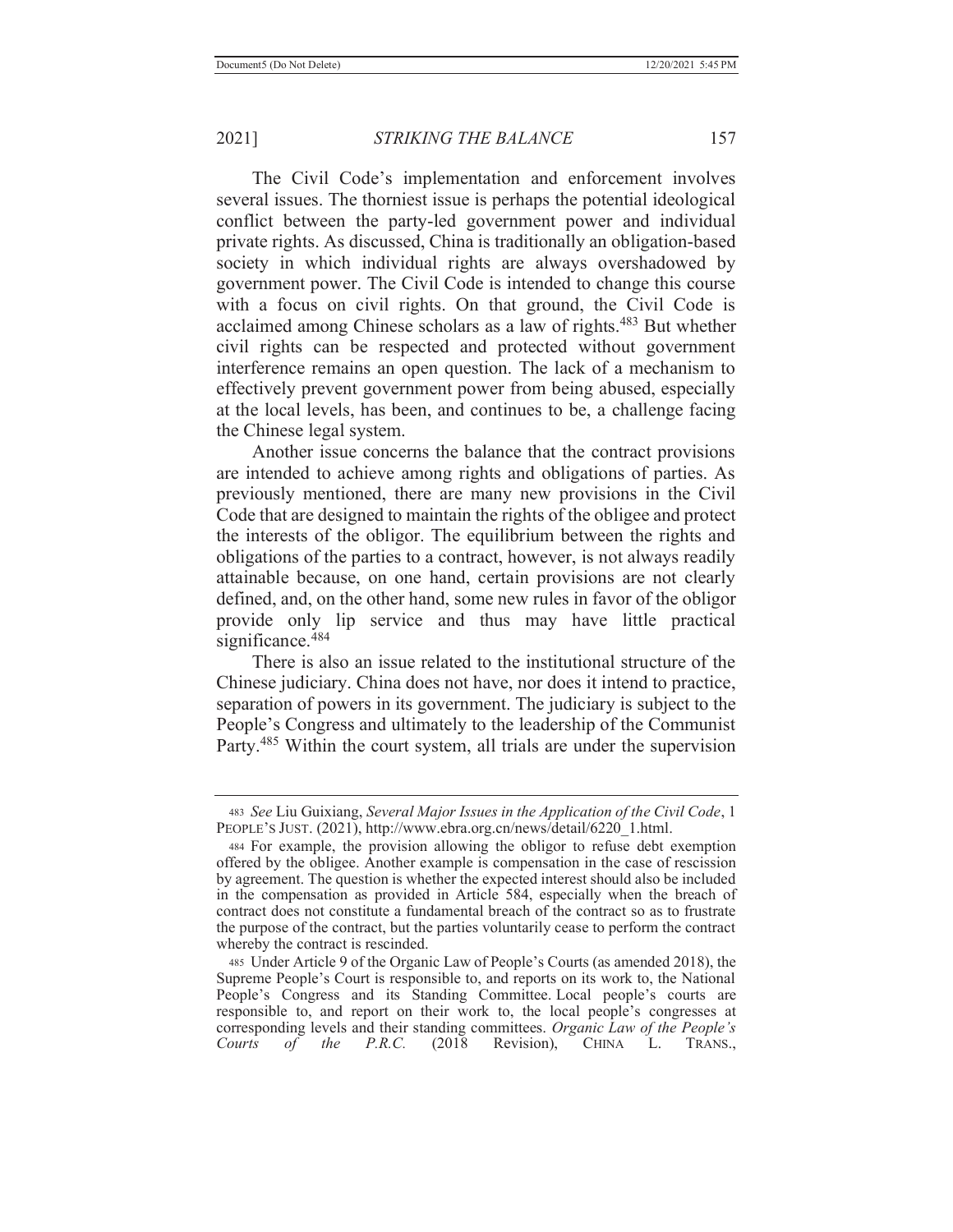The Civil Code's implementation and enforcement involves several issues. The thorniest issue is perhaps the potential ideological conflict between the party-led government power and individual private rights. As discussed, China is traditionally an obligation-based society in which individual rights are always overshadowed by government power. The Civil Code is intended to change this course with a focus on civil rights. On that ground, the Civil Code is acclaimed among Chinese scholars as a law of rights.483 But whether civil rights can be respected and protected without government interference remains an open question. The lack of a mechanism to effectively prevent government power from being abused, especially at the local levels, has been, and continues to be, a challenge facing the Chinese legal system.

 Another issue concerns the balance that the contract provisions are intended to achieve among rights and obligations of parties. As previously mentioned, there are many new provisions in the Civil Code that are designed to maintain the rights of the obligee and protect the interests of the obligor. The equilibrium between the rights and obligations of the parties to a contract, however, is not always readily attainable because, on one hand, certain provisions are not clearly defined, and, on the other hand, some new rules in favor of the obligor provide only lip service and thus may have little practical significance.<sup>484</sup>

 There is also an issue related to the institutional structure of the Chinese judiciary. China does not have, nor does it intend to practice, separation of powers in its government. The judiciary is subject to the People's Congress and ultimately to the leadership of the Communist Party.<sup>485</sup> Within the court system, all trials are under the supervision

<sup>483</sup> *See* Liu Guixiang, *Several Major Issues in the Application of the Civil Code*, 1 PEOPLE'S JUST. (2021), http://www.ebra.org.cn/news/detail/6220\_1.html.

<sup>484</sup> For example, the provision allowing the obligor to refuse debt exemption offered by the obligee. Another example is compensation in the case of rescission by agreement. The question is whether the expected interest should also be included in the compensation as provided in Article 584, especially when the breach of contract does not constitute a fundamental breach of the contract so as to frustrate the purpose of the contract, but the parties voluntarily cease to perform the contract whereby the contract is rescinded.

<sup>485</sup> Under Article 9 of the Organic Law of People's Courts (as amended 2018), the Supreme People's Court is responsible to, and reports on its work to, the National People's Congress and its Standing Committee. Local people's courts are responsible to, and report on their work to, the local people's congresses at corresponding levels and their standing committees. *Organic Law of the People's Courts of the P.R.C.* (2018 Revision), CHINA L. TRANS.,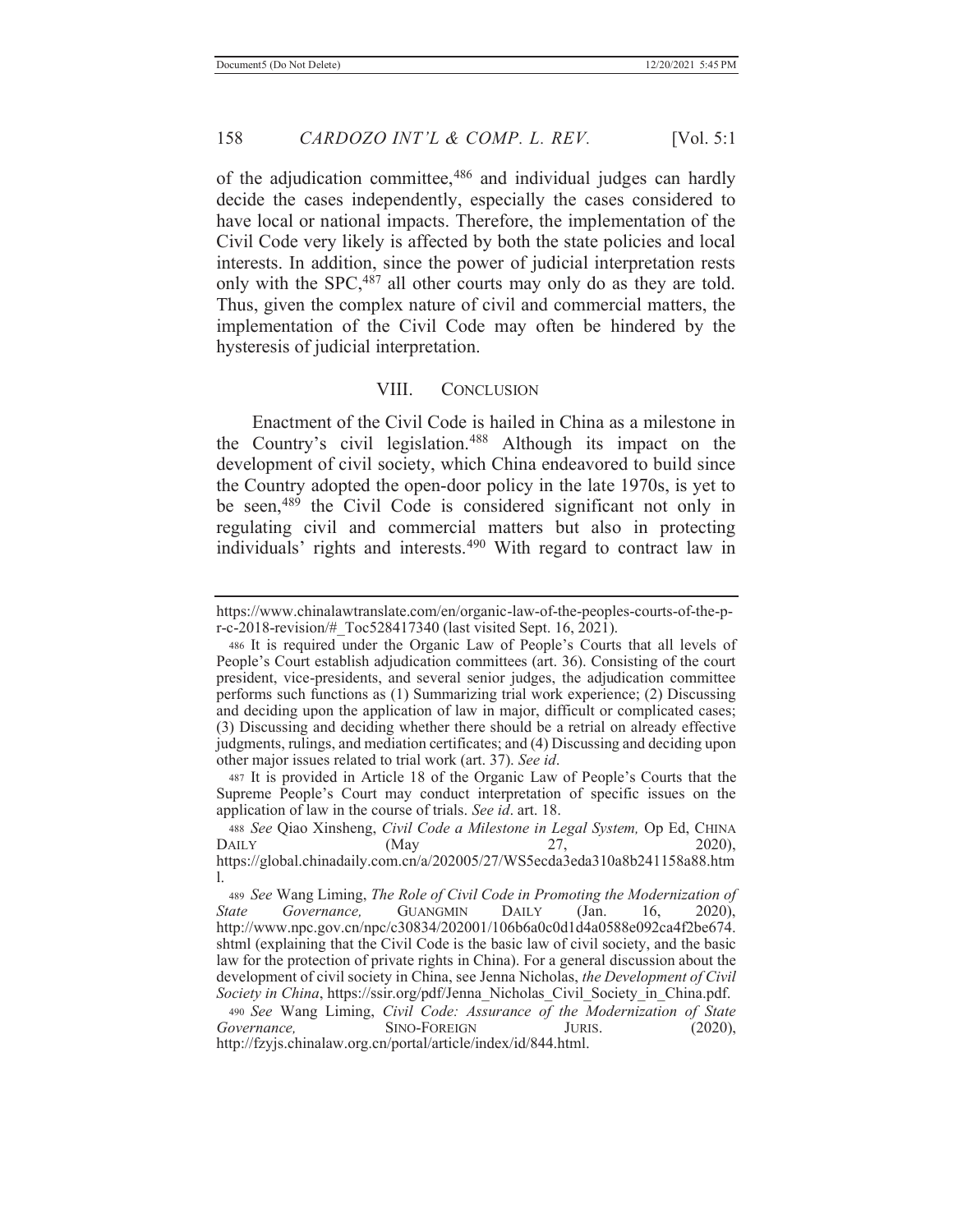of the adjudication committee,<sup>486</sup> and individual judges can hardly decide the cases independently, especially the cases considered to have local or national impacts. Therefore, the implementation of the Civil Code very likely is affected by both the state policies and local interests. In addition, since the power of judicial interpretation rests only with the SPC,<sup>487</sup> all other courts may only do as they are told. Thus, given the complex nature of civil and commercial matters, the implementation of the Civil Code may often be hindered by the hysteresis of judicial interpretation.

## VIII. CONCLUSION

 Enactment of the Civil Code is hailed in China as a milestone in the Country's civil legislation.<sup>488</sup> Although its impact on the development of civil society, which China endeavored to build since the Country adopted the open-door policy in the late 1970s, is yet to be seen,<sup>489</sup> the Civil Code is considered significant not only in regulating civil and commercial matters but also in protecting individuals' rights and interests.490 With regard to contract law in

487 It is provided in Article 18 of the Organic Law of People's Courts that the Supreme People's Court may conduct interpretation of specific issues on the application of law in the course of trials. *See id*. art. 18.

https://www.chinalawtranslate.com/en/organic-law-of-the-peoples-courts-of-the-pr-c-2018-revision/#\_Toc528417340 (last visited Sept. 16, 2021).

<sup>486</sup> It is required under the Organic Law of People's Courts that all levels of People's Court establish adjudication committees (art. 36). Consisting of the court president, vice-presidents, and several senior judges, the adjudication committee performs such functions as (1) Summarizing trial work experience; (2) Discussing and deciding upon the application of law in major, difficult or complicated cases; (3) Discussing and deciding whether there should be a retrial on already effective judgments, rulings, and mediation certificates; and (4) Discussing and deciding upon other major issues related to trial work (art. 37). *See id*.

<sup>488</sup> *See* Qiao Xinsheng, *Civil Code a Milestone in Legal System,* Op Ed, CHINA DAILY (May 27, 2020), https://global.chinadaily.com.cn/a/202005/27/WS5ecda3eda310a8b241158a88.htm l.

<sup>489</sup> *See* Wang Liming, *The Role of Civil Code in Promoting the Modernization of State Governance,* GUANGMIN DAILY (Jan. 16, 2020), http://www.npc.gov.cn/npc/c30834/202001/106b6a0c0d1d4a0588e092ca4f2be674. shtml (explaining that the Civil Code is the basic law of civil society, and the basic law for the protection of private rights in China). For a general discussion about the development of civil society in China, see Jenna Nicholas, *the Development of Civil Society in China*, https://ssir.org/pdf/Jenna\_Nicholas\_Civil\_Society\_in\_China.pdf.

<sup>490</sup> *See* Wang Liming, *Civil Code: Assurance of the Modernization of State Governance,* SINO-FOREIGN JURIS. (2020), http://fzyjs.chinalaw.org.cn/portal/article/index/id/844.html.